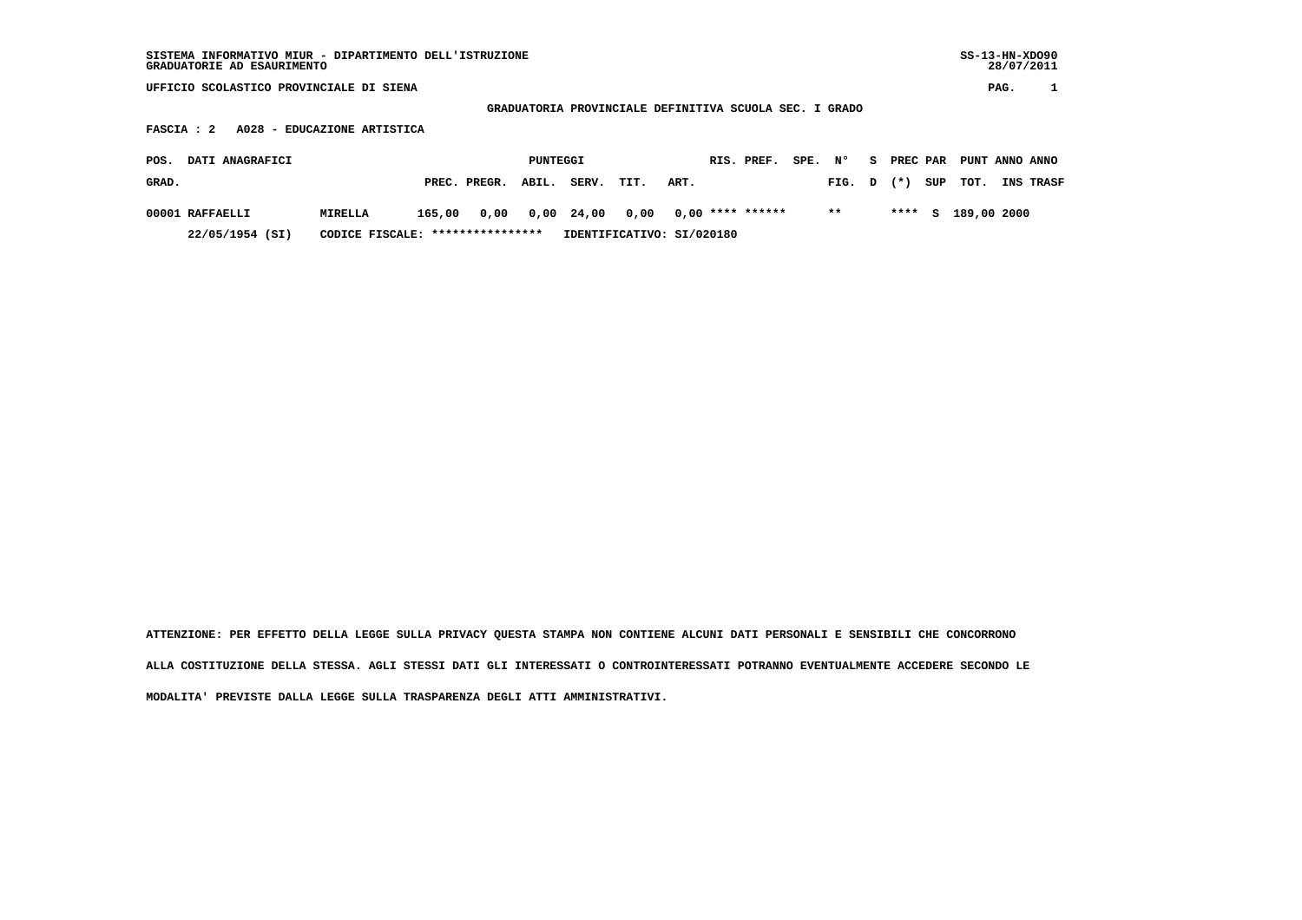## **GRADUATORIA PROVINCIALE DEFINITIVA SCUOLA SEC. I GRADO**

 **FASCIA : 2 A028 - EDUCAZIONE ARTISTICA**

| <b>DATI ANAGRAFICI</b><br>POS. |                                  |        |              | PUNTEGGI |                                                       |      |      | RIS. PREF. | SPE, N° |        | 8. |       |     | PREC PAR PUNT ANNO ANNO |                  |
|--------------------------------|----------------------------------|--------|--------------|----------|-------------------------------------------------------|------|------|------------|---------|--------|----|-------|-----|-------------------------|------------------|
| GRAD.                          |                                  |        | PREC. PREGR. | ABIL.    | SERV.                                                 | TIT. | ART. |            |         | FIG. D |    | $(*)$ | SUP | тот.                    | <b>INS TRASF</b> |
| 00001 RAFFAELLI                | MIRELLA                          | 165,00 |              |          | $0,00$ $0,00$ $24,00$ $0,00$ $0,00$ $***$ **** ****** |      |      |            |         | $* *$  |    |       |     | **** S 189,00 2000      |                  |
| 22/05/1954 (SI)                | CODICE FISCALE: **************** |        |              |          | IDENTIFICATIVO: SI/020180                             |      |      |            |         |        |    |       |     |                         |                  |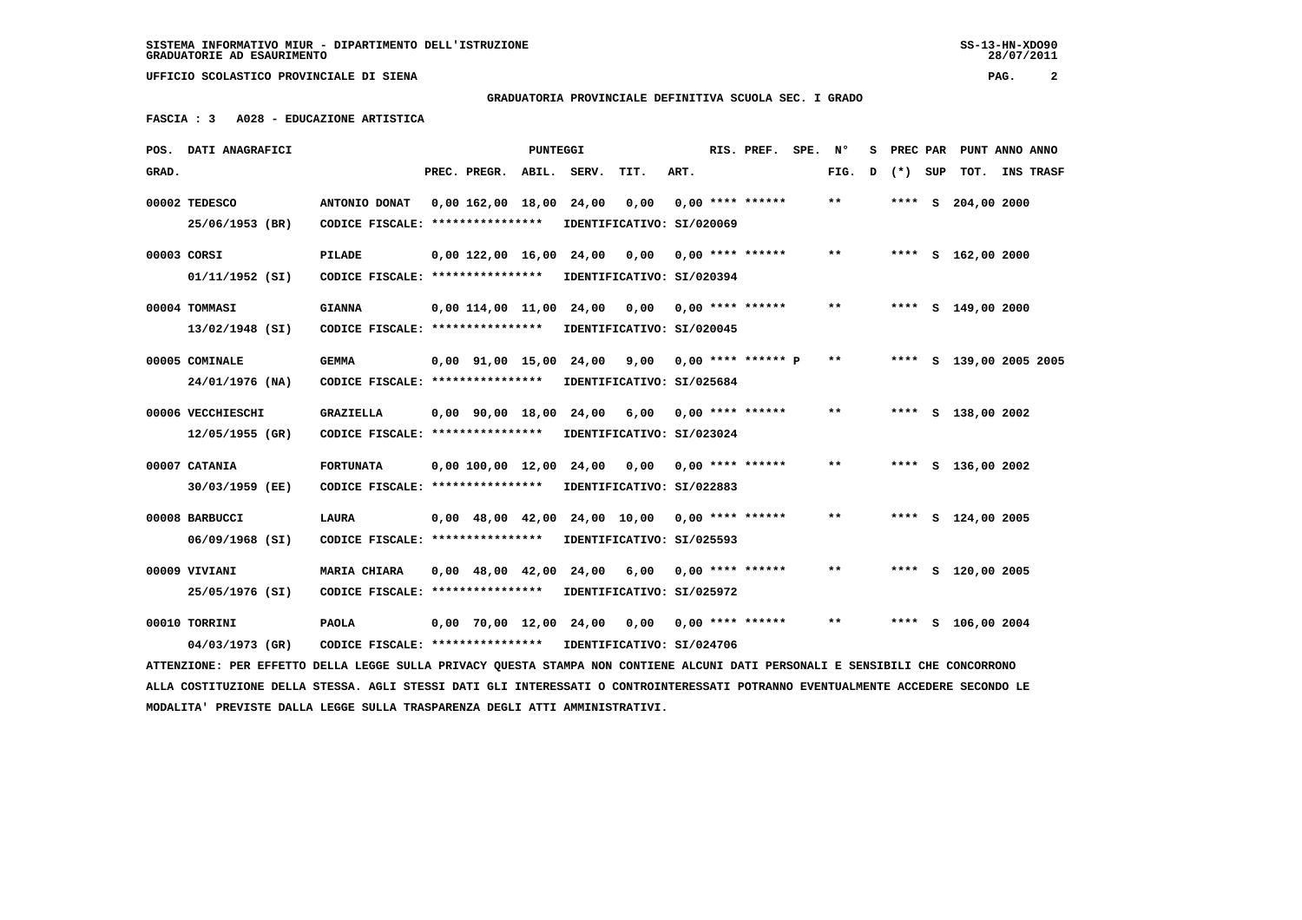28/07/2011

 **UFFICIO SCOLASTICO PROVINCIALE DI SIENA PAG. 2**

 **GRADUATORIA PROVINCIALE DEFINITIVA SCUOLA SEC. I GRADO**

 **FASCIA : 3 A028 - EDUCAZIONE ARTISTICA**

| POS.  | DATI ANAGRAFICI                                                                                                               |                                   |                                            | PUNTEGGI |                         |                           |      | RIS. PREF.           | SPE. | Ν°    | s |       |     | PREC PAR PUNT ANNO ANNO |                  |
|-------|-------------------------------------------------------------------------------------------------------------------------------|-----------------------------------|--------------------------------------------|----------|-------------------------|---------------------------|------|----------------------|------|-------|---|-------|-----|-------------------------|------------------|
| GRAD. |                                                                                                                               |                                   | PREC. PREGR.                               |          | ABIL. SERV.             | TIT.                      | ART. |                      |      | FIG.  | D | $(*)$ | SUP | TOT.                    | <b>INS TRASF</b> |
|       | 00002 TEDESCO                                                                                                                 | ANTONIO DONAT                     | 0.00 162.00 18.00 24.00                    |          |                         | 0.00                      |      | $0.00$ **** ******   |      | **    |   |       |     | **** S 204,00 2000      |                  |
|       | 25/06/1953 (BR)                                                                                                               | CODICE FISCALE: ****************  |                                            |          |                         | IDENTIFICATIVO: SI/020069 |      |                      |      |       |   |       |     |                         |                  |
|       | 00003 CORSI                                                                                                                   | PILADE                            | $0.00$ 122.00 16.00                        |          | 24,00                   | 0.00                      |      | $0.00$ **** ******   |      | $**$  |   |       |     | **** S 162,00 2000      |                  |
|       | $01/11/1952$ (SI)                                                                                                             | CODICE FISCALE: ****************  |                                            |          |                         | IDENTIFICATIVO: SI/020394 |      |                      |      |       |   |       |     |                         |                  |
|       | 00004 TOMMASI                                                                                                                 | <b>GIANNA</b>                     |                                            |          | 0,00 114,00 11,00 24,00 | 0,00                      |      | $0,00$ **** ******   |      | $* *$ |   |       |     | **** S 149,00 2000      |                  |
|       | 13/02/1948 (SI)                                                                                                               | CODICE FISCALE: ****************  |                                            |          |                         | IDENTIFICATIVO: SI/020045 |      |                      |      |       |   |       |     |                         |                  |
|       | 00005 COMINALE                                                                                                                | <b>GEMMA</b>                      | $0,00$ $91,00$ $15,00$                     |          | 24,00                   | 9,00                      |      | $0.00$ **** ****** P |      | $* *$ |   |       |     | **** S 139,00 2005 2005 |                  |
|       | 24/01/1976 (NA)                                                                                                               | CODICE FISCALE: ****************  |                                            |          |                         | IDENTIFICATIVO: SI/025684 |      |                      |      |       |   |       |     |                         |                  |
|       | 00006 VECCHIESCHI                                                                                                             | <b>GRAZIELLA</b>                  | $0,00$ $90,00$ $18,00$                     |          | 24,00                   | 6,00                      |      | $0.00$ **** ******   |      | $* *$ |   |       |     | **** S 138,00 2002      |                  |
|       | 12/05/1955 (GR)                                                                                                               | CODICE FISCALE: ****************  |                                            |          |                         | IDENTIFICATIVO: SI/023024 |      |                      |      |       |   |       |     |                         |                  |
|       | 00007 CATANIA                                                                                                                 | <b>FORTUNATA</b>                  | 0.00 100.00 12.00 24.00                    |          |                         | 0,00                      |      | 0,00 **** ******     |      | $* *$ |   |       |     | **** S 136,00 2002      |                  |
|       | 30/03/1959 (EE)                                                                                                               | CODICE FISCALE: ***************** |                                            |          |                         | IDENTIFICATIVO: SI/022883 |      |                      |      |       |   |       |     |                         |                  |
|       | 00008 BARBUCCI                                                                                                                | <b>LAURA</b>                      | $0.00 \quad 48.00 \quad 42.00$             |          |                         | 24,00 10,00               |      | $0.00$ **** ******   |      | $* *$ |   |       |     | **** S 124,00 2005      |                  |
|       | 06/09/1968 (SI)                                                                                                               | CODICE FISCALE: ****************  |                                            |          |                         | IDENTIFICATIVO: SI/025593 |      |                      |      |       |   |       |     |                         |                  |
|       | 00009 VIVIANI                                                                                                                 | MARIA CHIARA                      | $0.00 \quad 48.00 \quad 42.00 \quad 24.00$ |          |                         | 6,00                      |      | $0.00$ **** ******   |      | $***$ |   |       |     | **** S 120,00 2005      |                  |
|       | 25/05/1976 (SI)                                                                                                               | CODICE FISCALE: ****************  |                                            |          |                         | IDENTIFICATIVO: SI/025972 |      |                      |      |       |   |       |     |                         |                  |
|       | 00010 TORRINI                                                                                                                 | <b>PAOLA</b>                      |                                            |          | 0,00 70,00 12,00 24,00  | 0,00                      |      | $0.00$ **** ******   |      | $* *$ |   |       |     | **** S 106,00 2004      |                  |
|       | 04/03/1973 (GR)                                                                                                               | CODICE FISCALE: ****************  |                                            |          |                         | IDENTIFICATIVO: SI/024706 |      |                      |      |       |   |       |     |                         |                  |
|       | ATTENZIONE: PER EFFETTO DELLA LEGGE SULLA PRIVACY QUESTA STAMPA NON CONTIENE ALCUNI DATI PERSONALI E SENSIBILI CHE CONCORRONO |                                   |                                            |          |                         |                           |      |                      |      |       |   |       |     |                         |                  |

 **ALLA COSTITUZIONE DELLA STESSA. AGLI STESSI DATI GLI INTERESSATI O CONTROINTERESSATI POTRANNO EVENTUALMENTE ACCEDERE SECONDO LE MODALITA' PREVISTE DALLA LEGGE SULLA TRASPARENZA DEGLI ATTI AMMINISTRATIVI.**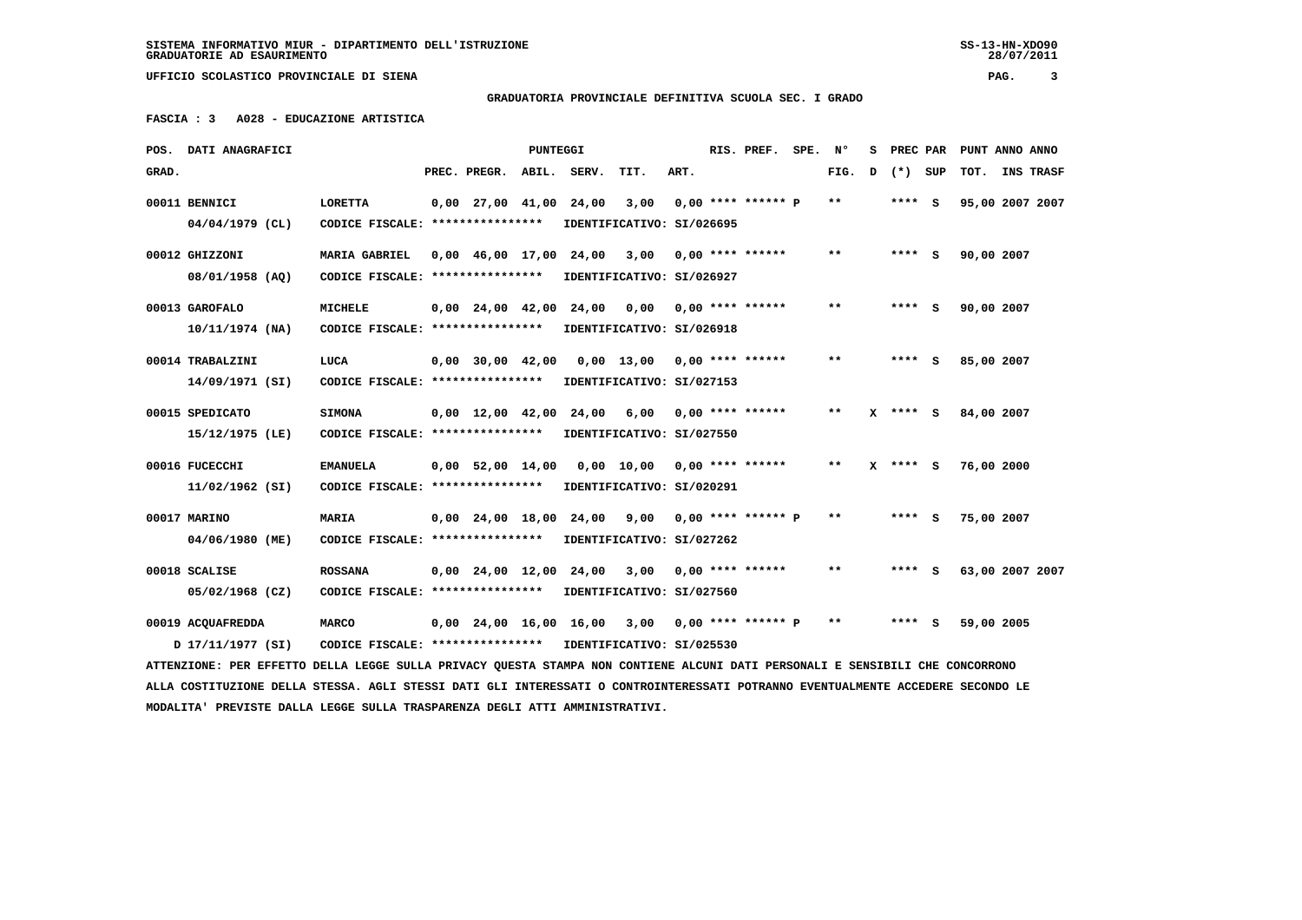**SISTEMA INFORMATIVO MIUR - DIPARTIMENTO DELL'ISTRUZIONE SS-13-HN-XDO90 GRADUATORIE AD ESAURIMENTO 28/07/2011**

28/07/2011

 **UFFICIO SCOLASTICO PROVINCIALE DI SIENA PAG. 3**

 **GRADUATORIA PROVINCIALE DEFINITIVA SCUOLA SEC. I GRADO**

 **FASCIA : 3 A028 - EDUCAZIONE ARTISTICA**

|       | POS. DATI ANAGRAFICI                                                                                                            |                                                            |                                | <b>PUNTEGGI</b> |                                            |                                                  |      | RIS. PREF. SPE. Nº   |       | s |              | PREC PAR PUNT ANNO ANNO |                  |
|-------|---------------------------------------------------------------------------------------------------------------------------------|------------------------------------------------------------|--------------------------------|-----------------|--------------------------------------------|--------------------------------------------------|------|----------------------|-------|---|--------------|-------------------------|------------------|
| GRAD. |                                                                                                                                 |                                                            | PREC. PREGR. ABIL. SERV.       |                 |                                            | TIT.                                             | ART. |                      | FIG.  | D | (*) SUP      | TOT.                    | <b>INS TRASF</b> |
|       | 00011 BENNICI                                                                                                                   | LORETTA                                                    | $0,00$ 27,00 41,00             |                 | 24,00                                      | 3,00                                             |      | $0.00$ **** ****** P | $***$ |   | **** S       | 95,00 2007 2007         |                  |
|       | $04/04/1979$ (CL)                                                                                                               | CODICE FISCALE: ****************                           |                                |                 |                                            | IDENTIFICATIVO: SI/026695                        |      |                      |       |   |              |                         |                  |
|       | 00012 GHIZZONI                                                                                                                  | <b>MARIA GABRIEL</b>                                       |                                |                 | $0.00 \quad 46.00 \quad 17.00 \quad 24.00$ | 3,00                                             |      | $0.00$ **** ******   | $* *$ |   | **** S       | 90,00 2007              |                  |
|       | 08/01/1958 (AQ)                                                                                                                 | CODICE FISCALE: ****************                           |                                |                 |                                            | IDENTIFICATIVO: SI/026927                        |      |                      |       |   |              |                         |                  |
|       | 00013 GAROFALO                                                                                                                  | <b>MICHELE</b>                                             | $0.00 \quad 24.00 \quad 42.00$ |                 | 24,00                                      | 0,00                                             |      | $0.00$ **** ******   | $* *$ |   | **** S       | 90,00 2007              |                  |
|       | $10/11/1974$ (NA)                                                                                                               | CODICE FISCALE: ****************                           |                                |                 |                                            | IDENTIFICATIVO: SI/026918                        |      |                      |       |   |              |                         |                  |
|       | 00014 TRABALZINI                                                                                                                | LUCA                                                       | $0,00$ 30,00 42,00             |                 |                                            | 0,00 13,00 0,00 **** ******                      |      |                      | $* *$ |   | **** S       | 85,00 2007              |                  |
|       | 14/09/1971 (SI)                                                                                                                 | CODICE FISCALE: *****************                          |                                |                 |                                            | IDENTIFICATIVO: SI/027153                        |      |                      |       |   |              |                         |                  |
|       | 00015 SPEDICATO                                                                                                                 | <b>SIMONA</b>                                              | $0.00 \quad 12.00 \quad 42.00$ |                 | 24,00                                      | 6,00                                             |      | $0.00$ **** ******   | $* *$ |   | $X$ **** $S$ | 84,00 2007              |                  |
|       | 15/12/1975 (LE)                                                                                                                 | CODICE FISCALE: *****************                          |                                |                 |                                            | IDENTIFICATIVO: SI/027550                        |      |                      |       |   |              |                         |                  |
|       | 00016 FUCECCHI                                                                                                                  | <b>EMANUELA</b>                                            | $0,00$ 52,00 14,00             |                 |                                            | 0,00 10,00 0,00 **** ******                      |      |                      | $**$  |   | $X$ **** S   | 76,00 2000              |                  |
|       | 11/02/1962 (SI)                                                                                                                 | CODICE FISCALE: ****************                           |                                |                 |                                            | IDENTIFICATIVO: SI/020291                        |      |                      |       |   |              |                         |                  |
|       | 00017 MARINO                                                                                                                    | MARIA                                                      | $0,00$ $24,00$ $18,00$ $24,00$ |                 |                                            | 9,00                                             |      | $0.00$ **** ****** P | **    |   | **** S       | 75,00 2007              |                  |
|       | 04/06/1980 (ME)                                                                                                                 | CODICE FISCALE: ****************                           |                                |                 |                                            | IDENTIFICATIVO: SI/027262                        |      |                      |       |   |              |                         |                  |
|       |                                                                                                                                 |                                                            |                                |                 |                                            |                                                  |      |                      |       |   |              |                         |                  |
|       | 00018 SCALISE                                                                                                                   | <b>ROSSANA</b>                                             |                                |                 |                                            | 0,00 24,00 12,00 24,00 3,00                      |      | $0.00$ **** ******   | $* *$ |   | $***$ S      | 63,00 2007 2007         |                  |
|       | 05/02/1968 (CZ)                                                                                                                 | CODICE FISCALE: ****************                           |                                |                 |                                            | IDENTIFICATIVO: SI/027560                        |      |                      |       |   |              |                         |                  |
|       | 00019 ACQUAFREDDA                                                                                                               | <b>MARCO</b>                                               |                                |                 |                                            | $0,00$ 24,00 16,00 16,00 3,00 0,00 **** ****** P |      |                      | $* *$ |   | **** S       | 59,00 2005              |                  |
|       | 17/11/1977 (SI)                                                                                                                 | CODICE FISCALE: **************** IDENTIFICATIVO: SI/025530 |                                |                 |                                            |                                                  |      |                      |       |   |              |                         |                  |
|       | ATTENZIONE: PER EFFETTO DELLA LEGGE SULLA PRIVACY QUESTA STAMPA NON CONTIENE ALCUNI DATI PERSONALI E SENSIBILI CHE CONCORRONO   |                                                            |                                |                 |                                            |                                                  |      |                      |       |   |              |                         |                  |
|       | ALLA COSTITUZIONE DELLA STESSA. AGLI STESSI DATI GLI INTERESSATI O CONTROINTERESSATI POTRANNO EVENTUALMENTE ACCEDERE SECONDO LE |                                                            |                                |                 |                                            |                                                  |      |                      |       |   |              |                         |                  |
|       | MODALITA' PREVISTE DALLA LEGGE SULLA TRASPARENZA DEGLI ATTI AMMINISTRATIVI.                                                     |                                                            |                                |                 |                                            |                                                  |      |                      |       |   |              |                         |                  |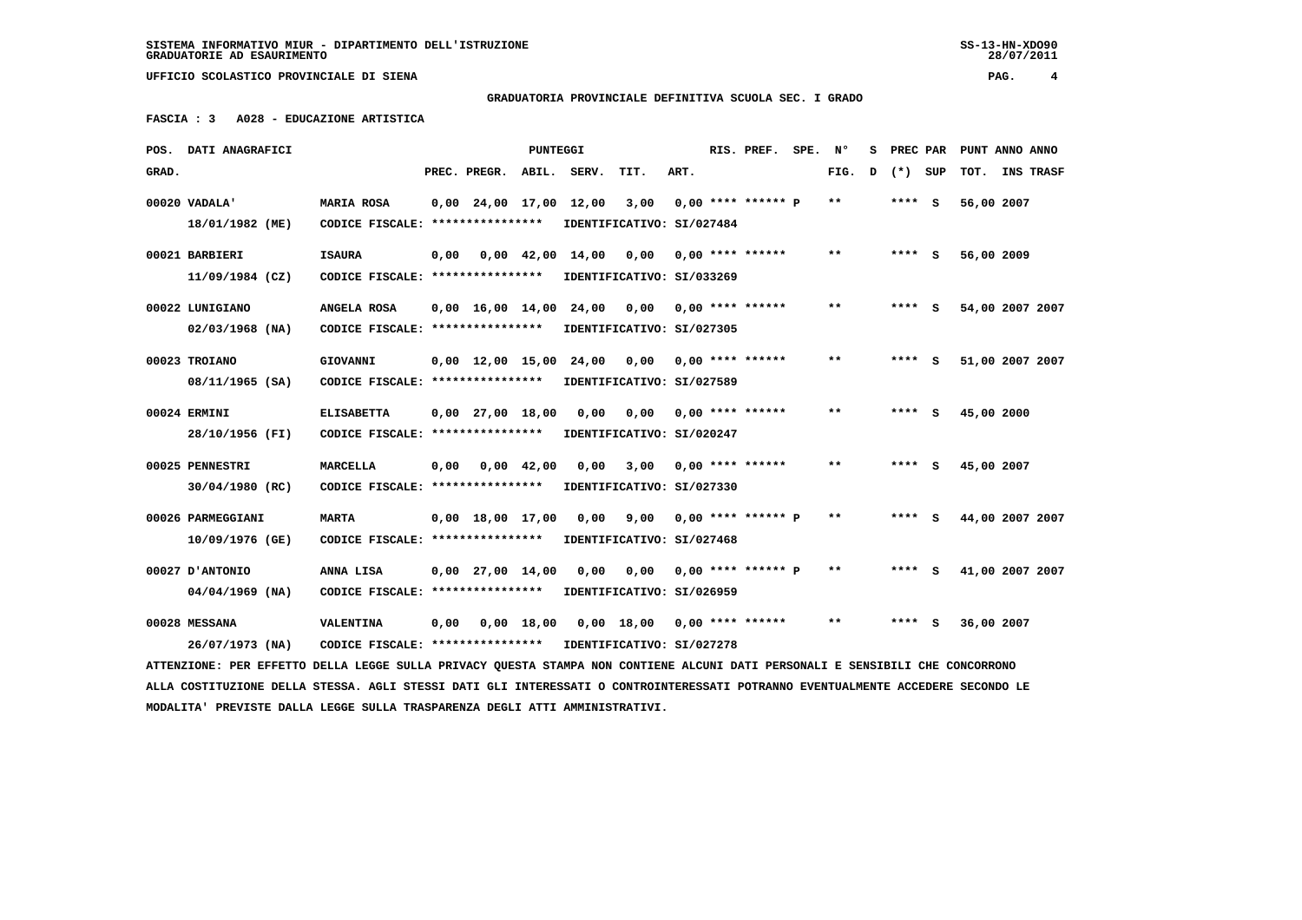28/07/2011

 **UFFICIO SCOLASTICO PROVINCIALE DI SIENA PAG. 4**

 **GRADUATORIA PROVINCIALE DEFINITIVA SCUOLA SEC. I GRADO**

 **FASCIA : 3 A028 - EDUCAZIONE ARTISTICA**

| POS.  | DATI ANAGRAFICI                                                                                                                 |                                   |      |                                | <b>PUNTEGGI</b>    |                                                |                             |      | RIS. PREF.                | SPE. | N°                         | s |         |     | PREC PAR PUNT ANNO ANNO |           |
|-------|---------------------------------------------------------------------------------------------------------------------------------|-----------------------------------|------|--------------------------------|--------------------|------------------------------------------------|-----------------------------|------|---------------------------|------|----------------------------|---|---------|-----|-------------------------|-----------|
| GRAD. |                                                                                                                                 |                                   |      | PREC. PREGR.                   | ABIL.              | SERV.                                          | TIT.                        | ART. |                           |      | FIG.                       | D | $(*)$   | SUP | TOT.                    | INS TRASF |
|       | 00020 VADALA'                                                                                                                   | MARIA ROSA                        |      | $0,00$ 24,00 17,00 12,00       |                    |                                                | 3,00                        |      | $0.00$ **** ****** P      |      | $***$                      |   | $***$ S |     | 56,00 2007              |           |
|       | 18/01/1982 (ME)                                                                                                                 | CODICE FISCALE: ****************  |      |                                |                    |                                                | IDENTIFICATIVO: SI/027484   |      |                           |      |                            |   |         |     |                         |           |
|       | 00021 BARBIERI                                                                                                                  | <b>ISAURA</b>                     | 0,00 |                                |                    | $0,00 \quad 42,00 \quad 14,00$                 | 0,00                        |      | $0.00$ **** ******        |      | $* *$                      |   | $***$ S |     | 56,00 2009              |           |
|       | $11/09/1984$ (CZ)                                                                                                               | CODICE FISCALE: ****************  |      |                                |                    |                                                | IDENTIFICATIVO: SI/033269   |      |                           |      |                            |   |         |     |                         |           |
|       | 00022 LUNIGIANO                                                                                                                 | ANGELA ROSA                       |      |                                |                    | $0,00$ 16,00 14,00 24,00 0,00 0,00 **** ****** |                             |      |                           |      | $***$                      |   | **** S  |     | 54,00 2007 2007         |           |
|       | $02/03/1968$ (NA)                                                                                                               | CODICE FISCALE: ****************  |      |                                |                    |                                                | IDENTIFICATIVO: SI/027305   |      |                           |      |                            |   |         |     |                         |           |
|       | 00023 TROIANO                                                                                                                   | GIOVANNI                          |      | 0,00 12,00 15,00 24,00         |                    |                                                | 0,00                        |      | $0.00$ **** ******        |      | $\pmb{\times}\pmb{\times}$ |   | $***$ S |     | 51,00 2007 2007         |           |
|       | 08/11/1965 (SA)                                                                                                                 | CODICE FISCALE: ****************  |      |                                |                    |                                                | IDENTIFICATIVO: SI/027589   |      |                           |      |                            |   |         |     |                         |           |
|       | 00024 ERMINI                                                                                                                    | <b>ELISABETTA</b>                 |      | $0.00$ $27.00$ $18.00$         |                    | 0.00                                           |                             |      | $0,00$ $0,00$ **** ****** |      | $**$                       |   | **** S  |     | 45,00 2000              |           |
|       | 28/10/1956 (FI)                                                                                                                 | CODICE FISCALE: ****************  |      |                                |                    |                                                | IDENTIFICATIVO: SI/020247   |      |                           |      |                            |   |         |     |                         |           |
|       | 00025 PENNESTRI                                                                                                                 | <b>MARCELLA</b>                   | 0,00 |                                | $0.00 \quad 42.00$ | 0.00                                           | 3,00                        |      | $0.00$ **** ******        |      | $**$                       |   | **** S  |     | 45,00 2007              |           |
|       | 30/04/1980 (RC)                                                                                                                 | CODICE FISCALE: ****************  |      |                                |                    |                                                | IDENTIFICATIVO: SI/027330   |      |                           |      |                            |   |         |     |                         |           |
|       | 00026 PARMEGGIANI                                                                                                               | <b>MARTA</b>                      |      | $0.00 \quad 18.00 \quad 17.00$ |                    | 0.00                                           |                             |      | $9,00$ 0,00 **** ****** P |      | $**$                       |   | $***$ S |     | 44,00 2007 2007         |           |
|       | 10/09/1976 (GE)                                                                                                                 | CODICE FISCALE: ****************  |      |                                |                    |                                                | IDENTIFICATIVO: SI/027468   |      |                           |      |                            |   |         |     |                         |           |
|       | 00027 D'ANTONIO                                                                                                                 | ANNA LISA                         |      | $0.00 \quad 27.00 \quad 14.00$ |                    | 0.00                                           | 0.00                        |      | $0.00$ **** ****** P      |      | $***$                      |   | $***$ S |     | 41,00 2007 2007         |           |
|       | $04/04/1969$ (NA)                                                                                                               | CODICE FISCALE: ****************  |      |                                |                    |                                                | IDENTIFICATIVO: SI/026959   |      |                           |      |                            |   |         |     |                         |           |
|       | 00028 MESSANA                                                                                                                   | <b>VALENTINA</b>                  | 0,00 |                                | 0.00 18.00         |                                                | 0,00 18,00 0,00 **** ****** |      |                           |      | $* *$                      |   | $***$ S |     | 36,00 2007              |           |
|       | 26/07/1973 (NA)                                                                                                                 | CODICE FISCALE: ***************** |      |                                |                    |                                                | IDENTIFICATIVO: SI/027278   |      |                           |      |                            |   |         |     |                         |           |
|       | ATTENZIONE: PER EFFETTO DELLA LEGGE SULLA PRIVACY QUESTA STAMPA NON CONTIENE ALCUNI DATI PERSONALI E SENSIBILI CHE CONCORRONO   |                                   |      |                                |                    |                                                |                             |      |                           |      |                            |   |         |     |                         |           |
|       | ALLA COSTITUZIONE DELLA STESSA. AGLI STESSI DATI GLI INTERESSATI O CONTROINTERESSATI POTRANNO EVENTUALMENTE ACCEDERE SECONDO LE |                                   |      |                                |                    |                                                |                             |      |                           |      |                            |   |         |     |                         |           |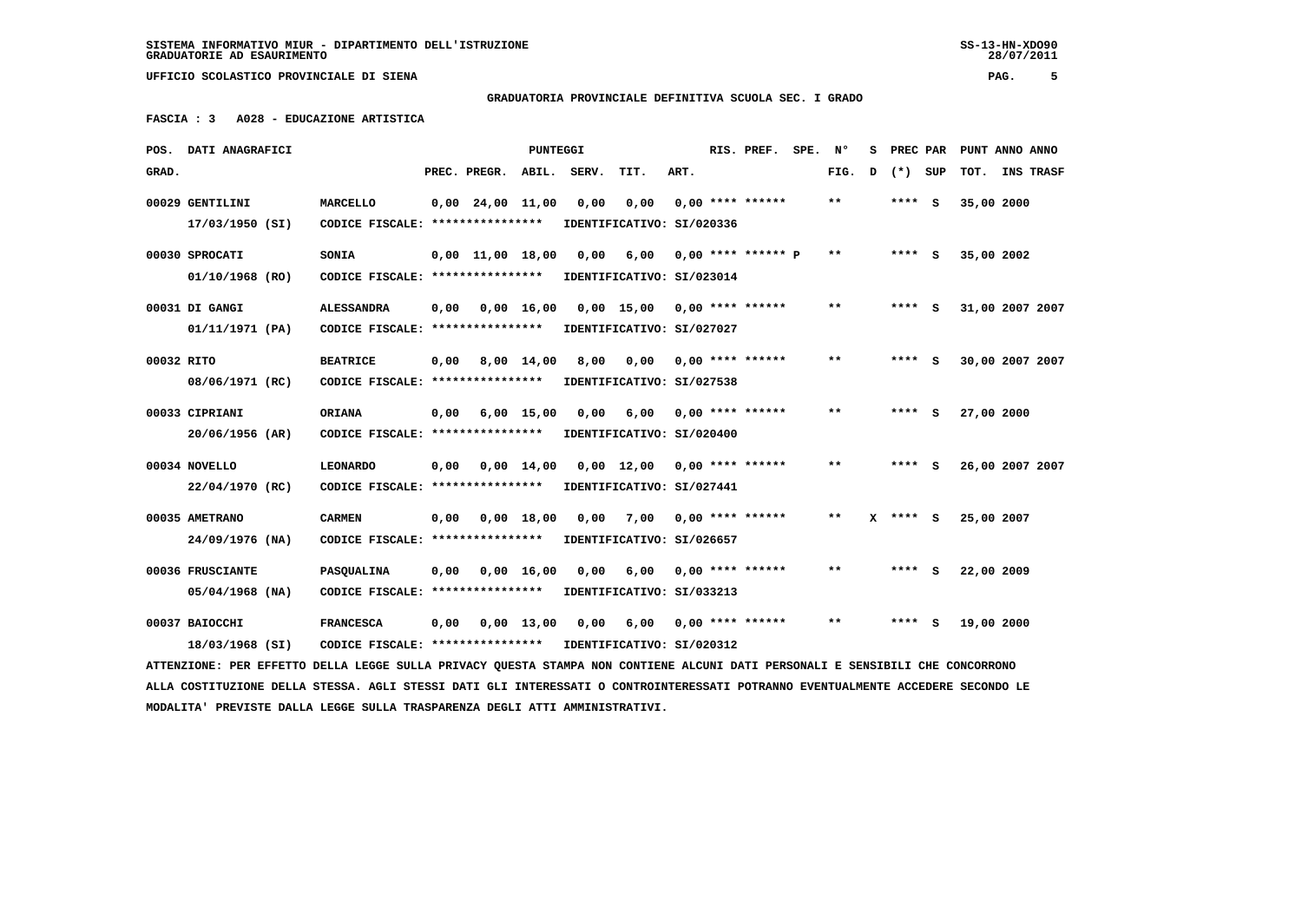28/07/2011

 **UFFICIO SCOLASTICO PROVINCIALE DI SIENA PAG. 5**

 **GRADUATORIA PROVINCIALE DEFINITIVA SCUOLA SEC. I GRADO**

 **FASCIA : 3 A028 - EDUCAZIONE ARTISTICA**

| POS.       | DATI ANAGRAFICI                                                                                                                 |                                  |      |                    | <b>PUNTEGGI</b>    |       |                               |      | RIS. PREF.           | SPE. | N°    | s |          | PREC PAR | PUNT ANNO ANNO |                 |
|------------|---------------------------------------------------------------------------------------------------------------------------------|----------------------------------|------|--------------------|--------------------|-------|-------------------------------|------|----------------------|------|-------|---|----------|----------|----------------|-----------------|
| GRAD.      |                                                                                                                                 |                                  |      | PREC. PREGR.       | ABIL.              | SERV. | TIT.                          | ART. |                      |      | FIG.  | D | $(*)$    | SUP      | TOT.           | INS TRASF       |
|            | 00029 GENTILINI                                                                                                                 | <b>MARCELLO</b>                  |      | $0,00$ 24,00 11,00 |                    | 0,00  | 0,00                          |      | $0,00$ **** ******   |      | $* *$ |   | **** S   |          | 35,00 2000     |                 |
|            | 17/03/1950 (SI)                                                                                                                 | CODICE FISCALE: **************** |      |                    |                    |       | IDENTIFICATIVO: SI/020336     |      |                      |      |       |   |          |          |                |                 |
|            | 00030 SPROCATI                                                                                                                  | SONIA                            |      | $0.00$ 11.00 18.00 |                    | 0.00  | 6,00                          |      | $0.00$ **** ****** P |      | $* *$ |   | $***$ S  |          | 35,00 2002     |                 |
|            | 01/10/1968 (RO)                                                                                                                 | CODICE FISCALE: **************** |      |                    |                    |       | IDENTIFICATIVO: SI/023014     |      |                      |      |       |   |          |          |                |                 |
|            | 00031 DI GANGI                                                                                                                  | <b>ALESSANDRA</b>                | 0,00 |                    | $0,00 \quad 16,00$ |       | $0,00$ 15,00 0,00 **** ****** |      |                      |      | $* *$ |   | $***$ S  |          |                | 31,00 2007 2007 |
|            | 01/11/1971 (PA)                                                                                                                 | CODICE FISCALE: **************** |      |                    |                    |       | IDENTIFICATIVO: SI/027027     |      |                      |      |       |   |          |          |                |                 |
| 00032 RITO |                                                                                                                                 | <b>BEATRICE</b>                  | 0,00 |                    | $8,00 \quad 14,00$ | 8,00  | 0,00                          |      | $0.00$ **** ******   |      | $* *$ |   | **** S   |          |                | 30,00 2007 2007 |
|            | 08/06/1971 (RC)                                                                                                                 | CODICE FISCALE: **************** |      |                    |                    |       | IDENTIFICATIVO: SI/027538     |      |                      |      |       |   |          |          |                |                 |
|            | 00033 CIPRIANI                                                                                                                  | <b>ORIANA</b>                    | 0,00 |                    | $6,00$ 15,00       | 0,00  | 6,00                          |      | $0.00$ **** ******   |      | $* *$ |   | **** S   |          | 27,00 2000     |                 |
|            | $20/06/1956$ (AR)                                                                                                               | CODICE FISCALE: **************** |      |                    |                    |       | IDENTIFICATIVO: SI/020400     |      |                      |      |       |   |          |          |                |                 |
|            | 00034 NOVELLO                                                                                                                   | <b>LEONARDO</b>                  | 0.00 |                    | $0.00 \quad 14.00$ |       | $0.00 \quad 12.00$            |      | $0.00$ **** ******   |      | $***$ |   | **** S   |          |                | 26,00 2007 2007 |
|            | 22/04/1970 (RC)                                                                                                                 | CODICE FISCALE: **************** |      |                    |                    |       | IDENTIFICATIVO: SI/027441     |      |                      |      |       |   |          |          |                |                 |
|            | 00035 AMETRANO                                                                                                                  | <b>CARMEN</b>                    | 0,00 |                    | 0.00 18.00         | 0.00  | 7,00                          |      | $0,00$ **** ******   |      | $* *$ |   | X **** S |          | 25,00 2007     |                 |
|            | $24/09/1976$ (NA)                                                                                                               | CODICE FISCALE: **************** |      |                    |                    |       | IDENTIFICATIVO: SI/026657     |      |                      |      |       |   |          |          |                |                 |
|            | 00036 FRUSCIANTE                                                                                                                | <b>PASOUALINA</b>                | 0,00 |                    | $0,00$ 16,00       | 0.00  | 6,00                          |      | $0.00$ **** ******   |      | **    |   | **** S   |          | 22,00 2009     |                 |
|            | 05/04/1968 (NA)                                                                                                                 | CODICE FISCALE: **************** |      |                    |                    |       | IDENTIFICATIVO: SI/033213     |      |                      |      |       |   |          |          |                |                 |
|            | 00037 BAIOCCHI                                                                                                                  | <b>FRANCESCA</b>                 | 0,00 |                    | $0,00$ 13,00       | 0.00  | 6,00                          |      | $0.00$ **** ******   |      | **    |   | ****     | ్        | 19,00 2000     |                 |
|            | 18/03/1968 (SI)                                                                                                                 | CODICE FISCALE: **************** |      |                    |                    |       | IDENTIFICATIVO: SI/020312     |      |                      |      |       |   |          |          |                |                 |
|            | ATTENZIONE: PER EFFETTO DELLA LEGGE SULLA PRIVACY QUESTA STAMPA NON CONTIENE ALCUNI DATI PERSONALI E SENSIBILI CHE CONCORRONO   |                                  |      |                    |                    |       |                               |      |                      |      |       |   |          |          |                |                 |
|            | ALLA COSTITUZIONE DELLA STESSA. AGLI STESSI DATI GLI INTERESSATI O CONTROINTERESSATI POTRANNO EVENTUALMENTE ACCEDERE SECONDO LE |                                  |      |                    |                    |       |                               |      |                      |      |       |   |          |          |                |                 |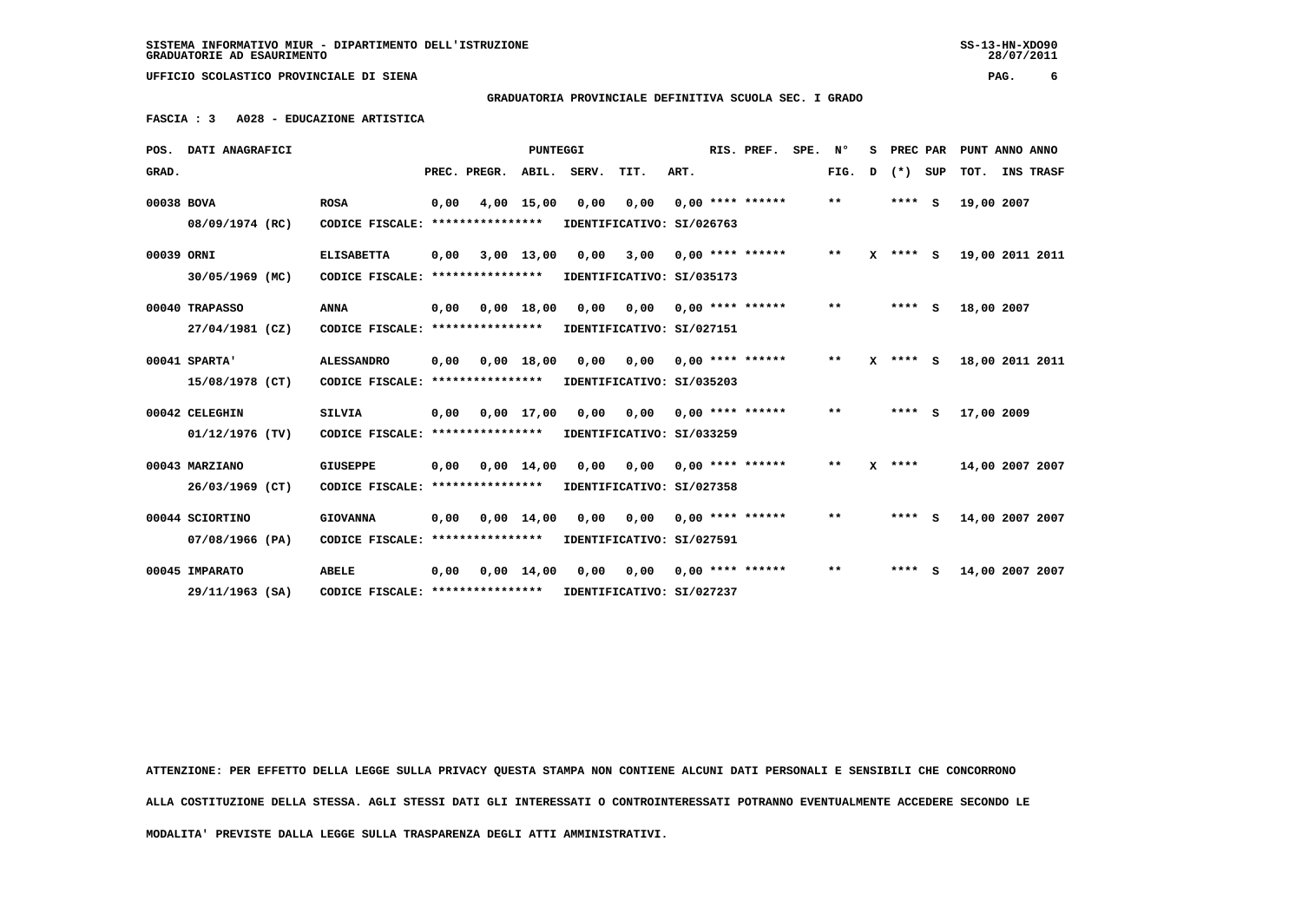**SISTEMA INFORMATIVO MIUR - DIPARTIMENTO DELL'ISTRUZIONE SS-13-HN-XDO90 GRADUATORIE AD ESAURIMENTO 28/07/2011**

28/07/2011

 **UFFICIO SCOLASTICO PROVINCIALE DI SIENA PAG. 6**

 **GRADUATORIA PROVINCIALE DEFINITIVA SCUOLA SEC. I GRADO**

 **FASCIA : 3 A028 - EDUCAZIONE ARTISTICA**

|            | POS. DATI ANAGRAFICI |                                   |      |                  | <b>PUNTEGGI</b>    |       |                                        |      | RIS. PREF.         | SPE. | N°    | s        | PREC PAR |     | PUNT ANNO ANNO  |  |
|------------|----------------------|-----------------------------------|------|------------------|--------------------|-------|----------------------------------------|------|--------------------|------|-------|----------|----------|-----|-----------------|--|
| GRAD.      |                      |                                   |      | PREC. PREGR.     | ABIL.              | SERV. | TIT.                                   | ART. |                    |      | FIG.  | D        | $(*)$    | SUP | TOT. INS TRASF  |  |
| 00038 BOVA |                      | <b>ROSA</b>                       | 0,00 |                  | $4,00$ 15,00       | 0,00  | 0,00                                   |      | $0.00$ **** ****** |      | $***$ |          | $***$ S  |     | 19,00 2007      |  |
|            | 08/09/1974 (RC)      | CODICE FISCALE: ***************** |      |                  |                    |       | IDENTIFICATIVO: SI/026763              |      |                    |      |       |          |          |     |                 |  |
| 00039 ORNI |                      | <b>ELISABETTA</b>                 | 0,00 |                  | $3,00$ 13,00       | 0,00  | 3,00                                   |      | $0.00$ **** ****** |      | **    | x        | **** S   |     | 19,00 2011 2011 |  |
|            | 30/05/1969 (MC)      | CODICE FISCALE:                   |      | **************** |                    |       | IDENTIFICATIVO: SI/035173              |      |                    |      |       |          |          |     |                 |  |
|            | 00040 TRAPASSO       | <b>ANNA</b>                       | 0.00 | 0,00 18,00       |                    | 0,00  | 0,00                                   |      | $0.00$ **** ****** |      | $***$ |          | $***$ S  |     | 18,00 2007      |  |
|            | 27/04/1981 (CZ)      | CODICE FISCALE: ****************  |      |                  |                    |       | IDENTIFICATIVO: SI/027151              |      |                    |      |       |          |          |     |                 |  |
|            | 00041 SPARTA'        | <b>ALESSANDRO</b>                 | 0.00 |                  | $0.00$ 18.00       |       | $0,00$ $0,00$ $0,00$ $***$ **** ****** |      |                    |      | **    | <b>x</b> | **** S   |     | 18,00 2011 2011 |  |
|            | 15/08/1978 (CT)      | CODICE FISCALE: ***************** |      |                  |                    |       | IDENTIFICATIVO: SI/035203              |      |                    |      |       |          |          |     |                 |  |
|            | 00042 CELEGHIN       | <b>SILVIA</b>                     | 0.00 |                  | $0.00$ 17.00       | 0.00  | 0.00                                   |      | $0.00$ **** ****** |      | $**$  |          | $***$ S  |     | 17,00 2009      |  |
|            | $01/12/1976$ (TV)    | CODICE FISCALE: ****************  |      |                  |                    |       | IDENTIFICATIVO: SI/033259              |      |                    |      |       |          |          |     |                 |  |
|            | 00043 MARZIANO       | <b>GIUSEPPE</b>                   | 0,00 |                  | $0.00 \quad 14.00$ | 0,00  | 0.00                                   |      | $0.00$ **** ****** |      | **    |          | $x***$   |     | 14,00 2007 2007 |  |
|            | 26/03/1969 (CT)      | CODICE FISCALE: ****************  |      |                  |                    |       | IDENTIFICATIVO: SI/027358              |      |                    |      |       |          |          |     |                 |  |
|            | 00044 SCIORTINO      | <b>GIOVANNA</b>                   | 0,00 |                  | $0,00$ 14,00       |       | $0,00$ $0,00$ $0,00$ $***$ **** ****** |      |                    |      | $* *$ |          | $***$ S  |     | 14,00 2007 2007 |  |
|            | 07/08/1966 (PA)      | CODICE FISCALE: ***************** |      |                  |                    |       | IDENTIFICATIVO: SI/027591              |      |                    |      |       |          |          |     |                 |  |
|            | 00045 IMPARATO       | <b>ABELE</b>                      | 0.00 |                  | $0.00 \quad 14.00$ | 0,00  | 0,00                                   |      | $0.00$ **** ****** |      | $* *$ |          | ****     | s   | 14,00 2007 2007 |  |
|            | $29/11/1963$ (SA)    | CODICE FISCALE: ***************** |      |                  |                    |       | IDENTIFICATIVO: SI/027237              |      |                    |      |       |          |          |     |                 |  |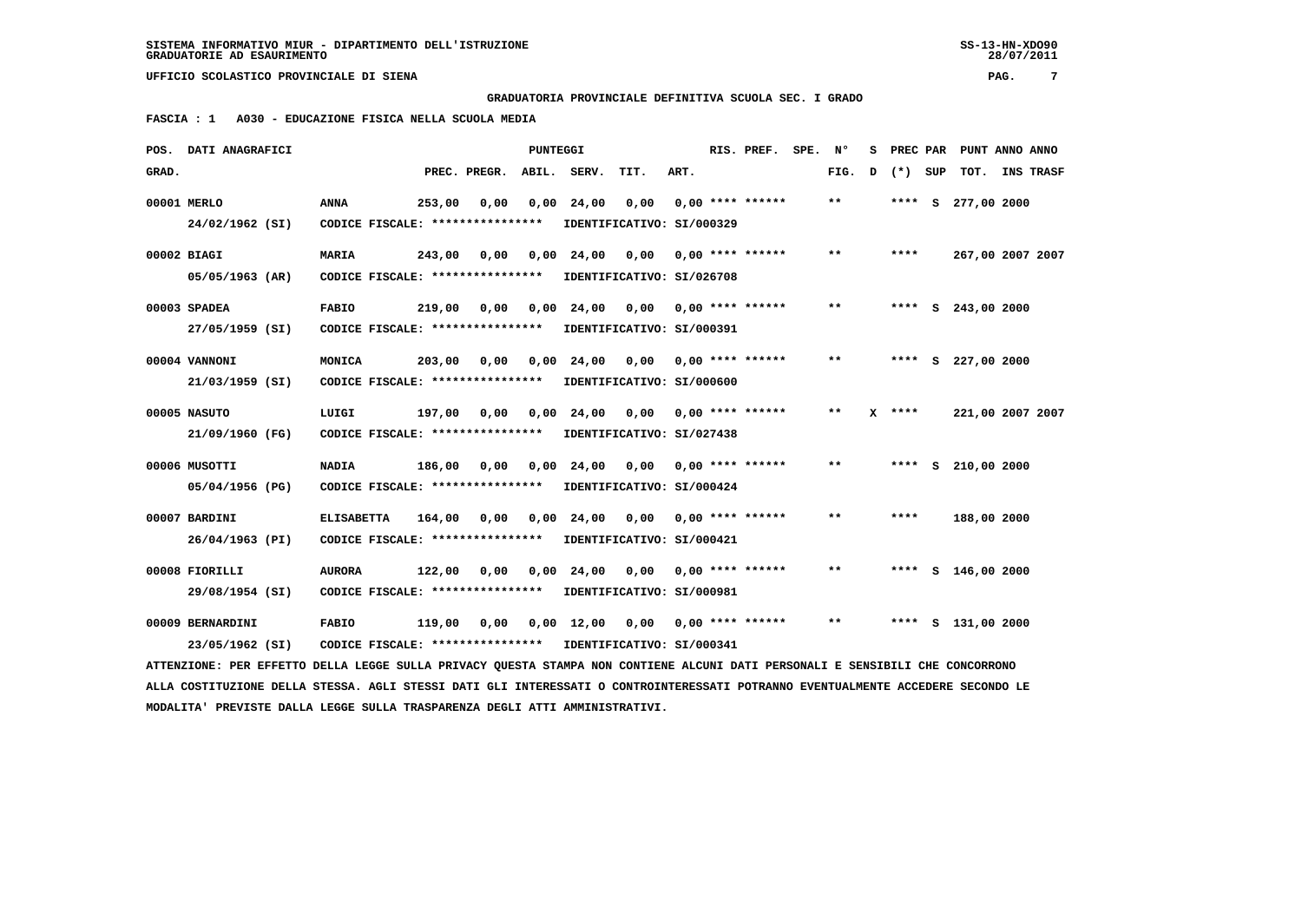28/07/2011

 **GRADUATORIA PROVINCIALE DEFINITIVA SCUOLA SEC. I GRADO**

 **FASCIA : 1 A030 - EDUCAZIONE FISICA NELLA SCUOLA MEDIA**

|       | POS. DATI ANAGRAFICI                                                                                                            |                                                            |        |              | PUNTEGGI |                                                |                           |      | RIS. PREF.         | SPE. No |              | s | PREC PAR | PUNT ANNO ANNO       |  |
|-------|---------------------------------------------------------------------------------------------------------------------------------|------------------------------------------------------------|--------|--------------|----------|------------------------------------------------|---------------------------|------|--------------------|---------|--------------|---|----------|----------------------|--|
| GRAD. |                                                                                                                                 |                                                            |        | PREC. PREGR. |          | ABIL. SERV.                                    | TIT.                      | ART. |                    |         | FIG.         | D | (*) SUP  | TOT. INS TRASF       |  |
|       | 00001 MERLO                                                                                                                     | <b>ANNA</b>                                                | 253,00 | 0,00         |          | $0,00$ 24,00                                   | 0,00                      |      | $0.00$ **** ****** |         | $**$         |   | $***$ S  | 277,00 2000          |  |
|       | 24/02/1962 (SI)                                                                                                                 | CODICE FISCALE: ****************                           |        |              |          | IDENTIFICATIVO: SI/000329                      |                           |      |                    |         |              |   |          |                      |  |
|       | 00002 BIAGI                                                                                                                     | <b>MARIA</b>                                               | 243,00 | 0.00         | 0,00     | 24,00                                          | 0.00                      |      | $0.00$ **** ****** |         | $* *$        |   | ****     | 267,00 2007 2007     |  |
|       | 05/05/1963 (AR)                                                                                                                 | CODICE FISCALE: **************** IDENTIFICATIVO: SI/026708 |        |              |          |                                                |                           |      |                    |         |              |   |          |                      |  |
|       | 00003 SPADEA                                                                                                                    | <b>FABIO</b>                                               |        |              |          | 219,00 0,00 0,00 24,00                         | 0,00                      |      | $0.00$ **** ****** |         | $\star\star$ |   |          | **** S 243,00 2000   |  |
|       | 27/05/1959 (SI)                                                                                                                 | CODICE FISCALE: **************** IDENTIFICATIVO: SI/000391 |        |              |          |                                                |                           |      |                    |         |              |   |          |                      |  |
|       | 00004 VANNONI                                                                                                                   | MONICA                                                     |        | 203,00 0,00  | 0,00     |                                                |                           |      |                    |         | $* *$        |   |          | **** $S$ 227,00 2000 |  |
|       | 21/03/1959 (SI)                                                                                                                 | CODICE FISCALE: ****************                           |        |              |          | IDENTIFICATIVO: SI/000600                      |                           |      |                    |         |              |   |          |                      |  |
|       | 00005 NASUTO                                                                                                                    | LUIGI                                                      |        |              |          | 197,00 0,00 0,00 24,00                         | 0,00                      |      | $0.00$ **** ****** |         | $* *$        |   | $X$ **** | 221,00 2007 2007     |  |
|       | 21/09/1960 (FG)                                                                                                                 | CODICE FISCALE: **************** IDENTIFICATIVO: SI/027438 |        |              |          |                                                |                           |      |                    |         |              |   |          |                      |  |
|       | 00006 MUSOTTI                                                                                                                   | <b>NADIA</b>                                               |        |              |          | 186,00 0,00 0,00 24,00 0,00 0,00 **** ******   |                           |      |                    |         | $***$        |   |          | **** $S$ 210,00 2000 |  |
|       | 05/04/1956 (PG)                                                                                                                 | CODICE FISCALE: ****************                           |        |              |          |                                                | IDENTIFICATIVO: SI/000424 |      |                    |         |              |   |          |                      |  |
|       | 00007 BARDINI                                                                                                                   | <b>ELISABETTA</b>                                          |        |              |          | 164,00 0,00 0,00 24,00                         | 0,00                      |      | $0.00$ **** ****** |         | $**$         |   | ****     | 188,00 2000          |  |
|       | 26/04/1963 (PI)                                                                                                                 | CODICE FISCALE: *****************                          |        |              |          | IDENTIFICATIVO: SI/000421                      |                           |      |                    |         |              |   |          |                      |  |
|       | 00008 FIORILLI                                                                                                                  | <b>AURORA</b>                                              |        |              |          | $122,00$ 0,00 0,00 24,00 0,00 0,00 **** ****** |                           |      |                    |         | $***$        |   |          | **** $S$ 146,00 2000 |  |
|       | 29/08/1954 (SI)                                                                                                                 | CODICE FISCALE: ****************                           |        |              |          | IDENTIFICATIVO: SI/000981                      |                           |      |                    |         |              |   |          |                      |  |
|       | 00009 BERNARDINI                                                                                                                | <b>FABIO</b>                                               |        |              |          | $119,00$ 0,00 0,00 12,00 0,00 0,00 **** ****** |                           |      |                    |         | $***$        |   |          | **** S 131,00 2000   |  |
|       | 23/05/1962 (SI)                                                                                                                 | CODICE FISCALE: **************** IDENTIFICATIVO: SI/000341 |        |              |          |                                                |                           |      |                    |         |              |   |          |                      |  |
|       | ATTENZIONE: PER EFFETTO DELLA LEGGE SULLA PRIVACY OUESTA STAMPA NON CONTIENE ALCUNI DATI PERSONALI E SENSIBILI CHE CONCORRONO   |                                                            |        |              |          |                                                |                           |      |                    |         |              |   |          |                      |  |
|       | ALLA COSTITUZIONE DELLA STESSA. AGLI STESSI DATI GLI INTERESSATI O CONTROINTERESSATI POTRANNO EVENTUALMENTE ACCEDERE SECONDO LE |                                                            |        |              |          |                                                |                           |      |                    |         |              |   |          |                      |  |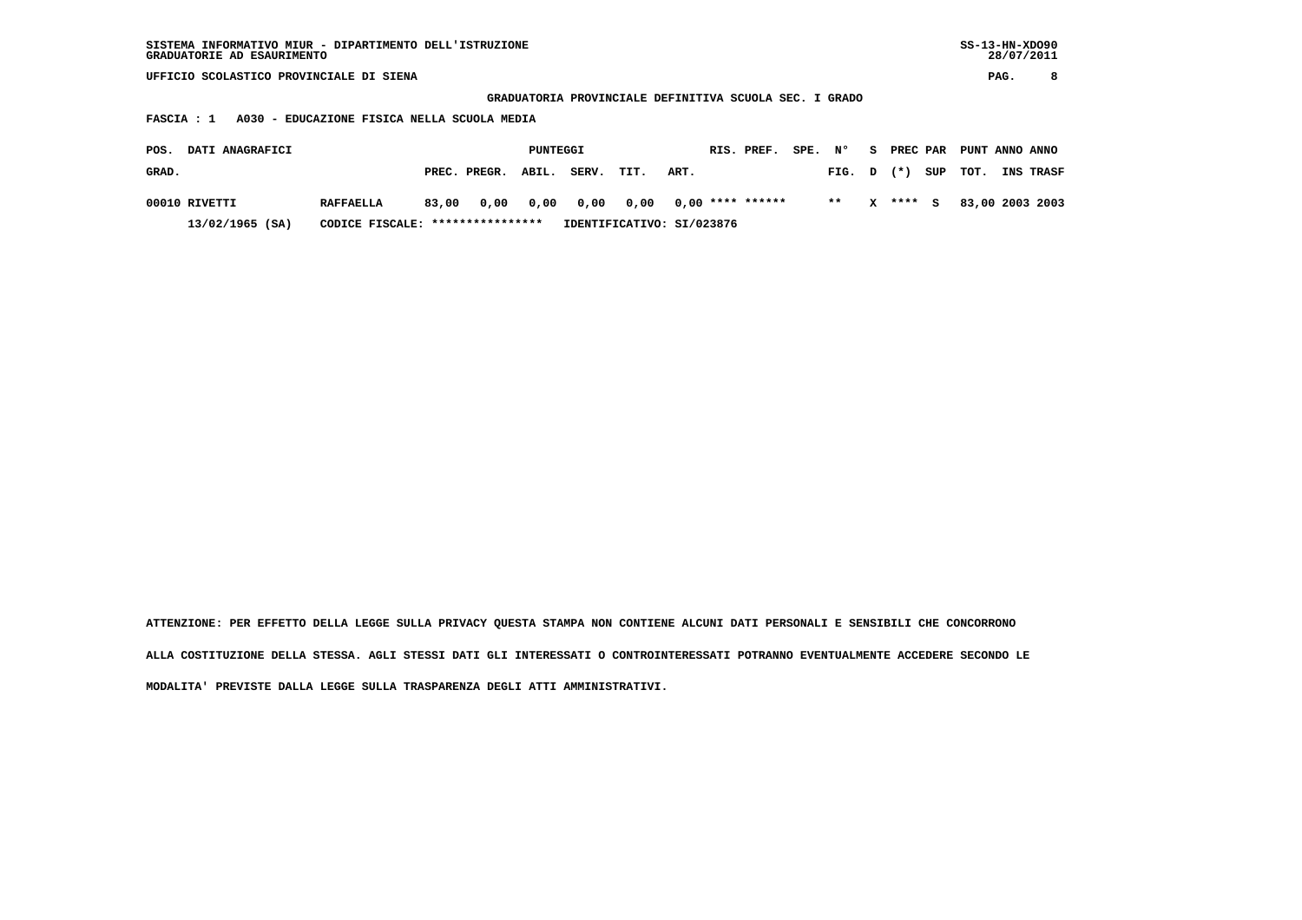**GRADUATORIA PROVINCIALE DEFINITIVA SCUOLA SEC. I GRADO**

 **FASCIA : 1 A030 - EDUCAZIONE FISICA NELLA SCUOLA MEDIA**

| <b>DATI ANAGRAFICI</b><br>POS. |                                  |       |                    | PUNTEGGI |                                      |                           |      | RIS. PREF. | SPE. N° |       |          | S PREC PAR PUNT ANNO ANNO |                  |
|--------------------------------|----------------------------------|-------|--------------------|----------|--------------------------------------|---------------------------|------|------------|---------|-------|----------|---------------------------|------------------|
| GRAD.                          |                                  |       | PREC. PREGR. ABIL. |          | SERV.                                | TIT.                      | ART. |            |         |       |          | FIG. $D$ $(*)$ SUP TOT.   | <b>INS TRASF</b> |
| 00010 RIVETTI                  | <b>RAFFAELLA</b>                 | 83,00 |                    |          | 0,00 0,00 0,00 0,00 0,00 **** ****** |                           |      |            |         | $* *$ | X **** S | 83,00 2003 2003           |                  |
| $13/02/1965$ (SA)              | CODICE FISCALE: **************** |       |                    |          |                                      | IDENTIFICATIVO: SI/023876 |      |            |         |       |          |                           |                  |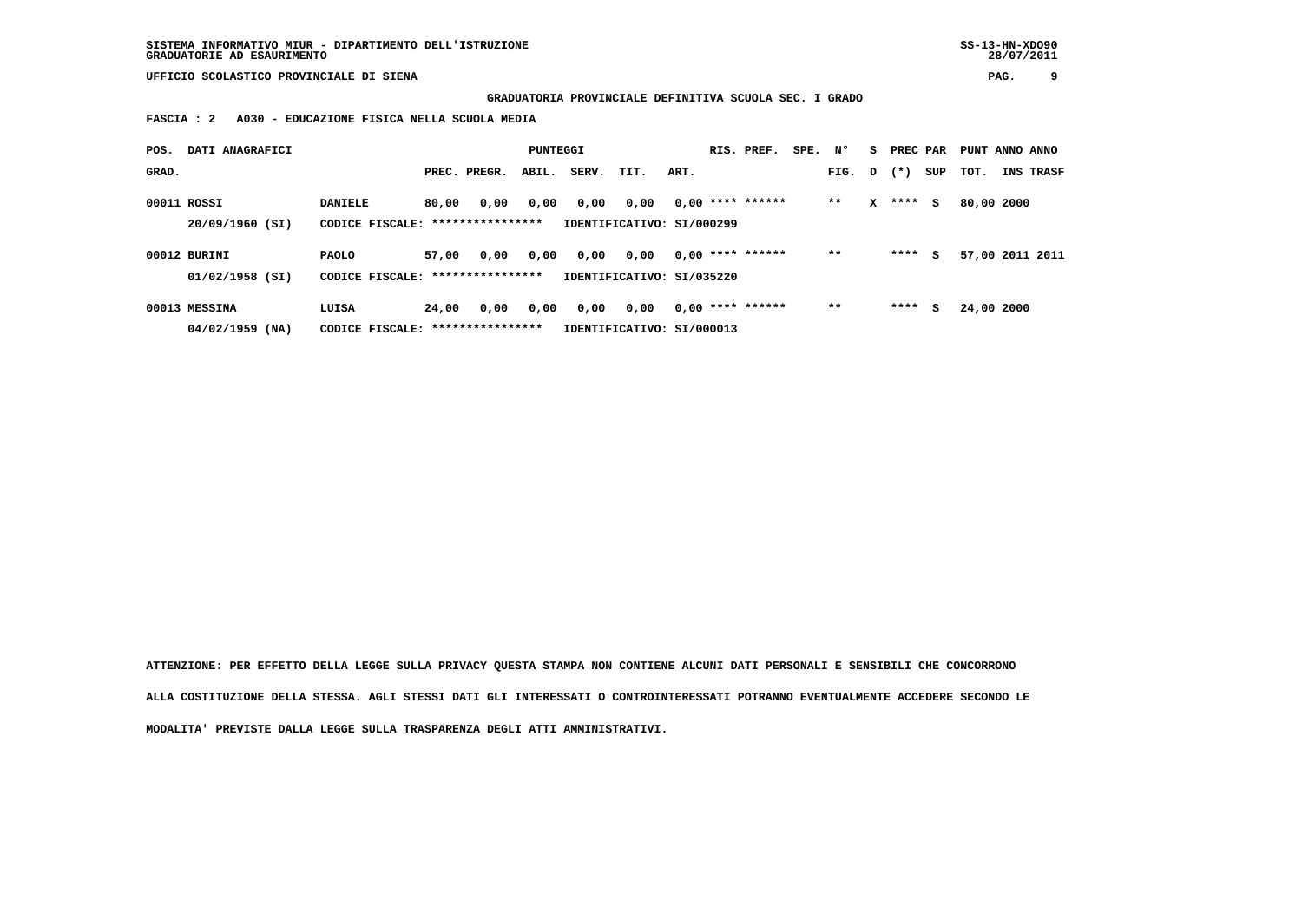**GRADUATORIA PROVINCIALE DEFINITIVA SCUOLA SEC. I GRADO**

 **FASCIA : 2 A030 - EDUCAZIONE FISICA NELLA SCUOLA MEDIA**

| POS.  | DATI ANAGRAFICI                    |                                   |       |                          | <b>PUNTEGGI</b> |       |                                   |      | RIS. PREF.         | SPE. N° |        | s. | PREC PAR |     | PUNT ANNO ANNO |                 |
|-------|------------------------------------|-----------------------------------|-------|--------------------------|-----------------|-------|-----------------------------------|------|--------------------|---------|--------|----|----------|-----|----------------|-----------------|
| GRAD. |                                    |                                   |       | PREC. PREGR.             | ABIL.           | SERV. | TIT.                              | ART. |                    |         | FIG. D |    | $(*)$    | SUP | тот.           | INS TRASF       |
|       | 00011 ROSSI<br>20/09/1960 (SI)     | <b>DANIELE</b><br>CODICE FISCALE: | 80,00 | 0,00<br>**************** | 0,00            | 0,00  | 0,00<br>IDENTIFICATIVO: SI/000299 |      | $0,00$ **** ****** |         | **     | x  | ****     | s   | 80,00 2000     |                 |
|       | 00012 BURINI<br>$01/02/1958$ (SI)  | <b>PAOLO</b><br>CODICE FISCALE:   | 57,00 | 0,00<br>**************** | 0,00            | 0,00  | 0,00<br>IDENTIFICATIVO: SI/035220 |      | $0.00$ **** ****** |         | $***$  |    | ****     | s   |                | 57,00 2011 2011 |
|       | 00013 MESSINA<br>$04/02/1959$ (NA) | LUISA<br>CODICE FISCALE:          | 24,00 | 0,00<br>**************** | 0,00            | 0,00  | 0,00<br>IDENTIFICATIVO: SI/000013 |      | $0.00$ **** ****** |         | $***$  |    | ****     | s   | 24,00 2000     |                 |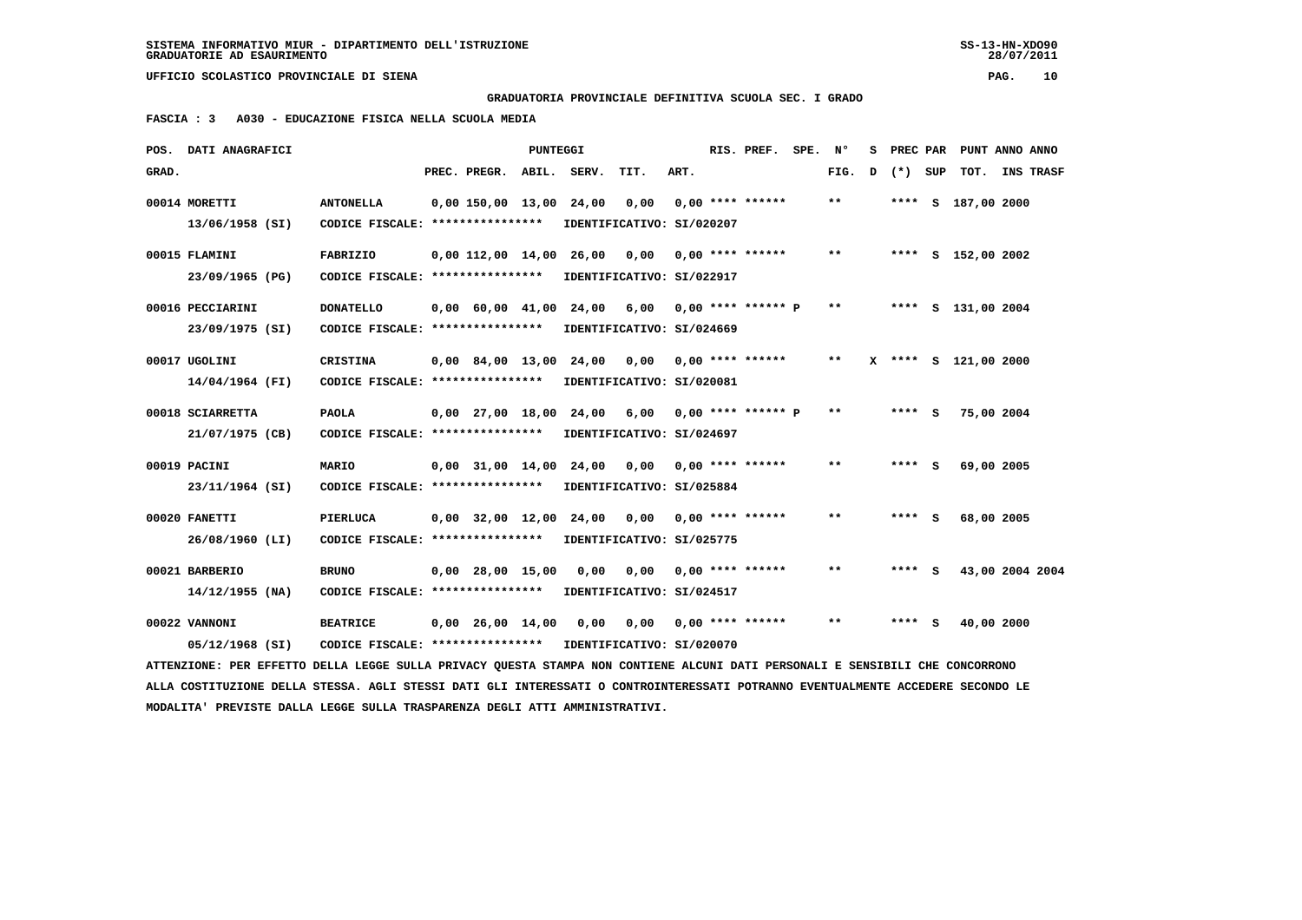## **GRADUATORIA PROVINCIALE DEFINITIVA SCUOLA SEC. I GRADO**

 **FASCIA : 3 A030 - EDUCAZIONE FISICA NELLA SCUOLA MEDIA**

|       | POS. DATI ANAGRAFICI                                                                                                            |                                   |                          | <b>PUNTEGGI</b> |                                |                                                  |      | RIS. PREF. SPE. Nº |                            | s |         | PREC PAR PUNT ANNO ANNO |                  |
|-------|---------------------------------------------------------------------------------------------------------------------------------|-----------------------------------|--------------------------|-----------------|--------------------------------|--------------------------------------------------|------|--------------------|----------------------------|---|---------|-------------------------|------------------|
| GRAD. |                                                                                                                                 |                                   | PREC. PREGR. ABIL. SERV. |                 |                                | TIT.                                             | ART. |                    | FIG.                       | D | (*) SUP | тот.                    | <b>INS TRASF</b> |
|       | 00014 MORETTI                                                                                                                   | <b>ANTONELLA</b>                  |                          |                 | $0,00$ 150,00 13,00 24,00 0,00 |                                                  |      | $0.00$ **** ****** | **                         |   |         | **** S 187,00 2000      |                  |
|       | 13/06/1958 (SI)                                                                                                                 | CODICE FISCALE: ****************  |                          |                 |                                | IDENTIFICATIVO: SI/020207                        |      |                    |                            |   |         |                         |                  |
|       | 00015 FLAMINI                                                                                                                   | FABRIZIO                          | 0,00 112,00 14,00 26,00  |                 |                                | 0,00                                             |      | $0,00$ **** ****** | $* *$                      |   |         | **** S 152,00 2002      |                  |
|       | 23/09/1965 (PG)                                                                                                                 | CODICE FISCALE: ****************  |                          |                 |                                | IDENTIFICATIVO: SI/022917                        |      |                    |                            |   |         |                         |                  |
|       | 00016 PECCIARINI                                                                                                                | <b>DONATELLO</b>                  |                          |                 |                                | 0,00 60,00 41,00 24,00 6,00 0,00 **** ****** P   |      |                    | $***$                      |   |         | **** S 131,00 2004      |                  |
|       | 23/09/1975 (SI)                                                                                                                 | CODICE FISCALE: ****************  |                          |                 |                                | IDENTIFICATIVO: SI/024669                        |      |                    |                            |   |         |                         |                  |
|       | 00017 UGOLINI                                                                                                                   | <b>CRISTINA</b>                   |                          |                 |                                | 0,00 84,00 13,00 24,00 0,00 0,00 **** ******     |      |                    | $* *$                      |   |         | X **** S 121,00 2000    |                  |
|       | 14/04/1964 (FI)                                                                                                                 | CODICE FISCALE: ****************  |                          |                 |                                | IDENTIFICATIVO: SI/020081                        |      |                    |                            |   |         |                         |                  |
|       | 00018 SCIARRETTA                                                                                                                | <b>PAOLA</b>                      |                          |                 |                                | $0,00$ 27,00 18,00 24,00 6,00 0,00 **** ****** P |      |                    | $**$                       |   | $***$ S | 75,00 2004              |                  |
|       | 21/07/1975 (CB)                                                                                                                 | CODICE FISCALE: ****************  |                          |                 |                                | IDENTIFICATIVO: SI/024697                        |      |                    |                            |   |         |                         |                  |
|       | 00019 PACINI                                                                                                                    | MARIO                             | $0.00$ $31.00$ $14.00$   |                 |                                | 24,00 0,00                                       |      | 0,00 **** ******   | $* *$                      |   | **** S  | 69,00 2005              |                  |
|       | 23/11/1964 (SI)                                                                                                                 | CODICE FISCALE: ****************  |                          |                 |                                | IDENTIFICATIVO: SI/025884                        |      |                    |                            |   |         |                         |                  |
|       | 00020 FANETTI                                                                                                                   | PIERLUCA                          |                          |                 |                                | $0,00$ 32,00 12,00 24,00 0,00 0,00 **** ******   |      |                    | $**$                       |   | **** S  | 68,00 2005              |                  |
|       | 26/08/1960 (LI)                                                                                                                 | CODICE FISCALE: ***************** |                          |                 |                                | IDENTIFICATIVO: SI/025775                        |      |                    |                            |   |         |                         |                  |
|       | 00021 BARBERIO                                                                                                                  | <b>BRUNO</b>                      | $0,00$ 28,00 15,00       |                 | 0,00                           | 0,00                                             |      | $0.00$ **** ****** | $\pmb{\times}\pmb{\times}$ |   | **** S  |                         | 43,00 2004 2004  |
|       | $14/12/1955$ (NA)                                                                                                               | CODICE FISCALE: ***************** |                          |                 |                                | IDENTIFICATIVO: SI/024517                        |      |                    |                            |   |         |                         |                  |
|       | 00022 VANNONI                                                                                                                   | <b>BEATRICE</b>                   |                          |                 |                                | $0,00$ 26,00 14,00 0,00 0,00 0,00 **** ******    |      |                    | $***$                      |   | **** S  | 40,00 2000              |                  |
|       | 05/12/1968 (SI)                                                                                                                 | CODICE FISCALE: ****************  |                          |                 |                                | IDENTIFICATIVO: SI/020070                        |      |                    |                            |   |         |                         |                  |
|       | ATTENZIONE: PER EFFETTO DELLA LEGGE SULLA PRIVACY QUESTA STAMPA NON CONTIENE ALCUNI DATI PERSONALI E SENSIBILI CHE CONCORRONO   |                                   |                          |                 |                                |                                                  |      |                    |                            |   |         |                         |                  |
|       | ALLA COSTITUZIONE DELLA STESSA. AGLI STESSI DATI GLI INTERESSATI O CONTROINTERESSATI POTRANNO EVENTUALMENTE ACCEDERE SECONDO LE |                                   |                          |                 |                                |                                                  |      |                    |                            |   |         |                         |                  |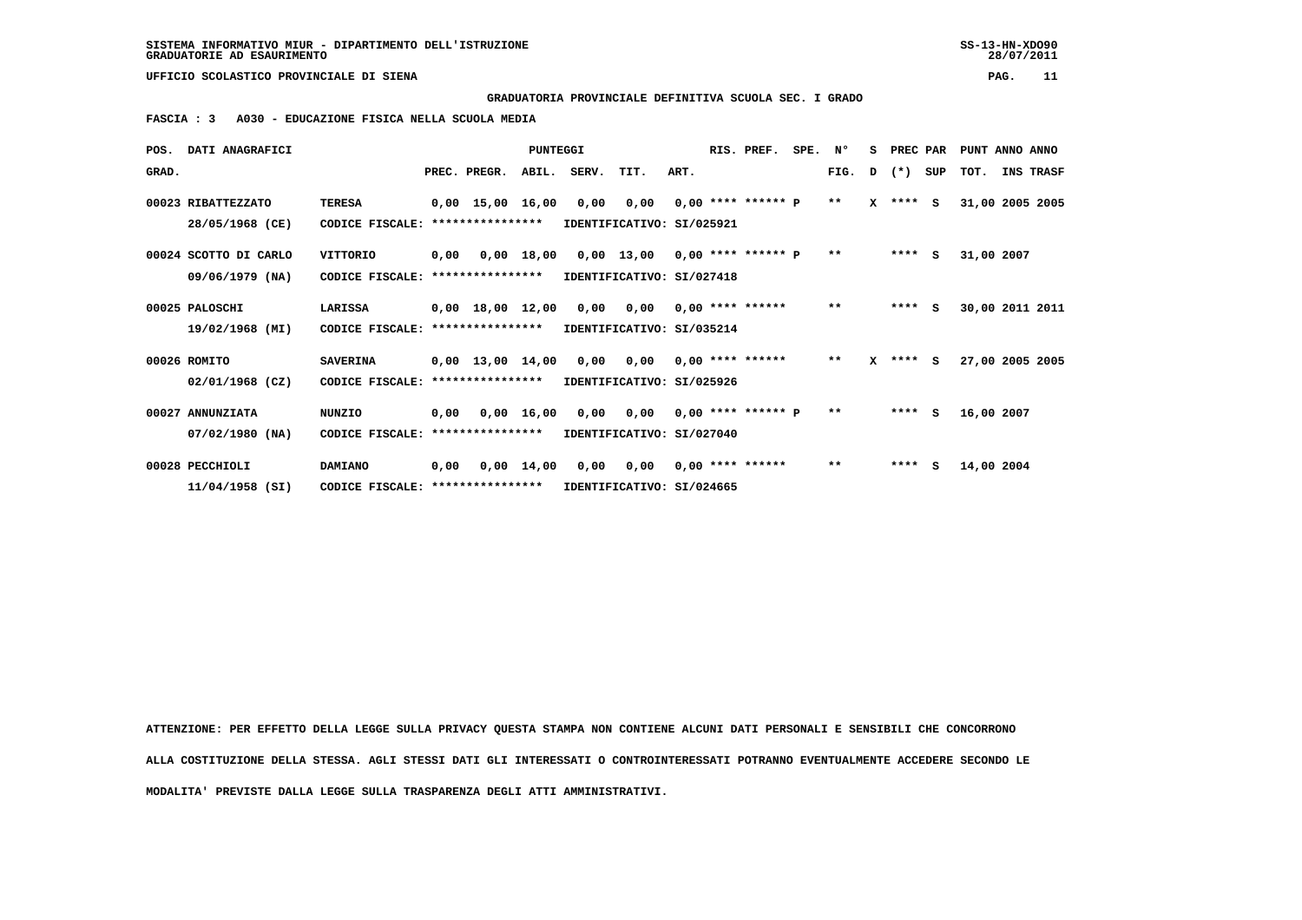**GRADUATORIA PROVINCIALE DEFINITIVA SCUOLA SEC. I GRADO**

 **FASCIA : 3 A030 - EDUCAZIONE FISICA NELLA SCUOLA MEDIA**

| POS.  | DATI ANAGRAFICI       |                 |      |                                | <b>PUNTEGGI</b>    |       |                                 |      | RIS. PREF.           | SPE. | N°    | s | PREC PAR     |     | PUNT ANNO ANNO  |                 |
|-------|-----------------------|-----------------|------|--------------------------------|--------------------|-------|---------------------------------|------|----------------------|------|-------|---|--------------|-----|-----------------|-----------------|
| GRAD. |                       |                 |      | PREC. PREGR.                   | ABIL.              | SERV. | TIT.                            | ART. |                      |      | FIG.  | D | $(*)$        | SUP | TOT.            | INS TRASF       |
|       | 00023 RIBATTEZZATO    | <b>TERESA</b>   |      | $0,00$ 15,00 16,00             |                    | 0,00  | 0,00                            |      | $0,00$ **** ****** P |      | $***$ |   | $X$ **** $S$ |     | 31,00 2005 2005 |                 |
|       | 28/05/1968 (CE)       | CODICE FISCALE: |      | ****************               |                    |       | IDENTIFICATIVO: SI/025921       |      |                      |      |       |   |              |     |                 |                 |
|       | 00024 SCOTTO DI CARLO | VITTORIO        | 0,00 |                                | 0,00 18,00         |       | $0,00$ 13,00 0,00 **** ****** P |      |                      |      | $***$ |   | $***$ S      |     | 31,00 2007      |                 |
|       | 09/06/1979 (NA)       | CODICE FISCALE: |      | ****************               |                    |       | IDENTIFICATIVO: SI/027418       |      |                      |      |       |   |              |     |                 |                 |
|       | 00025 PALOSCHI        | LARISSA         |      | $0,00$ 18,00 12,00             |                    | 0,00  | 0,00                            |      | $0.00$ **** ******   |      | $* *$ |   | $***$ S      |     |                 | 30,00 2011 2011 |
|       | 19/02/1968 (MI)       | CODICE FISCALE: |      | ****************               |                    |       | IDENTIFICATIVO: SI/035214       |      |                      |      |       |   |              |     |                 |                 |
|       | 00026 ROMITO          | <b>SAVERINA</b> |      | $0,00 \quad 13,00 \quad 14,00$ |                    | 0,00  | 0,00                            |      | $0.00$ **** ******   |      | $* *$ |   | $X$ **** $S$ |     | 27,00 2005 2005 |                 |
|       | $02/01/1968$ (CZ)     | CODICE FISCALE: |      | ****************               |                    |       | IDENTIFICATIVO: SI/025926       |      |                      |      |       |   |              |     |                 |                 |
|       | 00027 ANNUNZIATA      | <b>NUNZIO</b>   | 0,00 | 0,00 16,00                     |                    |       | $0.00 \t 0.00$                  |      | $0.00$ **** ****** P |      | $***$ |   | ****         | s   | 16,00 2007      |                 |
|       | $07/02/1980$ (NA)     | CODICE FISCALE: |      | ****************               |                    |       | IDENTIFICATIVO: SI/027040       |      |                      |      |       |   |              |     |                 |                 |
|       | 00028 PECCHIOLI       | DAMIANO         | 0,00 |                                | $0,00 \quad 14,00$ | 0,00  | 0,00                            |      | $0.00$ **** ******   |      | $* *$ |   | ****         | s   | 14,00 2004      |                 |
|       | $11/04/1958$ (SI)     | CODICE FISCALE: |      | ****************               |                    |       | IDENTIFICATIVO: SI/024665       |      |                      |      |       |   |              |     |                 |                 |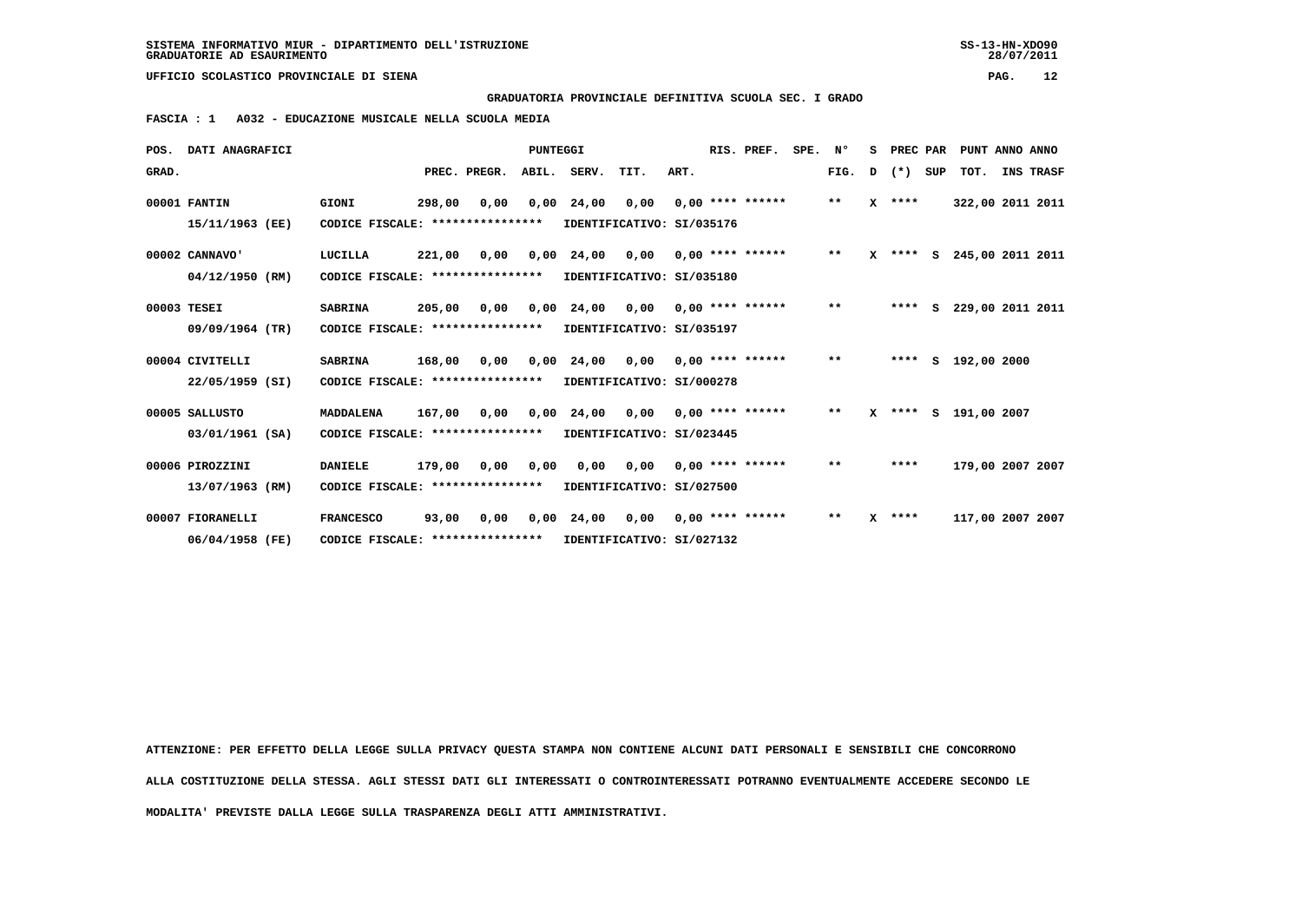**GRADUATORIA PROVINCIALE DEFINITIVA SCUOLA SEC. I GRADO**

 **FASCIA : 1 A032 - EDUCAZIONE MUSICALE NELLA SCUOLA MEDIA**

|       | POS. DATI ANAGRAFICI |                                                            |        |              | PUNTEGGI |                           |                           |      | RIS. PREF.            | SPE. | N°    | s            | PREC PAR   |     | PUNT ANNO ANNO       |           |
|-------|----------------------|------------------------------------------------------------|--------|--------------|----------|---------------------------|---------------------------|------|-----------------------|------|-------|--------------|------------|-----|----------------------|-----------|
| GRAD. |                      |                                                            |        | PREC. PREGR. |          | ABIL. SERV.               | TIT.                      | ART. |                       |      | FIG.  | D            | $(*)$      | SUP | тот.                 | INS TRASF |
|       | 00001 FANTIN         | GIONI                                                      | 298,00 | 0,00         |          | $0,00$ 24,00 0,00         |                           |      | $0.00$ **** ******    |      | $***$ |              | $X$ ****   |     | 322,00 2011 2011     |           |
|       | 15/11/1963 (EE)      | CODICE FISCALE: ****************                           |        |              |          | IDENTIFICATIVO: SI/035176 |                           |      |                       |      |       |              |            |     |                      |           |
|       | 00002 CANNAVO'       | LUCILLA                                                    |        | 221,00 0,00  |          | 0,00 24,00                | 0,00                      |      | $0.00$ **** ******    |      | $***$ |              | $X$ **** S |     | 245,00 2011 2011     |           |
|       | 04/12/1950 (RM)      | CODICE FISCALE: ****************                           |        |              |          | IDENTIFICATIVO: SI/035180 |                           |      |                       |      |       |              |            |     |                      |           |
|       | 00003 TESEI          | <b>SABRINA</b>                                             | 205,00 | 0,00         |          | $0,00$ 24,00              | 0,00                      |      | $0.00$ **** ****** ** |      |       |              | ****       | s   | 229,00 2011 2011     |           |
|       | 09/09/1964 (TR)      | CODICE FISCALE: ****************                           |        |              |          | IDENTIFICATIVO: SI/035197 |                           |      |                       |      |       |              |            |     |                      |           |
|       | 00004 CIVITELLI      | <b>SABRINA</b>                                             | 168,00 | 0,00         |          | 0,00 24,00 0,00           |                           |      | $0.00$ **** ******    |      | $***$ |              | ****       |     | S 192,00 2000        |           |
|       | 22/05/1959 (SI)      | CODICE FISCALE: ****************                           |        |              |          | IDENTIFICATIVO: SI/000278 |                           |      |                       |      |       |              |            |     |                      |           |
|       | 00005 SALLUSTO       | <b>MADDALENA</b>                                           |        | 167,00 0,00  |          | 0,00 24,00 0,00           |                           |      | $0.00$ **** ******    |      | $***$ |              |            |     | X **** S 191,00 2007 |           |
|       | 03/01/1961 (SA)      | CODICE FISCALE: **************** IDENTIFICATIVO: SI/023445 |        |              |          |                           |                           |      |                       |      |       |              |            |     |                      |           |
|       | 00006 PIROZZINI      | <b>DANIELE</b>                                             |        | 179,00 0,00  | 0.00     |                           | $0.00 \t 0.00$            |      | $0.00$ **** ******    |      | $***$ |              | ****       |     | 179,00 2007 2007     |           |
|       | 13/07/1963 (RM)      | CODICE FISCALE: **************** IDENTIFICATIVO: SI/027500 |        |              |          |                           |                           |      |                       |      |       |              |            |     |                      |           |
|       | 00007 FIORANELLI     | <b>FRANCESCO</b>                                           | 93,00  | 0,00         |          | $0,00$ 24,00 0,00         |                           |      | 0,00 **** ******      |      | $* *$ | $\mathbf{x}$ | ****       |     | 117,00 2007 2007     |           |
|       | 06/04/1958 (FE)      | CODICE FISCALE: ****************                           |        |              |          |                           | IDENTIFICATIVO: SI/027132 |      |                       |      |       |              |            |     |                      |           |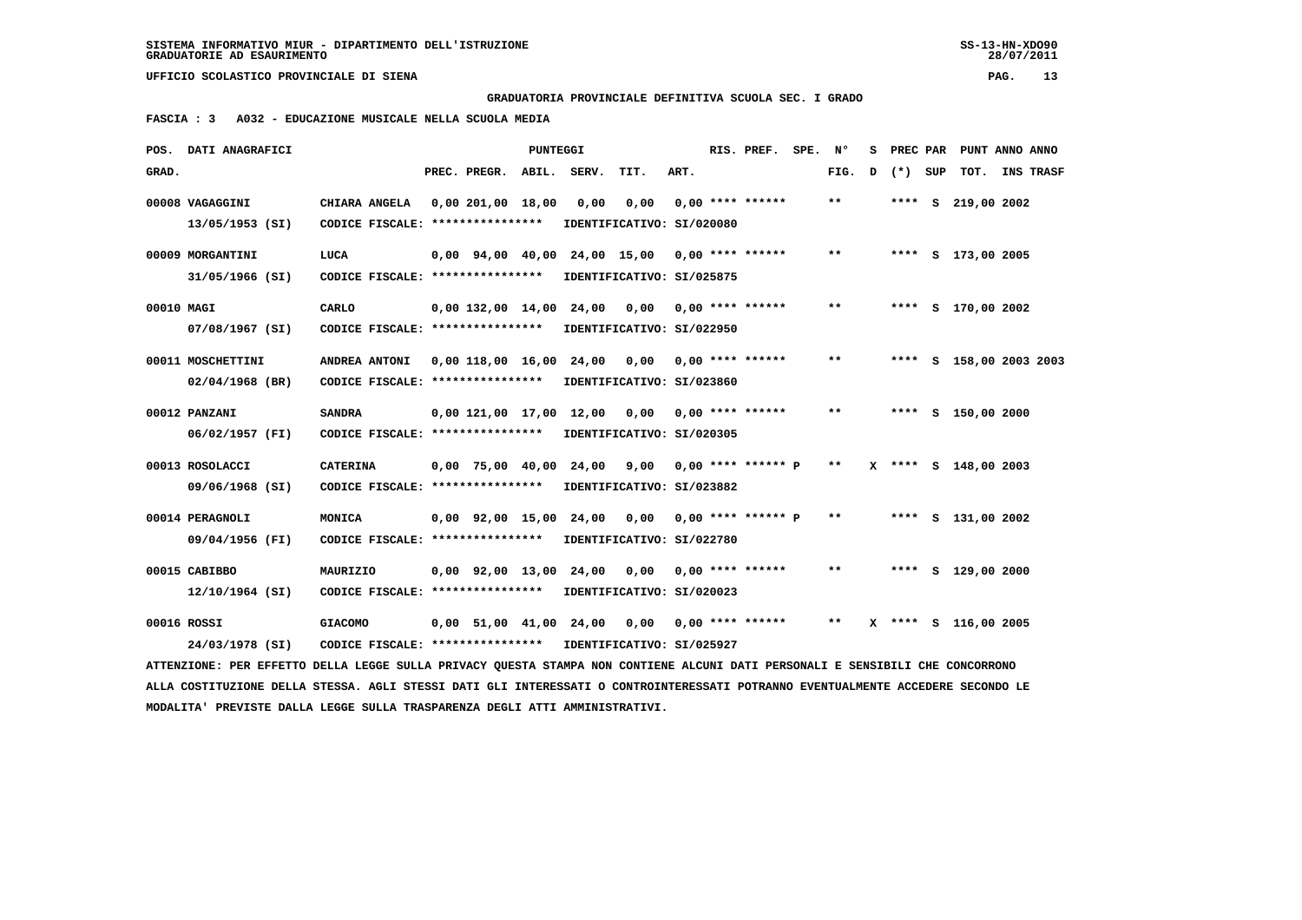**GRADUATORIA PROVINCIALE DEFINITIVA SCUOLA SEC. I GRADO**

 **FASCIA : 3 A032 - EDUCAZIONE MUSICALE NELLA SCUOLA MEDIA**

|            | POS. DATI ANAGRAFICI                                                                                                            |                                  |                          | PUNTEGGI |                        |                                                 |      | RIS. PREF. SPE. Nº   |                            | s |       |     | PREC PAR PUNT ANNO ANNO |                  |
|------------|---------------------------------------------------------------------------------------------------------------------------------|----------------------------------|--------------------------|----------|------------------------|-------------------------------------------------|------|----------------------|----------------------------|---|-------|-----|-------------------------|------------------|
| GRAD.      |                                                                                                                                 |                                  | PREC. PREGR.             | ABIL.    | SERV.                  | TIT.                                            | ART. |                      | FIG.                       | D | $(*)$ | SUP | тот.                    | <b>INS TRASF</b> |
|            | 00008 VAGAGGINI                                                                                                                 | CHIARA ANGELA                    | 0,00 201,00 18,00        |          | 0,00                   | 0,00                                            |      | $0.00$ **** ******   | $***$                      |   |       |     | **** S 219,00 2002      |                  |
|            | 13/05/1953 (SI)                                                                                                                 | CODICE FISCALE: **************** |                          |          |                        | IDENTIFICATIVO: SI/020080                       |      |                      |                            |   |       |     |                         |                  |
|            | 00009 MORGANTINI                                                                                                                | LUCA                             | $0.00$ $94.00$ $40.00$   |          |                        | 24,00 15,00 0,00 **** ******                    |      |                      | $\pmb{\times}\pmb{\times}$ |   |       |     | **** S 173,00 2005      |                  |
|            | 31/05/1966 (SI)                                                                                                                 | CODICE FISCALE: **************** |                          |          |                        | IDENTIFICATIVO: SI/025875                       |      |                      |                            |   |       |     |                         |                  |
| 00010 MAGI |                                                                                                                                 | CARLO                            |                          |          |                        | $0,00$ 132,00 14,00 24,00 0,00 0,00 **** ****** |      |                      | $**$                       |   |       |     | **** S 170,00 2002      |                  |
|            | 07/08/1967 (SI)                                                                                                                 | CODICE FISCALE: **************** |                          |          |                        | IDENTIFICATIVO: SI/022950                       |      |                      |                            |   |       |     |                         |                  |
|            | 00011 MOSCHETTINI                                                                                                               | ANDREA ANTONI                    | 0,00 118,00 16,00        |          | 24,00                  | 0,00                                            |      | $0.00$ **** ******   | $\pmb{\times}\pmb{\times}$ |   |       |     | **** S 158,00 2003 2003 |                  |
|            | $02/04/1968$ (BR)                                                                                                               | CODICE FISCALE: **************** |                          |          |                        | IDENTIFICATIVO: SI/023860                       |      |                      |                            |   |       |     |                         |                  |
|            | 00012 PANZANI                                                                                                                   | <b>SANDRA</b>                    | 0,00 121,00 17,00 12,00  |          |                        | 0,00                                            |      | $0.00$ **** ******   | $* *$                      |   |       |     | **** S 150,00 2000      |                  |
|            | 06/02/1957 (FI)                                                                                                                 | CODICE FISCALE: **************** |                          |          |                        | IDENTIFICATIVO: SI/020305                       |      |                      |                            |   |       |     |                         |                  |
|            | 00013 ROSOLACCI                                                                                                                 | <b>CATERINA</b>                  | 0,00 75,00 40,00         |          | 24,00                  | 9,00                                            |      | $0,00$ **** ****** P | $* *$                      |   |       |     | X **** S 148,00 2003    |                  |
|            | 09/06/1968 (SI)                                                                                                                 | CODICE FISCALE: **************** |                          |          |                        | IDENTIFICATIVO: SI/023882                       |      |                      |                            |   |       |     |                         |                  |
|            | 00014 PERAGNOLI                                                                                                                 | MONICA                           |                          |          | 0,00 92,00 15,00 24,00 | 0,00                                            |      | $0,00$ **** ****** P | $***$                      |   |       |     | **** S 131,00 2002      |                  |
|            | 09/04/1956 (FI)                                                                                                                 | CODICE FISCALE: **************** |                          |          |                        | IDENTIFICATIVO: SI/022780                       |      |                      |                            |   |       |     |                         |                  |
|            | 00015 CABIBBO                                                                                                                   | MAURIZIO                         | 0,00 92,00 13,00 24,00   |          |                        | 0,00                                            |      | $0.00$ **** ******   | $* *$                      |   |       |     | **** S 129,00 2000      |                  |
|            | 12/10/1964 (SI)                                                                                                                 | CODICE FISCALE: **************** |                          |          |                        | IDENTIFICATIVO: SI/020023                       |      |                      |                            |   |       |     |                         |                  |
|            | 00016 ROSSI                                                                                                                     | <b>GIACOMO</b>                   | $0.00$ 51.00 41.00 24.00 |          |                        | 0,00                                            |      | $0,00$ **** ******   | $* *$                      |   |       |     | X **** S 116,00 2005    |                  |
|            | 24/03/1978 (SI)                                                                                                                 | CODICE FISCALE: **************** |                          |          |                        | IDENTIFICATIVO: SI/025927                       |      |                      |                            |   |       |     |                         |                  |
|            | ATTENZIONE: PER EFFETTO DELLA LEGGE SULLA PRIVACY QUESTA STAMPA NON CONTIENE ALCUNI DATI PERSONALI E SENSIBILI CHE CONCORRONO   |                                  |                          |          |                        |                                                 |      |                      |                            |   |       |     |                         |                  |
|            | ALLA COSTITUZIONE DELLA STESSA. AGLI STESSI DATI GLI INTERESSATI O CONTROINTERESSATI POTRANNO EVENTUALMENTE ACCEDERE SECONDO LE |                                  |                          |          |                        |                                                 |      |                      |                            |   |       |     |                         |                  |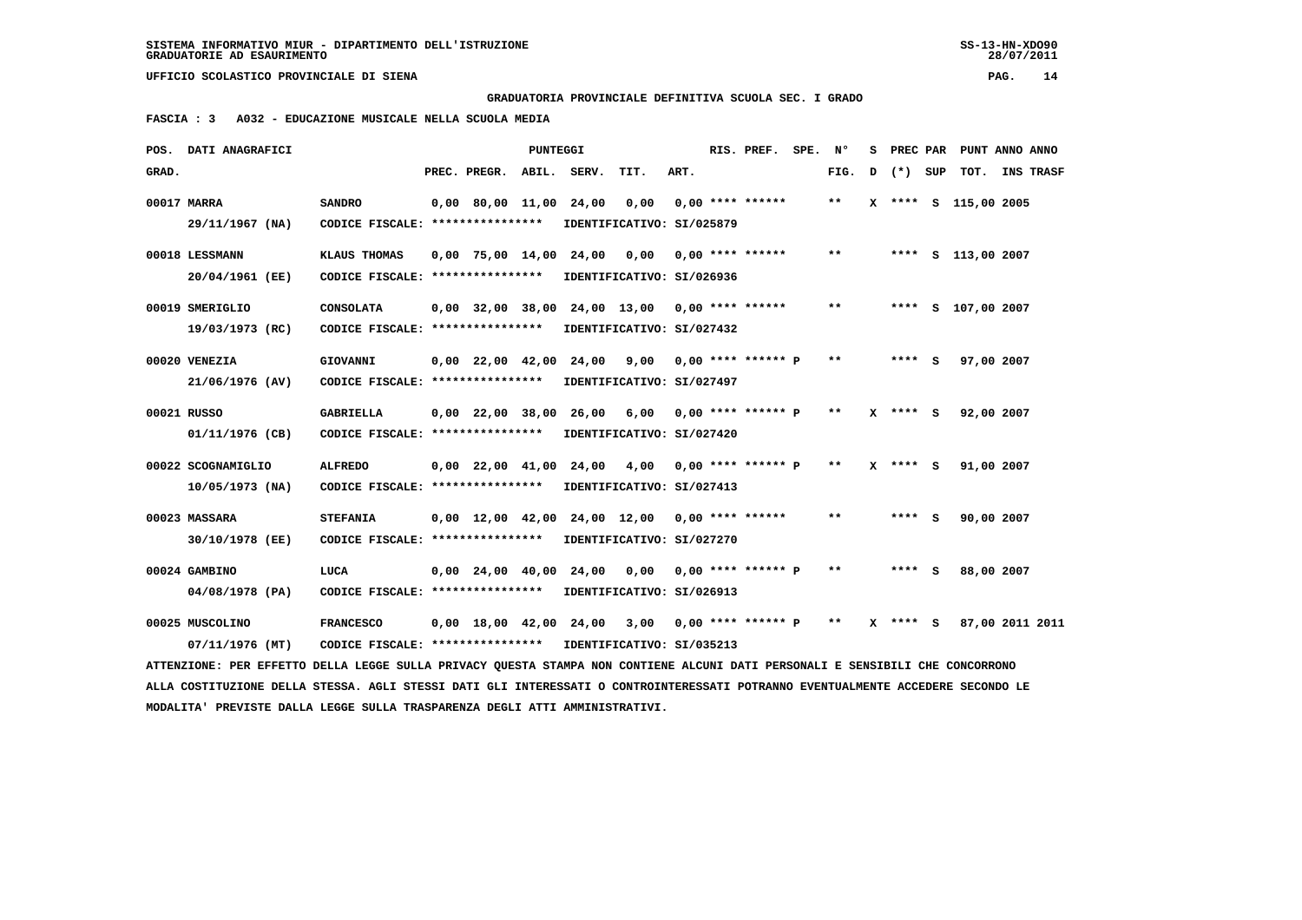**GRADUATORIA PROVINCIALE DEFINITIVA SCUOLA SEC. I GRADO**

 **FASCIA : 3 A032 - EDUCAZIONE MUSICALE NELLA SCUOLA MEDIA**

| POS. DATI ANAGRAFICI                                                                                                            |                                                            |                                | PUNTEGGI |                                                     |                           |      | RIS. PREF. SPE. Nº |       |   |              | S PREC PAR PUNT ANNO ANNO |                  |
|---------------------------------------------------------------------------------------------------------------------------------|------------------------------------------------------------|--------------------------------|----------|-----------------------------------------------------|---------------------------|------|--------------------|-------|---|--------------|---------------------------|------------------|
| GRAD.                                                                                                                           |                                                            | PREC. PREGR. ABIL. SERV.       |          |                                                     | TIT.                      | ART. |                    | FIG.  | D | (*) SUP      | тот.                      | <b>INS TRASF</b> |
| 00017 MARRA                                                                                                                     | <b>SANDRO</b>                                              | 0,00 80,00 11,00 24,00         |          |                                                     | 0,00                      |      | $0,00$ **** ****** | $* *$ |   |              | X **** S 115,00 2005      |                  |
| 29/11/1967 (NA)                                                                                                                 | CODICE FISCALE: ****************                           |                                |          |                                                     | IDENTIFICATIVO: SI/025879 |      |                    |       |   |              |                           |                  |
| 00018 LESSMANN                                                                                                                  | KLAUS THOMAS                                               |                                |          | $0,00$ 75,00 14,00 24,00 0,00 0,00 **** ******      |                           |      |                    | $* *$ |   |              | **** S 113,00 2007        |                  |
| 20/04/1961 (EE)                                                                                                                 | CODICE FISCALE: *****************                          |                                |          |                                                     | IDENTIFICATIVO: SI/026936 |      |                    |       |   |              |                           |                  |
| 00019 SMERIGLIO                                                                                                                 | <b>CONSOLATA</b>                                           |                                |          | $0,00$ 32,00 38,00 24,00 13,00 0,00 **** ******     |                           |      |                    | $***$ |   |              | **** S 107,00 2007        |                  |
| 19/03/1973 (RC)                                                                                                                 | CODICE FISCALE: ****************                           |                                |          |                                                     | IDENTIFICATIVO: SI/027432 |      |                    |       |   |              |                           |                  |
| 00020 VENEZIA                                                                                                                   | GIOVANNI                                                   |                                |          |                                                     |                           |      |                    | $***$ |   | $***$ S      | 97,00 2007                |                  |
| 21/06/1976 (AV)                                                                                                                 | CODICE FISCALE: *****************                          |                                |          | 0,00 22,00 42,00 24,00 9,00 0,00 **** ****** P      | IDENTIFICATIVO: SI/027497 |      |                    |       |   |              |                           |                  |
|                                                                                                                                 |                                                            |                                |          |                                                     |                           |      |                    |       |   |              |                           |                  |
| 00021 RUSSO                                                                                                                     | <b>GABRIELLA</b>                                           |                                |          | $0,00$ 22,00 38,00 26,00 6,00 0,00 **** ****** P    |                           |      |                    | $***$ |   | $X$ **** $S$ | 92,00 2007                |                  |
| 01/11/1976 (CB)                                                                                                                 | CODICE FISCALE: ****************                           |                                |          |                                                     | IDENTIFICATIVO: SI/027420 |      |                    |       |   |              |                           |                  |
| 00022 SCOGNAMIGLIO                                                                                                              | <b>ALFREDO</b>                                             |                                |          | 0,00 22,00 41,00 24,00 4,00 0,00 **** ****** P      |                           |      |                    | $* *$ |   | $X$ **** $S$ | 91,00 2007                |                  |
| $10/05/1973$ (NA)                                                                                                               | CODICE FISCALE: *****************                          |                                |          |                                                     | IDENTIFICATIVO: SI/027413 |      |                    |       |   |              |                           |                  |
| 00023 MASSARA                                                                                                                   | <b>STEFANIA</b>                                            |                                |          | $0,00$ 12,00 42,00 24,00 12,00 0,00 **** ******     |                           |      |                    | $**$  |   | $***$ S      | 90,00 2007                |                  |
| 30/10/1978 (EE)                                                                                                                 | CODICE FISCALE: ****************                           |                                |          |                                                     | IDENTIFICATIVO: SI/027270 |      |                    |       |   |              |                           |                  |
|                                                                                                                                 |                                                            |                                |          |                                                     |                           |      |                    |       |   |              |                           |                  |
| 00024 GAMBINO                                                                                                                   | LUCA                                                       | $0,00$ $24,00$ $40,00$ $24,00$ |          |                                                     |                           |      |                    | $***$ |   | $***$ S      | 88,00 2007                |                  |
| 04/08/1978 (PA)                                                                                                                 | CODICE FISCALE: ****************                           |                                |          |                                                     | IDENTIFICATIVO: SI/026913 |      |                    |       |   |              |                           |                  |
| 00025 MUSCOLINO                                                                                                                 | <b>FRANCESCO</b>                                           |                                |          | $0,00$ 18,00 42,00 24,00 3,00 0,00 **** ****** P ** |                           |      |                    |       |   | $X$ **** $S$ | 87,00 2011 2011           |                  |
| 07/11/1976 (MT)                                                                                                                 | CODICE FISCALE: **************** IDENTIFICATIVO: SI/035213 |                                |          |                                                     |                           |      |                    |       |   |              |                           |                  |
| ATTENZIONE: PER EFFETTO DELLA LEGGE SULLA PRIVACY QUESTA STAMPA NON CONTIENE ALCUNI DATI PERSONALI E SENSIBILI CHE CONCORRONO   |                                                            |                                |          |                                                     |                           |      |                    |       |   |              |                           |                  |
| ALLA COSTITUZIONE DELLA STESSA. AGLI STESSI DATI GLI INTERESSATI O CONTROINTERESSATI POTRANNO EVENTUALMENTE ACCEDERE SECONDO LE |                                                            |                                |          |                                                     |                           |      |                    |       |   |              |                           |                  |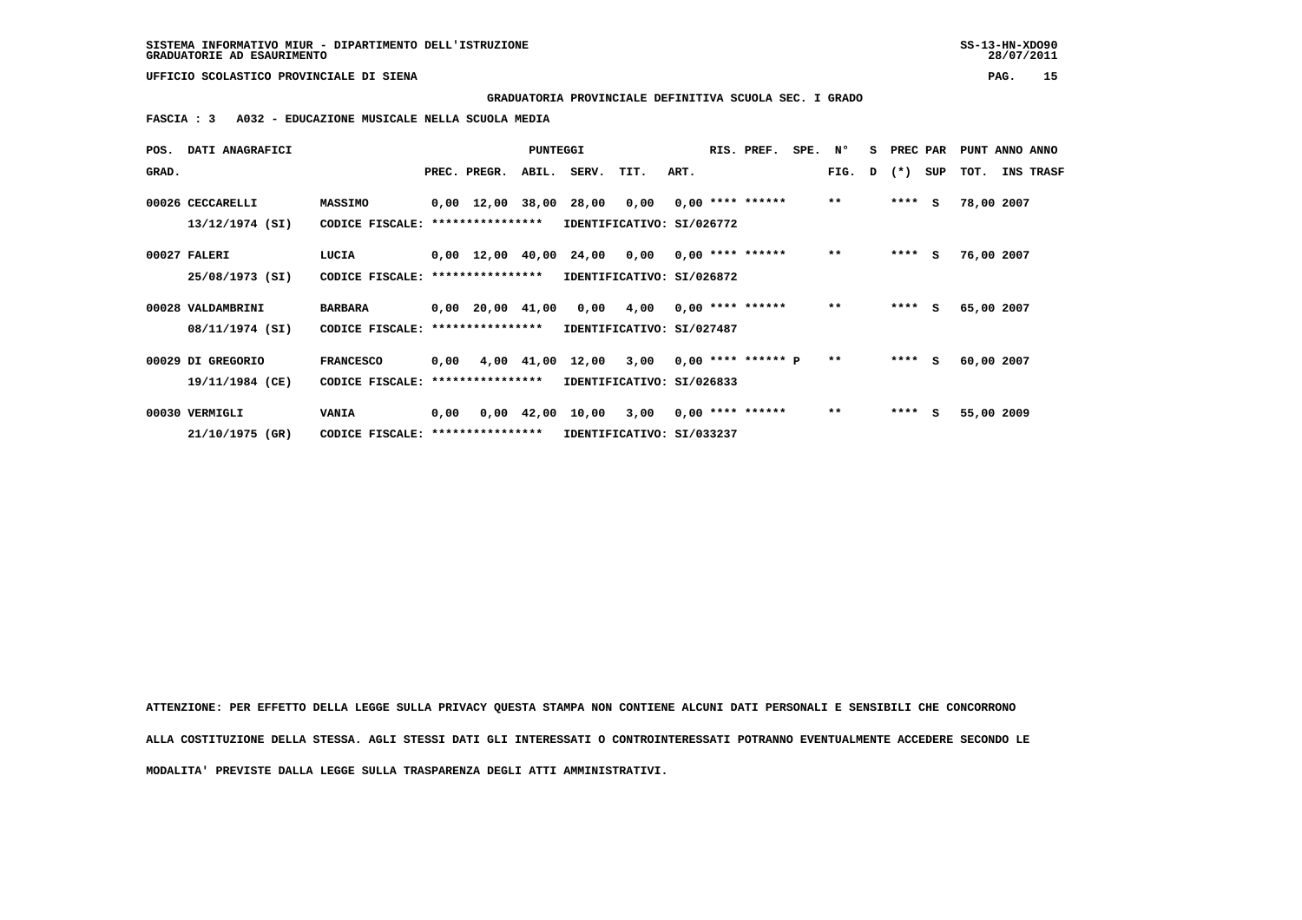**GRADUATORIA PROVINCIALE DEFINITIVA SCUOLA SEC. I GRADO**

 **FASCIA : 3 A032 - EDUCAZIONE MUSICALE NELLA SCUOLA MEDIA**

| POS.  | DATI ANAGRAFICI                      |                                     |      |                                                   | PUNTEGGI |                                                                       |           |      | RIS. PREF.         | SPE. N° |       |   | S PREC PAR |     | PUNT ANNO ANNO |                  |
|-------|--------------------------------------|-------------------------------------|------|---------------------------------------------------|----------|-----------------------------------------------------------------------|-----------|------|--------------------|---------|-------|---|------------|-----|----------------|------------------|
| GRAD. |                                      |                                     |      | PREC. PREGR.                                      | ABIL.    | SERV.                                                                 | TIT.      | ART. |                    |         | FIG.  | D | $(*)$      | SUP | тот.           | <b>INS TRASF</b> |
|       | 00026 CECCARELLI<br>13/12/1974 (SI)  | <b>MASSIMO</b><br>CODICE FISCALE:   |      | 0,00 12,00 38,00 28,00 0,00<br>****************   |          | IDENTIFICATIVO: SI/026772                                             |           |      | $0.00$ **** ****** |         | $**$  |   | $***$ S    |     | 78,00 2007     |                  |
|       | 00027 FALERI<br>25/08/1973 (SI)      | LUCIA<br>CODICE FISCALE:            |      | $0,00$ 12,00 40,00 24,00 0,00<br>**************** |          | IDENTIFICATIVO: SI/026872                                             |           |      | $0,00$ **** ****** |         | $* *$ |   | $***$ S    |     | 76,00 2007     |                  |
|       | 00028 VALDAMBRINI                    | <b>BARBARA</b>                      |      | $0,00$ 20,00 41,00                                |          |                                                                       | 0,00 4,00 |      | $0.00$ **** ****** |         | $***$ |   | $***$ S    |     | 65,00 2007     |                  |
|       | 08/11/1974 (SI)                      | CODICE FISCALE: *****************   |      |                                                   |          | IDENTIFICATIVO: SI/027487                                             |           |      |                    |         |       |   |            |     |                |                  |
|       | 00029 DI GREGORIO<br>19/11/1984 (CE) | <b>FRANCESCO</b><br>CODICE FISCALE: | 0,00 | ****************                                  |          | 4,00 41,00 12,00 3,00 0,00 **** ****** P<br>IDENTIFICATIVO: SI/026833 |           |      |                    |         | $* *$ |   | $***$ S    |     | 60,00 2007     |                  |
|       | 00030 VERMIGLI                       | <b>VANIA</b>                        | 0,00 |                                                   |          | $0,00$ $42,00$ $10,00$ $3,00$                                         |           |      | $0.00$ **** ****** |         | $***$ |   | $***$ S    |     | 55,00 2009     |                  |
|       | 21/10/1975 (GR)                      | CODICE FISCALE: *****************   |      |                                                   |          | IDENTIFICATIVO: SI/033237                                             |           |      |                    |         |       |   |            |     |                |                  |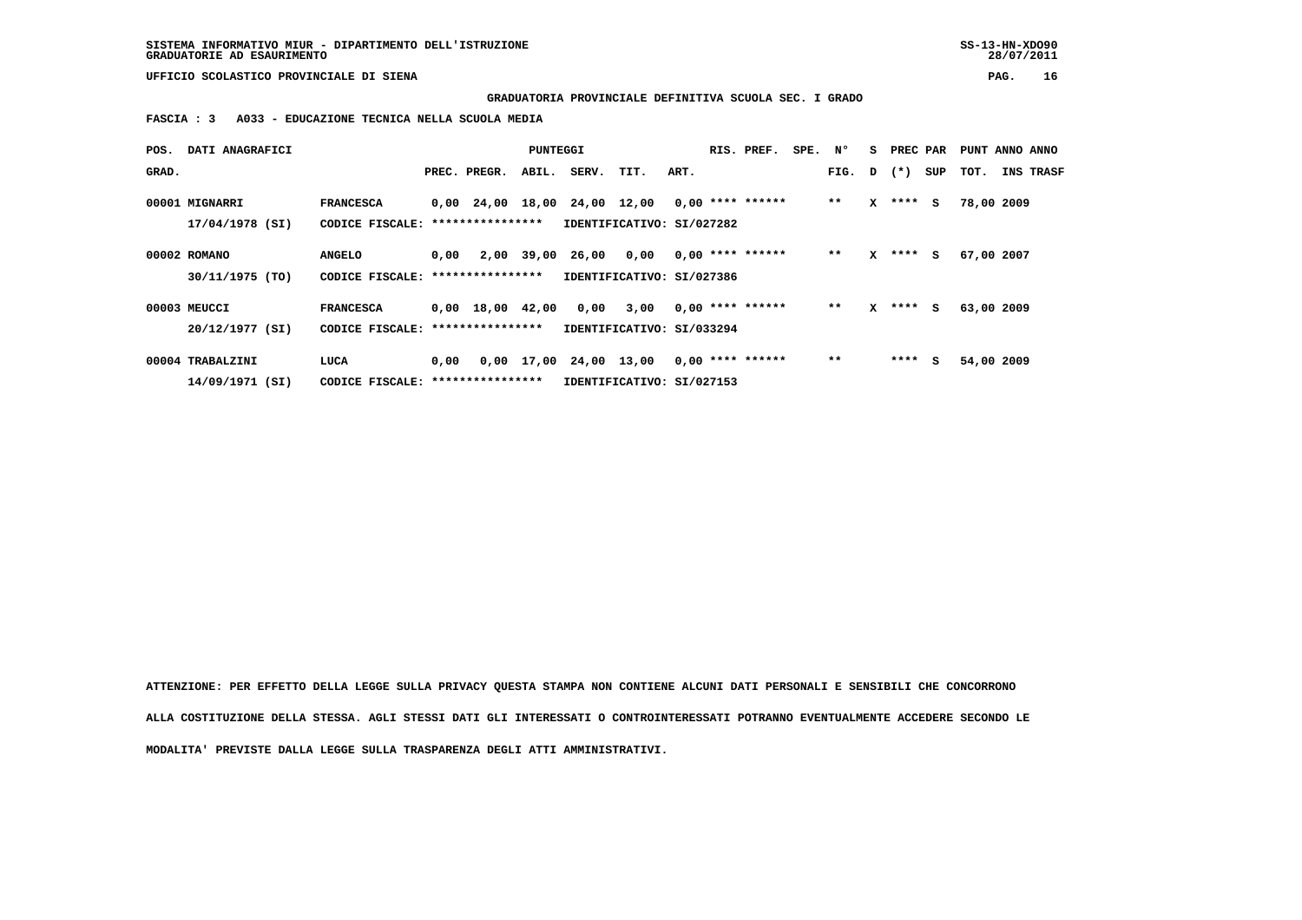**GRADUATORIA PROVINCIALE DEFINITIVA SCUOLA SEC. I GRADO**

 **FASCIA : 3 A033 - EDUCAZIONE TECNICA NELLA SCUOLA MEDIA**

| POS.  | DATI ANAGRAFICI  |                                   |      |                                | PUNTEGGI   |                              |                           |      | RIS. PREF.         | SPE. N° |        | s            | PREC PAR  |     |      |            | PUNT ANNO ANNO   |
|-------|------------------|-----------------------------------|------|--------------------------------|------------|------------------------------|---------------------------|------|--------------------|---------|--------|--------------|-----------|-----|------|------------|------------------|
| GRAD. |                  |                                   |      | PREC. PREGR.                   | ABIL.      | SERV.                        | TIT.                      | ART. |                    |         | FIG. D |              | $(\star)$ | SUP | тот. |            | <b>INS TRASF</b> |
|       | 00001 MIGNARRI   | <b>FRANCESCA</b>                  |      |                                |            | 0,00 24,00 18,00 24,00 12,00 |                           |      | $0,00$ **** ****** |         | $* *$  | x            | ****      | s   |      | 78,00 2009 |                  |
|       | 17/04/1978 (SI)  | CODICE FISCALE:                   |      | ****************               |            |                              | IDENTIFICATIVO: SI/027282 |      |                    |         |        |              |           |     |      |            |                  |
|       | 00002 ROMANO     | <b>ANGELO</b>                     | 0,00 |                                | 2,00 39,00 | 26,00                        | 0.00                      |      | $0,00$ **** ****** |         | $* *$  | x            | ****      | s   |      | 67,00 2007 |                  |
|       | 30/11/1975 (TO)  | CODICE FISCALE: ***************** |      |                                |            |                              | IDENTIFICATIVO: SI/027386 |      |                    |         |        |              |           |     |      |            |                  |
|       | 00003 MEUCCI     | <b>FRANCESCA</b>                  |      | $0,00 \quad 18,00 \quad 42,00$ |            | 0,00                         | 3,00                      |      | $0.00$ **** ****** |         | $* *$  | $\mathbf{x}$ | ****      | s.  |      | 63,00 2009 |                  |
|       | 20/12/1977 (SI)  | CODICE FISCALE: ***************** |      |                                |            |                              | IDENTIFICATIVO: SI/033294 |      |                    |         |        |              |           |     |      |            |                  |
|       | 00004 TRABALZINI | LUCA                              | 0,00 | 0,00                           |            | 17,00 24,00 13,00            |                           |      | $0.00$ **** ****** |         | $**$   |              | ****      | s   |      | 54,00 2009 |                  |
|       | 14/09/1971 (SI)  | CODICE FISCALE: ***************** |      |                                |            |                              | IDENTIFICATIVO: SI/027153 |      |                    |         |        |              |           |     |      |            |                  |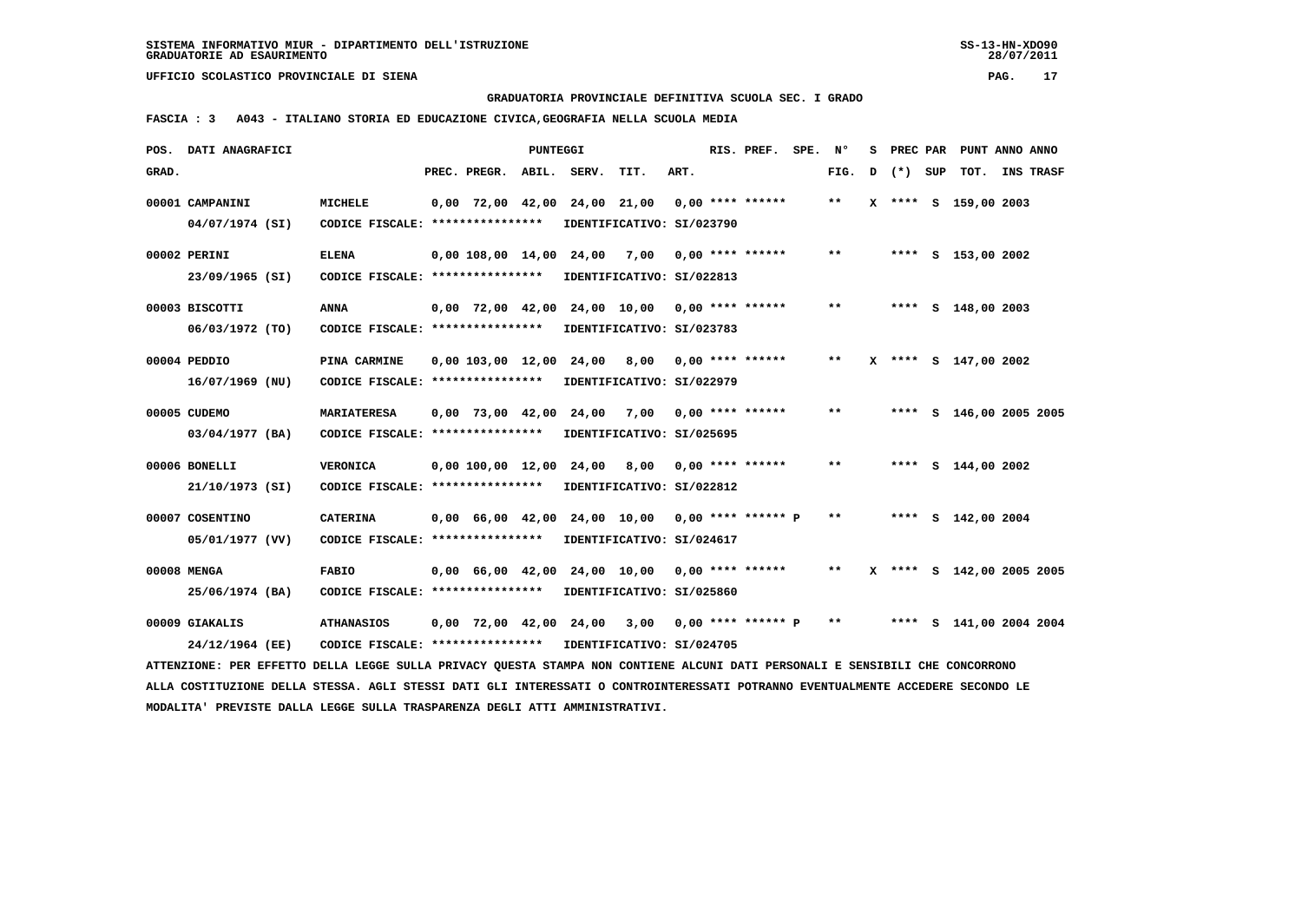**GRADUATORIA PROVINCIALE DEFINITIVA SCUOLA SEC. I GRADO**

 **FASCIA : 3 A043 - ITALIANO STORIA ED EDUCAZIONE CIVICA,GEOGRAFIA NELLA SCUOLA MEDIA**

|       | POS. DATI ANAGRAFICI                                                                                                            |                                                            |              | <b>PUNTEGGI</b> |                                                   |                           |      | RIS. PREF.         | SPE. Nº |       | s | PREC PAR |     | PUNT ANNO ANNO            |                  |
|-------|---------------------------------------------------------------------------------------------------------------------------------|------------------------------------------------------------|--------------|-----------------|---------------------------------------------------|---------------------------|------|--------------------|---------|-------|---|----------|-----|---------------------------|------------------|
| GRAD. |                                                                                                                                 |                                                            | PREC. PREGR. |                 | ABIL. SERV.                                       | TIT.                      | ART. |                    |         | FIG.  | D | $(*)$    | SUP | TOT.                      | <b>INS TRASF</b> |
|       | 00001 CAMPANINI                                                                                                                 | <b>MICHELE</b>                                             |              |                 | $0,00$ 72,00 42,00 24,00 21,00 0,00 **** ******   |                           |      |                    |         | $***$ |   |          |     | X **** S 159,00 2003      |                  |
|       | 04/07/1974 (SI)                                                                                                                 | CODICE FISCALE: ****************                           |              |                 |                                                   | IDENTIFICATIVO: SI/023790 |      |                    |         |       |   |          |     |                           |                  |
|       |                                                                                                                                 |                                                            |              |                 |                                                   |                           |      |                    |         |       |   |          |     |                           |                  |
|       | 00002 PERINI                                                                                                                    | <b>ELENA</b>                                               |              |                 | 0,00 108,00 14,00 24,00 7,00                      |                           |      | $0.00$ **** ****** |         | $* *$ |   |          |     | **** S 153,00 2002        |                  |
|       | 23/09/1965 (SI)                                                                                                                 | CODICE FISCALE: ****************                           |              |                 |                                                   | IDENTIFICATIVO: SI/022813 |      |                    |         |       |   |          |     |                           |                  |
|       | 00003 BISCOTTI                                                                                                                  | ANNA                                                       |              |                 | $0,00$ 72,00 42,00 24,00 10,00 0,00 **** ******   |                           |      |                    |         | $* *$ |   |          |     | **** S 148,00 2003        |                  |
|       | $06/03/1972$ (TO)                                                                                                               | CODICE FISCALE: ****************                           |              |                 |                                                   | IDENTIFICATIVO: SI/023783 |      |                    |         |       |   |          |     |                           |                  |
|       | 00004 PEDDIO                                                                                                                    | PINA CARMINE                                               |              |                 | $0,00$ 103,00 12,00 24,00 8,00                    |                           |      | $0.00$ **** ****** |         | $* *$ |   |          |     | X **** S 147,00 2002      |                  |
|       | 16/07/1969 (NU)                                                                                                                 | CODICE FISCALE: ****************                           |              |                 |                                                   | IDENTIFICATIVO: SI/022979 |      |                    |         |       |   |          |     |                           |                  |
|       |                                                                                                                                 |                                                            |              |                 |                                                   |                           |      |                    |         |       |   |          |     |                           |                  |
|       | 00005 CUDEMO                                                                                                                    | <b>MARIATERESA</b>                                         |              |                 | $0,00$ 73,00 42,00 24,00 7,00 0,00 **** ******    |                           |      |                    |         | $***$ |   |          |     | **** S 146,00 2005 2005   |                  |
|       | 03/04/1977 (BA)                                                                                                                 | CODICE FISCALE: ****************                           |              |                 |                                                   | IDENTIFICATIVO: SI/025695 |      |                    |         |       |   |          |     |                           |                  |
|       | 00006 BONELLI                                                                                                                   | <b>VERONICA</b>                                            |              |                 | 0,00 100,00 12,00 24,00                           | 8,00                      |      | $0.00$ **** ****** |         | $***$ |   |          |     | **** $S$ 144,00 2002      |                  |
|       | 21/10/1973 (SI)                                                                                                                 | CODICE FISCALE: ****************                           |              |                 |                                                   | IDENTIFICATIVO: SI/022812 |      |                    |         |       |   |          |     |                           |                  |
|       | 00007 COSENTINO                                                                                                                 | <b>CATERINA</b>                                            |              |                 |                                                   |                           |      |                    |         | $***$ |   |          |     | **** S 142,00 2004        |                  |
|       |                                                                                                                                 |                                                            |              |                 | $0,00$ 66,00 42,00 24,00 10,00 0,00 **** ****** P |                           |      |                    |         |       |   |          |     |                           |                  |
|       | 05/01/1977 (VV)                                                                                                                 | CODICE FISCALE: *****************                          |              |                 |                                                   | IDENTIFICATIVO: SI/024617 |      |                    |         |       |   |          |     |                           |                  |
|       | 00008 MENGA                                                                                                                     | <b>FABIO</b>                                               |              |                 | $0,00$ 66,00 42,00 24,00 10,00 0,00 **** ******   |                           |      |                    |         | $***$ |   |          |     | X **** S 142,00 2005 2005 |                  |
|       | 25/06/1974 (BA)                                                                                                                 | CODICE FISCALE: ****************                           |              |                 |                                                   | IDENTIFICATIVO: SI/025860 |      |                    |         |       |   |          |     |                           |                  |
|       | 00009 GIAKALIS                                                                                                                  | <b>ATHANASIOS</b>                                          |              |                 | $0,00$ 72,00 42,00 24,00 3,00 0,00 **** ****** P  |                           |      |                    |         | $**$  |   |          |     | **** S 141,00 2004 2004   |                  |
|       | 24/12/1964 (EE)                                                                                                                 | CODICE FISCALE: **************** IDENTIFICATIVO: SI/024705 |              |                 |                                                   |                           |      |                    |         |       |   |          |     |                           |                  |
|       |                                                                                                                                 |                                                            |              |                 |                                                   |                           |      |                    |         |       |   |          |     |                           |                  |
|       | ATTENZIONE: PER EFFETTO DELLA LEGGE SULLA PRIVACY QUESTA STAMPA NON CONTIENE ALCUNI DATI PERSONALI E SENSIBILI CHE CONCORRONO   |                                                            |              |                 |                                                   |                           |      |                    |         |       |   |          |     |                           |                  |
|       | ALLA COSTITUZIONE DELLA STESSA. AGLI STESSI DATI GLI INTERESSATI O CONTROINTERESSATI POTRANNO EVENTUALMENTE ACCEDERE SECONDO LE |                                                            |              |                 |                                                   |                           |      |                    |         |       |   |          |     |                           |                  |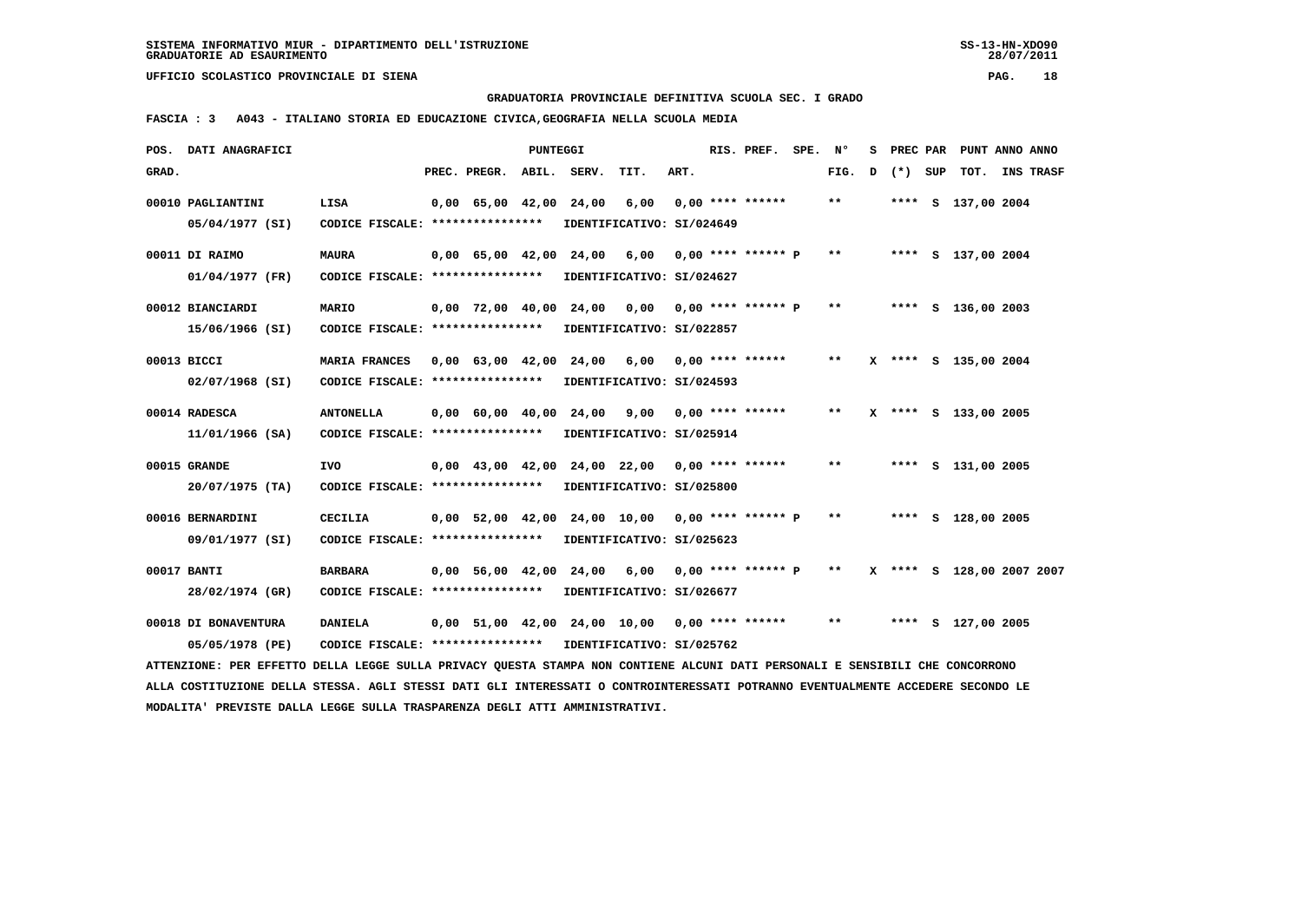**GRADUATORIA PROVINCIALE DEFINITIVA SCUOLA SEC. I GRADO**

 **FASCIA : 3 A043 - ITALIANO STORIA ED EDUCAZIONE CIVICA,GEOGRAFIA NELLA SCUOLA MEDIA**

| POS. DATI ANAGRAFICI                                                                                                            |                                                    |                                            | PUNTEGGI |             |                                                                              |      | RIS. PREF. SPE.      | N°                         | s |       |     | PREC PAR PUNT ANNO ANNO   |                  |
|---------------------------------------------------------------------------------------------------------------------------------|----------------------------------------------------|--------------------------------------------|----------|-------------|------------------------------------------------------------------------------|------|----------------------|----------------------------|---|-------|-----|---------------------------|------------------|
| GRAD.                                                                                                                           |                                                    | PREC. PREGR.                               |          | ABIL. SERV. | TIT.                                                                         | ART. |                      | FIG.                       | D | $(*)$ | SUP | TOT.                      | <b>INS TRASF</b> |
| 00010 PAGLIANTINI                                                                                                               | LISA                                               | $0,00$ 65,00 42,00                         |          | 24,00       | 6,00                                                                         |      | $0.00$ **** ******   | $\pmb{\times}\pmb{\times}$ |   |       |     | **** S 137,00 2004        |                  |
| 05/04/1977 (SI)                                                                                                                 | CODICE FISCALE: ****************                   |                                            |          |             | IDENTIFICATIVO: SI/024649                                                    |      |                      |                            |   |       |     |                           |                  |
| 00011 DI RAIMO                                                                                                                  | <b>MAURA</b>                                       | 0,00 65,00 42,00 24,00                     |          |             | 6,00                                                                         |      | $0.00$ **** ****** P | **                         |   |       |     | **** S 137,00 2004        |                  |
| 01/04/1977 (FR)                                                                                                                 | CODICE FISCALE: ****************                   |                                            |          |             | IDENTIFICATIVO: SI/024627                                                    |      |                      |                            |   |       |     |                           |                  |
| 00012 BIANCIARDI                                                                                                                | <b>MARIO</b>                                       | $0.00$ 72.00 40.00                         |          |             | 24,00 0,00                                                                   |      | $0.00$ **** ****** P | $\pmb{\times}\pmb{\times}$ |   |       |     | **** S 136,00 2003        |                  |
| 15/06/1966 (SI)                                                                                                                 | CODICE FISCALE: ****************                   |                                            |          |             | IDENTIFICATIVO: SI/022857                                                    |      |                      |                            |   |       |     |                           |                  |
| 00013 BICCI                                                                                                                     | <b>MARIA FRANCES</b>                               | $0.00 \quad 63.00 \quad 42.00 \quad 24.00$ |          |             | 6,00                                                                         |      | 0,00 **** ******     | $**$                       |   |       |     | X **** S 135,00 2004      |                  |
| 02/07/1968 (SI)                                                                                                                 | CODICE FISCALE: *****************                  |                                            |          |             | IDENTIFICATIVO: SI/024593                                                    |      |                      |                            |   |       |     |                           |                  |
| 00014 RADESCA                                                                                                                   | <b>ANTONELLA</b>                                   | $0.00 \quad 60.00 \quad 40.00$             |          | 24,00       | 9,00                                                                         |      | $0.00$ **** ******   | $* *$                      |   |       |     | X **** S 133,00 2005      |                  |
| $11/01/1966$ (SA)                                                                                                               | CODICE FISCALE: ****************                   |                                            |          |             | IDENTIFICATIVO: SI/025914                                                    |      |                      |                            |   |       |     |                           |                  |
| 00015 GRANDE                                                                                                                    | <b>IVO</b>                                         |                                            |          |             | $0,00$ 43,00 42,00 24,00 22,00 0,00 **** ******                              |      |                      | $* *$                      |   |       |     | **** S 131,00 2005        |                  |
| 20/07/1975 (TA)                                                                                                                 | CODICE FISCALE: ****************                   |                                            |          |             | IDENTIFICATIVO: SI/025800                                                    |      |                      |                            |   |       |     |                           |                  |
| 00016 BERNARDINI                                                                                                                | <b>CECILIA</b>                                     |                                            |          |             | $0,00$ 52,00 42,00 24,00 10,00 0,00 **** ****** P                            |      |                      | $\pmb{\times}\pmb{\times}$ |   |       |     | **** S 128,00 2005        |                  |
| 09/01/1977 (SI)                                                                                                                 | CODICE FISCALE: ****************                   |                                            |          |             | IDENTIFICATIVO: SI/025623                                                    |      |                      |                            |   |       |     |                           |                  |
|                                                                                                                                 |                                                    |                                            |          |             |                                                                              |      |                      | $* *$                      |   |       |     |                           |                  |
| 00017 BANTI<br>28/02/1974 (GR)                                                                                                  | <b>BARBARA</b><br>CODICE FISCALE: **************** | 0,00 56,00 42,00                           |          |             | 24,00 6,00<br>IDENTIFICATIVO: SI/026677                                      |      | $0,00$ **** ****** P |                            |   |       |     | X **** S 128,00 2007 2007 |                  |
|                                                                                                                                 |                                                    |                                            |          |             |                                                                              |      |                      |                            |   |       |     |                           |                  |
| 00018 DI BONAVENTURA<br>05/05/1978 (PE)                                                                                         | <b>DANIELA</b><br>CODICE FISCALE: **************** |                                            |          |             | $0,00$ 51,00 42,00 24,00 10,00 0,00 **** ******<br>IDENTIFICATIVO: SI/025762 |      |                      | $***$                      |   |       |     | **** S 127,00 2005        |                  |
| ATTENZIONE: PER EFFETTO DELLA LEGGE SULLA PRIVACY QUESTA STAMPA NON CONTIENE ALCUNI DATI PERSONALI E SENSIBILI CHE CONCORRONO   |                                                    |                                            |          |             |                                                                              |      |                      |                            |   |       |     |                           |                  |
| ALLA COSTITUZIONE DELLA STESSA. AGLI STESSI DATI GLI INTERESSATI O CONTROINTERESSATI POTRANNO EVENTUALMENTE ACCEDERE SECONDO LE |                                                    |                                            |          |             |                                                                              |      |                      |                            |   |       |     |                           |                  |
| MODALITA' PREVISTE DALLA LEGGE SULLA TRASPARENZA DEGLI ATTI AMMINISTRATIVI.                                                     |                                                    |                                            |          |             |                                                                              |      |                      |                            |   |       |     |                           |                  |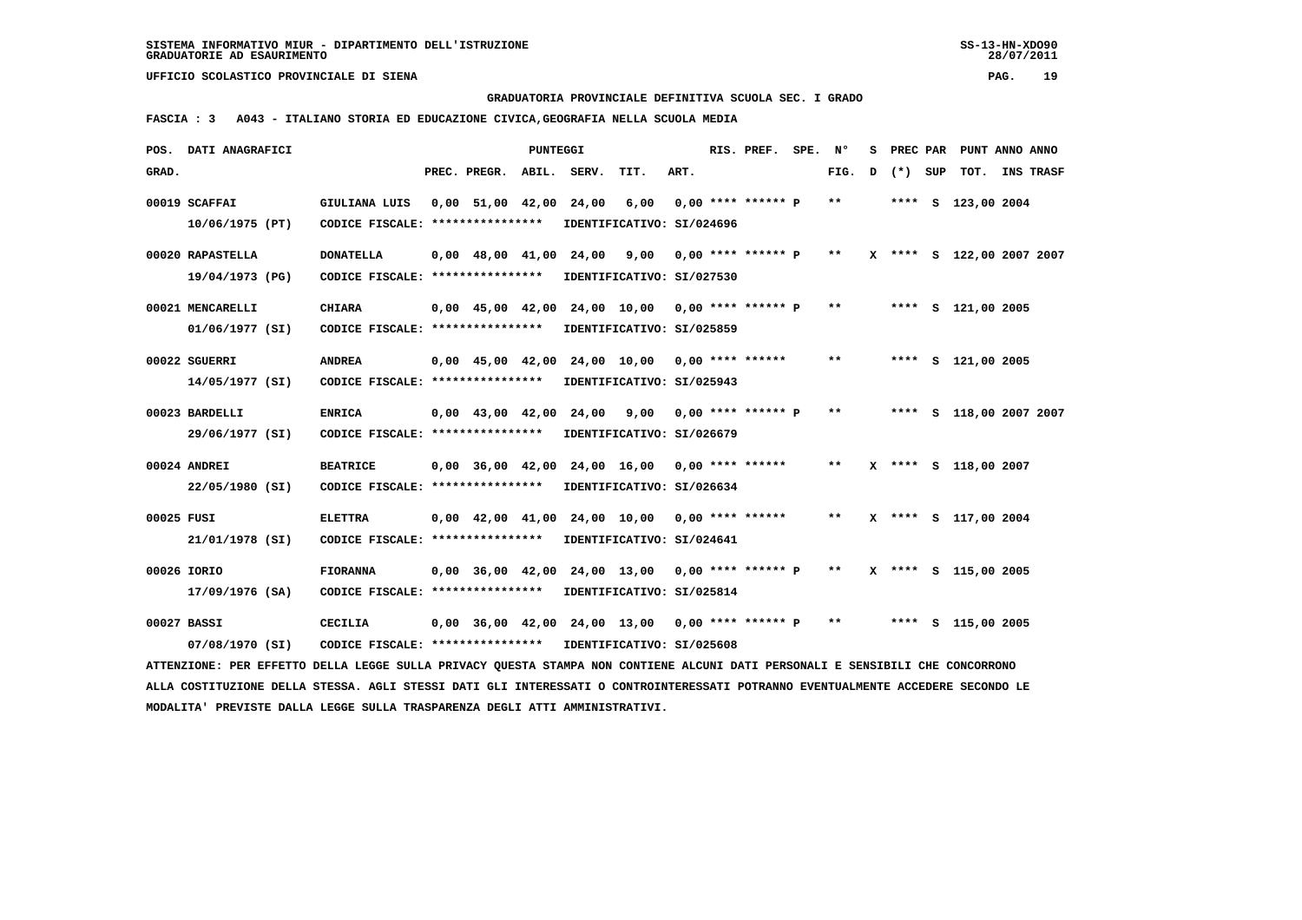**GRADUATORIA PROVINCIALE DEFINITIVA SCUOLA SEC. I GRADO**

 **FASCIA : 3 A043 - ITALIANO STORIA ED EDUCAZIONE CIVICA,GEOGRAFIA NELLA SCUOLA MEDIA**

|            | POS. DATI ANAGRAFICI                                                                                                            |                                                            |                    | PUNTEGGI |       |                                                      |      | RIS. PREF.           | SPE. N° |        | s |         | PREC PAR PUNT ANNO ANNO   |  |
|------------|---------------------------------------------------------------------------------------------------------------------------------|------------------------------------------------------------|--------------------|----------|-------|------------------------------------------------------|------|----------------------|---------|--------|---|---------|---------------------------|--|
| GRAD.      |                                                                                                                                 |                                                            | PREC. PREGR. ABIL. |          | SERV. | TIT.                                                 | ART. |                      |         | FIG. D |   | (*) SUP | TOT. INS TRASF            |  |
|            | 00019 SCAFFAI                                                                                                                   | GIULIANA LUIS                                              |                    |          |       | 0,00 51,00 42,00 24,00 6,00                          |      | $0.00$ **** ****** P |         | $***$  |   |         | **** S 123,00 2004        |  |
|            |                                                                                                                                 |                                                            |                    |          |       |                                                      |      |                      |         |        |   |         |                           |  |
|            | 10/06/1975 (PT)                                                                                                                 | CODICE FISCALE: *****************                          |                    |          |       | IDENTIFICATIVO: SI/024696                            |      |                      |         |        |   |         |                           |  |
|            | 00020 RAPASTELLA                                                                                                                | <b>DONATELLA</b>                                           |                    |          |       | 0,00 48,00 41,00 24,00 9,00                          |      | $0,00$ **** ****** P |         | $* *$  |   |         | X **** S 122,00 2007 2007 |  |
|            | 19/04/1973 (PG)                                                                                                                 | CODICE FISCALE: ****************                           |                    |          |       | IDENTIFICATIVO: SI/027530                            |      |                      |         |        |   |         |                           |  |
|            |                                                                                                                                 |                                                            |                    |          |       |                                                      |      |                      |         |        |   |         |                           |  |
|            | 00021 MENCARELLI                                                                                                                | <b>CHIARA</b>                                              |                    |          |       | $0,00$ 45,00 42,00 24,00 10,00 0,00 **** ****** P ** |      |                      |         |        |   |         | **** S 121,00 2005        |  |
|            | 01/06/1977 (SI)                                                                                                                 | CODICE FISCALE: ****************                           |                    |          |       | IDENTIFICATIVO: SI/025859                            |      |                      |         |        |   |         |                           |  |
|            |                                                                                                                                 |                                                            |                    |          |       |                                                      |      |                      |         | $***$  |   |         |                           |  |
|            | 00022 SGUERRI                                                                                                                   | <b>ANDREA</b>                                              |                    |          |       | $0.00$ 45.00 42.00 24.00 10.00 0.00 **** ******      |      |                      |         |        |   |         | **** S 121,00 2005        |  |
|            | 14/05/1977 (SI)                                                                                                                 | CODICE FISCALE: ****************                           |                    |          |       | IDENTIFICATIVO: SI/025943                            |      |                      |         |        |   |         |                           |  |
|            | 00023 BARDELLI                                                                                                                  | <b>ENRICA</b>                                              |                    |          |       | 0,00 43,00 42,00 24,00 9,00 0,00 **** ****** P       |      |                      |         | $***$  |   |         | **** S 118,00 2007 2007   |  |
|            | 29/06/1977 (SI)                                                                                                                 | CODICE FISCALE: *****************                          |                    |          |       | IDENTIFICATIVO: SI/026679                            |      |                      |         |        |   |         |                           |  |
|            |                                                                                                                                 |                                                            |                    |          |       |                                                      |      |                      |         |        |   |         |                           |  |
|            | 00024 ANDREI                                                                                                                    | <b>BEATRICE</b>                                            |                    |          |       | 0,00 36,00 42,00 24,00 16,00 0,00 **** ******        |      |                      |         | $***$  |   |         | X **** S 118,00 2007      |  |
|            | 22/05/1980 (SI)                                                                                                                 | CODICE FISCALE: ****************                           |                    |          |       | IDENTIFICATIVO: SI/026634                            |      |                      |         |        |   |         |                           |  |
|            |                                                                                                                                 |                                                            |                    |          |       |                                                      |      |                      |         | $***$  |   |         |                           |  |
| 00025 FUSI |                                                                                                                                 | <b>ELETTRA</b>                                             |                    |          |       | 0,00 42,00 41,00 24,00 10,00 0,00 **** ******        |      |                      |         |        |   |         | X **** S 117,00 2004      |  |
|            | 21/01/1978 (SI)                                                                                                                 | CODICE FISCALE: ****************                           |                    |          |       | IDENTIFICATIVO: SI/024641                            |      |                      |         |        |   |         |                           |  |
|            | 00026 IORIO                                                                                                                     | <b>FIORANNA</b>                                            |                    |          |       | $0,00$ 36,00 42,00 24,00 13,00 0,00 **** ****** P ** |      |                      |         |        |   |         | X **** S 115,00 2005      |  |
|            | 17/09/1976 (SA)                                                                                                                 | CODICE FISCALE: ****************                           |                    |          |       | IDENTIFICATIVO: SI/025814                            |      |                      |         |        |   |         |                           |  |
|            |                                                                                                                                 |                                                            |                    |          |       |                                                      |      |                      |         |        |   |         |                           |  |
|            | 00027 BASSI                                                                                                                     | <b>CECILIA</b>                                             |                    |          |       | $0,00$ 36,00 42,00 24,00 13,00 0,00 **** ****** P ** |      |                      |         |        |   |         | **** S 115,00 2005        |  |
|            | 07/08/1970 (SI)                                                                                                                 | CODICE FISCALE: **************** IDENTIFICATIVO: SI/025608 |                    |          |       |                                                      |      |                      |         |        |   |         |                           |  |
|            | ATTENZIONE: PER EFFETTO DELLA LEGGE SULLA PRIVACY QUESTA STAMPA NON CONTIENE ALCUNI DATI PERSONALI E SENSIBILI CHE CONCORRONO   |                                                            |                    |          |       |                                                      |      |                      |         |        |   |         |                           |  |
|            | ALLA COSTITUZIONE DELLA STESSA. AGLI STESSI DATI GLI INTERESSATI O CONTROINTERESSATI POTRANNO EVENTUALMENTE ACCEDERE SECONDO LE |                                                            |                    |          |       |                                                      |      |                      |         |        |   |         |                           |  |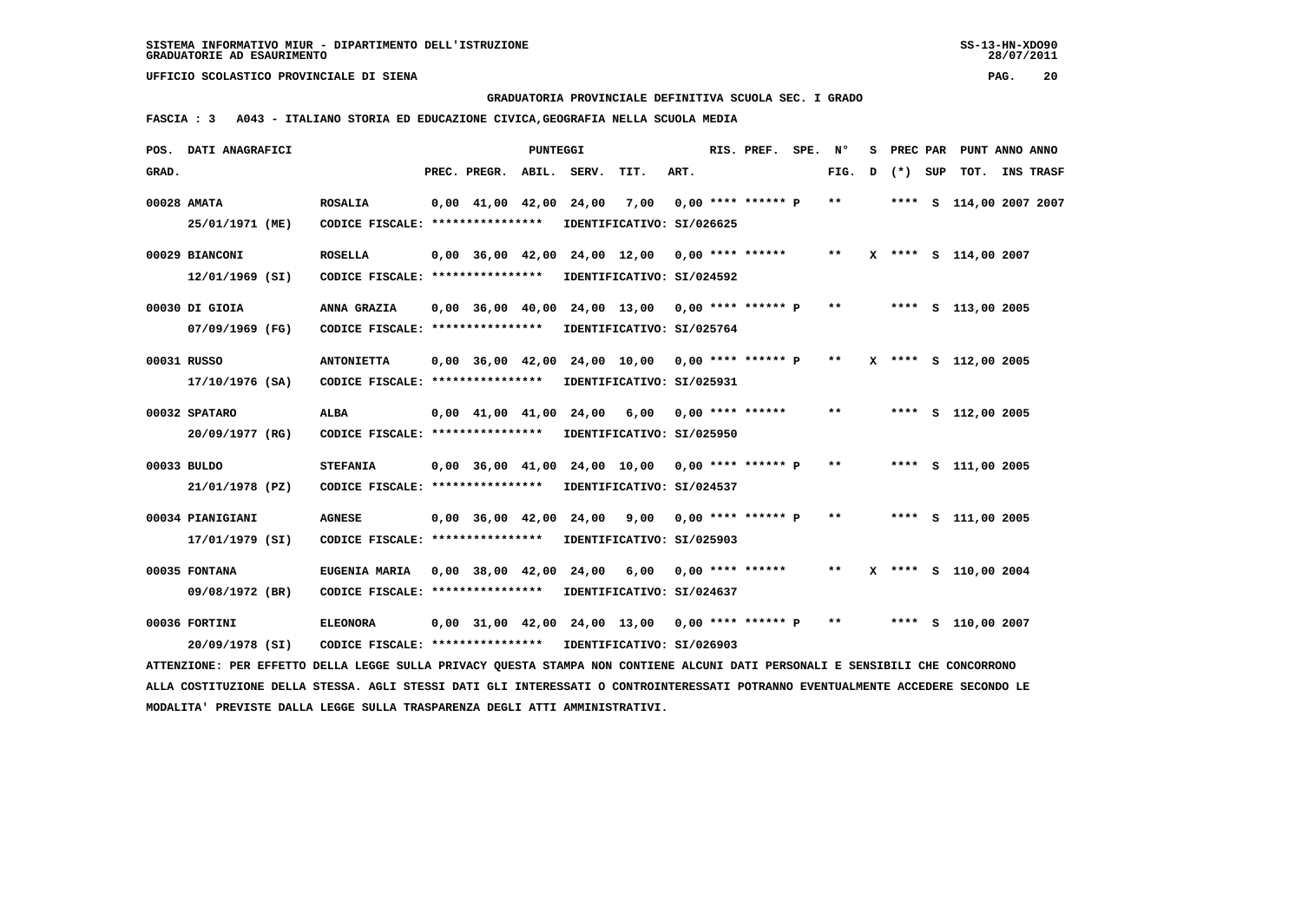**GRADUATORIA PROVINCIALE DEFINITIVA SCUOLA SEC. I GRADO**

 **FASCIA : 3 A043 - ITALIANO STORIA ED EDUCAZIONE CIVICA,GEOGRAFIA NELLA SCUOLA MEDIA**

|       | POS. DATI ANAGRAFICI                                                                                                            |                                                            |                          | PUNTEGGI |                                                      |      | RIS. PREF. SPE. Nº |       |   |         | S PREC PAR PUNT ANNO ANNO |                  |
|-------|---------------------------------------------------------------------------------------------------------------------------------|------------------------------------------------------------|--------------------------|----------|------------------------------------------------------|------|--------------------|-------|---|---------|---------------------------|------------------|
| GRAD. |                                                                                                                                 |                                                            | PREC. PREGR. ABIL. SERV. |          | TIT.                                                 | ART. |                    | FIG.  | D | (*) SUP | тот.                      | <b>INS TRASF</b> |
|       | 00028 AMATA                                                                                                                     | <b>ROSALIA</b>                                             |                          |          | $0,00$ 41,00 42,00 24,00 7,00 0,00 **** ****** P     |      |                    | $***$ |   |         | **** S 114,00 2007 2007   |                  |
|       | 25/01/1971 (ME)                                                                                                                 | CODICE FISCALE: ****************                           |                          |          | IDENTIFICATIVO: SI/026625                            |      |                    |       |   |         |                           |                  |
|       | 00029 BIANCONI                                                                                                                  | <b>ROSELLA</b>                                             |                          |          | 0,00 36,00 42,00 24,00 12,00 0,00 **** ******        |      |                    | $***$ |   |         | X **** S 114,00 2007      |                  |
|       | 12/01/1969 (SI)                                                                                                                 | CODICE FISCALE: *****************                          |                          |          | IDENTIFICATIVO: SI/024592                            |      |                    |       |   |         |                           |                  |
|       | 00030 DI GIOIA                                                                                                                  | ANNA GRAZIA                                                |                          |          | $0,00$ 36,00 40,00 24,00 13,00 0,00 **** ****** P    |      |                    | $***$ |   |         | **** S 113,00 2005        |                  |
|       | 07/09/1969 (FG)                                                                                                                 | CODICE FISCALE: *****************                          |                          |          | IDENTIFICATIVO: SI/025764                            |      |                    |       |   |         |                           |                  |
|       | 00031 RUSSO                                                                                                                     | <b>ANTONIETTA</b>                                          |                          |          | $0,00$ 36,00 42,00 24,00 10,00 0,00 **** ****** P ** |      |                    |       |   |         | X **** S 112,00 2005      |                  |
|       | 17/10/1976 (SA)                                                                                                                 | CODICE FISCALE: *****************                          |                          |          | IDENTIFICATIVO: SI/025931                            |      |                    |       |   |         |                           |                  |
|       | 00032 SPATARO                                                                                                                   | ALBA                                                       |                          |          | 0,00 41,00 41,00 24,00 6,00 0,00 **** ******         |      |                    | $* *$ |   |         | **** S 112,00 2005        |                  |
|       | 20/09/1977 (RG)                                                                                                                 | CODICE FISCALE: ****************                           |                          |          | IDENTIFICATIVO: SI/025950                            |      |                    |       |   |         |                           |                  |
|       | 00033 BULDO                                                                                                                     | <b>STEFANIA</b>                                            |                          |          | 0,00 36,00 41,00 24,00 10,00 0,00 **** ****** P      |      |                    | $* *$ |   |         | **** S 111,00 2005        |                  |
|       | 21/01/1978 (PZ)                                                                                                                 | CODICE FISCALE: *****************                          |                          |          | IDENTIFICATIVO: SI/024537                            |      |                    |       |   |         |                           |                  |
|       | 00034 PIANIGIANI                                                                                                                | <b>AGNESE</b>                                              |                          |          | 0,00 36,00 42,00 24,00 9,00 0,00 **** ****** P       |      |                    | $* *$ |   |         | **** S 111,00 2005        |                  |
|       | 17/01/1979 (SI)                                                                                                                 | CODICE FISCALE: *****************                          |                          |          | IDENTIFICATIVO: SI/025903                            |      |                    |       |   |         |                           |                  |
|       | 00035 FONTANA                                                                                                                   | <b>EUGENIA MARIA</b>                                       |                          |          | 0,00 38,00 42,00 24,00 6,00 0,00 **** ******         |      |                    | $* *$ |   |         | X **** S 110,00 2004      |                  |
|       | 09/08/1972 (BR)                                                                                                                 | CODICE FISCALE: ****************                           |                          |          | IDENTIFICATIVO: SI/024637                            |      |                    |       |   |         |                           |                  |
|       | 00036 FORTINI                                                                                                                   | <b>ELEONORA</b>                                            |                          |          | 0,00 31,00 42,00 24,00 13,00 0,00 **** ****** P      |      |                    | $* *$ |   |         | **** S 110,00 2007        |                  |
|       | 20/09/1978 (SI)                                                                                                                 | CODICE FISCALE: **************** IDENTIFICATIVO: SI/026903 |                          |          |                                                      |      |                    |       |   |         |                           |                  |
|       | ATTENZIONE: PER EFFETTO DELLA LEGGE SULLA PRIVACY OUESTA STAMPA NON CONTIENE ALCUNI DATI PERSONALI E SENSIBILI CHE CONCORRONO   |                                                            |                          |          |                                                      |      |                    |       |   |         |                           |                  |
|       | ALLA COSTITUZIONE DELLA STESSA. AGLI STESSI DATI GLI INTERESSATI O CONTROINTERESSATI POTRANNO EVENTUALMENTE ACCEDERE SECONDO LE |                                                            |                          |          |                                                      |      |                    |       |   |         |                           |                  |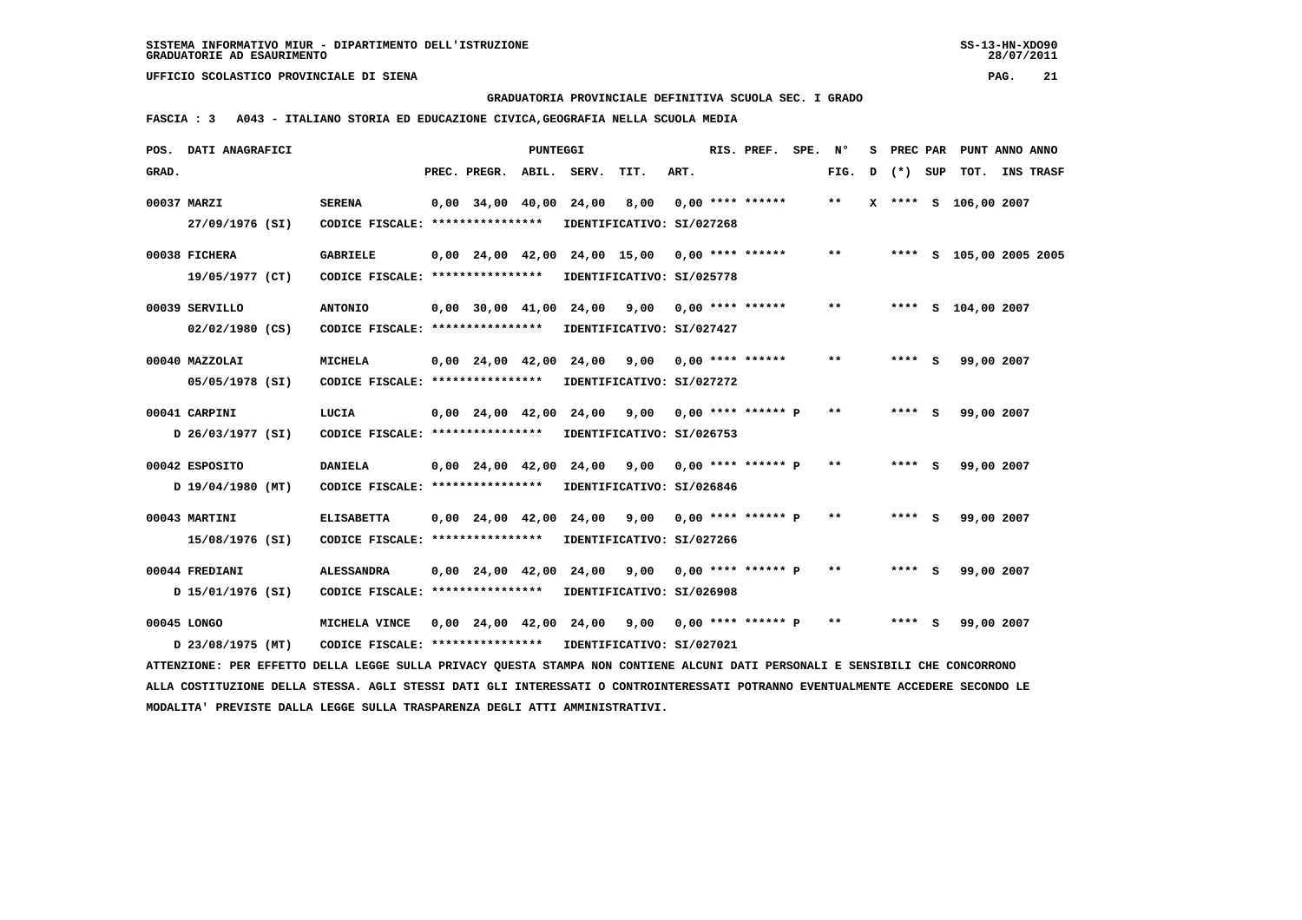**GRADUATORIA PROVINCIALE DEFINITIVA SCUOLA SEC. I GRADO**

 **FASCIA : 3 A043 - ITALIANO STORIA ED EDUCAZIONE CIVICA,GEOGRAFIA NELLA SCUOLA MEDIA**

|       | POS. DATI ANAGRAFICI                                                                                                            |                                  |                                            | PUNTEGGI |                              |                                                |      | RIS. PREF.           | SPE. | N°    | s |         |     | PREC PAR PUNT ANNO ANNO |                  |
|-------|---------------------------------------------------------------------------------------------------------------------------------|----------------------------------|--------------------------------------------|----------|------------------------------|------------------------------------------------|------|----------------------|------|-------|---|---------|-----|-------------------------|------------------|
| GRAD. |                                                                                                                                 |                                  | PREC. PREGR.                               |          | ABIL. SERV.                  | TIT.                                           | ART. |                      |      | FIG.  | D | $(* )$  | SUP | TOT.                    | <b>INS TRASF</b> |
|       | 00037 MARZI                                                                                                                     | <b>SERENA</b>                    | $0,00$ 34,00 40,00                         |          | 24,00                        | 8,00                                           |      | $0.00$ **** ******   |      | $***$ |   |         |     | X **** S 106,00 2007    |                  |
|       | 27/09/1976 (SI)                                                                                                                 | CODICE FISCALE: **************** |                                            |          |                              | IDENTIFICATIVO: SI/027268                      |      |                      |      |       |   |         |     |                         |                  |
|       | 00038 FICHERA                                                                                                                   | <b>GABRIELE</b>                  |                                            |          | 0,00 24,00 42,00 24,00 15,00 |                                                |      | $0.00$ **** ******   |      | **    |   |         |     | **** S 105,00 2005 2005 |                  |
|       | 19/05/1977 (CT)                                                                                                                 | CODICE FISCALE: **************** |                                            |          |                              | IDENTIFICATIVO: SI/025778                      |      |                      |      |       |   |         |     |                         |                  |
|       | 00039 SERVILLO                                                                                                                  | <b>ANTONIO</b>                   | 0,00 30,00 41,00                           |          | 24,00                        | 9,00                                           |      | $0.00$ **** ******   |      | $***$ |   | ****    |     | S 104,00 2007           |                  |
|       | $02/02/1980$ (CS)                                                                                                               | CODICE FISCALE: **************** |                                            |          |                              | IDENTIFICATIVO: SI/027427                      |      |                      |      |       |   |         |     |                         |                  |
|       | 00040 MAZZOLAI                                                                                                                  | <b>MICHELA</b>                   | $0.00 \quad 24.00 \quad 42.00 \quad 24.00$ |          |                              | 9,00                                           |      | $0.00$ **** ******   |      | $* *$ |   | $***$ S |     | 99,00 2007              |                  |
|       | 05/05/1978 (SI)                                                                                                                 | CODICE FISCALE: **************** |                                            |          |                              | IDENTIFICATIVO: SI/027272                      |      |                      |      |       |   |         |     |                         |                  |
|       |                                                                                                                                 |                                  |                                            |          |                              |                                                |      |                      |      |       |   |         |     |                         |                  |
|       | 00041 CARPINI                                                                                                                   | LUCIA                            | $0.00 \quad 24.00 \quad 42.00$             |          | 24,00                        | 9,00                                           |      | $0.00$ **** ****** P |      | $* *$ |   | $***$ S |     | 99,00 2007              |                  |
|       | D 26/03/1977 (SI)                                                                                                               | CODICE FISCALE: **************** |                                            |          |                              | IDENTIFICATIVO: SI/026753                      |      |                      |      |       |   |         |     |                         |                  |
|       | 00042 ESPOSITO                                                                                                                  | <b>DANIELA</b>                   | $0,00$ 24,00 42,00                         |          | 24,00                        | 9,00                                           |      | $0.00$ **** ****** P |      | $* *$ |   | **** S  |     | 99,00 2007              |                  |
|       | D 19/04/1980 (MT)                                                                                                               | CODICE FISCALE: **************** |                                            |          |                              | IDENTIFICATIVO: SI/026846                      |      |                      |      |       |   |         |     |                         |                  |
|       | 00043 MARTINI                                                                                                                   | <b>ELISABETTA</b>                | $0,00$ $24,00$ $42,00$ $24,00$             |          |                              | 9,00                                           |      | $0.00$ **** ****** P |      | $**$  |   | **** S  |     | 99,00 2007              |                  |
|       | 15/08/1976 (SI)                                                                                                                 | CODICE FISCALE: **************** |                                            |          |                              | IDENTIFICATIVO: SI/027266                      |      |                      |      |       |   |         |     |                         |                  |
|       | 00044 FREDIANI                                                                                                                  | <b>ALESSANDRA</b>                | $0,00$ $24,00$ $42,00$                     |          | 24,00                        | 9,00                                           |      | $0.00$ **** ****** P |      | $* *$ |   | **** S  |     | 99,00 2007              |                  |
|       | D 15/01/1976 (SI)                                                                                                               | CODICE FISCALE: **************** |                                            |          |                              | IDENTIFICATIVO: SI/026908                      |      |                      |      |       |   |         |     |                         |                  |
|       |                                                                                                                                 |                                  |                                            |          |                              |                                                |      |                      |      | $***$ |   |         |     |                         |                  |
|       | 00045 LONGO                                                                                                                     | MICHELA VINCE                    |                                            |          |                              | 0,00 24,00 42,00 24,00 9,00 0,00 **** ****** P |      |                      |      |       |   | **** S  |     | 99,00 2007              |                  |
|       | D 23/08/1975 (MT)                                                                                                               | CODICE FISCALE: **************** |                                            |          |                              | IDENTIFICATIVO: SI/027021                      |      |                      |      |       |   |         |     |                         |                  |
|       | ATTENZIONE: PER EFFETTO DELLA LEGGE SULLA PRIVACY QUESTA STAMPA NON CONTIENE ALCUNI DATI PERSONALI E SENSIBILI CHE CONCORRONO   |                                  |                                            |          |                              |                                                |      |                      |      |       |   |         |     |                         |                  |
|       | ALLA COSTITUZIONE DELLA STESSA. AGLI STESSI DATI GLI INTERESSATI O CONTROINTERESSATI POTRANNO EVENTUALMENTE ACCEDERE SECONDO LE |                                  |                                            |          |                              |                                                |      |                      |      |       |   |         |     |                         |                  |
|       | MODALITA' PREVISTE DALLA LEGGE SULLA TRASPARENZA DEGLI ATTI AMMINISTRATIVI.                                                     |                                  |                                            |          |                              |                                                |      |                      |      |       |   |         |     |                         |                  |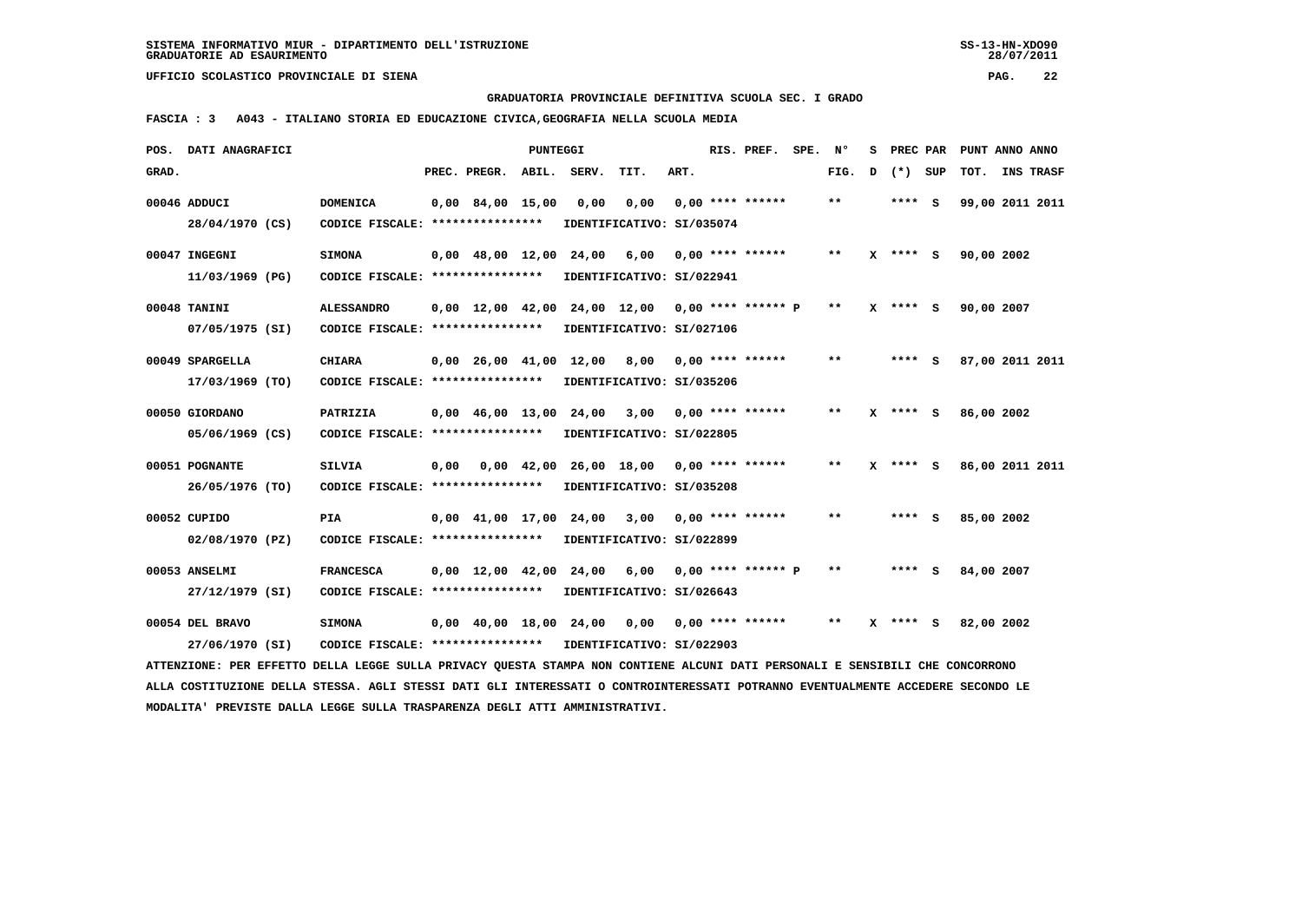**GRADUATORIA PROVINCIALE DEFINITIVA SCUOLA SEC. I GRADO**

 **FASCIA : 3 A043 - ITALIANO STORIA ED EDUCAZIONE CIVICA,GEOGRAFIA NELLA SCUOLA MEDIA**

|       | POS. DATI ANAGRAFICI                                                                                                            |                                                            |      |                          | <b>PUNTEGGI</b>    |                        |                                                   |      | RIS. PREF.         | SPE. | N°    | s |           | PREC PAR PUNT ANNO ANNO |  |
|-------|---------------------------------------------------------------------------------------------------------------------------------|------------------------------------------------------------|------|--------------------------|--------------------|------------------------|---------------------------------------------------|------|--------------------|------|-------|---|-----------|-------------------------|--|
| GRAD. |                                                                                                                                 |                                                            |      | PREC. PREGR. ABIL. SERV. |                    |                        | TIT.                                              | ART. |                    |      | FIG.  | D | $(*)$ SUP | TOT. INS TRASF          |  |
|       | 00046 ADDUCI                                                                                                                    | <b>DOMENICA</b>                                            |      | $0,00$ 84,00 15,00       |                    | 0,00                   | 0,00                                              |      | $0.00$ **** ****** |      | **    |   | **** S    | 99,00 2011 2011         |  |
|       | 28/04/1970 (CS)                                                                                                                 | CODICE FISCALE: ****************                           |      |                          |                    |                        | IDENTIFICATIVO: SI/035074                         |      |                    |      |       |   |           |                         |  |
|       | 00047 INGEGNI                                                                                                                   | <b>SIMONA</b>                                              |      |                          |                    | 0,00 48,00 12,00 24,00 | 6,00                                              |      | $0,00$ **** ****** |      | $***$ |   | X **** S  | 90,00 2002              |  |
|       | 11/03/1969 (PG)                                                                                                                 | CODICE FISCALE: **************** IDENTIFICATIVO: SI/022941 |      |                          |                    |                        |                                                   |      |                    |      |       |   |           |                         |  |
|       | 00048 TANINI                                                                                                                    | <b>ALESSANDRO</b>                                          |      |                          |                    |                        | $0.00$ 12.00 42.00 24.00 12.00 0.00 **** ****** P |      |                    |      | $* *$ |   | X **** S  | 90,00 2007              |  |
|       | 07/05/1975 (SI)                                                                                                                 | CODICE FISCALE: ****************                           |      |                          |                    |                        | IDENTIFICATIVO: SI/027106                         |      |                    |      |       |   |           |                         |  |
|       | 00049 SPARGELLA                                                                                                                 | <b>CHIARA</b>                                              |      |                          |                    |                        | 0,00 26,00 41,00 12,00 8,00                       |      | $0.00$ **** ****** |      | $***$ |   | $***$ S   | 87,00 2011 2011         |  |
|       | 17/03/1969 (TO)                                                                                                                 | CODICE FISCALE: ****************                           |      |                          |                    |                        | IDENTIFICATIVO: SI/035206                         |      |                    |      |       |   |           |                         |  |
|       | 00050 GIORDANO                                                                                                                  | PATRIZIA                                                   |      |                          |                    |                        | 0,00 46,00 13,00 24,00 3,00                       |      | $0.00$ **** ****** |      | $* *$ | x | **** S    | 86,00 2002              |  |
|       | 05/06/1969 (CS)                                                                                                                 | CODICE FISCALE: ****************                           |      |                          |                    |                        | IDENTIFICATIVO: SI/022805                         |      |                    |      |       |   |           |                         |  |
|       | 00051 POGNANTE                                                                                                                  | <b>SILVIA</b>                                              | 0,00 |                          | $0,00 \quad 42,00$ |                        | 26,00 18,00                                       |      | $0,00$ **** ****** |      | $* *$ |   | **** S    | 86,00 2011 2011         |  |
|       | 26/05/1976 (TO)                                                                                                                 | CODICE FISCALE: *****************                          |      |                          |                    |                        | IDENTIFICATIVO: SI/035208                         |      |                    |      |       |   |           |                         |  |
|       | 00052 CUPIDO                                                                                                                    | <b>PIA</b>                                                 |      |                          |                    | 0,00 41,00 17,00 24,00 | 3,00                                              |      | $0,00$ **** ****** |      | $***$ |   | **** S    | 85,00 2002              |  |
|       | 02/08/1970 (PZ)                                                                                                                 | CODICE FISCALE: **************** IDENTIFICATIVO: SI/022899 |      |                          |                    |                        |                                                   |      |                    |      |       |   |           |                         |  |
|       | 00053 ANSELMI                                                                                                                   | <b>FRANCESCA</b>                                           |      |                          |                    |                        | $0,00$ 12,00 42,00 24,00 6,00 0,00 **** ****** P  |      |                    |      | **    |   | $***$ S   | 84,00 2007              |  |
|       | 27/12/1979 (SI)                                                                                                                 | CODICE FISCALE: *****************                          |      |                          |                    |                        | IDENTIFICATIVO: SI/026643                         |      |                    |      |       |   |           |                         |  |
|       | 00054 DEL BRAVO                                                                                                                 | <b>SIMONA</b>                                              |      |                          |                    | 0,00 40,00 18,00 24,00 | 0,00                                              |      | $0,00$ **** ****** |      | **    | x | **** S    | 82,00 2002              |  |
|       | 27/06/1970 (SI)                                                                                                                 | CODICE FISCALE: **************** IDENTIFICATIVO: SI/022903 |      |                          |                    |                        |                                                   |      |                    |      |       |   |           |                         |  |
|       | ATTENZIONE: PER EFFETTO DELLA LEGGE SULLA PRIVACY QUESTA STAMPA NON CONTIENE ALCUNI DATI PERSONALI E SENSIBILI CHE CONCORRONO   |                                                            |      |                          |                    |                        |                                                   |      |                    |      |       |   |           |                         |  |
|       | ALLA COSTITUZIONE DELLA STESSA. AGLI STESSI DATI GLI INTERESSATI O CONTROINTERESSATI POTRANNO EVENTUALMENTE ACCEDERE SECONDO LE |                                                            |      |                          |                    |                        |                                                   |      |                    |      |       |   |           |                         |  |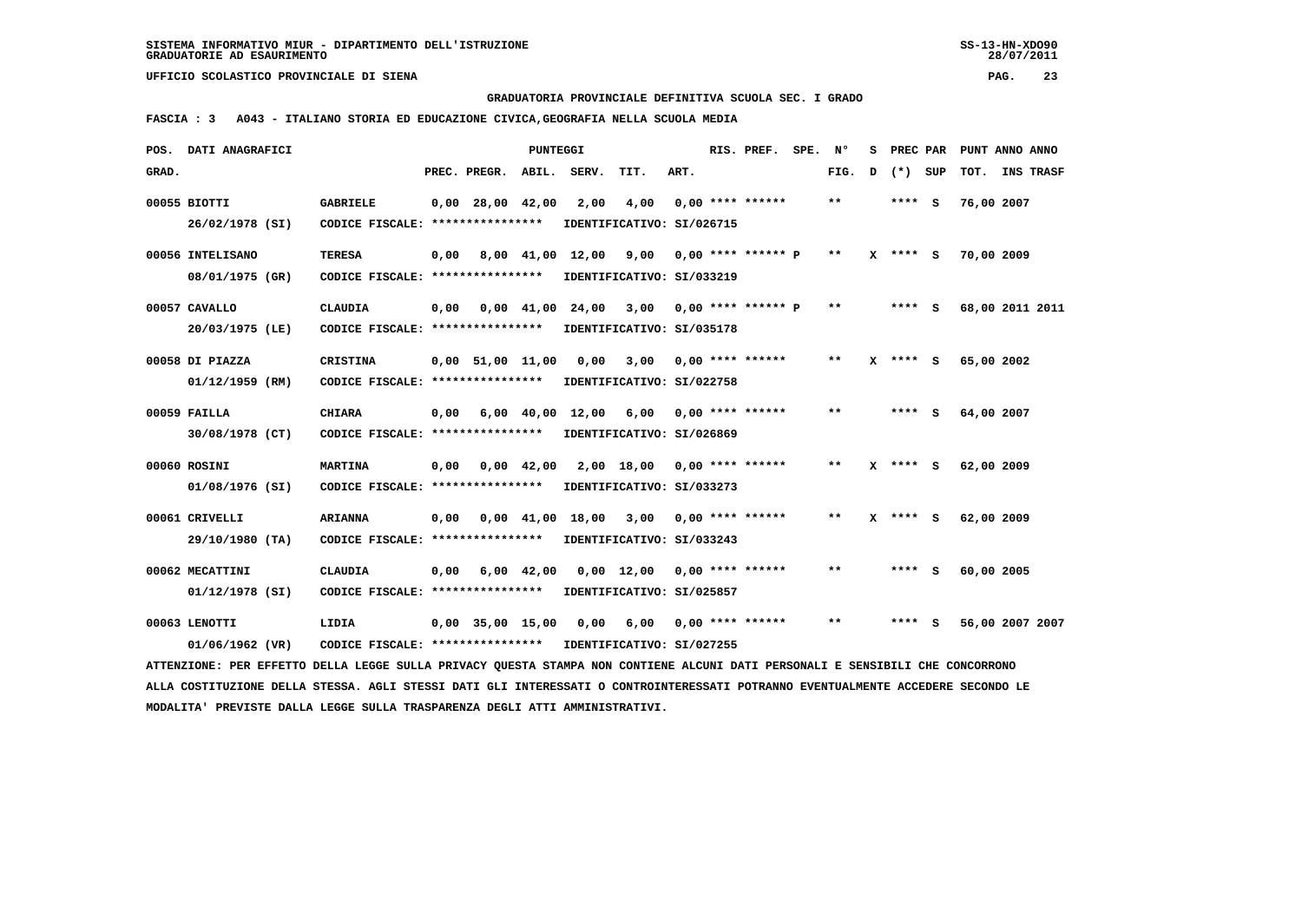**GRADUATORIA PROVINCIALE DEFINITIVA SCUOLA SEC. I GRADO**

 **FASCIA : 3 A043 - ITALIANO STORIA ED EDUCAZIONE CIVICA,GEOGRAFIA NELLA SCUOLA MEDIA**

| POS.  | DATI ANAGRAFICI                                                                                                                 |                                                            |      |                         | <b>PUNTEGGI</b>    |                            |                           |      | RIS. PREF.              | SPE. | N°    | s |            | PREC PAR PUNT ANNO ANNO |  |
|-------|---------------------------------------------------------------------------------------------------------------------------------|------------------------------------------------------------|------|-------------------------|--------------------|----------------------------|---------------------------|------|-------------------------|------|-------|---|------------|-------------------------|--|
| GRAD. |                                                                                                                                 |                                                            |      | PREC. PREGR.            | ABIL.              | SERV.                      | TIT.                      | ART. |                         |      | FIG.  | D | $(*)$ SUP  | TOT. INS TRASF          |  |
|       | 00055 BIOTTI                                                                                                                    | <b>GABRIELE</b>                                            |      | $0,00$ 28,00 42,00      |                    | 2,00                       | 4,00                      |      | $0.00$ **** ******      |      | $***$ |   | **** S     | 76,00 2007              |  |
|       | 26/02/1978 (SI)                                                                                                                 | CODICE FISCALE: ****************                           |      |                         |                    |                            | IDENTIFICATIVO: SI/026715 |      |                         |      |       |   |            |                         |  |
|       |                                                                                                                                 |                                                            |      |                         |                    |                            |                           |      |                         |      |       |   |            |                         |  |
|       | 00056 INTELISANO                                                                                                                | <b>TERESA</b>                                              | 0,00 |                         |                    | 8,00 41,00 12,00           | 9,00                      |      | $0.00$ **** ****** P    |      | $* *$ |   | X **** S   | 70,00 2009              |  |
|       | 08/01/1975 (GR)                                                                                                                 | CODICE FISCALE: *****************                          |      |                         |                    |                            | IDENTIFICATIVO: SI/033219 |      |                         |      |       |   |            |                         |  |
|       | 00057 CAVALLO                                                                                                                   | <b>CLAUDIA</b>                                             | 0,00 |                         |                    | 0,00 41,00 24,00 3,00      |                           |      | $0.00$ **** ****** P    |      | $* *$ |   | **** S     | 68,00 2011 2011         |  |
|       | 20/03/1975 (LE)                                                                                                                 | CODICE FISCALE: ****************                           |      |                         |                    |                            | IDENTIFICATIVO: SI/035178 |      |                         |      |       |   |            |                         |  |
|       |                                                                                                                                 |                                                            |      |                         |                    |                            |                           |      |                         |      | $* *$ |   |            |                         |  |
|       | 00058 DI PIAZZA                                                                                                                 | <b>CRISTINA</b>                                            |      | $0,00$ 51,00 11,00 0,00 |                    |                            |                           |      | $3,00$ 0,00 **** ****** |      |       |   | X **** S   | 65,00 2002              |  |
|       | 01/12/1959 (RM)                                                                                                                 | CODICE FISCALE: ****************                           |      |                         |                    |                            | IDENTIFICATIVO: SI/022758 |      |                         |      |       |   |            |                         |  |
|       | 00059 FAILLA                                                                                                                    | <b>CHIARA</b>                                              | 0,00 |                         |                    | 6,00 40,00 12,00           | 6,00                      |      | $0.00$ **** ******      |      | $***$ |   | $***$ S    | 64,00 2007              |  |
|       | 30/08/1978 (CT)                                                                                                                 | CODICE FISCALE: ****************                           |      |                         |                    |                            | IDENTIFICATIVO: SI/026869 |      |                         |      |       |   |            |                         |  |
|       |                                                                                                                                 |                                                            |      |                         |                    |                            |                           |      |                         |      | $* *$ |   |            |                         |  |
|       | 00060 ROSINI                                                                                                                    | <b>MARTINA</b>                                             | 0,00 |                         | $0,00 \quad 42,00$ |                            | 2,00 18,00                |      | $0.00$ **** ******      |      |       |   | X **** S   | 62,00 2009              |  |
|       | 01/08/1976 (SI)                                                                                                                 | CODICE FISCALE: *****************                          |      |                         |                    |                            | IDENTIFICATIVO: SI/033273 |      |                         |      |       |   |            |                         |  |
|       | 00061 CRIVELLI                                                                                                                  | <b>ARIANNA</b>                                             | 0.00 |                         |                    | 0,00 41,00 18,00           | 3,00                      |      | $0.00$ **** ******      |      | $***$ |   | $X$ **** S | 62,00 2009              |  |
|       | 29/10/1980 (TA)                                                                                                                 | CODICE FISCALE: *****************                          |      |                         |                    |                            | IDENTIFICATIVO: SI/033243 |      |                         |      |       |   |            |                         |  |
|       |                                                                                                                                 |                                                            |      |                         |                    |                            |                           |      |                         |      |       |   |            |                         |  |
|       | 00062 MECATTINI                                                                                                                 | <b>CLAUDIA</b>                                             | 0.00 |                         | $6,00$ $42,00$     |                            | 0,00 12,00                |      | $0.00$ **** ******      |      | $* *$ |   | **** S     | 60,00 2005              |  |
|       | 01/12/1978 (SI)                                                                                                                 | CODICE FISCALE: *****************                          |      |                         |                    |                            | IDENTIFICATIVO: SI/025857 |      |                         |      |       |   |            |                         |  |
|       | 00063 LENOTTI                                                                                                                   | LIDIA                                                      |      |                         |                    | 0,00 35,00 15,00 0,00 6,00 |                           |      | $0.00$ **** ******      |      | **    |   | $***$ S    | 56,00 2007 2007         |  |
|       | 01/06/1962 (VR)                                                                                                                 | CODICE FISCALE: **************** IDENTIFICATIVO: SI/027255 |      |                         |                    |                            |                           |      |                         |      |       |   |            |                         |  |
|       | ATTENZIONE: PER EFFETTO DELLA LEGGE SULLA PRIVACY QUESTA STAMPA NON CONTIENE ALCUNI DATI PERSONALI E SENSIBILI CHE CONCORRONO   |                                                            |      |                         |                    |                            |                           |      |                         |      |       |   |            |                         |  |
|       | ALLA COSTITUZIONE DELLA STESSA. AGLI STESSI DATI GLI INTERESSATI O CONTROINTERESSATI POTRANNO EVENTUALMENTE ACCEDERE SECONDO LE |                                                            |      |                         |                    |                            |                           |      |                         |      |       |   |            |                         |  |
|       | MODALITA' PREVISTE DALLA LEGGE SULLA TRASPARENZA DEGLI ATTI AMMINISTRATIVI.                                                     |                                                            |      |                         |                    |                            |                           |      |                         |      |       |   |            |                         |  |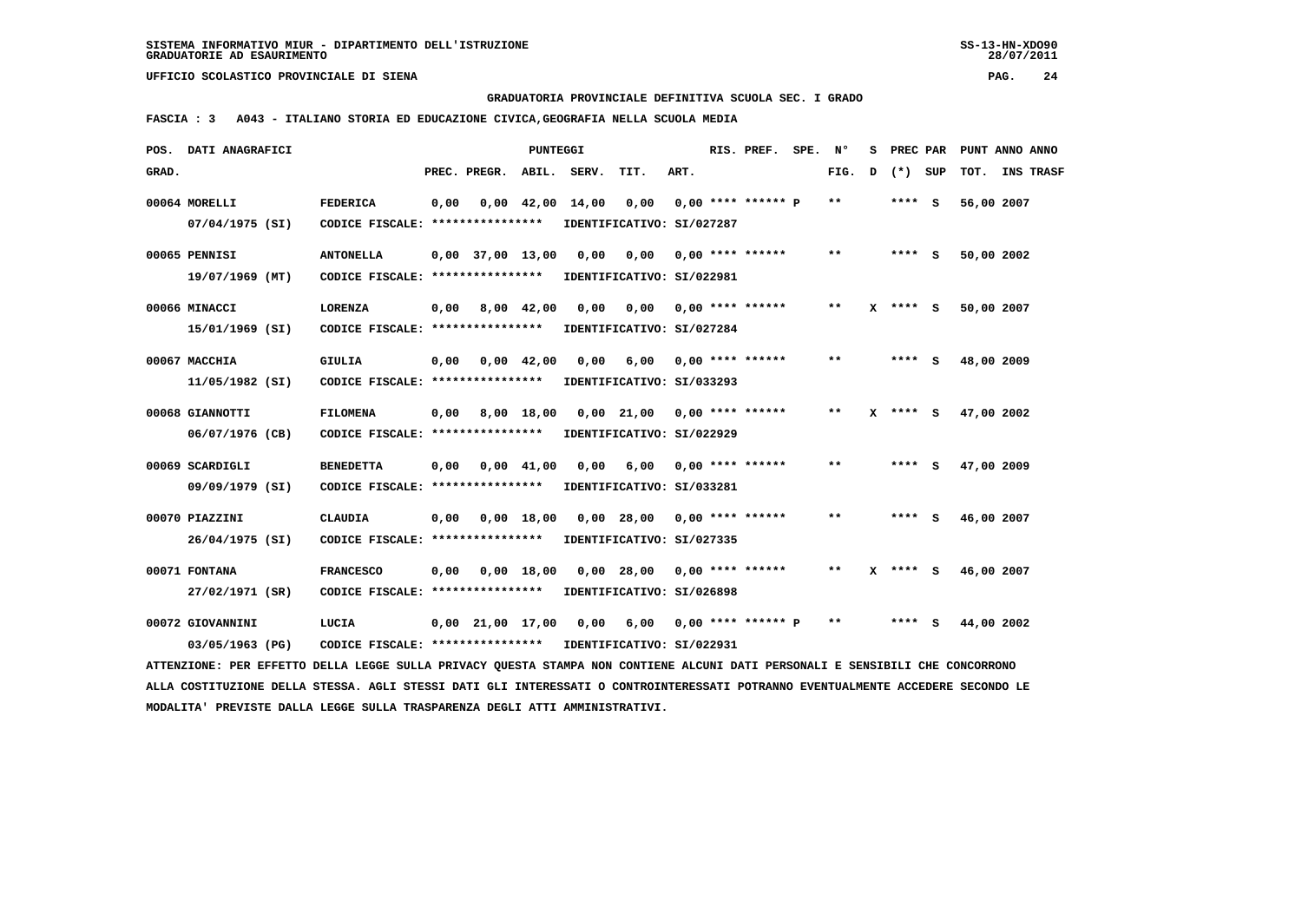**GRADUATORIA PROVINCIALE DEFINITIVA SCUOLA SEC. I GRADO**

 **FASCIA : 3 A043 - ITALIANO STORIA ED EDUCAZIONE CIVICA,GEOGRAFIA NELLA SCUOLA MEDIA**

| POS.  | DATI ANAGRAFICI                                                                                                                 |                                  |      |                          | <b>PUNTEGGI</b>    |       |                               |      | RIS. PREF.                | SPE. | Ν°                         | s | PREC PAR   | PUNT ANNO ANNO |                  |
|-------|---------------------------------------------------------------------------------------------------------------------------------|----------------------------------|------|--------------------------|--------------------|-------|-------------------------------|------|---------------------------|------|----------------------------|---|------------|----------------|------------------|
| GRAD. |                                                                                                                                 |                                  |      | PREC. PREGR. ABIL. SERV. |                    |       | TIT.                          | ART. |                           |      | FIG.                       | D | (*) SUP    | TOT.           | <b>INS TRASF</b> |
|       | 00064 MORELLI                                                                                                                   | <b>FEDERICA</b>                  | 0,00 |                          | $0,00$ 42,00       | 14,00 | 0,00                          |      | $0.00$ **** ****** P      |      | $* *$                      |   | **** S     | 56,00 2007     |                  |
|       | 07/04/1975 (SI)                                                                                                                 | CODICE FISCALE: **************** |      |                          |                    |       | IDENTIFICATIVO: SI/027287     |      |                           |      |                            |   |            |                |                  |
|       | 00065 PENNISI                                                                                                                   | <b>ANTONELLA</b>                 |      | $0.00$ 37,00 13,00       |                    | 0.00  | 0,00                          |      | $0.00$ **** ******        |      | $\pmb{\times}\pmb{\times}$ |   | **** S     | 50,00 2002     |                  |
|       | 19/07/1969 (MT)                                                                                                                 | CODICE FISCALE: **************** |      |                          |                    |       | IDENTIFICATIVO: SI/022981     |      |                           |      |                            |   |            |                |                  |
|       | 00066 MINACCI                                                                                                                   | <b>LORENZA</b>                   | 0,00 |                          | 8,00 42,00         | 0,00  |                               |      | $0,00$ $0,00$ **** ****** |      | $* *$                      |   | X **** S   | 50,00 2007     |                  |
|       | 15/01/1969 (SI)                                                                                                                 | CODICE FISCALE: **************** |      |                          |                    |       | IDENTIFICATIVO: SI/027284     |      |                           |      |                            |   |            |                |                  |
|       | 00067 MACCHIA                                                                                                                   | GIULIA                           | 0,00 |                          | $0.00 \quad 42.00$ | 0.00  | 6,00                          |      | $0,00$ **** ******        |      | **                         |   | **** S     | 48,00 2009     |                  |
|       | 11/05/1982 (SI)                                                                                                                 | CODICE FISCALE: **************** |      |                          |                    |       | IDENTIFICATIVO: SI/033293     |      |                           |      |                            |   |            |                |                  |
|       | 00068 GIANNOTTI                                                                                                                 | <b>FILOMENA</b>                  | 0,00 |                          | 8,00 18,00         |       | $0,00$ 21,00 0,00 **** ****** |      |                           |      | $\pmb{\times}\pmb{\times}$ |   | $X$ **** S | 47,00 2002     |                  |
|       | 06/07/1976 (CB)                                                                                                                 | CODICE FISCALE: **************** |      |                          |                    |       | IDENTIFICATIVO: SI/022929     |      |                           |      |                            |   |            |                |                  |
|       | 00069 SCARDIGLI                                                                                                                 | <b>BENEDETTA</b>                 | 0,00 |                          | $0,00$ 41,00       | 0,00  | 6,00                          |      | $0.00$ **** ******        |      | $***$                      |   | **** S     | 47,00 2009     |                  |
|       | 09/09/1979 (SI)                                                                                                                 | CODICE FISCALE: **************** |      |                          |                    |       | IDENTIFICATIVO: SI/033281     |      |                           |      |                            |   |            |                |                  |
|       | 00070 PIAZZINI                                                                                                                  | <b>CLAUDIA</b>                   | 0,00 |                          | 0.00 18.00         |       | 0.00 28.00                    |      | $0,00$ **** ******        |      | $* *$                      |   | **** S     | 46,00 2007     |                  |
|       | 26/04/1975 (SI)                                                                                                                 | CODICE FISCALE: **************** |      |                          |                    |       | IDENTIFICATIVO: SI/027335     |      |                           |      |                            |   |            |                |                  |
|       | 00071 FONTANA                                                                                                                   | <b>FRANCESCO</b>                 | 0,00 |                          | $0,00$ 18,00       |       | $0,00$ 28,00                  |      | $0.00$ **** ******        |      | $***$                      | x | **** S     | 46,00 2007     |                  |
|       | 27/02/1971 (SR)                                                                                                                 | CODICE FISCALE: **************** |      |                          |                    |       | IDENTIFICATIVO: SI/026898     |      |                           |      |                            |   |            |                |                  |
|       | 00072 GIOVANNINI                                                                                                                | LUCIA                            |      | $0,00$ $21,00$ $17,00$   |                    | 0,00  | 6,00                          |      | $0,00$ **** ****** P      |      | $* *$                      |   | **** S     | 44,00 2002     |                  |
|       | 03/05/1963 (PG)                                                                                                                 | CODICE FISCALE: **************** |      |                          |                    |       | IDENTIFICATIVO: SI/022931     |      |                           |      |                            |   |            |                |                  |
|       | ATTENZIONE: PER EFFETTO DELLA LEGGE SULLA PRIVACY QUESTA STAMPA NON CONTIENE ALCUNI DATI PERSONALI E SENSIBILI CHE CONCORRONO   |                                  |      |                          |                    |       |                               |      |                           |      |                            |   |            |                |                  |
|       | ALLA COSTITUZIONE DELLA STESSA. AGLI STESSI DATI GLI INTERESSATI O CONTROINTERESSATI POTRANNO EVENTUALMENTE ACCEDERE SECONDO LE |                                  |      |                          |                    |       |                               |      |                           |      |                            |   |            |                |                  |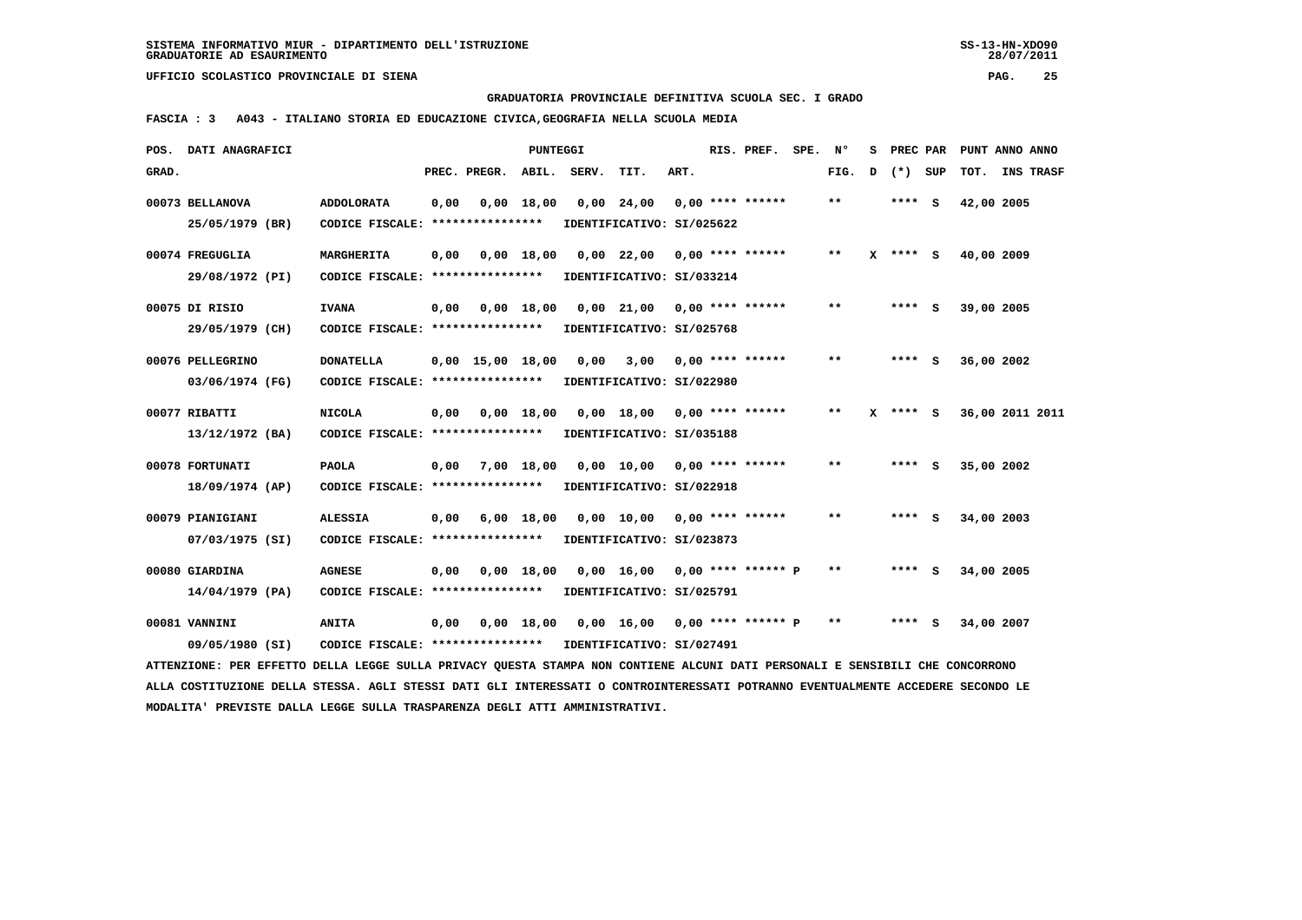**GRADUATORIA PROVINCIALE DEFINITIVA SCUOLA SEC. I GRADO**

 **FASCIA : 3 A043 - ITALIANO STORIA ED EDUCAZIONE CIVICA,GEOGRAFIA NELLA SCUOLA MEDIA**

|       | POS. DATI ANAGRAFICI                                                                                                            |                                                            |      |                          | <b>PUNTEGGI</b> |      |                                                           |      | RIS. PREF. SPE.    | $\mathbf{N}^{\mathsf{o}}$ | s |            | PREC PAR PUNT ANNO ANNO |                  |
|-------|---------------------------------------------------------------------------------------------------------------------------------|------------------------------------------------------------|------|--------------------------|-----------------|------|-----------------------------------------------------------|------|--------------------|---------------------------|---|------------|-------------------------|------------------|
| GRAD. |                                                                                                                                 |                                                            |      | PREC. PREGR. ABIL. SERV. |                 |      | TIT.                                                      | ART. |                    | FIG.                      | D | (*) SUP    | TOT.                    | <b>INS TRASF</b> |
|       | 00073 BELLANOVA                                                                                                                 | <b>ADDOLORATA</b>                                          | 0,00 |                          | 0,00 18,00      |      | $0,00$ 24,00                                              |      | $0,00$ **** ****** | $* *$                     |   | **** S     | 42,00 2005              |                  |
|       | 25/05/1979 (BR)                                                                                                                 | CODICE FISCALE: ****************                           |      |                          |                 |      | IDENTIFICATIVO: SI/025622                                 |      |                    |                           |   |            |                         |                  |
|       | 00074 FREGUGLIA                                                                                                                 | MARGHERITA                                                 | 0,00 |                          | $0,00$ 18,00    |      | 0,00 22,00                                                |      | $0,00$ **** ****** | $* *$                     | x | **** S     | 40,00 2009              |                  |
|       | 29/08/1972 (PI)                                                                                                                 | CODICE FISCALE: *****************                          |      |                          |                 |      | IDENTIFICATIVO: SI/033214                                 |      |                    |                           |   |            |                         |                  |
|       | 00075 DI RISIO                                                                                                                  | <b>IVANA</b>                                               | 0,00 | 0,00 18,00               |                 |      | 0,00 21,00 0,00 **** ******                               |      |                    | $* *$                     |   | $***$ S    | 39,00 2005              |                  |
|       | 29/05/1979 (CH)                                                                                                                 | CODICE FISCALE: ****************                           |      |                          |                 |      | IDENTIFICATIVO: SI/025768                                 |      |                    |                           |   |            |                         |                  |
|       | 00076 PELLEGRINO                                                                                                                | <b>DONATELLA</b>                                           |      | $0.00$ 15.00 18.00       |                 | 0,00 | 3,00                                                      |      | $0.00$ **** ****** | $* *$                     |   | **** S     | 36,00 2002              |                  |
|       | 03/06/1974 (FG)                                                                                                                 | CODICE FISCALE: *****************                          |      |                          |                 |      | IDENTIFICATIVO: SI/022980                                 |      |                    |                           |   |            |                         |                  |
|       | 00077 RIBATTI                                                                                                                   | <b>NICOLA</b>                                              | 0,00 |                          | $0,00$ 18,00    |      | 0,00 18,00 0,00 **** ******                               |      |                    | $* *$                     |   | $X$ **** S | 36,00 2011 2011         |                  |
|       | 13/12/1972 (BA)                                                                                                                 | CODICE FISCALE: *****************                          |      |                          |                 |      | IDENTIFICATIVO: SI/035188                                 |      |                    |                           |   |            |                         |                  |
|       | 00078 FORTUNATI                                                                                                                 | <b>PAOLA</b>                                               | 0,00 |                          | 7,00 18,00      |      | $0,00$ 10,00 0,00 **** ******                             |      |                    | $* *$                     |   | $***$ S    | 35,00 2002              |                  |
|       | 18/09/1974 (AP)                                                                                                                 | CODICE FISCALE: *****************                          |      |                          |                 |      | IDENTIFICATIVO: SI/022918                                 |      |                    |                           |   |            |                         |                  |
|       | 00079 PIANIGIANI                                                                                                                | <b>ALESSIA</b>                                             | 0,00 |                          | 6,00 18,00      |      | 0,00 10,00 0,00 **** ******                               |      |                    | $**$                      |   | **** S     | 34,00 2003              |                  |
|       | 07/03/1975 (SI)                                                                                                                 | CODICE FISCALE: ****************                           |      |                          |                 |      | IDENTIFICATIVO: SI/023873                                 |      |                    |                           |   |            |                         |                  |
|       | 00080 GIARDINA                                                                                                                  | <b>AGNESE</b>                                              | 0,00 |                          | 0.00 18.00      |      | $0.00 \quad 16.00 \quad 0.00 \quad *** \quad *** \quad P$ |      |                    | $***$                     |   | **** S     | 34,00 2005              |                  |
|       | $14/04/1979$ (PA)                                                                                                               | CODICE FISCALE: ****************                           |      |                          |                 |      | IDENTIFICATIVO: SI/025791                                 |      |                    |                           |   |            |                         |                  |
|       | 00081 VANNINI                                                                                                                   | <b>ANITA</b>                                               | 0,00 |                          |                 |      | $0,00$ 18,00 0,00 16,00 0,00 **** ****** P                |      |                    | $* *$                     |   | **** S     | 34,00 2007              |                  |
|       | 09/05/1980 (SI)                                                                                                                 | CODICE FISCALE: **************** IDENTIFICATIVO: SI/027491 |      |                          |                 |      |                                                           |      |                    |                           |   |            |                         |                  |
|       | ATTENZIONE: PER EFFETTO DELLA LEGGE SULLA PRIVACY OUESTA STAMPA NON CONTIENE ALCUNI DATI PERSONALI E SENSIBILI CHE CONCORRONO   |                                                            |      |                          |                 |      |                                                           |      |                    |                           |   |            |                         |                  |
|       | ALLA COSTITUZIONE DELLA STESSA. AGLI STESSI DATI GLI INTERESSATI O CONTROINTERESSATI POTRANNO EVENTUALMENTE ACCEDERE SECONDO LE |                                                            |      |                          |                 |      |                                                           |      |                    |                           |   |            |                         |                  |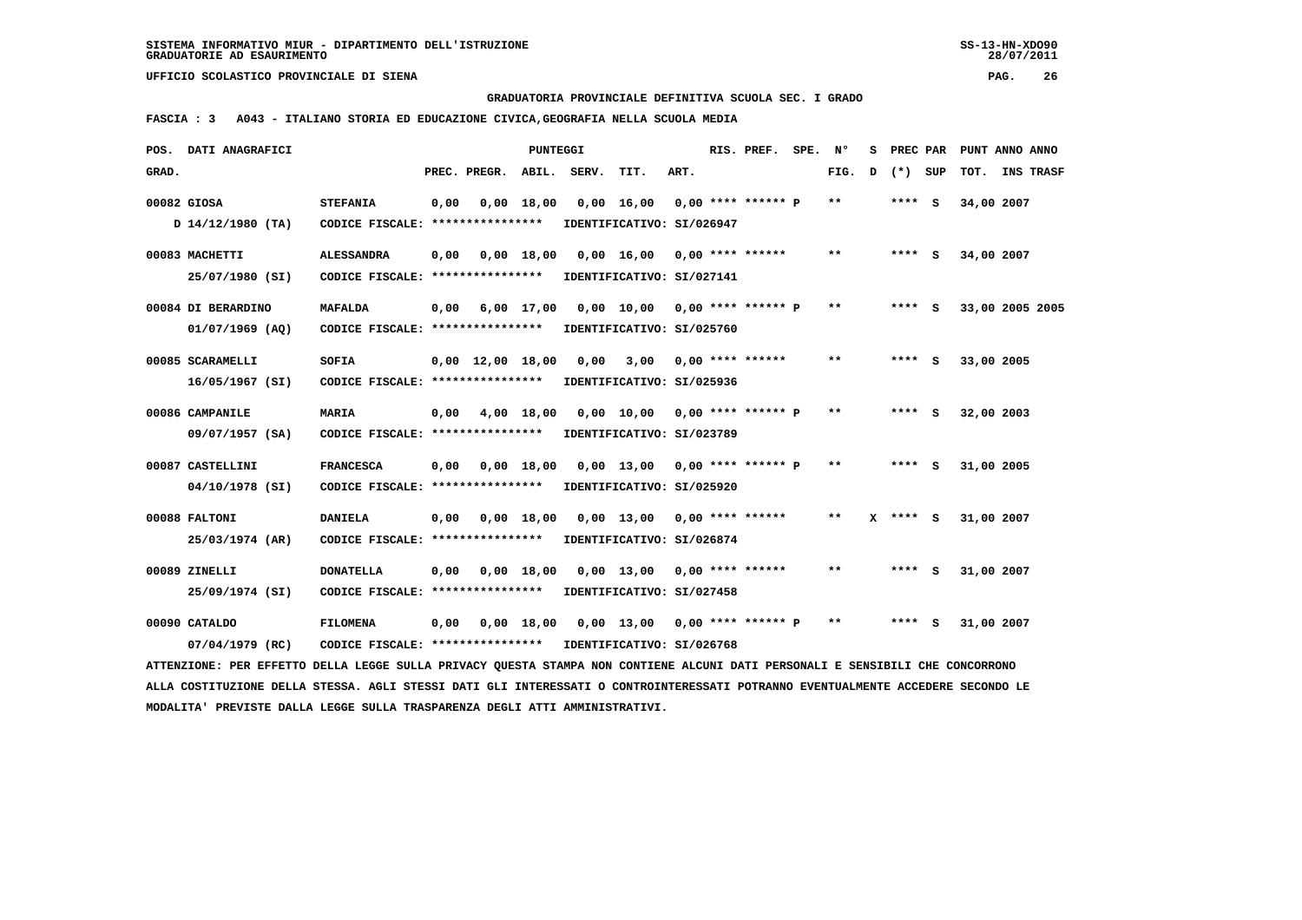**GRADUATORIA PROVINCIALE DEFINITIVA SCUOLA SEC. I GRADO**

 **FASCIA : 3 A043 - ITALIANO STORIA ED EDUCAZIONE CIVICA,GEOGRAFIA NELLA SCUOLA MEDIA**

|       | POS. DATI ANAGRAFICI                                                                                                            |                                   |      |                                | <b>PUNTEGGI</b> |       |                                 |      | RIS. PREF.           | SPE. | N°    | s | PREC PAR   |     | PUNT ANNO ANNO  |           |  |
|-------|---------------------------------------------------------------------------------------------------------------------------------|-----------------------------------|------|--------------------------------|-----------------|-------|---------------------------------|------|----------------------|------|-------|---|------------|-----|-----------------|-----------|--|
| GRAD. |                                                                                                                                 |                                   |      | PREC. PREGR. ABIL.             |                 | SERV. | TIT.                            | ART. |                      |      | FIG.  | D | $(*)$      | SUP | TOT.            | INS TRASF |  |
|       | 00082 GIOSA                                                                                                                     | <b>STEFANIA</b>                   | 0,00 |                                | $0,00$ 18,00    |       | 0,00 16,00                      |      | $0.00$ **** ****** P |      | $* *$ |   | $***$ S    |     | 34,00 2007      |           |  |
|       | D 14/12/1980 (TA)                                                                                                               | CODICE FISCALE: ****************  |      |                                |                 |       | IDENTIFICATIVO: SI/026947       |      |                      |      |       |   |            |     |                 |           |  |
|       | 00083 MACHETTI                                                                                                                  | <b>ALESSANDRA</b>                 | 0,00 |                                | $0,00$ 18,00    |       | 0,00 16,00 0,00 **** ******     |      |                      |      | $* *$ |   | $***$ S    |     | 34,00 2007      |           |  |
|       | 25/07/1980 (SI)                                                                                                                 | CODICE FISCALE: ****************  |      |                                |                 |       | IDENTIFICATIVO: SI/027141       |      |                      |      |       |   |            |     |                 |           |  |
|       | 00084 DI BERARDINO                                                                                                              | <b>MAFALDA</b>                    | 0,00 |                                | 6,00 17,00      |       | 0,00 10,00 0,00 **** ****** P   |      |                      |      | $* *$ |   | $***$ S    |     | 33,00 2005 2005 |           |  |
|       | $01/07/1969$ (AQ)                                                                                                               | CODICE FISCALE: ****************  |      |                                |                 |       | IDENTIFICATIVO: SI/025760       |      |                      |      |       |   |            |     |                 |           |  |
|       |                                                                                                                                 |                                   |      |                                |                 |       |                                 |      |                      |      |       |   |            |     |                 |           |  |
|       | 00085 SCARAMELLI                                                                                                                | SOFIA                             |      | $0,00 \quad 12,00 \quad 18,00$ |                 | 0,00  | 3,00                            |      | $0.00$ **** ******   |      | $* *$ |   | $***5$     |     | 33,00 2005      |           |  |
|       | 16/05/1967 (SI)                                                                                                                 | CODICE FISCALE: ****************  |      |                                |                 |       | IDENTIFICATIVO: SI/025936       |      |                      |      |       |   |            |     |                 |           |  |
|       | 00086 CAMPANILE                                                                                                                 | <b>MARIA</b>                      | 0,00 |                                | 4,00 18,00      |       | 0,00 10,00 0,00 **** ****** P   |      |                      |      | $**$  |   | $***$ S    |     | 32,00 2003      |           |  |
|       | 09/07/1957 (SA)                                                                                                                 | CODICE FISCALE: ***************** |      |                                |                 |       | IDENTIFICATIVO: SI/023789       |      |                      |      |       |   |            |     |                 |           |  |
|       | 00087 CASTELLINI                                                                                                                | <b>FRANCESCA</b>                  | 0,00 |                                | $0,00$ 18,00    |       | $0,00$ 13,00 0,00 **** ****** P |      |                      |      | $* *$ |   | **** S     |     | 31,00 2005      |           |  |
|       | 04/10/1978 (SI)                                                                                                                 | CODICE FISCALE: ****************  |      |                                |                 |       | IDENTIFICATIVO: SI/025920       |      |                      |      |       |   |            |     |                 |           |  |
|       |                                                                                                                                 |                                   |      |                                |                 |       |                                 |      |                      |      |       |   |            |     |                 |           |  |
|       | 00088 FALTONI                                                                                                                   | <b>DANIELA</b>                    | 0,00 |                                | $0,00$ 18,00    |       | $0,00$ 13,00 0,00 **** ******   |      |                      |      | $* *$ |   | $X$ **** S |     | 31,00 2007      |           |  |
|       | 25/03/1974 (AR)                                                                                                                 | CODICE FISCALE: ****************  |      |                                |                 |       | IDENTIFICATIVO: SI/026874       |      |                      |      |       |   |            |     |                 |           |  |
|       | 00089 ZINELLI                                                                                                                   | <b>DONATELLA</b>                  | 0,00 |                                | $0,00$ 18,00    |       | $0,00$ 13,00 0,00 **** ******   |      |                      |      | $* *$ |   | **** S     |     | 31,00 2007      |           |  |
|       | 25/09/1974 (SI)                                                                                                                 | CODICE FISCALE: ****************  |      |                                |                 |       | IDENTIFICATIVO: SI/027458       |      |                      |      |       |   |            |     |                 |           |  |
|       | 00090 CATALDO                                                                                                                   | <b>FILOMENA</b>                   | 0,00 |                                | 0.00 18.00      |       | 0,00 13,00 0,00 **** ****** P   |      |                      |      | $* *$ |   | $***$ S    |     | 31,00 2007      |           |  |
|       | 07/04/1979 (RC)                                                                                                                 | CODICE FISCALE: ****************  |      |                                |                 |       | IDENTIFICATIVO: SI/026768       |      |                      |      |       |   |            |     |                 |           |  |
|       | ATTENZIONE: PER EFFETTO DELLA LEGGE SULLA PRIVACY QUESTA STAMPA NON CONTIENE ALCUNI DATI PERSONALI E SENSIBILI CHE CONCORRONO   |                                   |      |                                |                 |       |                                 |      |                      |      |       |   |            |     |                 |           |  |
|       | ALLA COSTITUZIONE DELLA STESSA. AGLI STESSI DATI GLI INTERESSATI O CONTROINTERESSATI POTRANNO EVENTUALMENTE ACCEDERE SECONDO LE |                                   |      |                                |                 |       |                                 |      |                      |      |       |   |            |     |                 |           |  |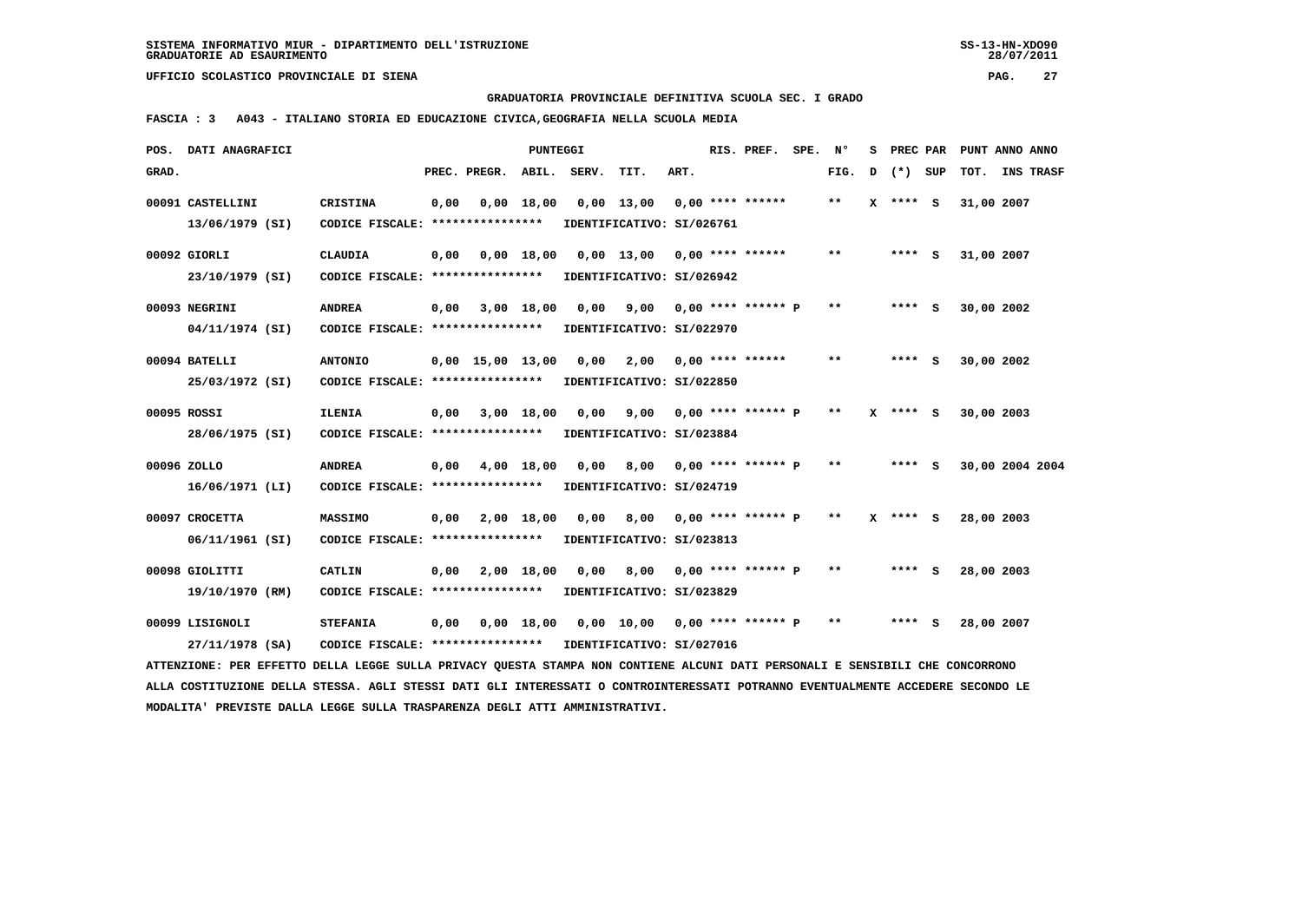**GRADUATORIA PROVINCIALE DEFINITIVA SCUOLA SEC. I GRADO**

 **FASCIA : 3 A043 - ITALIANO STORIA ED EDUCAZIONE CIVICA,GEOGRAFIA NELLA SCUOLA MEDIA**

|       | POS. DATI ANAGRAFICI                                                                                                            |                                  |      |                                | <b>PUNTEGGI</b> |       |                                |      | RIS. PREF.                | SPE. | N°           | s |            |     | PREC PAR PUNT ANNO ANNO |           |
|-------|---------------------------------------------------------------------------------------------------------------------------------|----------------------------------|------|--------------------------------|-----------------|-------|--------------------------------|------|---------------------------|------|--------------|---|------------|-----|-------------------------|-----------|
| GRAD. |                                                                                                                                 |                                  |      | PREC. PREGR.                   | ABIL.           | SERV. | TIT.                           | ART. |                           |      | FIG.         | D | $(*)$      | SUP | TOT.                    | INS TRASF |
|       | 00091 CASTELLINI                                                                                                                | <b>CRISTINA</b>                  | 0,00 |                                | $0,00$ 18,00    |       | $0,00$ 13,00                   |      | $0,00$ **** ******        |      | $***$        |   | X **** S   |     | 31,00 2007              |           |
|       | 13/06/1979 (SI)                                                                                                                 | CODICE FISCALE: **************** |      |                                |                 |       | IDENTIFICATIVO: SI/026761      |      |                           |      |              |   |            |     |                         |           |
|       | 00092 GIORLI                                                                                                                    | <b>CLAUDIA</b>                   | 0.00 |                                | 0.00 18.00      |       | $0.00$ 13.00 0.00 **** ******  |      |                           |      | $* *$        |   | $***$ S    |     | 31,00 2007              |           |
|       | 23/10/1979 (SI)                                                                                                                 | CODICE FISCALE: **************** |      |                                |                 |       | IDENTIFICATIVO: SI/026942      |      |                           |      |              |   |            |     |                         |           |
|       | 00093 NEGRINI                                                                                                                   | <b>ANDREA</b>                    | 0,00 |                                | 3,00 18,00      | 0,00  |                                |      | $9,00$ 0,00 **** ****** P |      | $* *$        |   | $***$ S    |     | 30,00 2002              |           |
|       | 04/11/1974 (SI)                                                                                                                 | CODICE FISCALE: **************** |      |                                |                 |       | IDENTIFICATIVO: SI/022970      |      |                           |      |              |   |            |     |                         |           |
|       | 00094 BATELLI                                                                                                                   | <b>ANTONIO</b>                   |      | $0,00 \quad 15,00 \quad 13,00$ |                 | 0,00  | 2,00                           |      | 0,00 **** ******          |      | $* *$        |   | **** S     |     | 30,00 2002              |           |
|       | 25/03/1972 (SI)                                                                                                                 | CODICE FISCALE: **************** |      |                                |                 |       | IDENTIFICATIVO: SI/022850      |      |                           |      |              |   |            |     |                         |           |
|       | 00095 ROSSI                                                                                                                     | <b>ILENIA</b>                    | 0,00 |                                | 3,00 18,00      | 0,00  |                                |      | $9,00$ 0,00 **** ****** P |      | $* *$        |   | $X$ **** S |     | 30,00 2003              |           |
|       | 28/06/1975 (SI)                                                                                                                 | CODICE FISCALE: **************** |      |                                |                 |       | IDENTIFICATIVO: SI/023884      |      |                           |      |              |   |            |     |                         |           |
|       | 00096 ZOLLO                                                                                                                     | <b>ANDREA</b>                    | 0,00 |                                | 4,00 18,00      | 0.00  | 8,00                           |      | $0,00$ **** ****** P      |      | $* *$        |   | **** S     |     | 30,00 2004 2004         |           |
|       | 16/06/1971 (LI)                                                                                                                 | CODICE FISCALE: **************** |      |                                |                 |       | IDENTIFICATIVO: SI/024719      |      |                           |      |              |   |            |     |                         |           |
|       | 00097 CROCETTA                                                                                                                  | <b>MASSIMO</b>                   | 0,00 |                                | 2,00 18,00      | 0.00  | 8,00                           |      | $0,00$ **** ****** P      |      | $\star\star$ |   | $X$ **** S |     | 28,00 2003              |           |
|       | 06/11/1961 (SI)                                                                                                                 | CODICE FISCALE: **************** |      |                                |                 |       | IDENTIFICATIVO: SI/023813      |      |                           |      |              |   |            |     |                         |           |
|       | 00098 GIOLITTI                                                                                                                  | CATLIN                           | 0,00 |                                | 2,00 18,00      |       | $0,00$ 8,00 0,00 **** ****** P |      |                           |      | $* *$        |   | **** S     |     | 28,00 2003              |           |
|       | 19/10/1970 (RM)                                                                                                                 | CODICE FISCALE: **************** |      |                                |                 |       | IDENTIFICATIVO: SI/023829      |      |                           |      |              |   |            |     |                         |           |
|       | 00099 LISIGNOLI                                                                                                                 | <b>STEFANIA</b>                  | 0,00 |                                | 0,00 18,00      |       | 0,00 10,00 0,00 **** ****** P  |      |                           |      | **           |   | **** S     |     | 28,00 2007              |           |
|       | 27/11/1978 (SA)                                                                                                                 | CODICE FISCALE: **************** |      |                                |                 |       | IDENTIFICATIVO: SI/027016      |      |                           |      |              |   |            |     |                         |           |
|       | ATTENZIONE: PER EFFETTO DELLA LEGGE SULLA PRIVACY QUESTA STAMPA NON CONTIENE ALCUNI DATI PERSONALI E SENSIBILI CHE CONCORRONO   |                                  |      |                                |                 |       |                                |      |                           |      |              |   |            |     |                         |           |
|       | ALLA COSTITUZIONE DELLA STESSA. AGLI STESSI DATI GLI INTERESSATI O CONTROINTERESSATI POTRANNO EVENTUALMENTE ACCEDERE SECONDO LE |                                  |      |                                |                 |       |                                |      |                           |      |              |   |            |     |                         |           |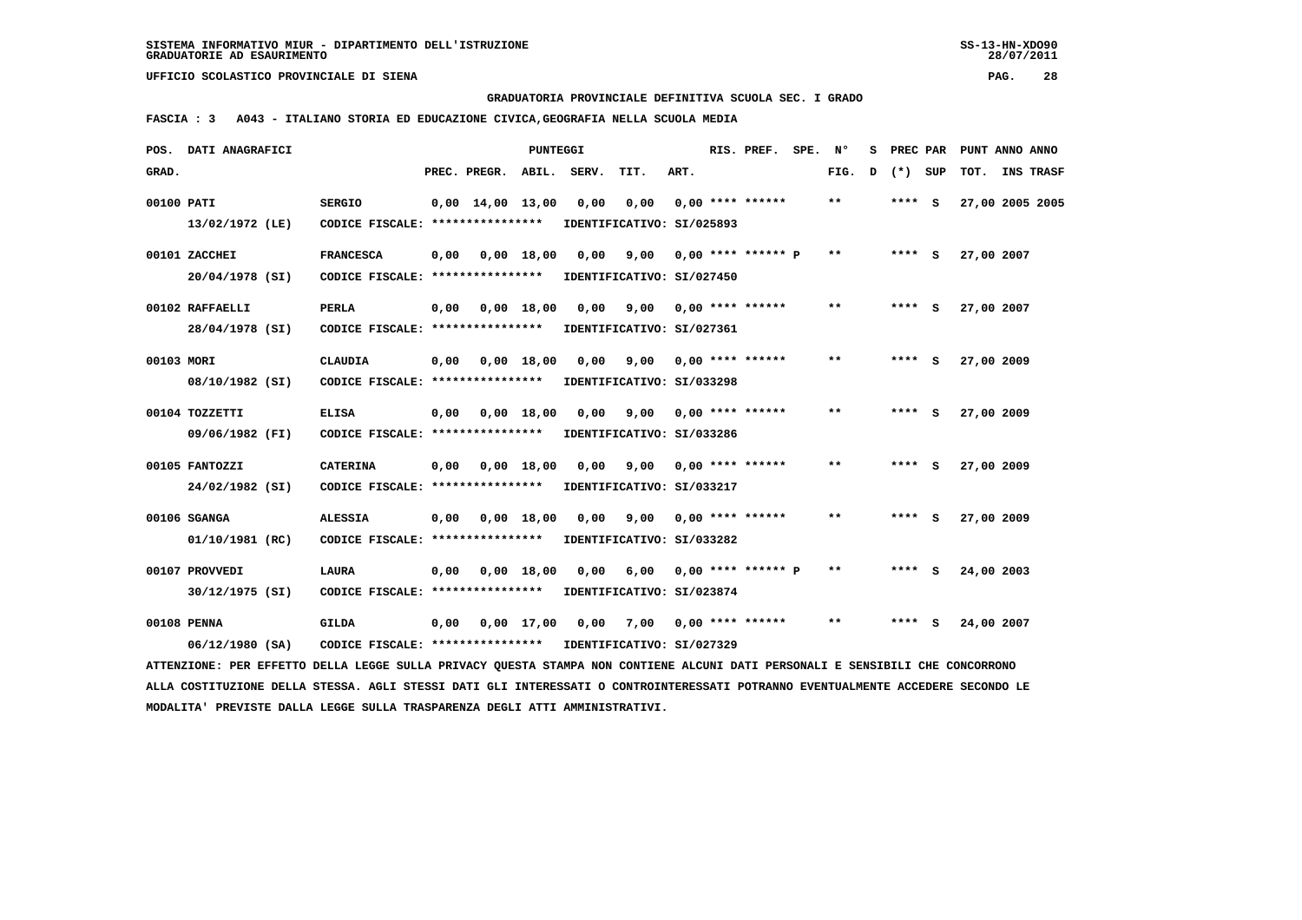**GRADUATORIA PROVINCIALE DEFINITIVA SCUOLA SEC. I GRADO**

 **FASCIA : 3 A043 - ITALIANO STORIA ED EDUCAZIONE CIVICA,GEOGRAFIA NELLA SCUOLA MEDIA**

|            | POS. DATI ANAGRAFICI                                                                                                            |                                   |      |                                | <b>PUNTEGGI</b> |       |                            |      | RIS. PREF. SPE.           | N°                         | s | PREC PAR  | PUNT ANNO ANNO |                  |  |
|------------|---------------------------------------------------------------------------------------------------------------------------------|-----------------------------------|------|--------------------------------|-----------------|-------|----------------------------|------|---------------------------|----------------------------|---|-----------|----------------|------------------|--|
| GRAD.      |                                                                                                                                 |                                   |      | PREC. PREGR. ABIL.             |                 | SERV. | TIT.                       | ART. |                           | FIG.                       | D | $(*)$ SUP | TOT.           | <b>INS TRASF</b> |  |
| 00100 PATI |                                                                                                                                 | <b>SERGIO</b>                     |      | $0,00 \quad 14,00 \quad 13,00$ |                 | 0,00  | 0,00                       |      | $0.00$ **** ******        | $* *$                      |   | **** S    |                | 27,00 2005 2005  |  |
|            | 13/02/1972 (LE)                                                                                                                 | CODICE FISCALE: ****************  |      |                                |                 |       | IDENTIFICATIVO: SI/025893  |      |                           |                            |   |           |                |                  |  |
|            | 00101 ZACCHEI                                                                                                                   | <b>FRANCESCA</b>                  | 0,00 |                                | $0,00$ 18,00    | 0,00  | 9,00                       |      | 0,00 **** ****** P        | $\star\star$               |   | $***$ S   | 27,00 2007     |                  |  |
|            | 20/04/1978 (SI)                                                                                                                 | CODICE FISCALE: ****************  |      |                                |                 |       | IDENTIFICATIVO: SI/027450  |      |                           |                            |   |           |                |                  |  |
|            | 00102 RAFFAELLI                                                                                                                 | <b>PERLA</b>                      | 0,00 |                                | $0,00$ 18,00    |       | 0,00 9,00 0,00 **** ****** |      |                           | $**$                       |   | **** S    | 27,00 2007     |                  |  |
|            | 28/04/1978 (SI)                                                                                                                 | CODICE FISCALE: ***************** |      |                                |                 |       | IDENTIFICATIVO: SI/027361  |      |                           |                            |   |           |                |                  |  |
| 00103 MORI |                                                                                                                                 | <b>CLAUDIA</b>                    | 0,00 |                                | 0.00 18.00      | 0.00  | 9,00                       |      | $0.00$ **** ******        | $\pmb{\times}\pmb{\times}$ |   | **** $S$  | 27,00 2009     |                  |  |
|            | 08/10/1982 (SI)                                                                                                                 | CODICE FISCALE: ****************  |      |                                |                 |       | IDENTIFICATIVO: SI/033298  |      |                           |                            |   |           |                |                  |  |
|            | 00104 TOZZETTI                                                                                                                  | <b>ELISA</b>                      | 0,00 |                                | $0,00$ 18,00    | 0,00  |                            |      | $9,00$ 0,00 **** ******   | $**$                       |   | **** S    | 27,00 2009     |                  |  |
|            | 09/06/1982 (FI)                                                                                                                 | CODICE FISCALE: ***************** |      |                                |                 |       | IDENTIFICATIVO: SI/033286  |      |                           |                            |   |           |                |                  |  |
|            | 00105 FANTOZZI                                                                                                                  | <b>CATERINA</b>                   | 0,00 |                                | $0,00$ 18,00    | 0.00  | 9,00                       |      | $0.00$ **** ******        | $***$                      |   | **** S    | 27,00 2009     |                  |  |
|            | 24/02/1982 (SI)                                                                                                                 | CODICE FISCALE: ****************  |      |                                |                 |       | IDENTIFICATIVO: SI/033217  |      |                           |                            |   |           |                |                  |  |
|            | 00106 SGANGA                                                                                                                    | <b>ALESSIA</b>                    | 0,00 |                                | $0,00$ 18,00    | 0,00  |                            |      | $9,00$ 0,00 **** ******   | $\pmb{\times}\pmb{\times}$ |   | **** S    | 27,00 2009     |                  |  |
|            | 01/10/1981 (RC)                                                                                                                 | CODICE FISCALE: ****************  |      |                                |                 |       | IDENTIFICATIVO: SI/033282  |      |                           |                            |   |           |                |                  |  |
|            | 00107 PROVVEDI                                                                                                                  | <b>LAURA</b>                      | 0,00 |                                | $0,00$ 18,00    | 0,00  |                            |      | $6,00$ 0,00 **** ****** P | $* *$                      |   | $***$ S   | 24,00 2003     |                  |  |
|            | 30/12/1975 (SI)                                                                                                                 | CODICE FISCALE: ****************  |      |                                |                 |       | IDENTIFICATIVO: SI/023874  |      |                           |                            |   |           |                |                  |  |
|            | 00108 PENNA                                                                                                                     | <b>GILDA</b>                      | 0,00 |                                | 0,00 17,00      | 0,00  | 7,00                       |      | 0,00 **** ******          | $\pmb{\times}\pmb{\times}$ |   | **** S    | 24,00 2007     |                  |  |
|            | $06/12/1980$ (SA)                                                                                                               | CODICE FISCALE: ****************  |      |                                |                 |       | IDENTIFICATIVO: SI/027329  |      |                           |                            |   |           |                |                  |  |
|            | ATTENZIONE: PER EFFETTO DELLA LEGGE SULLA PRIVACY OUESTA STAMPA NON CONTIENE ALCUNI DATI PERSONALI E SENSIBILI CHE CONCORRONO   |                                   |      |                                |                 |       |                            |      |                           |                            |   |           |                |                  |  |
|            | ALLA COSTITUZIONE DELLA STESSA. AGLI STESSI DATI GLI INTERESSATI O CONTROINTERESSATI POTRANNO EVENTUALMENTE ACCEDERE SECONDO LE |                                   |      |                                |                 |       |                            |      |                           |                            |   |           |                |                  |  |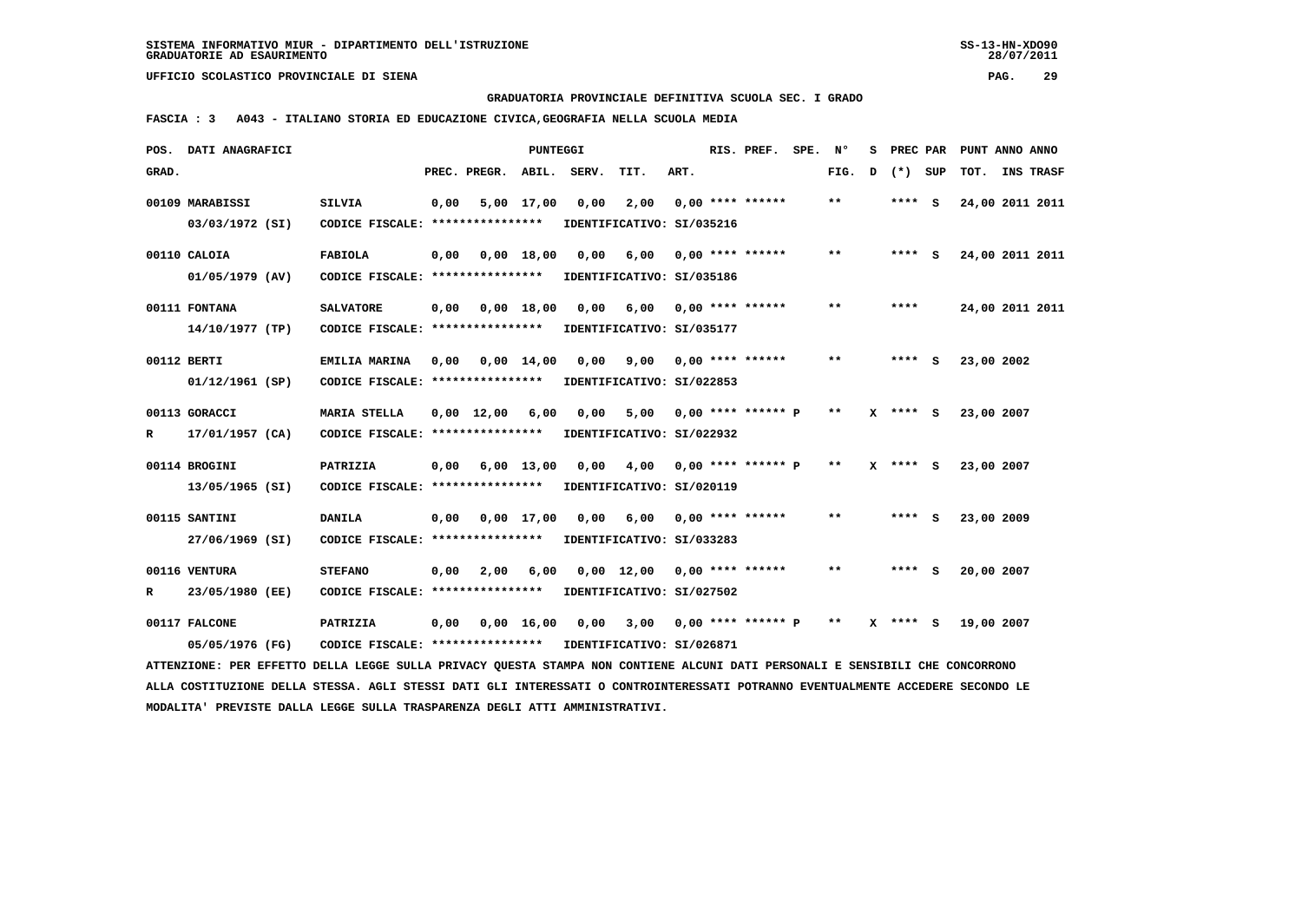**GRADUATORIA PROVINCIALE DEFINITIVA SCUOLA SEC. I GRADO**

 **FASCIA : 3 A043 - ITALIANO STORIA ED EDUCAZIONE CIVICA,GEOGRAFIA NELLA SCUOLA MEDIA**

|       | POS. DATI ANAGRAFICI                                                                                                            |                                                            |      |                               | <b>PUNTEGGI</b> |      |                                            |      | RIS. PREF. SPE. Nº      |       | s |              | PREC PAR PUNT ANNO ANNO |                  |
|-------|---------------------------------------------------------------------------------------------------------------------------------|------------------------------------------------------------|------|-------------------------------|-----------------|------|--------------------------------------------|------|-------------------------|-------|---|--------------|-------------------------|------------------|
| GRAD. |                                                                                                                                 |                                                            |      | PREC. PREGR. ABIL. SERV.      |                 |      | TIT.                                       | ART. |                         | FIG.  | D | (*) SUP      | TOT.                    | <b>INS TRASF</b> |
|       | 00109 MARABISSI                                                                                                                 | <b>SILVIA</b>                                              | 0,00 |                               | 5,00 17,00      | 0,00 | 2,00                                       |      | $0.00$ **** ******      | $***$ |   | **** S       | 24,00 2011 2011         |                  |
|       | 03/03/1972 (SI)                                                                                                                 | CODICE FISCALE: ****************                           |      |                               |                 |      | IDENTIFICATIVO: SI/035216                  |      |                         |       |   |              |                         |                  |
|       | 00110 CALOIA                                                                                                                    | <b>FABIOLA</b>                                             | 0,00 |                               | $0.00$ 18,00    | 0,00 | 6,00 0,00 **** ******                      |      |                         | $* *$ |   | **** S       | 24,00 2011 2011         |                  |
|       | $01/05/1979$ (AV)                                                                                                               | CODICE FISCALE: **************** IDENTIFICATIVO: SI/035186 |      |                               |                 |      |                                            |      |                         |       |   |              |                         |                  |
|       | 00111 FONTANA                                                                                                                   | <b>SALVATORE</b>                                           |      | $0,00$ $0,00$ $18,00$         |                 |      | 0,00 6,00 0,00 **** ******                 |      |                         | $* *$ |   | ****         | 24,00 2011 2011         |                  |
|       | 14/10/1977 (TP)                                                                                                                 | CODICE FISCALE: ****************                           |      |                               |                 |      | IDENTIFICATIVO: SI/035177                  |      |                         |       |   |              |                         |                  |
|       | 00112 BERTI                                                                                                                     | EMILIA MARINA                                              | 0.00 | 0,00 14,00                    |                 | 0,00 |                                            |      | $9,00$ 0,00 **** ****** | $* *$ |   | **** S       | 23,00 2002              |                  |
|       | 01/12/1961 (SP)                                                                                                                 | CODICE FISCALE: *****************                          |      |                               |                 |      | IDENTIFICATIVO: SI/022853                  |      |                         |       |   |              |                         |                  |
|       | 00113 GORACCI                                                                                                                   | <b>MARIA STELLA</b>                                        |      | $0,00 \quad 12,00 \quad 6,00$ |                 | 0,00 | 5,00 0,00 **** ****** P                    |      |                         | $* *$ |   | X **** S     | 23,00 2007              |                  |
| R     | 17/01/1957 (CA)                                                                                                                 | CODICE FISCALE: ****************                           |      |                               |                 |      | IDENTIFICATIVO: SI/022932                  |      |                         |       |   |              |                         |                  |
|       | 00114 BROGINI                                                                                                                   | PATRIZIA                                                   | 0,00 |                               | $6,00$ 13,00    | 0,00 | 4,00 0,00 **** ****** P                    |      |                         | $* *$ |   | $X$ **** $S$ | 23,00 2007              |                  |
|       | 13/05/1965 (SI)                                                                                                                 | CODICE FISCALE: ****************                           |      |                               |                 |      | IDENTIFICATIVO: SI/020119                  |      |                         |       |   |              |                         |                  |
|       | 00115 SANTINI                                                                                                                   | <b>DANILA</b>                                              | 0,00 |                               | 0,00 17,00      |      | 0,00 6,00 0,00 **** ******                 |      |                         | $* *$ |   | $***$ S      | 23,00 2009              |                  |
|       | 27/06/1969 (SI)                                                                                                                 | CODICE FISCALE: ****************                           |      |                               |                 |      | IDENTIFICATIVO: SI/033283                  |      |                         |       |   |              |                         |                  |
|       | 00116 VENTURA                                                                                                                   | <b>STEFANO</b>                                             | 0.00 | 2,00                          | 6,00            |      | $0.00$ 12.00 0.00 **** ******              |      |                         | $* *$ |   | **** S       | 20,00 2007              |                  |
| R     | 23/05/1980 (EE)                                                                                                                 | CODICE FISCALE: ****************                           |      |                               |                 |      | IDENTIFICATIVO: SI/027502                  |      |                         |       |   |              |                         |                  |
|       | 00117 FALCONE                                                                                                                   | PATRIZIA                                                   | 0,00 |                               |                 |      | 0,00 16,00 0,00 3,00 0,00 **** ****** P ** |      |                         |       |   | $X$ **** S   | 19,00 2007              |                  |
|       | 05/05/1976 (FG)                                                                                                                 | CODICE FISCALE: **************** IDENTIFICATIVO: SI/026871 |      |                               |                 |      |                                            |      |                         |       |   |              |                         |                  |
|       | ATTENZIONE: PER EFFETTO DELLA LEGGE SULLA PRIVACY OUESTA STAMPA NON CONTIENE ALCUNI DATI PERSONALI E SENSIBILI CHE CONCORRONO   |                                                            |      |                               |                 |      |                                            |      |                         |       |   |              |                         |                  |
|       | ALLA COSTITUZIONE DELLA STESSA. AGLI STESSI DATI GLI INTERESSATI O CONTROINTERESSATI POTRANNO EVENTUALMENTE ACCEDERE SECONDO LE |                                                            |      |                               |                 |      |                                            |      |                         |       |   |              |                         |                  |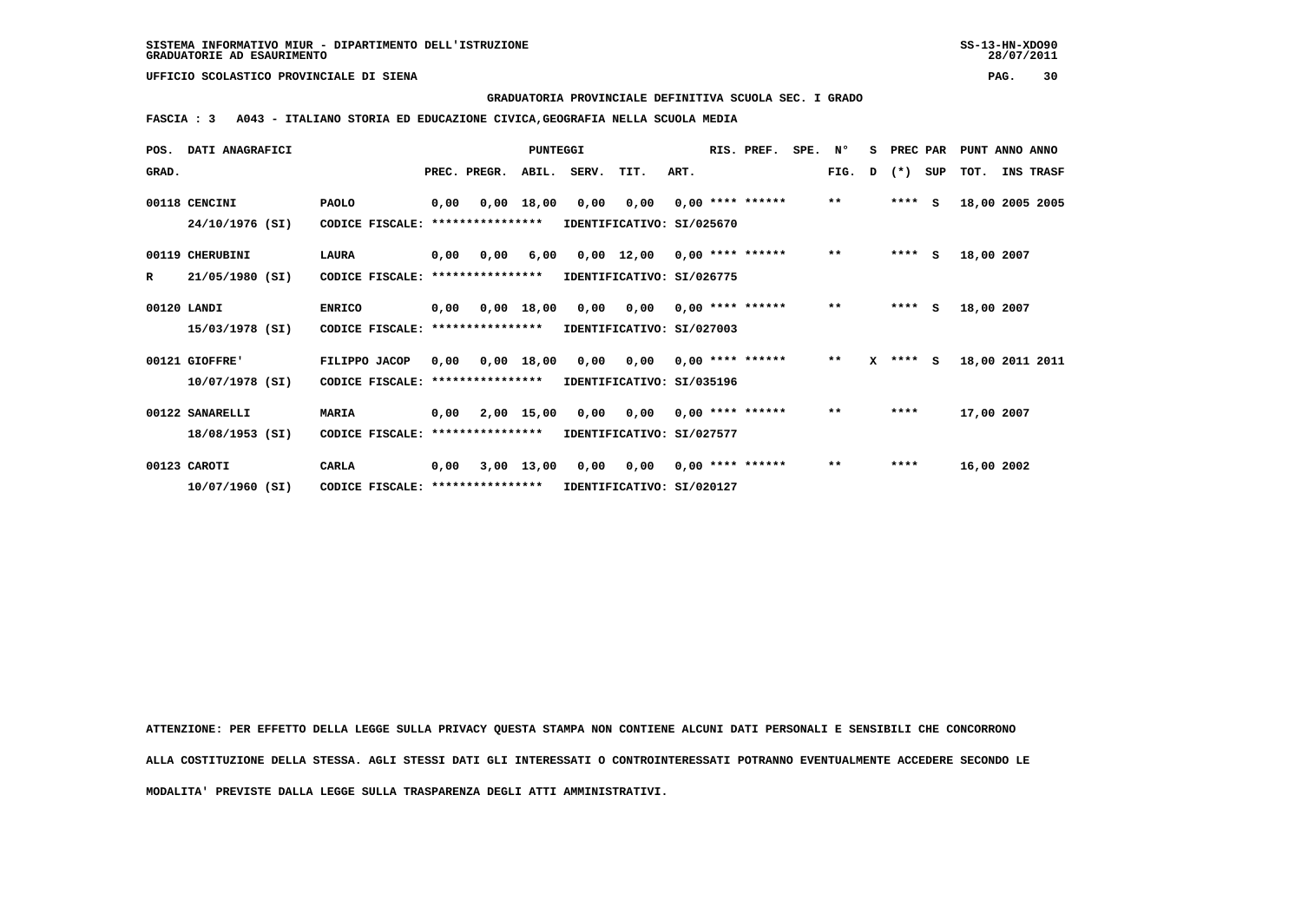**GRADUATORIA PROVINCIALE DEFINITIVA SCUOLA SEC. I GRADO**

 **FASCIA : 3 A043 - ITALIANO STORIA ED EDUCAZIONE CIVICA,GEOGRAFIA NELLA SCUOLA MEDIA**

|             | POS. DATI ANAGRAFICI |                                   |      |                  | PUNTEGGI     |       |                           |      | RIS. PREF.         | SPE. | N°           | s | <b>PREC PAR</b> |     | PUNT ANNO ANNO |                 |
|-------------|----------------------|-----------------------------------|------|------------------|--------------|-------|---------------------------|------|--------------------|------|--------------|---|-----------------|-----|----------------|-----------------|
| GRAD.       |                      |                                   |      | PREC. PREGR.     | ABIL.        | SERV. | TIT.                      | ART. |                    |      | FIG.         | D | $(*)$           | SUP | тот.           | INS TRASF       |
|             | 00118 CENCINI        | <b>PAOLO</b>                      | 0,00 |                  | 0,00 18,00   | 0,00  | 0,00                      |      | $0,00$ **** ****** |      | $\star\star$ |   | $***$ S         |     |                | 18,00 2005 2005 |
|             | 24/10/1976 (SI)      | CODICE FISCALE: ****************  |      |                  |              |       | IDENTIFICATIVO: SI/025670 |      |                    |      |              |   |                 |     |                |                 |
|             | 00119 CHERUBINI      | <b>LAURA</b>                      | 0,00 | 0.00             | 6,00         |       | 0,00 12,00                |      | $0,00$ **** ****** |      | $***$        |   | $***$ S         |     | 18,00 2007     |                 |
| R           | 21/05/1980 (SI)      | CODICE FISCALE:                   |      | **************** |              |       | IDENTIFICATIVO: SI/026775 |      |                    |      |              |   |                 |     |                |                 |
| 00120 LANDI |                      | <b>ENRICO</b>                     | 0.00 |                  | 0,00 18,00   | 0,00  | 0,00                      |      | $0.00$ **** ****** |      | $* *$        |   | $***$ S         |     | 18,00 2007     |                 |
|             | 15/03/1978 (SI)      | CODICE FISCALE: ***************** |      |                  |              |       | IDENTIFICATIVO: SI/027003 |      |                    |      |              |   |                 |     |                |                 |
|             | 00121 GIOFFRE'       | FILIPPO JACOP                     | 0.00 |                  | $0,00$ 18,00 |       | 0,00 0,00                 |      | $0,00$ **** ****** |      | $\star\star$ |   | $X$ **** S      |     |                | 18,00 2011 2011 |
|             | 10/07/1978 (SI)      | CODICE FISCALE: ****************  |      |                  |              |       | IDENTIFICATIVO: SI/035196 |      |                    |      |              |   |                 |     |                |                 |
|             | 00122 SANARELLI      | <b>MARIA</b>                      | 0,00 |                  | 2,00 15,00   | 0,00  | 0,00                      |      | $0.00$ **** ****** |      | $***$        |   | ****            |     | 17,00 2007     |                 |
|             | 18/08/1953 (SI)      | CODICE FISCALE: ****************  |      |                  |              |       | IDENTIFICATIVO: SI/027577 |      |                    |      |              |   |                 |     |                |                 |
|             | 00123 CAROTI         | CARLA                             | 0,00 |                  | $3,00$ 13,00 | 0,00  | 0,00                      |      | $0,00$ **** ****** |      | $\star\star$ |   | ****            |     | 16,00 2002     |                 |
|             | $10/07/1960$ (SI)    | CODICE FISCALE: ****************  |      |                  |              |       | IDENTIFICATIVO: SI/020127 |      |                    |      |              |   |                 |     |                |                 |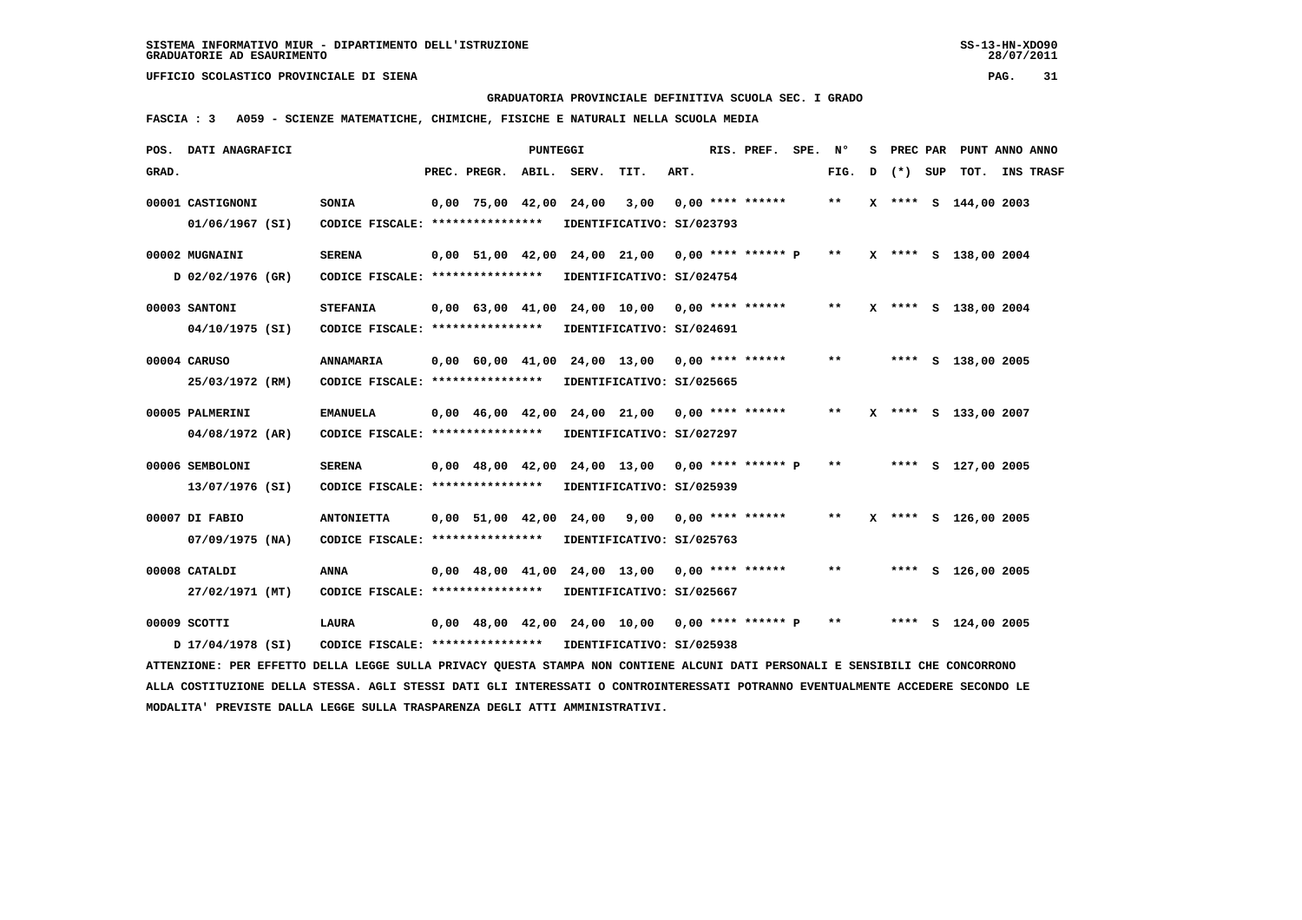**GRADUATORIA PROVINCIALE DEFINITIVA SCUOLA SEC. I GRADO**

 **FASCIA : 3 A059 - SCIENZE MATEMATICHE, CHIMICHE, FISICHE E NATURALI NELLA SCUOLA MEDIA**

|       | POS. DATI ANAGRAFICI                                                                                                            |                                   |                          | PUNTEGGI |                               |                                                   |      | RIS. PREF. SPE. Nº |       | s |         | PREC PAR PUNT ANNO ANNO |           |
|-------|---------------------------------------------------------------------------------------------------------------------------------|-----------------------------------|--------------------------|----------|-------------------------------|---------------------------------------------------|------|--------------------|-------|---|---------|-------------------------|-----------|
| GRAD. |                                                                                                                                 |                                   | PREC. PREGR. ABIL. SERV. |          |                               | TIT.                                              | ART. |                    | FIG.  | D | (*) SUP | TOT.                    | INS TRASF |
|       | 00001 CASTIGNONI                                                                                                                | <b>SONIA</b>                      |                          |          | $0,00$ 75,00 42,00 24,00 3,00 |                                                   |      | $0.00$ **** ****** | $* *$ |   |         | X **** S 144,00 2003    |           |
|       | $01/06/1967$ (SI)                                                                                                               | CODICE FISCALE: ****************  |                          |          |                               | IDENTIFICATIVO: SI/023793                         |      |                    |       |   |         |                         |           |
|       | 00002 MUGNAINI                                                                                                                  | <b>SERENA</b>                     |                          |          |                               | 0,00 51,00 42,00 24,00 21,00 0,00 **** ****** P   |      |                    | $***$ |   |         | X **** S 138,00 2004    |           |
|       | D 02/02/1976 (GR)                                                                                                               | CODICE FISCALE: ****************  |                          |          |                               | IDENTIFICATIVO: SI/024754                         |      |                    |       |   |         |                         |           |
|       | 00003 SANTONI                                                                                                                   | <b>STEFANIA</b>                   |                          |          |                               | 0,00 63,00 41,00 24,00 10,00 0,00 **** ******     |      |                    | $* *$ |   |         | X **** S 138,00 2004    |           |
|       | 04/10/1975 (SI)                                                                                                                 | CODICE FISCALE: ****************  |                          |          |                               | IDENTIFICATIVO: SI/024691                         |      |                    |       |   |         |                         |           |
|       | 00004 CARUSO                                                                                                                    | ANNAMARIA                         |                          |          |                               | $0,00$ 60,00 41,00 24,00 13,00 0,00 **** ******   |      |                    | $***$ |   |         | **** S 138,00 2005      |           |
|       | 25/03/1972 (RM)                                                                                                                 | CODICE FISCALE: ***************** |                          |          |                               | IDENTIFICATIVO: SI/025665                         |      |                    |       |   |         |                         |           |
|       | 00005 PALMERINI                                                                                                                 | <b>EMANUELA</b>                   |                          |          |                               | $0.00$ 46.00 42.00 24.00 21.00 0.00 **** ******   |      |                    | $**$  |   |         | X **** S 133,00 2007    |           |
|       | 04/08/1972 (AR)                                                                                                                 | CODICE FISCALE: ****************  |                          |          |                               | IDENTIFICATIVO: SI/027297                         |      |                    |       |   |         |                         |           |
|       | 00006 SEMBOLONI                                                                                                                 | <b>SERENA</b>                     |                          |          |                               | 0,00 48,00 42,00 24,00 13,00 0,00 **** ****** P   |      |                    | $* *$ |   |         | **** S 127,00 2005      |           |
|       | 13/07/1976 (SI)                                                                                                                 | CODICE FISCALE: ****************  |                          |          |                               | IDENTIFICATIVO: SI/025939                         |      |                    |       |   |         |                         |           |
|       | 00007 DI FABIO                                                                                                                  | <b>ANTONIETTA</b>                 |                          |          |                               | $0,00$ 51,00 42,00 24,00 9,00 0,00 **** ******    |      |                    | $* *$ |   |         | X **** S 126,00 2005    |           |
|       | $07/09/1975$ (NA)                                                                                                               | CODICE FISCALE: ****************  |                          |          |                               | IDENTIFICATIVO: SI/025763                         |      |                    |       |   |         |                         |           |
|       | 00008 CATALDI                                                                                                                   | <b>ANNA</b>                       |                          |          |                               | $0,00$ 48,00 41,00 24,00 13,00 0,00 **** ******   |      |                    | $***$ |   |         | **** S 126,00 2005      |           |
|       | 27/02/1971 (MT)                                                                                                                 | CODICE FISCALE: ***************** |                          |          |                               | IDENTIFICATIVO: SI/025667                         |      |                    |       |   |         |                         |           |
|       | 00009 SCOTTI                                                                                                                    | <b>LAURA</b>                      |                          |          |                               | $0,00$ 48,00 42,00 24,00 10,00 0,00 **** ****** P |      |                    | $***$ |   |         | **** S 124,00 2005      |           |
|       | D 17/04/1978 (SI)                                                                                                               | CODICE FISCALE: ****************  |                          |          |                               | IDENTIFICATIVO: SI/025938                         |      |                    |       |   |         |                         |           |
|       | ATTENZIONE: PER EFFETTO DELLA LEGGE SULLA PRIVACY QUESTA STAMPA NON CONTIENE ALCUNI DATI PERSONALI E SENSIBILI CHE CONCORRONO   |                                   |                          |          |                               |                                                   |      |                    |       |   |         |                         |           |
|       | ALLA COSTITUZIONE DELLA STESSA. AGLI STESSI DATI GLI INTERESSATI O CONTROINTERESSATI POTRANNO EVENTUALMENTE ACCEDERE SECONDO LE |                                   |                          |          |                               |                                                   |      |                    |       |   |         |                         |           |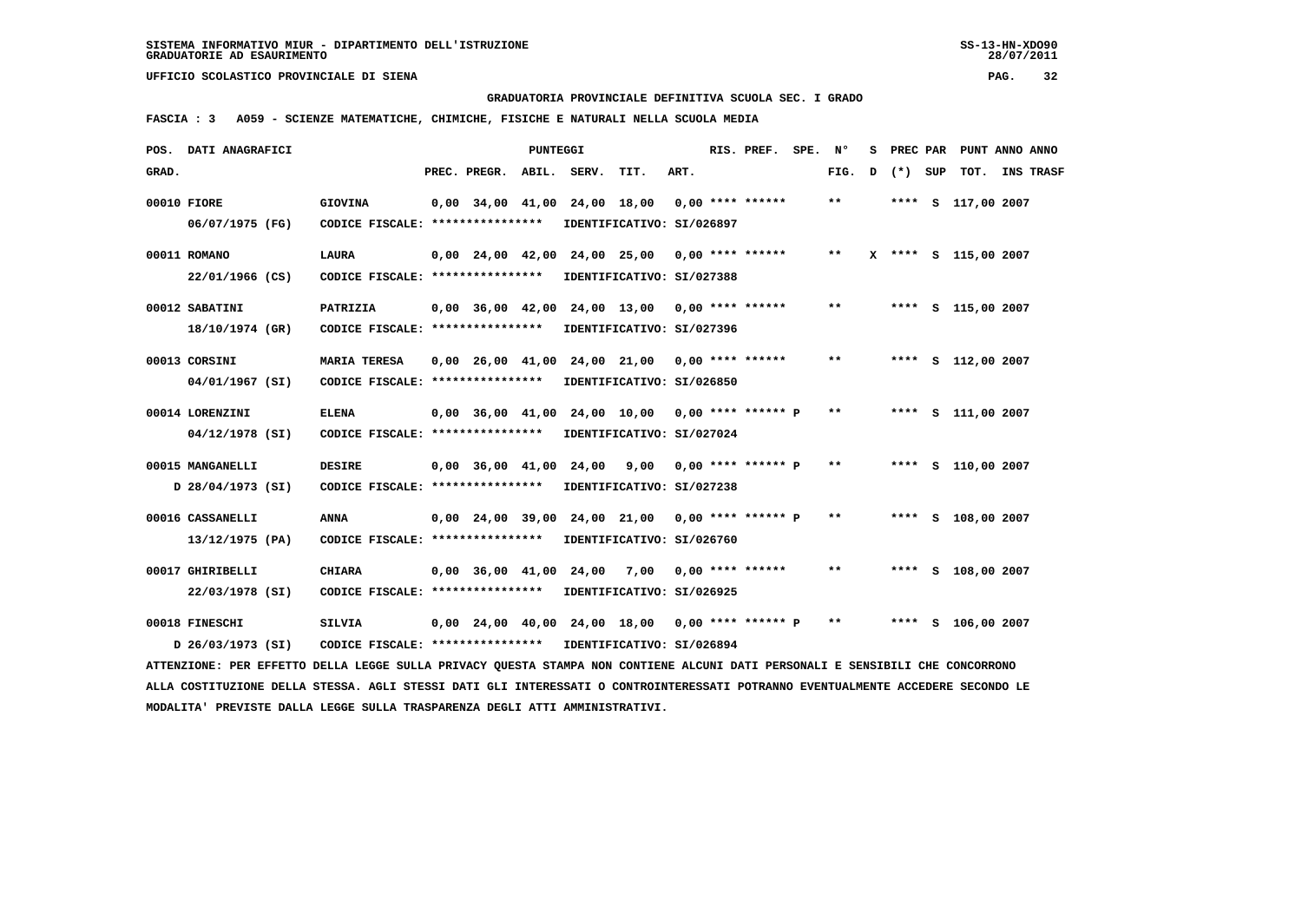**GRADUATORIA PROVINCIALE DEFINITIVA SCUOLA SEC. I GRADO**

 **FASCIA : 3 A059 - SCIENZE MATEMATICHE, CHIMICHE, FISICHE E NATURALI NELLA SCUOLA MEDIA**

|       | POS. DATI ANAGRAFICI                                                                                                            |                                                            |                          | <b>PUNTEGGI</b> |                              |                                                   |      | RIS. PREF. SPE. Nº   |       | s |         | PREC PAR PUNT ANNO ANNO |                  |
|-------|---------------------------------------------------------------------------------------------------------------------------------|------------------------------------------------------------|--------------------------|-----------------|------------------------------|---------------------------------------------------|------|----------------------|-------|---|---------|-------------------------|------------------|
| GRAD. |                                                                                                                                 |                                                            | PREC. PREGR. ABIL. SERV. |                 |                              | TIT.                                              | ART. |                      | FIG.  | D | (*) SUP | тот.                    | <b>INS TRASF</b> |
|       | 00010 FIORE                                                                                                                     | <b>GIOVINA</b>                                             |                          |                 | 0,00 34,00 41,00 24,00 18,00 |                                                   |      | $0.00$ **** ******   | $***$ |   |         | **** S 117,00 2007      |                  |
|       | 06/07/1975 (FG)                                                                                                                 | CODICE FISCALE: *****************                          |                          |                 |                              | IDENTIFICATIVO: SI/026897                         |      |                      |       |   |         |                         |                  |
|       |                                                                                                                                 |                                                            |                          |                 |                              |                                                   |      |                      |       |   |         |                         |                  |
|       | 00011 ROMANO                                                                                                                    | <b>LAURA</b>                                               |                          |                 |                              | 0,00 24,00 42,00 24,00 25,00 0,00 **** ******     |      |                      | $* *$ |   |         | X **** S 115,00 2007    |                  |
|       | 22/01/1966 (CS)                                                                                                                 | CODICE FISCALE: *****************                          |                          |                 |                              | IDENTIFICATIVO: SI/027388                         |      |                      |       |   |         |                         |                  |
|       | 00012 SABATINI                                                                                                                  | PATRIZIA                                                   |                          |                 |                              | 0,00 36,00 42,00 24,00 13,00                      |      | $0.00$ **** ******   | $* *$ |   |         | **** S 115,00 2007      |                  |
|       | 18/10/1974 (GR)                                                                                                                 | CODICE FISCALE: *****************                          |                          |                 |                              | IDENTIFICATIVO: SI/027396                         |      |                      |       |   |         |                         |                  |
|       |                                                                                                                                 |                                                            |                          |                 |                              |                                                   |      |                      |       |   |         |                         |                  |
|       | 00013 CORSINI                                                                                                                   | <b>MARIA TERESA</b>                                        |                          |                 |                              | $0,00$ 26,00 41,00 24,00 21,00 0,00 **** ******   |      |                      | $* *$ |   |         | **** S 112,00 2007      |                  |
|       | 04/01/1967 (SI)                                                                                                                 | CODICE FISCALE: ****************                           |                          |                 |                              | IDENTIFICATIVO: SI/026850                         |      |                      |       |   |         |                         |                  |
|       | 00014 LORENZINI                                                                                                                 | <b>ELENA</b>                                               |                          |                 |                              | 0,00 36,00 41,00 24,00 10,00 0,00 **** ****** P   |      |                      | $***$ |   |         | **** S 111,00 2007      |                  |
|       | 04/12/1978 (SI)                                                                                                                 | CODICE FISCALE: *****************                          |                          |                 |                              | IDENTIFICATIVO: SI/027024                         |      |                      |       |   |         |                         |                  |
|       |                                                                                                                                 |                                                            |                          |                 |                              |                                                   |      |                      |       |   |         |                         |                  |
|       | 00015 MANGANELLI                                                                                                                | <b>DESIRE</b>                                              |                          |                 |                              | $0,00$ 36,00 41,00 24,00 9,00 0,00 **** ****** P  |      |                      | $* *$ |   |         | **** S 110,00 2007      |                  |
|       | D 28/04/1973 (SI)                                                                                                               | CODICE FISCALE: ****************                           |                          |                 |                              | IDENTIFICATIVO: SI/027238                         |      |                      |       |   |         |                         |                  |
|       | 00016 CASSANELLI                                                                                                                | <b>ANNA</b>                                                |                          |                 |                              | 0,00 24,00 39,00 24,00 21,00                      |      | $0.00$ **** ****** P | $***$ |   |         | **** S 108,00 2007      |                  |
|       | 13/12/1975 (PA)                                                                                                                 | CODICE FISCALE: *****************                          |                          |                 |                              | IDENTIFICATIVO: SI/026760                         |      |                      |       |   |         |                         |                  |
|       |                                                                                                                                 |                                                            |                          |                 |                              |                                                   |      |                      |       |   |         |                         |                  |
|       | 00017 GHIRIBELLI                                                                                                                | <b>CHIARA</b>                                              |                          |                 |                              | 0,00 36,00 41,00 24,00 7,00                       |      | $0.00$ **** ******   | $* *$ |   |         | **** S 108,00 2007      |                  |
|       | 22/03/1978 (SI)                                                                                                                 | CODICE FISCALE: ****************                           |                          |                 |                              | IDENTIFICATIVO: SI/026925                         |      |                      |       |   |         |                         |                  |
|       | 00018 FINESCHI                                                                                                                  | <b>SILVIA</b>                                              |                          |                 |                              | $0.00$ 24.00 40.00 24.00 18.00 0.00 **** ****** P |      |                      | $* *$ |   |         | **** S 106,00 2007      |                  |
|       | D 26/03/1973 (SI)                                                                                                               | CODICE FISCALE: **************** IDENTIFICATIVO: SI/026894 |                          |                 |                              |                                                   |      |                      |       |   |         |                         |                  |
|       | ATTENZIONE: PER EFFETTO DELLA LEGGE SULLA PRIVACY QUESTA STAMPA NON CONTIENE ALCUNI DATI PERSONALI E SENSIBILI CHE CONCORRONO   |                                                            |                          |                 |                              |                                                   |      |                      |       |   |         |                         |                  |
|       | ALLA COSTITUZIONE DELLA STESSA. AGLI STESSI DATI GLI INTERESSATI O CONTROINTERESSATI POTRANNO EVENTUALMENTE ACCEDERE SECONDO LE |                                                            |                          |                 |                              |                                                   |      |                      |       |   |         |                         |                  |
|       | MODALITA' PREVISTE DALLA LEGGE SULLA TRASPARENZA DEGLI ATTI AMMINISTRATIVI.                                                     |                                                            |                          |                 |                              |                                                   |      |                      |       |   |         |                         |                  |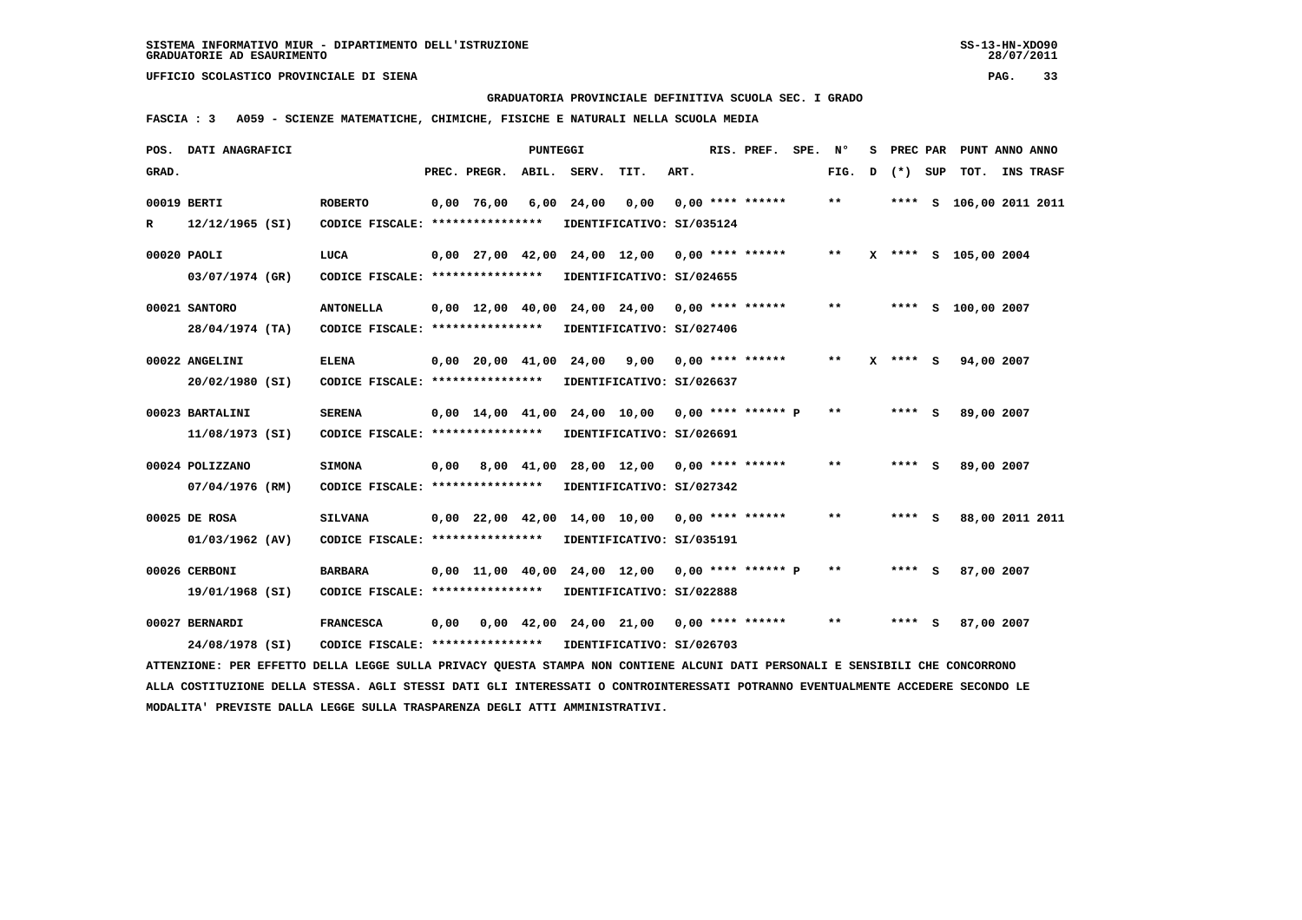**GRADUATORIA PROVINCIALE DEFINITIVA SCUOLA SEC. I GRADO**

 **FASCIA : 3 A059 - SCIENZE MATEMATICHE, CHIMICHE, FISICHE E NATURALI NELLA SCUOLA MEDIA**

| POS.  | DATI ANAGRAFICI                                                                                                                 |                                   |      |                                | PUNTEGGI   |             |                                                   |      | RIS. PREF.         | SPE. | N°                         | s | PREC PAR     |     | PUNT ANNO ANNO          |                  |
|-------|---------------------------------------------------------------------------------------------------------------------------------|-----------------------------------|------|--------------------------------|------------|-------------|---------------------------------------------------|------|--------------------|------|----------------------------|---|--------------|-----|-------------------------|------------------|
| GRAD. |                                                                                                                                 |                                   |      | PREC. PREGR.                   |            | ABIL. SERV. | TIT.                                              | ART. |                    |      | FIG.                       | D | $(*)$        | SUP | TOT.                    | <b>INS TRASF</b> |
|       | 00019 BERTI                                                                                                                     | <b>ROBERTO</b>                    |      | $0,00$ 76,00                   | 6,00       | 24,00       | 0,00                                              |      | $0.00$ **** ****** |      | $\pmb{\times}\pmb{\times}$ |   |              |     | **** S 106,00 2011 2011 |                  |
| R     | $12/12/1965$ (SI)                                                                                                               | CODICE FISCALE: ****************  |      |                                |            |             | IDENTIFICATIVO: SI/035124                         |      |                    |      |                            |   |              |     |                         |                  |
|       | 00020 PAOLI                                                                                                                     | LUCA                              |      |                                |            |             | $0,00$ 27,00 42,00 24,00 12,00 0,00 **** ******   |      |                    |      | $***$                      |   |              |     | X **** S 105,00 2004    |                  |
|       | 03/07/1974 (GR)                                                                                                                 | CODICE FISCALE: ***************** |      |                                |            |             | IDENTIFICATIVO: SI/024655                         |      |                    |      |                            |   |              |     |                         |                  |
|       | 00021 SANTORO                                                                                                                   | <b>ANTONELLA</b>                  |      |                                |            |             | $0,00$ 12,00 40,00 24,00 24,00 0,00 **** ******   |      |                    |      | $* *$                      |   |              |     | **** S 100,00 2007      |                  |
|       | 28/04/1974 (TA)                                                                                                                 | CODICE FISCALE: ****************  |      |                                |            |             | IDENTIFICATIVO: SI/027406                         |      |                    |      |                            |   |              |     |                         |                  |
|       | 00022 ANGELINI                                                                                                                  | ELENA                             |      | $0.00 \quad 20.00 \quad 41.00$ |            | 24,00       | 9,00                                              |      | $0.00$ **** ****** |      | $***$                      |   | $X$ **** $S$ |     | 94,00 2007              |                  |
|       | 20/02/1980 (SI)                                                                                                                 | CODICE FISCALE: ****************  |      |                                |            |             | IDENTIFICATIVO: SI/026637                         |      |                    |      |                            |   |              |     |                         |                  |
|       | 00023 BARTALINI                                                                                                                 | <b>SERENA</b>                     |      |                                |            |             | $0,00$ 14,00 41,00 24,00 10,00 0,00 **** ****** P |      |                    |      | $* *$                      |   | $***$ S      |     | 89,00 2007              |                  |
|       | 11/08/1973 (SI)                                                                                                                 | CODICE FISCALE: ****************  |      |                                |            |             | IDENTIFICATIVO: SI/026691                         |      |                    |      |                            |   |              |     |                         |                  |
|       | 00024 POLIZZANO                                                                                                                 | <b>SIMONA</b>                     | 0,00 |                                | 8,00 41,00 |             | 28,00 12,00 0,00 **** ******                      |      |                    |      | **                         |   | **** S       |     | 89,00 2007              |                  |
|       | 07/04/1976 (RM)                                                                                                                 | CODICE FISCALE: ****************  |      |                                |            |             | IDENTIFICATIVO: SI/027342                         |      |                    |      |                            |   |              |     |                         |                  |
|       | 00025 DE ROSA                                                                                                                   | <b>SILVANA</b>                    |      |                                |            |             | $0.00$ 22.00 42.00 14.00 10.00 0.00 **** ******   |      |                    |      | **                         |   | **** S       |     |                         | 88,00 2011 2011  |
|       | 01/03/1962 (AV)                                                                                                                 | CODICE FISCALE: ***************** |      |                                |            |             | IDENTIFICATIVO: SI/035191                         |      |                    |      |                            |   |              |     |                         |                  |
|       | 00026 CERBONI                                                                                                                   | <b>BARBARA</b>                    |      |                                |            |             | $0,00$ 11,00 40,00 24,00 12,00 0,00 **** ****** P |      |                    |      | $* *$                      |   | **** S       |     | 87,00 2007              |                  |
|       | 19/01/1968 (SI)                                                                                                                 | CODICE FISCALE: ****************  |      |                                |            |             | IDENTIFICATIVO: SI/022888                         |      |                    |      |                            |   |              |     |                         |                  |
|       | 00027 BERNARDI                                                                                                                  | <b>FRANCESCA</b>                  | 0,00 |                                |            |             | $0,00$ 42,00 24,00 21,00 0,00 **** ******         |      |                    |      | $\pmb{\times}\pmb{\times}$ |   | **** S       |     | 87,00 2007              |                  |
|       | 24/08/1978 (SI)                                                                                                                 | CODICE FISCALE: ***************** |      |                                |            |             | IDENTIFICATIVO: SI/026703                         |      |                    |      |                            |   |              |     |                         |                  |
|       | ATTENZIONE: PER EFFETTO DELLA LEGGE SULLA PRIVACY QUESTA STAMPA NON CONTIENE ALCUNI DATI PERSONALI E SENSIBILI CHE CONCORRONO   |                                   |      |                                |            |             |                                                   |      |                    |      |                            |   |              |     |                         |                  |
|       | ALLA COSTITUZIONE DELLA STESSA. AGLI STESSI DATI GLI INTERESSATI O CONTROINTERESSATI POTRANNO EVENTUALMENTE ACCEDERE SECONDO LE |                                   |      |                                |            |             |                                                   |      |                    |      |                            |   |              |     |                         |                  |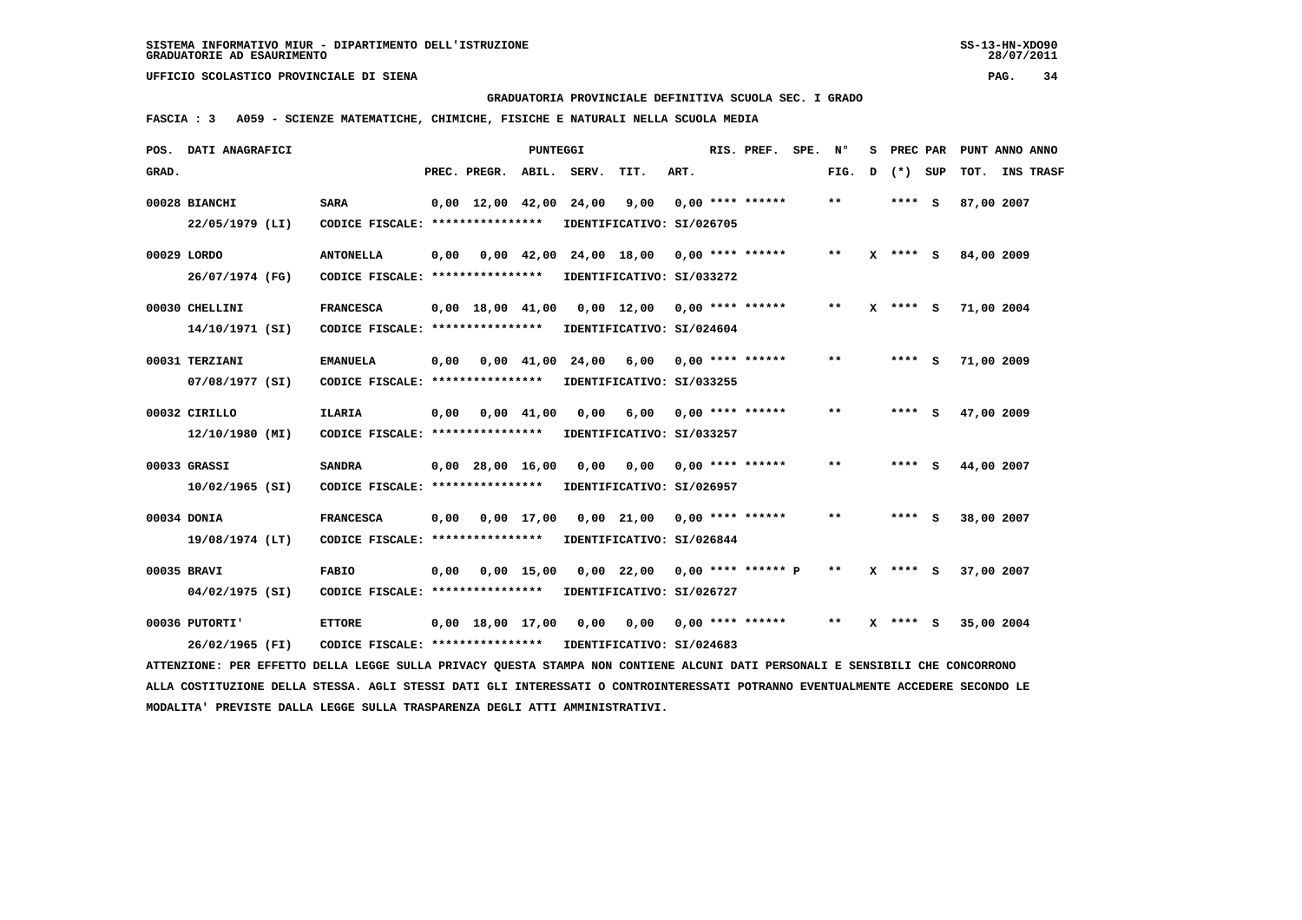**GRADUATORIA PROVINCIALE DEFINITIVA SCUOLA SEC. I GRADO**

 **FASCIA : 3 A059 - SCIENZE MATEMATICHE, CHIMICHE, FISICHE E NATURALI NELLA SCUOLA MEDIA**

|       | POS. DATI ANAGRAFICI                                                                                                            |                                   |      |                          | PUNTEGGI       |                               |                                                |      | RIS. PREF.         | SPE. | N°                         | s | <b>PREC PAR</b> | PUNT ANNO ANNO |                  |
|-------|---------------------------------------------------------------------------------------------------------------------------------|-----------------------------------|------|--------------------------|----------------|-------------------------------|------------------------------------------------|------|--------------------|------|----------------------------|---|-----------------|----------------|------------------|
| GRAD. |                                                                                                                                 |                                   |      | PREC. PREGR. ABIL. SERV. |                |                               | TIT.                                           | ART. |                    |      | FIG.                       | D | (*) SUP         | TOT.           | <b>INS TRASF</b> |
|       | 00028 BIANCHI                                                                                                                   | <b>SARA</b>                       |      |                          |                | $0,00$ 12,00 42,00 24,00 9,00 |                                                |      | $0.00$ **** ****** |      | $\pmb{\times}\pmb{\times}$ |   | $***$ S         | 87,00 2007     |                  |
|       | 22/05/1979 (LI)                                                                                                                 | CODICE FISCALE: ****************  |      |                          |                |                               | IDENTIFICATIVO: SI/026705                      |      |                    |      |                            |   |                 |                |                  |
|       | 00029 LORDO                                                                                                                     | <b>ANTONELLA</b>                  | 0,00 |                          |                |                               | $0,00$ 42,00 24,00 18,00 0,00 **** ******      |      |                    |      | $* *$                      |   | $X$ **** $S$    | 84,00 2009     |                  |
|       | 26/07/1974 (FG)                                                                                                                 | CODICE FISCALE: ***************** |      |                          |                |                               | IDENTIFICATIVO: SI/033272                      |      |                    |      |                            |   |                 |                |                  |
|       | 00030 CHELLINI                                                                                                                  | <b>FRANCESCA</b>                  |      |                          |                |                               | $0,00$ 18,00 41,00 0,00 12,00 0,00 **** ****** |      |                    |      | $***$                      |   | $X$ **** S      | 71,00 2004     |                  |
|       | 14/10/1971 (SI)                                                                                                                 | CODICE FISCALE: ***************** |      |                          |                |                               | IDENTIFICATIVO: SI/024604                      |      |                    |      |                            |   |                 |                |                  |
|       | 00031 TERZIANI                                                                                                                  | <b>EMANUELA</b>                   | 0,00 |                          | $0.00$ $41.00$ | 24,00                         | 6,00                                           |      | $0,00$ **** ****** |      | $* *$                      |   | $***$ S         | 71,00 2009     |                  |
|       | 07/08/1977 (SI)                                                                                                                 | CODICE FISCALE: ***************** |      |                          |                |                               | IDENTIFICATIVO: SI/033255                      |      |                    |      |                            |   |                 |                |                  |
|       | 00032 CIRILLO                                                                                                                   | <b>ILARIA</b>                     |      | $0,00$ $0,00$ $41,00$    |                | 0,00                          | 6,00 0,00 **** ******                          |      |                    |      | $* *$                      |   | $***$ S         | 47,00 2009     |                  |
|       | 12/10/1980 (MI)                                                                                                                 | CODICE FISCALE: ***************** |      |                          |                |                               | IDENTIFICATIVO: SI/033257                      |      |                    |      |                            |   |                 |                |                  |
|       | 00033 GRASSI                                                                                                                    | <b>SANDRA</b>                     |      | $0,00$ 28,00 16,00       |                |                               | 0,00 0,00                                      |      | $0,00$ **** ****** |      | **                         |   | **** S          | 44,00 2007     |                  |
|       | $10/02/1965$ (SI)                                                                                                               | CODICE FISCALE: ****************  |      |                          |                |                               | IDENTIFICATIVO: SI/026957                      |      |                    |      |                            |   |                 |                |                  |
|       | 00034 DONIA                                                                                                                     | <b>FRANCESCA</b>                  | 0,00 |                          | $0.00$ 17.00   |                               | 0,00 21,00 0,00 **** ******                    |      |                    |      | **                         |   | $***$ S         | 38,00 2007     |                  |
|       | 19/08/1974 (LT)                                                                                                                 | CODICE FISCALE: ****************  |      |                          |                |                               | IDENTIFICATIVO: SI/026844                      |      |                    |      |                            |   |                 |                |                  |
|       | 00035 BRAVI                                                                                                                     | <b>FABIO</b>                      | 0,00 |                          | $0,00$ 15,00   |                               | $0,00$ 22,00 0,00 **** ****** P                |      |                    |      | $* *$                      |   | $X$ **** $S$    | 37,00 2007     |                  |
|       | 04/02/1975 (SI)                                                                                                                 | CODICE FISCALE: ***************** |      |                          |                |                               | IDENTIFICATIVO: SI/026727                      |      |                    |      |                            |   |                 |                |                  |
|       | 00036 PUTORTI'                                                                                                                  | <b>ETTORE</b>                     |      | $0,00$ 18,00 17,00       |                | 0,00                          | 0,00                                           |      | $0,00$ **** ****** |      | $***$                      |   | $X$ **** $S$    | 35,00 2004     |                  |
|       | 26/02/1965 (FI)                                                                                                                 | CODICE FISCALE: ****************  |      |                          |                |                               | IDENTIFICATIVO: SI/024683                      |      |                    |      |                            |   |                 |                |                  |
|       | ATTENZIONE: PER EFFETTO DELLA LEGGE SULLA PRIVACY QUESTA STAMPA NON CONTIENE ALCUNI DATI PERSONALI E SENSIBILI CHE CONCORRONO   |                                   |      |                          |                |                               |                                                |      |                    |      |                            |   |                 |                |                  |
|       | ALLA COSTITUZIONE DELLA STESSA. AGLI STESSI DATI GLI INTERESSATI O CONTROINTERESSATI POTRANNO EVENTUALMENTE ACCEDERE SECONDO LE |                                   |      |                          |                |                               |                                                |      |                    |      |                            |   |                 |                |                  |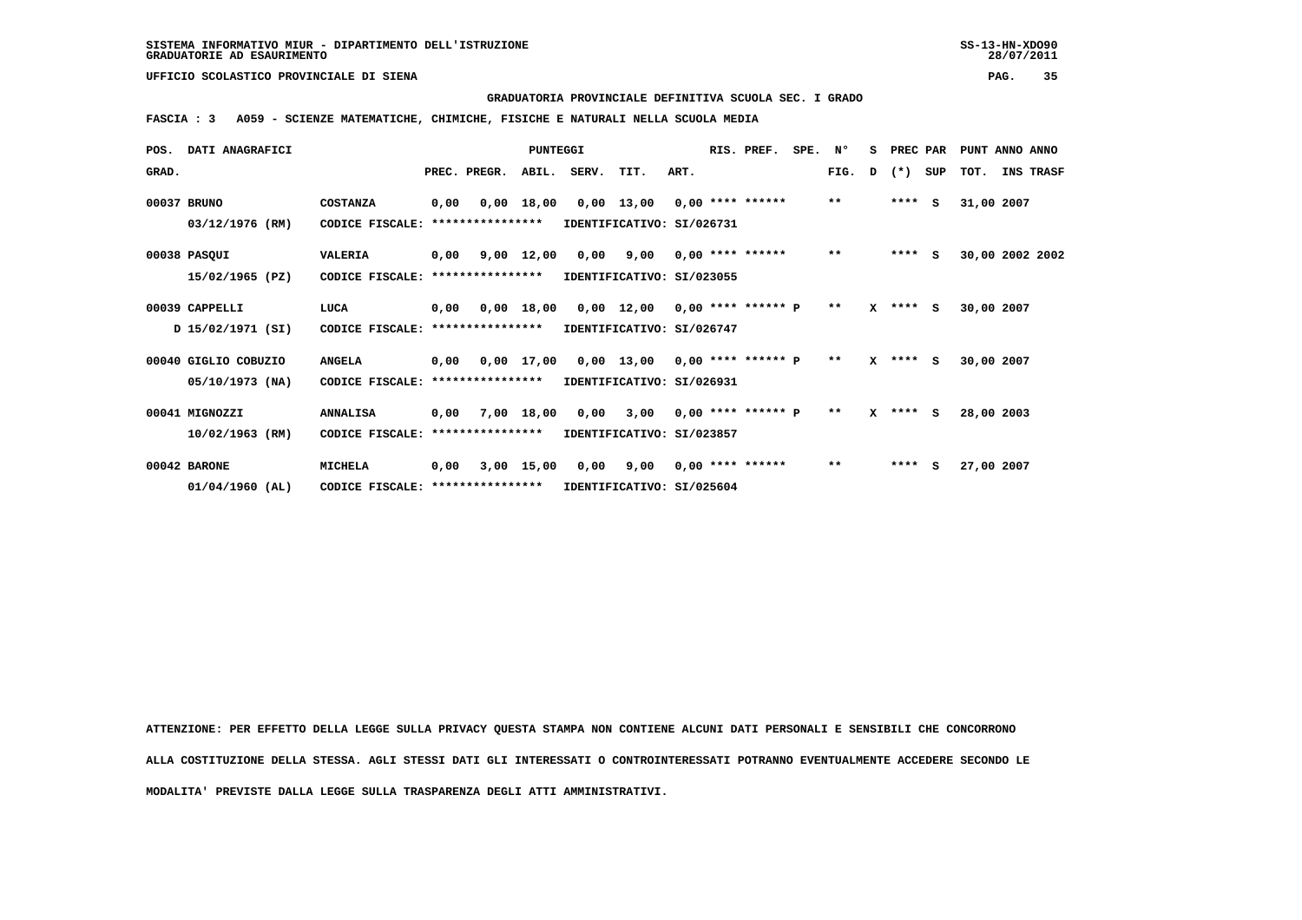**GRADUATORIA PROVINCIALE DEFINITIVA SCUOLA SEC. I GRADO**

 **FASCIA : 3 A059 - SCIENZE MATEMATICHE, CHIMICHE, FISICHE E NATURALI NELLA SCUOLA MEDIA**

| POS.  | <b>DATI ANAGRAFICI</b> |                                  |      |              | PUNTEGGI     |       |                               |      | RIS. PREF.              | SPE. | N°    | s | PREC PAR     |     | PUNT ANNO ANNO  |           |
|-------|------------------------|----------------------------------|------|--------------|--------------|-------|-------------------------------|------|-------------------------|------|-------|---|--------------|-----|-----------------|-----------|
| GRAD. |                        |                                  |      | PREC. PREGR. | ABIL.        | SERV. | TIT.                          | ART. |                         |      | FIG.  | D | $(*)$        | SUP | TOT.            | INS TRASF |
|       | 00037 BRUNO            | <b>COSTANZA</b>                  | 0,00 |              | 0,00 18,00   |       | $0,00$ 13,00 0,00 **** ****** |      |                         |      | $**$  |   | ****         | s   | 31,00 2007      |           |
|       | 03/12/1976 (RM)        | CODICE FISCALE: **************** |      |              |              |       | IDENTIFICATIVO: SI/026731     |      |                         |      |       |   |              |     |                 |           |
|       | 00038 PASQUI           | <b>VALERIA</b>                   | 0,00 |              | 9,00 12,00   | 0,00  |                               |      | $9,00$ 0,00 **** ****** |      | $***$ |   | $***$ S      |     | 30,00 2002 2002 |           |
|       | 15/02/1965 (PZ)        | CODICE FISCALE: **************** |      |              |              |       | IDENTIFICATIVO: SI/023055     |      |                         |      |       |   |              |     |                 |           |
|       | 00039 CAPPELLI         | LUCA                             | 0,00 |              | 0,00 18,00   |       | 0,00 12,00 0,00 **** ****** P |      |                         |      | $* *$ |   | $X$ **** $S$ |     | 30,00 2007      |           |
|       | D 15/02/1971 (SI)      | CODICE FISCALE: **************** |      |              |              |       | IDENTIFICATIVO: SI/026747     |      |                         |      |       |   |              |     |                 |           |
|       | 00040 GIGLIO COBUZIO   | <b>ANGELA</b>                    | 0,00 |              | $0.00$ 17.00 |       | 0,00 13,00 0,00 **** ****** P |      |                         |      | $* *$ |   | $X$ **** S   |     | 30,00 2007      |           |
|       | 05/10/1973 (NA)        | CODICE FISCALE: **************** |      |              |              |       | IDENTIFICATIVO: SI/026931     |      |                         |      |       |   |              |     |                 |           |
|       | 00041 MIGNOZZI         | <b>ANNALISA</b>                  | 0,00 |              | 7,00 18,00   |       | 0,00 3,00 0,00 **** ****** P  |      |                         |      | $* *$ |   | $X$ **** $S$ |     | 28,00 2003      |           |
|       | 10/02/1963 (RM)        | CODICE FISCALE: **************** |      |              |              |       | IDENTIFICATIVO: SI/023857     |      |                         |      |       |   |              |     |                 |           |
|       | 00042 BARONE           | <b>MICHELA</b>                   | 0,00 |              | 3,00 15,00   | 0,00  |                               |      | $9,00$ 0,00 **** ****** |      | $**$  |   | $***$ S      |     | 27,00 2007      |           |
|       | $01/04/1960$ (AL)      | CODICE FISCALE: **************** |      |              |              |       | IDENTIFICATIVO: SI/025604     |      |                         |      |       |   |              |     |                 |           |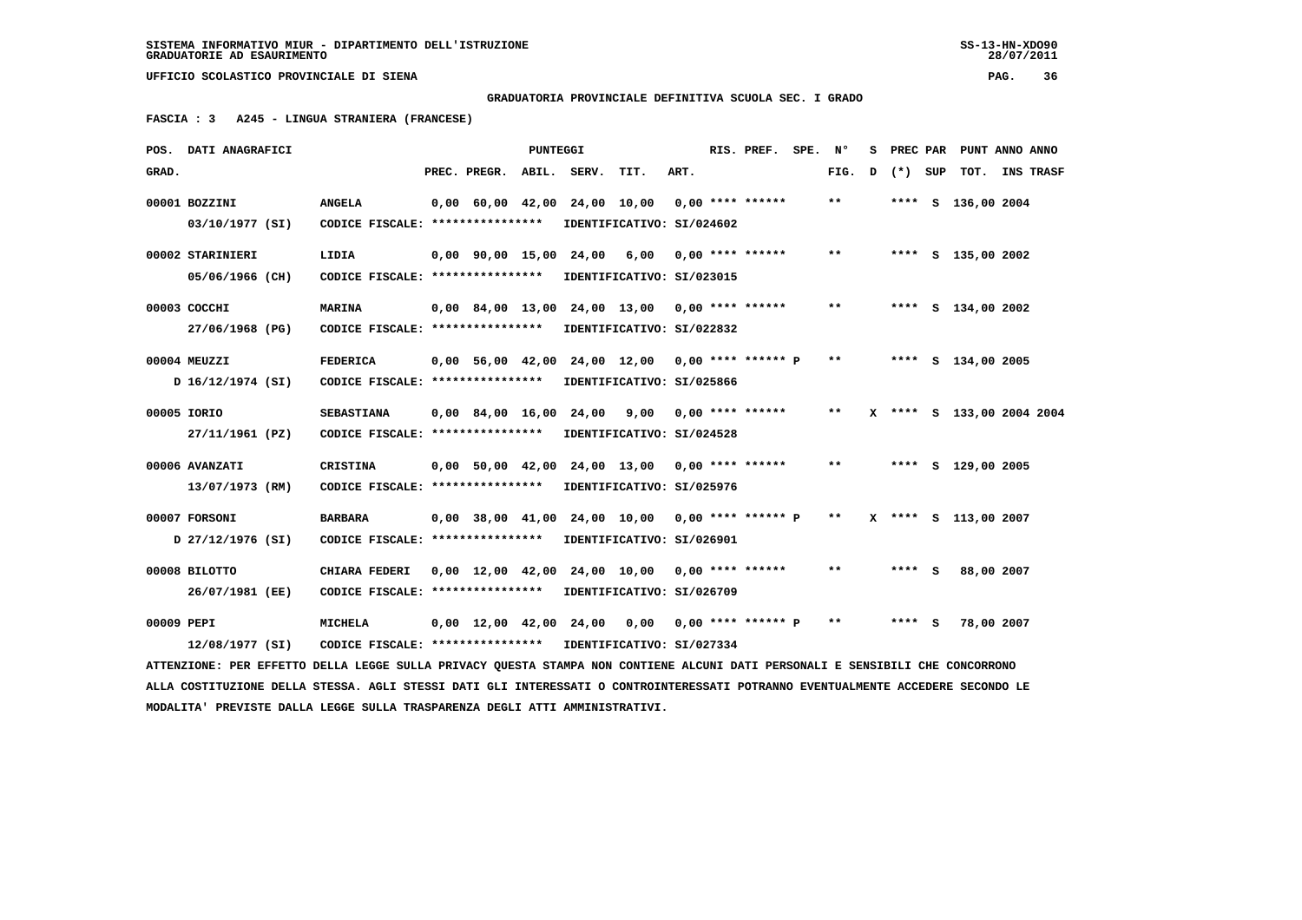**GRADUATORIA PROVINCIALE DEFINITIVA SCUOLA SEC. I GRADO**

 **FASCIA : 3 A245 - LINGUA STRANIERA (FRANCESE)**

|             | POS. DATI ANAGRAFICI                                                                                                            |                                   |                                            | PUNTEGGI |                        |                                                 |      | RIS. PREF. SPE.    | Ν°    | s |        |     | PREC PAR PUNT ANNO ANNO   |                  |
|-------------|---------------------------------------------------------------------------------------------------------------------------------|-----------------------------------|--------------------------------------------|----------|------------------------|-------------------------------------------------|------|--------------------|-------|---|--------|-----|---------------------------|------------------|
| GRAD.       |                                                                                                                                 |                                   | PREC. PREGR.                               |          | ABIL. SERV.            | TIT.                                            | ART. |                    | FIG.  | D | $(* )$ | SUP | тот.                      | <b>INS TRASF</b> |
|             | 00001 BOZZINI                                                                                                                   | <b>ANGELA</b>                     |                                            |          |                        | 0,00 60,00 42,00 24,00 10,00                    |      | $0,00$ **** ****** | $* *$ |   |        |     | **** S 136,00 2004        |                  |
|             | 03/10/1977 (SI)                                                                                                                 | CODICE FISCALE: ****************  |                                            |          |                        | IDENTIFICATIVO: SI/024602                       |      |                    |       |   |        |     |                           |                  |
|             | 00002 STARINIERI                                                                                                                | LIDIA                             | $0.00$ $90.00$ $15.00$ $24.00$             |          |                        | 6,00                                            |      | $0.00$ **** ****** | $**$  |   |        |     | **** S 135,00 2002        |                  |
|             | 05/06/1966 (CH)                                                                                                                 | CODICE FISCALE: ***************** |                                            |          |                        | IDENTIFICATIVO: SI/023015                       |      |                    |       |   |        |     |                           |                  |
|             | 00003 COCCHI                                                                                                                    | <b>MARINA</b>                     |                                            |          |                        | 0,00 84,00 13,00 24,00 13,00 0,00 **** ******   |      |                    | $* *$ |   |        |     | **** S 134,00 2002        |                  |
|             | 27/06/1968 (PG)                                                                                                                 | CODICE FISCALE: ****************  |                                            |          |                        | IDENTIFICATIVO: SI/022832                       |      |                    |       |   |        |     |                           |                  |
|             | 00004 MEUZZI                                                                                                                    | <b>FEDERICA</b>                   | 0,00 56,00 42,00                           |          |                        | 24,00 12,00 0,00 **** ****** P                  |      |                    | $* *$ |   |        |     | **** S 134,00 2005        |                  |
|             | D 16/12/1974 (SI)                                                                                                               | CODICE FISCALE: ****************  |                                            |          |                        | IDENTIFICATIVO: SI/025866                       |      |                    |       |   |        |     |                           |                  |
| 00005 IORIO |                                                                                                                                 | <b>SEBASTIANA</b>                 |                                            |          | 0,00 84,00 16,00 24,00 | 9,00                                            |      | $0.00$ **** ****** | $* *$ |   |        |     | X **** S 133,00 2004 2004 |                  |
|             | 27/11/1961 (PZ)                                                                                                                 | CODICE FISCALE: ****************  |                                            |          |                        | IDENTIFICATIVO: SI/024528                       |      |                    |       |   |        |     |                           |                  |
|             | 00006 AVANZATI                                                                                                                  | <b>CRISTINA</b>                   |                                            |          |                        | $0.00$ 50.00 42.00 24.00 13.00 0.00 **** ****** |      |                    | $***$ |   |        |     | **** S 129,00 2005        |                  |
|             | 13/07/1973 (RM)                                                                                                                 | CODICE FISCALE: ****************  |                                            |          |                        | IDENTIFICATIVO: SI/025976                       |      |                    |       |   |        |     |                           |                  |
|             | 00007 FORSONI                                                                                                                   | <b>BARBARA</b>                    |                                            |          |                        | 0,00 38,00 41,00 24,00 10,00                    |      | 0,00 **** ****** P | $* *$ |   |        |     | X **** S 113,00 2007      |                  |
|             | D 27/12/1976 (SI)                                                                                                               | CODICE FISCALE: ****************  |                                            |          |                        | IDENTIFICATIVO: SI/026901                       |      |                    |       |   |        |     |                           |                  |
|             | 00008 BILOTTO                                                                                                                   | <b>CHIARA FEDERI</b>              |                                            |          |                        | $0,00$ 12,00 42,00 24,00 10,00 0,00 **** ****** |      |                    | **    |   | **** S |     | 88,00 2007                |                  |
|             | 26/07/1981 (EE)                                                                                                                 | CODICE FISCALE: ****************  |                                            |          |                        | IDENTIFICATIVO: SI/026709                       |      |                    |       |   |        |     |                           |                  |
| 00009 PEPI  |                                                                                                                                 | MICHELA                           | $0.00 \quad 12.00 \quad 42.00 \quad 24.00$ |          |                        | 0.00                                            |      | 0,00 **** ****** P | **    |   | **** S |     | 78,00 2007                |                  |
|             | 12/08/1977 (SI)                                                                                                                 | CODICE FISCALE: ***************** |                                            |          |                        | IDENTIFICATIVO: SI/027334                       |      |                    |       |   |        |     |                           |                  |
|             | ATTENZIONE: PER EFFETTO DELLA LEGGE SULLA PRIVACY QUESTA STAMPA NON CONTIENE ALCUNI DATI PERSONALI E SENSIBILI CHE CONCORRONO   |                                   |                                            |          |                        |                                                 |      |                    |       |   |        |     |                           |                  |
|             | ALLA COSTITUZIONE DELLA STESSA. AGLI STESSI DATI GLI INTERESSATI O CONTROINTERESSATI POTRANNO EVENTUALMENTE ACCEDERE SECONDO LE |                                   |                                            |          |                        |                                                 |      |                    |       |   |        |     |                           |                  |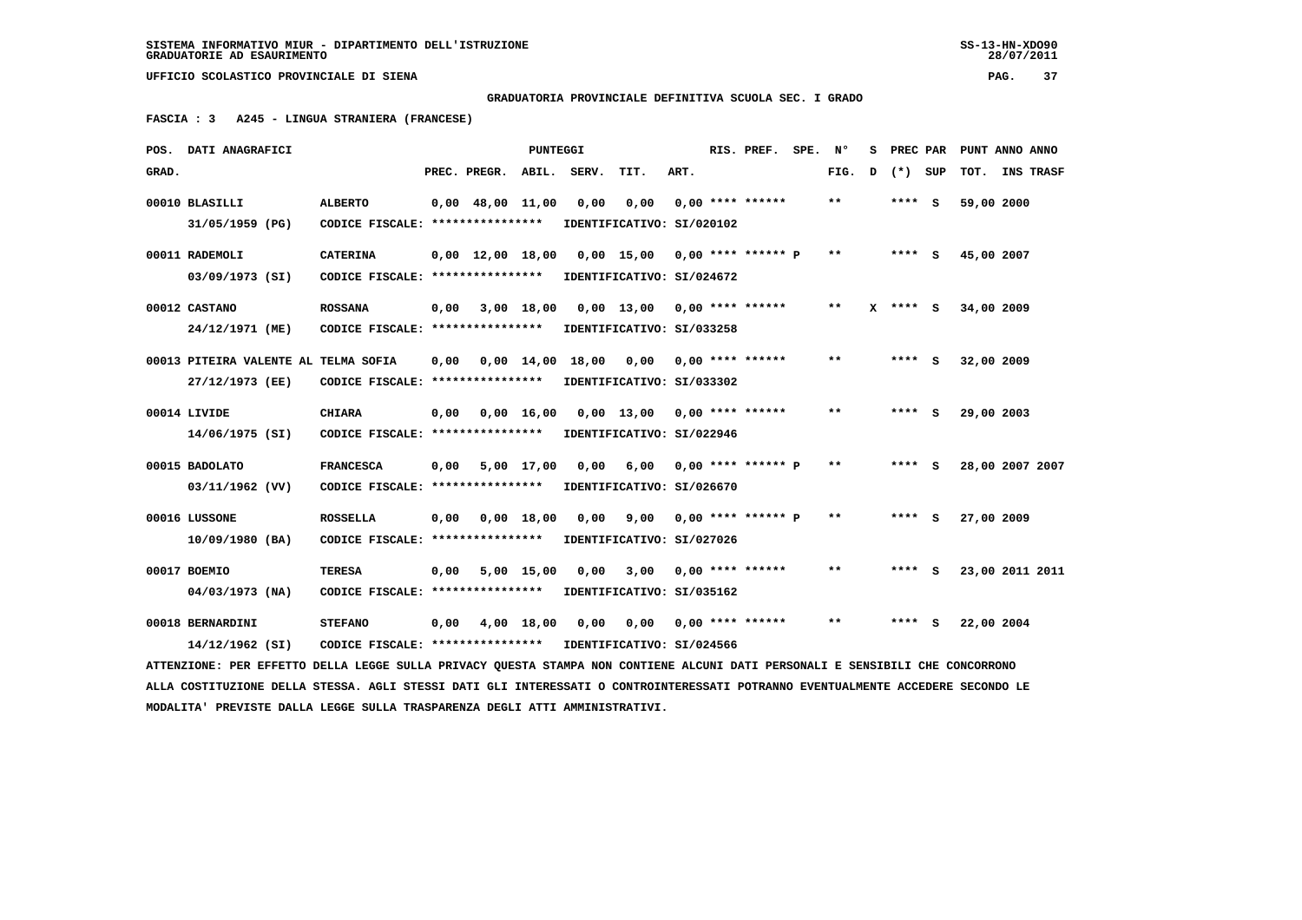## **GRADUATORIA PROVINCIALE DEFINITIVA SCUOLA SEC. I GRADO**

 **FASCIA : 3 A245 - LINGUA STRANIERA (FRANCESE)**

|       | POS. DATI ANAGRAFICI                                                                                                            |                                   |      |                                | <b>PUNTEGGI</b>    |                                          |                                |      | RIS. PREF.                | SPE. | N°    | s |         | PREC PAR PUNT ANNO ANNO |           |
|-------|---------------------------------------------------------------------------------------------------------------------------------|-----------------------------------|------|--------------------------------|--------------------|------------------------------------------|--------------------------------|------|---------------------------|------|-------|---|---------|-------------------------|-----------|
| GRAD. |                                                                                                                                 |                                   |      | PREC. PREGR.                   | ABIL.              | SERV.                                    | TIT.                           | ART. |                           |      | FIG.  | D | (*) SUP | TOT.                    | INS TRASF |
|       | 00010 BLASILLI                                                                                                                  | <b>ALBERTO</b>                    |      | $0,00$ 48,00 11,00             |                    | 0,00                                     | 0,00                           |      | $0.00$ **** ******        |      | **    |   | **** S  | 59,00 2000              |           |
|       | 31/05/1959 (PG)                                                                                                                 | CODICE FISCALE: ***************** |      |                                |                    |                                          | IDENTIFICATIVO: SI/020102      |      |                           |      |       |   |         |                         |           |
|       | 00011 RADEMOLI                                                                                                                  | <b>CATERINA</b>                   |      | $0.00 \quad 12.00 \quad 18.00$ |                    |                                          | 0,00 15,00 0,00 **** ****** P  |      |                           |      | $***$ |   | $***$ S | 45,00 2007              |           |
|       | 03/09/1973 (SI)                                                                                                                 | CODICE FISCALE: ****************  |      |                                |                    |                                          | IDENTIFICATIVO: SI/024672      |      |                           |      |       |   |         |                         |           |
|       | 00012 CASTANO                                                                                                                   | <b>ROSSANA</b>                    | 0,00 |                                | 3,00 18,00         |                                          | 0,00 13,00 0,00 **** ******    |      |                           |      | $**$  |   | **** S  | 34,00 2009              |           |
|       | 24/12/1971 (ME)                                                                                                                 | CODICE FISCALE: ***************** |      |                                |                    |                                          | IDENTIFICATIVO: SI/033258      |      |                           |      |       |   |         |                         |           |
|       | 00013 PITEIRA VALENTE AL TELMA SOFIA                                                                                            |                                   | 0,00 |                                |                    | $0,00$ 14,00 18,00 0,00 0,00 **** ****** |                                |      |                           |      | $* *$ |   | $***$ S | 32,00 2009              |           |
|       | 27/12/1973 (EE)                                                                                                                 | CODICE FISCALE: ****************  |      |                                |                    |                                          | IDENTIFICATIVO: SI/033302      |      |                           |      |       |   |         |                         |           |
|       | 00014 LIVIDE                                                                                                                    | <b>CHIARA</b>                     | 0,00 |                                | $0,00 \quad 16,00$ |                                          | 0,00 13,00 0,00 **** ******    |      |                           |      | $**$  |   | $***$ S | 29,00 2003              |           |
|       | 14/06/1975 (SI)                                                                                                                 | CODICE FISCALE: ****************  |      |                                |                    |                                          | IDENTIFICATIVO: SI/022946      |      |                           |      |       |   |         |                         |           |
|       | 00015 BADOLATO                                                                                                                  | <b>FRANCESCA</b>                  | 0,00 |                                | 5,00 17,00         |                                          | $0,00$ 6,00 0,00 **** ****** P |      |                           |      | $***$ |   | **** S  | 28,00 2007 2007         |           |
|       | 03/11/1962 (VV)                                                                                                                 | CODICE FISCALE: ****************  |      |                                |                    |                                          | IDENTIFICATIVO: SI/026670      |      |                           |      |       |   |         |                         |           |
|       | 00016 LUSSONE                                                                                                                   | <b>ROSSELLA</b>                   | 0,00 |                                | $0,00$ 18,00       | 0,00                                     |                                |      | $9,00$ 0,00 **** ****** P |      | $* *$ |   | $***$ S | 27,00 2009              |           |
|       | 10/09/1980 (BA)                                                                                                                 | CODICE FISCALE: ****************  |      |                                |                    |                                          | IDENTIFICATIVO: SI/027026      |      |                           |      |       |   |         |                         |           |
|       | 00017 BOEMIO                                                                                                                    | <b>TERESA</b>                     | 0,00 |                                | 5,00 15,00         | 0.00                                     | 3,00                           |      | $0.00$ **** ******        |      | $* *$ |   | **** S  | 23,00 2011 2011         |           |
|       | $04/03/1973$ (NA)                                                                                                               | CODICE FISCALE: ****************  |      |                                |                    |                                          | IDENTIFICATIVO: SI/035162      |      |                           |      |       |   |         |                         |           |
|       | 00018 BERNARDINI                                                                                                                | <b>STEFANO</b>                    | 0,00 |                                | 4,00 18,00         | 0,00                                     | 0,00                           |      | $0,00$ **** ******        |      | $* *$ |   | $***$ S | 22,00 2004              |           |
|       | 14/12/1962 (SI)                                                                                                                 | CODICE FISCALE: ****************  |      |                                |                    |                                          | IDENTIFICATIVO: SI/024566      |      |                           |      |       |   |         |                         |           |
|       | ATTENZIONE: PER EFFETTO DELLA LEGGE SULLA PRIVACY OUESTA STAMPA NON CONTIENE ALCUNI DATI PERSONALI E SENSIBILI CHE CONCORRONO   |                                   |      |                                |                    |                                          |                                |      |                           |      |       |   |         |                         |           |
|       | ALLA COSTITUZIONE DELLA STESSA. AGLI STESSI DATI GLI INTERESSATI O CONTROINTERESSATI POTRANNO EVENTUALMENTE ACCEDERE SECONDO LE |                                   |      |                                |                    |                                          |                                |      |                           |      |       |   |         |                         |           |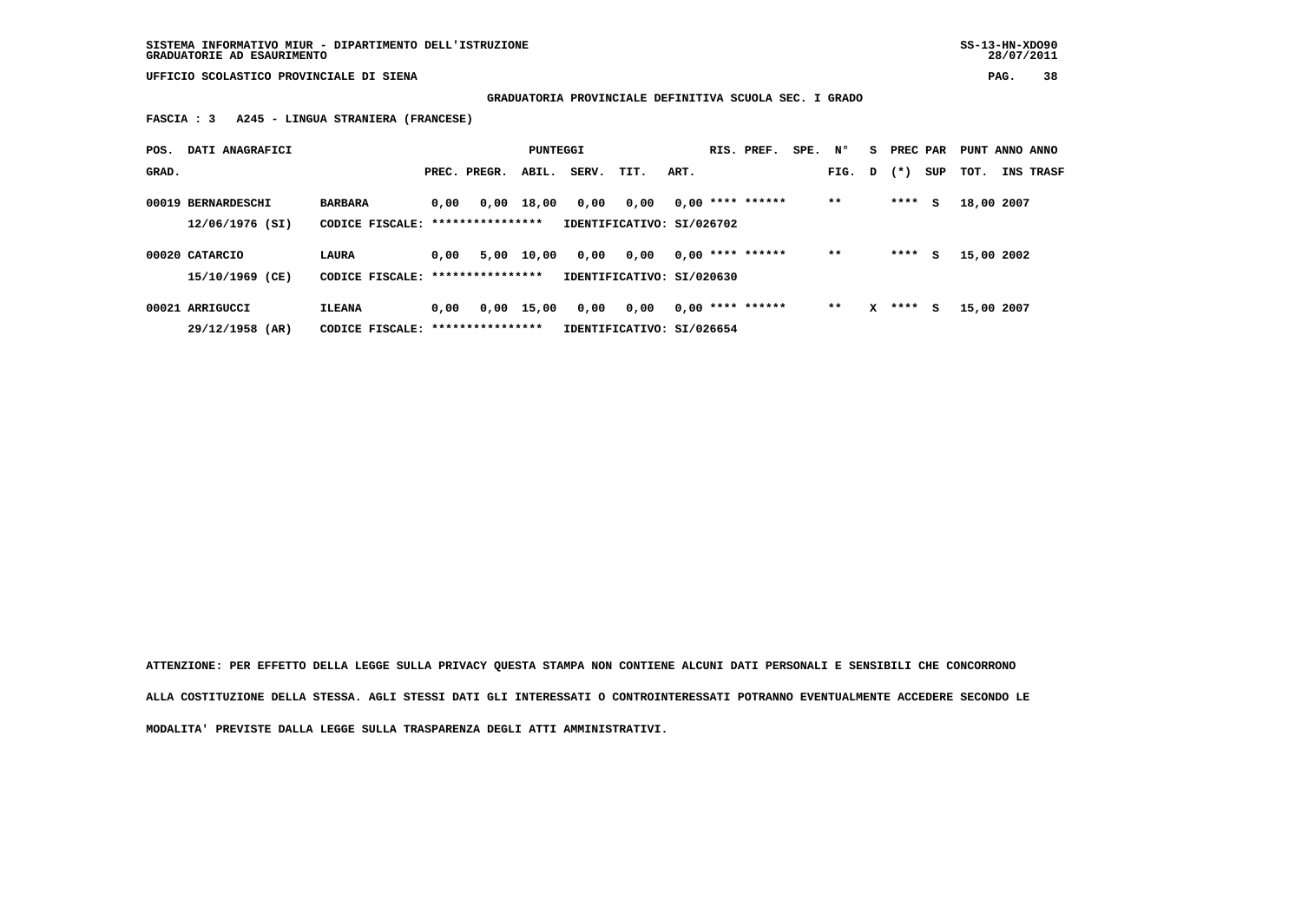**SISTEMA INFORMATIVO MIUR - DIPARTIMENTO DELL'ISTRUZIONE SS-13-HN-XDO90 GRADUATORIE AD ESAURIMENTO 28/07/2011**

 **UFFICIO SCOLASTICO PROVINCIALE DI SIENA PAG. 38**

 **GRADUATORIA PROVINCIALE DEFINITIVA SCUOLA SEC. I GRADO**

 **FASCIA : 3 A245 - LINGUA STRANIERA (FRANCESE)**

| POS.  | DATI ANAGRAFICI                       |                                            |      |                          | PUNTEGGI |       |                                   |      | RIS. PREF.         | SPE. N° |       | s | PREC PAR |     | PUNT ANNO ANNO |                  |
|-------|---------------------------------------|--------------------------------------------|------|--------------------------|----------|-------|-----------------------------------|------|--------------------|---------|-------|---|----------|-----|----------------|------------------|
| GRAD. |                                       |                                            |      | PREC. PREGR.             | ABIL.    | SERV. | TIT.                              | ART. |                    |         | FIG.  | D | $(* )$   | SUP | тот.           | <b>INS TRASF</b> |
|       | 00019 BERNARDESCHI<br>12/06/1976 (SI) | <b>BARBARA</b><br>CODICE FISCALE:          | 0,00 | 0,00<br>**************** | 18,00    | 0,00  | 0,00<br>IDENTIFICATIVO: SI/026702 |      | $0.00$ **** ****** |         | $* *$ |   | ****     | s   | 18,00 2007     |                  |
|       | 00020 CATARCIO<br>15/10/1969 (CE)     | LAURA<br>CODICE FISCALE: ***************** | 0.00 | 5,00                     | 10,00    | 0,00  | 0.00<br>IDENTIFICATIVO: SI/020630 |      | $0.00$ **** ****** |         | $* *$ |   | ****     | s   | 15,00 2002     |                  |
|       | 00021 ARRIGUCCI<br>29/12/1958 (AR)    | <b>ILEANA</b><br>CODICE FISCALE:           | 0.00 | 0,00<br>**************** | 15,00    | 0,00  | 0.00<br>IDENTIFICATIVO: SI/026654 |      | $0.00$ **** ****** |         | $**$  | x | ****     | s   | 15,00 2007     |                  |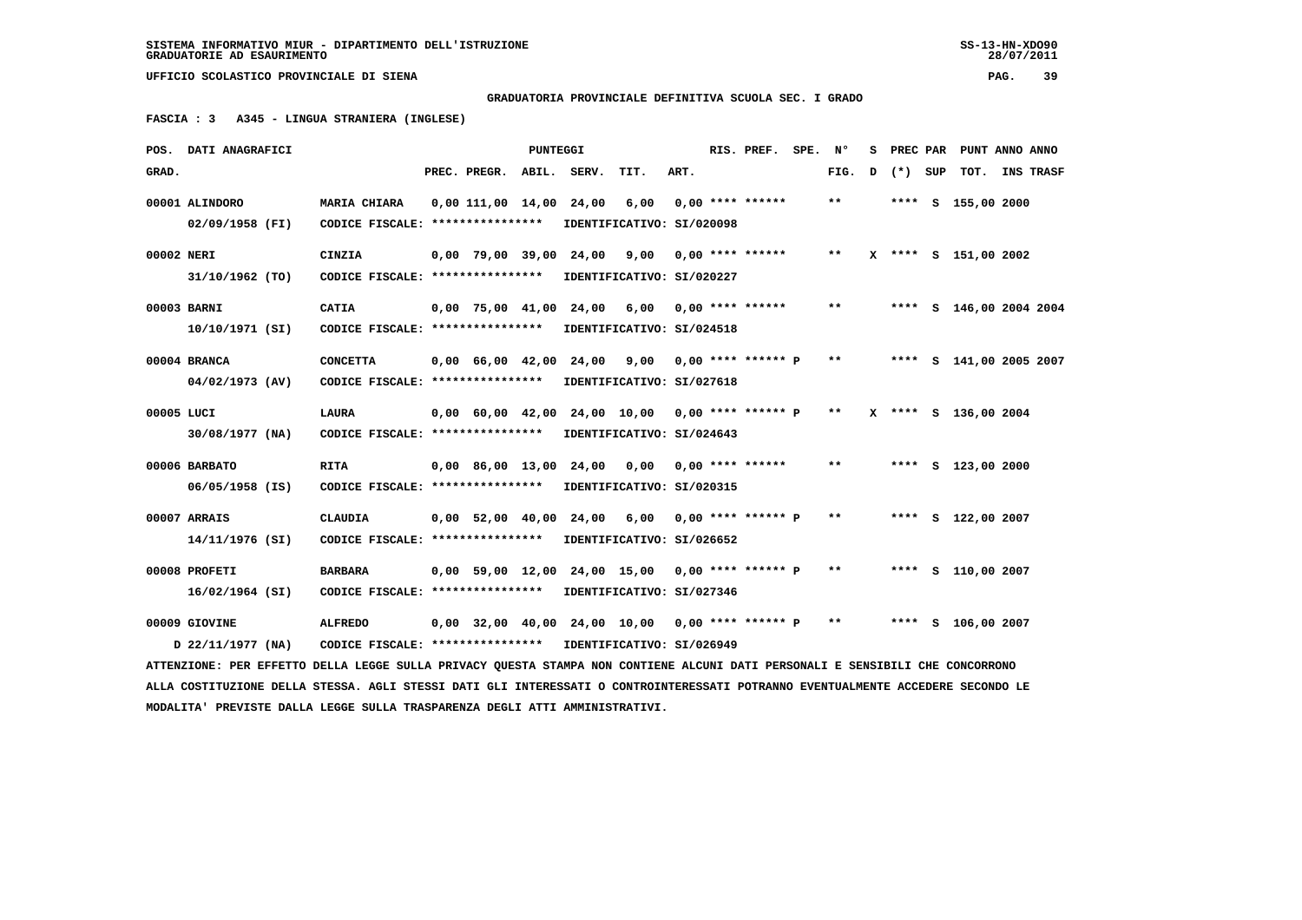28/07/2011

 **UFFICIO SCOLASTICO PROVINCIALE DI SIENA PAG. 39**

 **GRADUATORIA PROVINCIALE DEFINITIVA SCUOLA SEC. I GRADO**

 **FASCIA : 3 A345 - LINGUA STRANIERA (INGLESE)**

|                                                                                                                               | POS. DATI ANAGRAFICI                                                                                                            |                                                            |  |                        | PUNTEGGI |                        |                                                      |      |  | RIS. PREF.         | SPE. | Ν°    | s |         | PREC PAR PUNT ANNO ANNO |           |
|-------------------------------------------------------------------------------------------------------------------------------|---------------------------------------------------------------------------------------------------------------------------------|------------------------------------------------------------|--|------------------------|----------|------------------------|------------------------------------------------------|------|--|--------------------|------|-------|---|---------|-------------------------|-----------|
| GRAD.                                                                                                                         |                                                                                                                                 |                                                            |  | PREC. PREGR.           | ABIL.    | SERV.                  | TIT.                                                 | ART. |  |                    |      | FIG.  | D | (*) SUP | тот.                    | INS TRASF |
|                                                                                                                               | 00001 ALINDORO                                                                                                                  | MARIA CHIARA                                               |  |                        |          |                        | 0,00 111,00 14,00 24,00 6,00                         |      |  | $0.00$ **** ****** |      | $***$ |   |         | **** S 155,00 2000      |           |
|                                                                                                                               | 02/09/1958 (FI)                                                                                                                 | CODICE FISCALE: ****************                           |  |                        |          |                        | IDENTIFICATIVO: SI/020098                            |      |  |                    |      |       |   |         |                         |           |
| 00002 NERI                                                                                                                    |                                                                                                                                 | CINZIA                                                     |  | 0,00 79,00 39,00 24,00 |          |                        | 9,00                                                 |      |  | $0,00$ **** ****** |      | $***$ |   |         | X **** S 151,00 2002    |           |
|                                                                                                                               | 31/10/1962 (TO)                                                                                                                 | CODICE FISCALE: ****************                           |  |                        |          |                        | IDENTIFICATIVO: SI/020227                            |      |  |                    |      |       |   |         |                         |           |
|                                                                                                                               | 00003 BARNI                                                                                                                     | <b>CATIA</b>                                               |  |                        |          |                        | 0,00 75,00 41,00 24,00 6,00                          |      |  | $0.00$ **** ****** |      | **    |   |         | **** S 146,00 2004 2004 |           |
|                                                                                                                               | 10/10/1971 (SI)                                                                                                                 | CODICE FISCALE: ****************                           |  |                        |          |                        | IDENTIFICATIVO: SI/024518                            |      |  |                    |      |       |   |         |                         |           |
|                                                                                                                               | 00004 BRANCA                                                                                                                    | <b>CONCETTA</b>                                            |  |                        |          | 0,00 66,00 42,00 24,00 | 9,00                                                 |      |  | 0,00 **** ****** P |      | $***$ |   |         | **** S 141,00 2005 2007 |           |
|                                                                                                                               | 04/02/1973 (AV)                                                                                                                 | CODICE FISCALE: ****************                           |  |                        |          |                        | IDENTIFICATIVO: SI/027618                            |      |  |                    |      |       |   |         |                         |           |
| 00005 LUCI                                                                                                                    |                                                                                                                                 | <b>LAURA</b>                                               |  |                        |          |                        | $0,00$ 60,00 42,00 24,00 10,00 0,00 **** ****** P ** |      |  |                    |      |       |   |         | X **** S 136,00 2004    |           |
|                                                                                                                               | 30/08/1977 (NA)                                                                                                                 | CODICE FISCALE: ****************                           |  |                        |          |                        | IDENTIFICATIVO: SI/024643                            |      |  |                    |      |       |   |         |                         |           |
|                                                                                                                               | 00006 BARBATO                                                                                                                   | <b>RITA</b>                                                |  |                        |          | 0,00 86,00 13,00 24,00 | 0,00                                                 |      |  | 0,00 **** ******   |      | **    |   |         | **** $S$ 123,00 2000    |           |
|                                                                                                                               | $06/05/1958$ (IS)                                                                                                               | CODICE FISCALE: *****************                          |  |                        |          |                        | IDENTIFICATIVO: SI/020315                            |      |  |                    |      |       |   |         |                         |           |
|                                                                                                                               | 00007 ARRAIS                                                                                                                    | <b>CLAUDIA</b>                                             |  |                        |          |                        | $0,00$ 52,00 40,00 24,00 6,00 0,00 **** ****** P     |      |  |                    |      | $***$ |   |         | **** S 122,00 2007      |           |
|                                                                                                                               | 14/11/1976 (SI)                                                                                                                 | CODICE FISCALE: *****************                          |  |                        |          |                        | IDENTIFICATIVO: SI/026652                            |      |  |                    |      |       |   |         |                         |           |
|                                                                                                                               | 00008 PROFETI                                                                                                                   | <b>BARBARA</b>                                             |  |                        |          |                        | $0,00$ 59,00 12,00 24,00 15,00 0,00 **** ****** P    |      |  |                    |      | $***$ |   |         | **** S 110,00 2007      |           |
|                                                                                                                               | 16/02/1964 (SI)                                                                                                                 | CODICE FISCALE: *****************                          |  |                        |          |                        | IDENTIFICATIVO: SI/027346                            |      |  |                    |      |       |   |         |                         |           |
|                                                                                                                               | 00009 GIOVINE                                                                                                                   | <b>ALFREDO</b>                                             |  |                        |          |                        | 0,00 32,00 40,00 24,00 10,00 0,00 **** ****** P      |      |  |                    |      | $* *$ |   |         | **** S 106,00 2007      |           |
|                                                                                                                               | D 22/11/1977 (NA)                                                                                                               | CODICE FISCALE: **************** IDENTIFICATIVO: SI/026949 |  |                        |          |                        |                                                      |      |  |                    |      |       |   |         |                         |           |
| ATTENZIONE: PER EFFETTO DELLA LEGGE SULLA PRIVACY QUESTA STAMPA NON CONTIENE ALCUNI DATI PERSONALI E SENSIBILI CHE CONCORRONO |                                                                                                                                 |                                                            |  |                        |          |                        |                                                      |      |  |                    |      |       |   |         |                         |           |
|                                                                                                                               | ALLA COSTITUZIONE DELLA STESSA. AGLI STESSI DATI GLI INTERESSATI O CONTROINTERESSATI POTRANNO EVENTUALMENTE ACCEDERE SECONDO LE |                                                            |  |                        |          |                        |                                                      |      |  |                    |      |       |   |         |                         |           |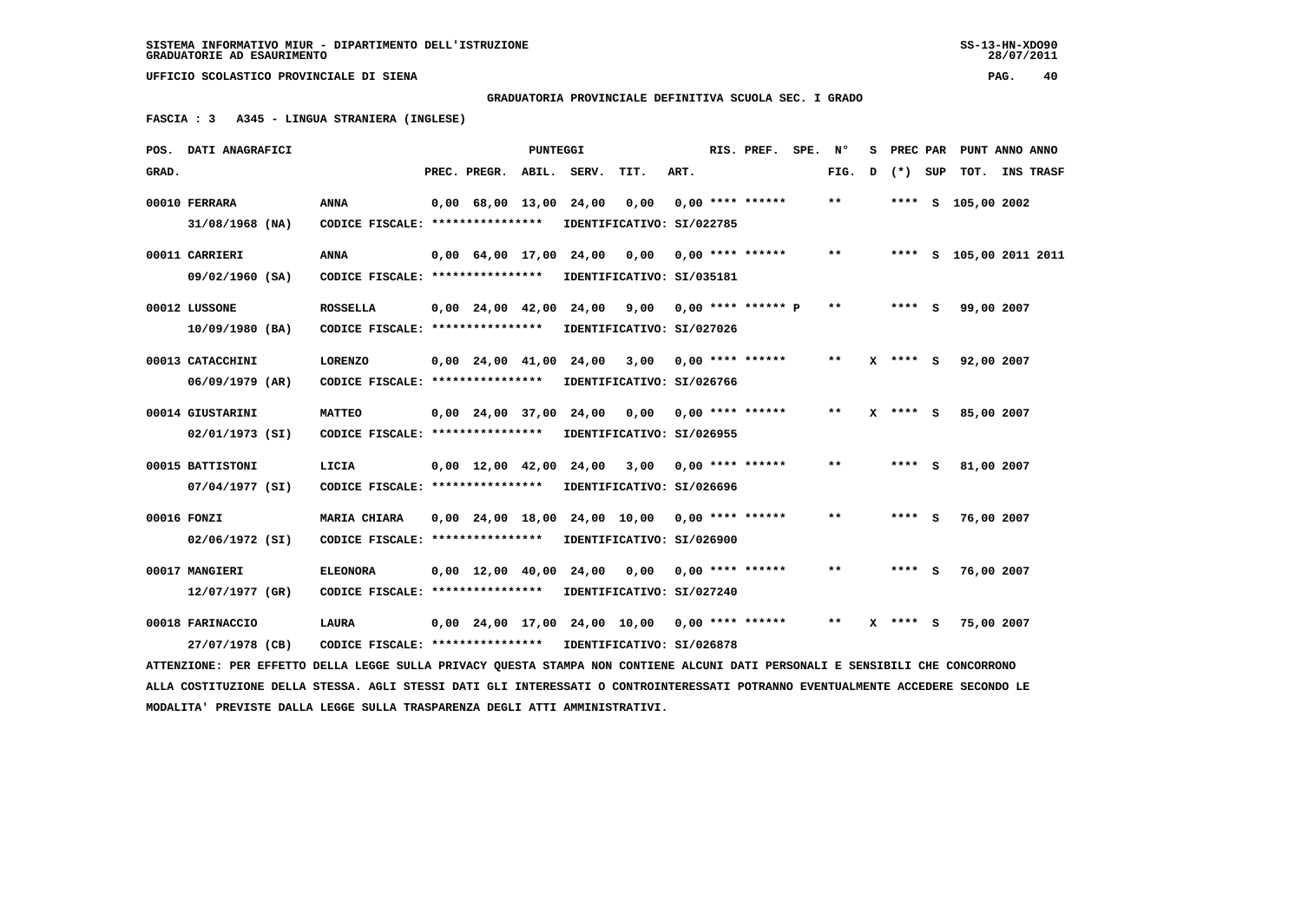**GRADUATORIA PROVINCIALE DEFINITIVA SCUOLA SEC. I GRADO**

 **FASCIA : 3 A345 - LINGUA STRANIERA (INGLESE)**

| POS. DATI ANAGRAFICI                                                                                                                                                                           |                                   |  |                                            | PUNTEGGI |                                                 |                           |      |  | RIS. PREF.                | SPE. | Ν°                         | s | PREC PAR     |     | PUNT ANNO ANNO          |  |                  |
|------------------------------------------------------------------------------------------------------------------------------------------------------------------------------------------------|-----------------------------------|--|--------------------------------------------|----------|-------------------------------------------------|---------------------------|------|--|---------------------------|------|----------------------------|---|--------------|-----|-------------------------|--|------------------|
| GRAD.                                                                                                                                                                                          |                                   |  | PREC. PREGR. ABIL. SERV.                   |          |                                                 | TIT.                      | ART. |  |                           |      | FIG.                       | D | $(*)$        | SUP | TOT.                    |  | <b>INS TRASF</b> |
| 00010 FERRARA                                                                                                                                                                                  | <b>ANNA</b>                       |  | $0,00$ 68,00 13,00 24,00                   |          |                                                 | 0,00                      |      |  | $0.00$ **** ******        |      | $**$                       |   |              |     | **** S 105,00 2002      |  |                  |
| $31/08/1968$ (NA)                                                                                                                                                                              | CODICE FISCALE: ****************  |  |                                            |          |                                                 | IDENTIFICATIVO: SI/022785 |      |  |                           |      |                            |   |              |     |                         |  |                  |
| 00011 CARRIERI                                                                                                                                                                                 | ANNA                              |  | $0.00 \quad 64.00 \quad 17.00 \quad 24.00$ |          |                                                 | 0,00                      |      |  | $0.00$ **** ******        |      | $***$                      |   |              |     | **** S 105,00 2011 2011 |  |                  |
| 09/02/1960 (SA)                                                                                                                                                                                | CODICE FISCALE: ****************  |  |                                            |          |                                                 | IDENTIFICATIVO: SI/035181 |      |  |                           |      |                            |   |              |     |                         |  |                  |
| 00012 LUSSONE                                                                                                                                                                                  | <b>ROSSELLA</b>                   |  |                                            |          | 0,00 24,00 42,00 24,00                          |                           |      |  | $9,00$ 0,00 **** ****** P |      | $* *$                      |   | $***$ S      |     | 99,00 2007              |  |                  |
| $10/09/1980$ (BA)                                                                                                                                                                              | CODICE FISCALE: ***************** |  |                                            |          |                                                 | IDENTIFICATIVO: SI/027026 |      |  |                           |      |                            |   |              |     |                         |  |                  |
| 00013 CATACCHINI                                                                                                                                                                               | <b>LORENZO</b>                    |  | $0,00$ $24,00$ $41,00$                     |          |                                                 | 24,00 3,00                |      |  | $0.00$ **** ******        |      | **                         |   | X **** S     |     | 92,00 2007              |  |                  |
| 06/09/1979 (AR)                                                                                                                                                                                | CODICE FISCALE: ****************  |  |                                            |          |                                                 | IDENTIFICATIVO: SI/026766 |      |  |                           |      |                            |   |              |     |                         |  |                  |
| 00014 GIUSTARINI                                                                                                                                                                               | <b>MATTEO</b>                     |  | $0,00$ 24,00 37,00                         |          | 24,00                                           | 0,00                      |      |  | $0,00$ **** ******        |      | $\pmb{\times}\pmb{\times}$ |   | $X$ **** S   |     | 85,00 2007              |  |                  |
| 02/01/1973 (SI)                                                                                                                                                                                | CODICE FISCALE: ***************** |  |                                            |          |                                                 | IDENTIFICATIVO: SI/026955 |      |  |                           |      |                            |   |              |     |                         |  |                  |
| 00015 BATTISTONI                                                                                                                                                                               | LICIA                             |  |                                            |          | $0.00$ 12.00 42.00 24.00 3.00 0.00 **** ******  |                           |      |  |                           |      | **                         |   | **** S       |     | 81,00 2007              |  |                  |
| 07/04/1977 (SI)                                                                                                                                                                                | CODICE FISCALE: ****************  |  |                                            |          |                                                 | IDENTIFICATIVO: SI/026696 |      |  |                           |      |                            |   |              |     |                         |  |                  |
| 00016 FONZI                                                                                                                                                                                    | MARIA CHIARA                      |  |                                            |          | $0,00$ 24,00 18,00 24,00 10,00 0,00 **** ****** |                           |      |  |                           |      | $* *$                      |   | **** S       |     | 76,00 2007              |  |                  |
| 02/06/1972 (SI)                                                                                                                                                                                | CODICE FISCALE: ****************  |  |                                            |          |                                                 | IDENTIFICATIVO: SI/026900 |      |  |                           |      |                            |   |              |     |                         |  |                  |
| 00017 MANGIERI                                                                                                                                                                                 | <b>ELEONORA</b>                   |  |                                            |          | 0,00 12,00 40,00 24,00                          | 0,00                      |      |  | $0.00$ **** ******        |      | $* *$                      |   | **** S       |     | 76,00 2007              |  |                  |
| 12/07/1977 (GR)                                                                                                                                                                                | CODICE FISCALE: ****************  |  |                                            |          |                                                 | IDENTIFICATIVO: SI/027240 |      |  |                           |      |                            |   |              |     |                         |  |                  |
| 00018 FARINACCIO                                                                                                                                                                               | <b>LAURA</b>                      |  |                                            |          | $0,00$ 24,00 17,00 24,00 10,00 0,00 **** ****** |                           |      |  |                           |      | $* *$                      |   | $X$ **** $S$ |     | 75,00 2007              |  |                  |
| 27/07/1978 (CB)                                                                                                                                                                                |                                   |  |                                            |          |                                                 |                           |      |  |                           |      |                            |   |              |     |                         |  |                  |
| CODICE FISCALE: ****************<br>IDENTIFICATIVO: SI/026878<br>ATTENZIONE: PER EFFETTO DELLA LEGGE SULLA PRIVACY QUESTA STAMPA NON CONTIENE ALCUNI DATI PERSONALI E SENSIBILI CHE CONCORRONO |                                   |  |                                            |          |                                                 |                           |      |  |                           |      |                            |   |              |     |                         |  |                  |

 **ALLA COSTITUZIONE DELLA STESSA. AGLI STESSI DATI GLI INTERESSATI O CONTROINTERESSATI POTRANNO EVENTUALMENTE ACCEDERE SECONDO LE MODALITA' PREVISTE DALLA LEGGE SULLA TRASPARENZA DEGLI ATTI AMMINISTRATIVI.**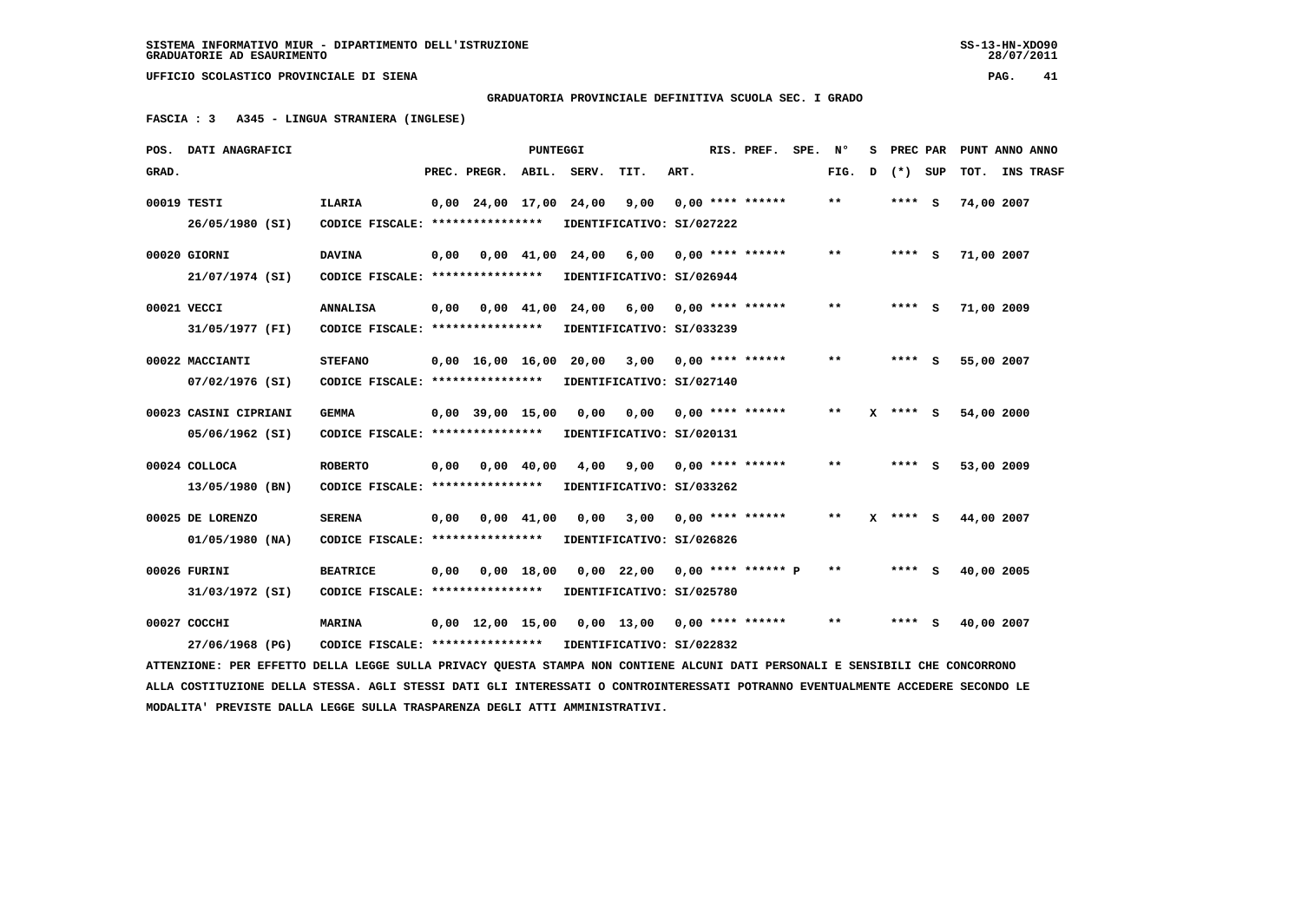28/07/2011

 **UFFICIO SCOLASTICO PROVINCIALE DI SIENA PAG. 41**

 **GRADUATORIA PROVINCIALE DEFINITIVA SCUOLA SEC. I GRADO**

 **FASCIA : 3 A345 - LINGUA STRANIERA (INGLESE)**

|       | POS. DATI ANAGRAFICI                                                                                                            |                                   |      |                        | PUNTEGGI           |                                |                                                |      | RIS. PREF. SPE.         | Ν°    | s |            | PREC PAR PUNT ANNO ANNO |                  |
|-------|---------------------------------------------------------------------------------------------------------------------------------|-----------------------------------|------|------------------------|--------------------|--------------------------------|------------------------------------------------|------|-------------------------|-------|---|------------|-------------------------|------------------|
| GRAD. |                                                                                                                                 |                                   |      | PREC. PREGR.           | ABIL.              | SERV.                          | TIT.                                           | ART. |                         | FIG.  | D | (*) SUP    | TOT.                    | <b>INS TRASF</b> |
|       | 00019 TESTI                                                                                                                     | <b>ILARIA</b>                     |      | 0,00 24,00 17,00 24,00 |                    |                                | 9,00                                           |      | $0,00$ **** ******      | $* *$ |   | **** S     | 74,00 2007              |                  |
|       | 26/05/1980 (SI)                                                                                                                 | CODICE FISCALE: ****************  |      |                        |                    |                                | IDENTIFICATIVO: SI/027222                      |      |                         |       |   |            |                         |                  |
|       | 00020 GIORNI                                                                                                                    | <b>DAVINA</b>                     | 0,00 |                        |                    | $0.00 \quad 41.00 \quad 24.00$ | 6,00                                           |      | $0.00$ **** ******      | $* *$ |   | **** S     | 71,00 2007              |                  |
|       | 21/07/1974 (SI)                                                                                                                 | CODICE FISCALE: ***************** |      |                        |                    |                                | IDENTIFICATIVO: SI/026944                      |      |                         |       |   |            |                         |                  |
|       | 00021 VECCI                                                                                                                     | <b>ANNALISA</b>                   | 0,00 |                        |                    | 0,00 41,00 24,00               | 6,00 0,00 **** ******                          |      |                         | $* *$ |   | **** S     | 71,00 2009              |                  |
|       | 31/05/1977 (FI)                                                                                                                 | CODICE FISCALE: ***************** |      |                        |                    |                                | IDENTIFICATIVO: SI/033239                      |      |                         |       |   |            |                         |                  |
|       | 00022 MACCIANTI                                                                                                                 | <b>STEFANO</b>                    |      | 0,00 16,00 16,00       |                    |                                | 20,00 3,00                                     |      | $0.00$ **** ******      | **    |   | **** S     | 55,00 2007              |                  |
|       | 07/02/1976 (SI)                                                                                                                 | CODICE FISCALE: ***************** |      |                        |                    |                                | IDENTIFICATIVO: SI/027140                      |      |                         |       |   |            |                         |                  |
|       | 00023 CASINI CIPRIANI                                                                                                           | <b>GEMMA</b>                      |      | $0,00$ 39,00 15,00     |                    | 0,00                           |                                                |      | $0,00$ 0,00 **** ****** | **    |   | $X$ **** S | 54,00 2000              |                  |
|       | 05/06/1962 (SI)                                                                                                                 | CODICE FISCALE: ****************  |      |                        |                    |                                | IDENTIFICATIVO: SI/020131                      |      |                         |       |   |            |                         |                  |
|       | 00024 COLLOCA                                                                                                                   | <b>ROBERTO</b>                    | 0,00 |                        | $0,00$ 40,00       | 4,00                           | 9,00                                           |      | $0.00$ **** ******      | **    |   | **** S     | 53,00 2009              |                  |
|       | 13/05/1980 (BN)                                                                                                                 | CODICE FISCALE: ****************  |      |                        |                    |                                | IDENTIFICATIVO: SI/033262                      |      |                         |       |   |            |                         |                  |
|       | 00025 DE LORENZO                                                                                                                | <b>SERENA</b>                     | 0,00 |                        | $0.00 \quad 41.00$ | 0,00                           |                                                |      | $3,00$ 0,00 **** ****** | $* *$ |   | $X$ **** S | 44,00 2007              |                  |
|       | $01/05/1980$ (NA)                                                                                                               | CODICE FISCALE: ****************  |      |                        |                    |                                | IDENTIFICATIVO: SI/026826                      |      |                         |       |   |            |                         |                  |
|       | 00026 FURINI                                                                                                                    | <b>BEATRICE</b>                   | 0,00 |                        | 0.00 18.00         |                                | $0.00$ 22.00                                   |      | 0,00 **** ****** P      | $* *$ |   | **** S     | 40,00 2005              |                  |
|       | 31/03/1972 (SI)                                                                                                                 | CODICE FISCALE: ****************  |      |                        |                    |                                | IDENTIFICATIVO: SI/025780                      |      |                         |       |   |            |                         |                  |
|       | 00027 COCCHI                                                                                                                    | <b>MARINA</b>                     |      |                        |                    |                                | $0,00$ 12,00 15,00 0,00 13,00 0,00 **** ****** |      |                         | $* *$ |   | **** S     | 40,00 2007              |                  |
|       | 27/06/1968 (PG)                                                                                                                 | CODICE FISCALE: ***************** |      |                        |                    |                                | IDENTIFICATIVO: SI/022832                      |      |                         |       |   |            |                         |                  |
|       | ATTENZIONE: PER EFFETTO DELLA LEGGE SULLA PRIVACY QUESTA STAMPA NON CONTIENE ALCUNI DATI PERSONALI E SENSIBILI CHE CONCORRONO   |                                   |      |                        |                    |                                |                                                |      |                         |       |   |            |                         |                  |
|       | ALLA COSTITUZIONE DELLA STESSA. AGLI STESSI DATI GLI INTERESSATI O CONTROINTERESSATI POTRANNO EVENTUALMENTE ACCEDERE SECONDO LE |                                   |      |                        |                    |                                |                                                |      |                         |       |   |            |                         |                  |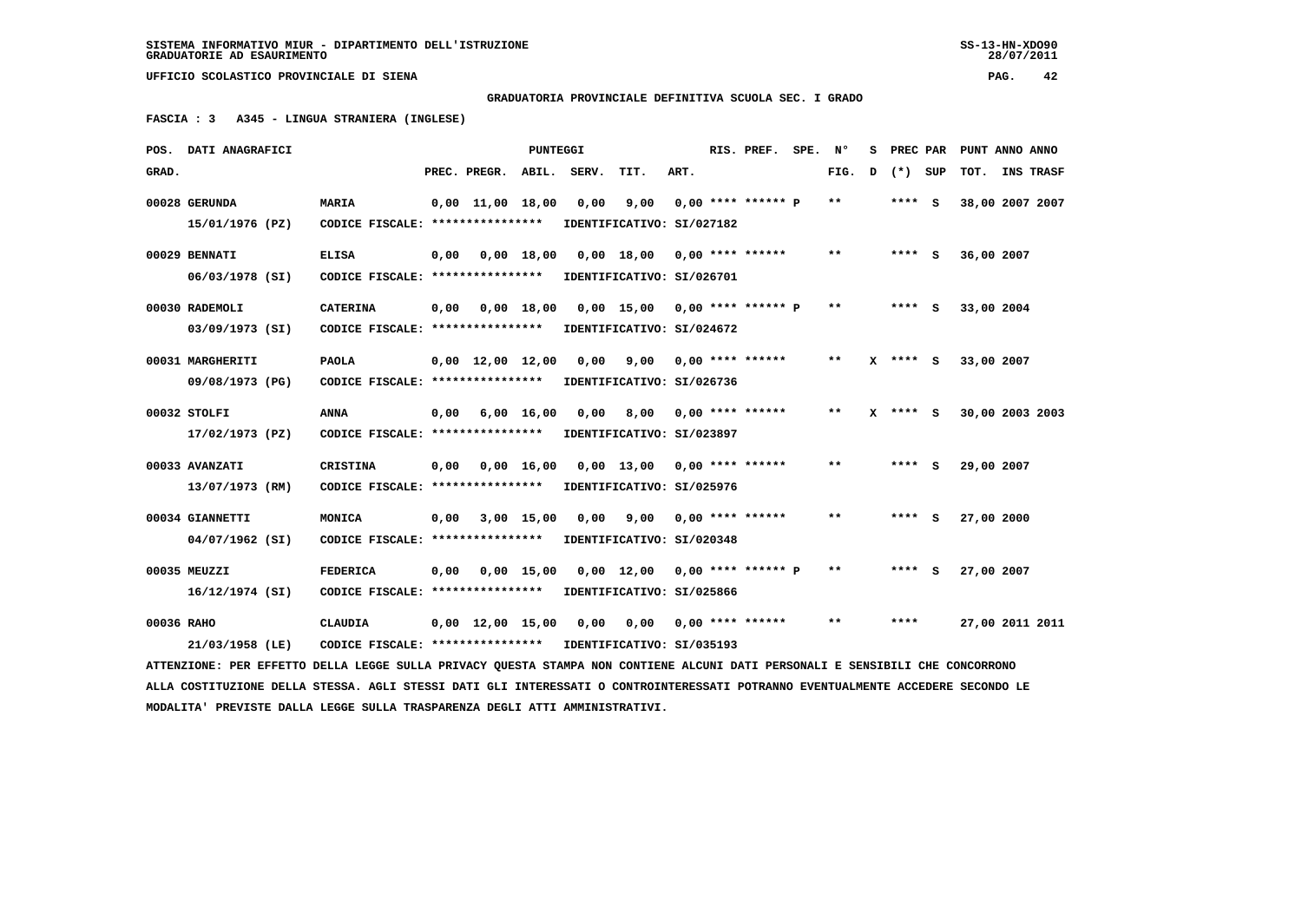**GRADUATORIA PROVINCIALE DEFINITIVA SCUOLA SEC. I GRADO**

 **FASCIA : 3 A345 - LINGUA STRANIERA (INGLESE)**

|                                                                                                                                 | POS. DATI ANAGRAFICI                                                                                                          |                                   |      |                                | <b>PUNTEGGI</b>    |       |                                          |      |  | RIS. PREF.                | SPE. | N°    | s | PREC PAR | PUNT ANNO ANNO  |  |           |
|---------------------------------------------------------------------------------------------------------------------------------|-------------------------------------------------------------------------------------------------------------------------------|-----------------------------------|------|--------------------------------|--------------------|-------|------------------------------------------|------|--|---------------------------|------|-------|---|----------|-----------------|--|-----------|
| GRAD.                                                                                                                           |                                                                                                                               |                                   |      | PREC. PREGR.                   | ABIL.              | SERV. | TIT.                                     | ART. |  |                           |      | FIG.  | D | (*) SUP  | TOT.            |  | INS TRASF |
|                                                                                                                                 | 00028 GERUNDA                                                                                                                 | <b>MARIA</b>                      |      | $0.00$ 11.00 18.00             |                    | 0,00  | 9,00                                     |      |  | $0.00$ **** ****** P      |      | $***$ |   | **** S   | 38,00 2007 2007 |  |           |
|                                                                                                                                 | 15/01/1976 (PZ)                                                                                                               | CODICE FISCALE: ****************  |      |                                |                    |       | IDENTIFICATIVO: SI/027182                |      |  |                           |      |       |   |          |                 |  |           |
|                                                                                                                                 | 00029 BENNATI                                                                                                                 | <b>ELISA</b>                      | 0,00 |                                |                    |       | $0,00$ 18,00 0,00 18,00 0,00 **** ****** |      |  |                           |      | **    |   | $***$ S  | 36,00 2007      |  |           |
|                                                                                                                                 | 06/03/1978 (SI)                                                                                                               | CODICE FISCALE: ***************** |      |                                |                    |       | IDENTIFICATIVO: SI/026701                |      |  |                           |      |       |   |          |                 |  |           |
|                                                                                                                                 | 00030 RADEMOLI                                                                                                                | <b>CATERINA</b>                   | 0,00 |                                | 0,00 18,00         |       | $0.00$ 15.00 0.00 **** ****** P          |      |  |                           |      | $* *$ |   | **** S   | 33,00 2004      |  |           |
|                                                                                                                                 | 03/09/1973 (SI)                                                                                                               | CODICE FISCALE: ****************  |      |                                |                    |       | IDENTIFICATIVO: SI/024672                |      |  |                           |      |       |   |          |                 |  |           |
|                                                                                                                                 | 00031 MARGHERITI                                                                                                              | <b>PAOLA</b>                      |      | $0,00 \quad 12,00 \quad 12,00$ |                    | 0,00  |                                          |      |  | $9,00$ 0,00 **** ******   |      | $* *$ |   | X **** S | 33,00 2007      |  |           |
|                                                                                                                                 | 09/08/1973 (PG)                                                                                                               | CODICE FISCALE: ****************  |      |                                |                    |       | IDENTIFICATIVO: SI/026736                |      |  |                           |      |       |   |          |                 |  |           |
|                                                                                                                                 |                                                                                                                               |                                   |      |                                |                    |       |                                          |      |  |                           |      |       |   |          |                 |  |           |
|                                                                                                                                 | 00032 STOLFI                                                                                                                  | <b>ANNA</b>                       | 0,00 |                                | $6,00 \quad 16,00$ | 0,00  |                                          |      |  | $8,00$ 0,00 **** ******   |      | $* *$ |   | **** S   | 30,00 2003 2003 |  |           |
|                                                                                                                                 | 17/02/1973 (PZ)                                                                                                               | CODICE FISCALE: ***************** |      |                                |                    |       | IDENTIFICATIVO: SI/023897                |      |  |                           |      |       |   |          |                 |  |           |
|                                                                                                                                 | 00033 AVANZATI                                                                                                                | <b>CRISTINA</b>                   | 0,00 |                                | $0,00 \quad 16,00$ |       | $0,00$ 13,00 0,00 **** ******            |      |  |                           |      | $* *$ |   | $***$ S  | 29,00 2007      |  |           |
|                                                                                                                                 | 13/07/1973 (RM)                                                                                                               | CODICE FISCALE: ****************  |      |                                |                    |       | IDENTIFICATIVO: SI/025976                |      |  |                           |      |       |   |          |                 |  |           |
|                                                                                                                                 | 00034 GIANNETTI                                                                                                               | MONICA                            | 0,00 |                                | 3,00 15,00         | 0.00  | 9,00                                     |      |  | $0.00$ **** ******        |      | $* *$ |   | **** S   | 27,00 2000      |  |           |
|                                                                                                                                 | 04/07/1962 (SI)                                                                                                               | CODICE FISCALE: ****************  |      |                                |                    |       | IDENTIFICATIVO: SI/020348                |      |  |                           |      |       |   |          |                 |  |           |
|                                                                                                                                 | 00035 MEUZZI                                                                                                                  | <b>FEDERICA</b>                   | 0,00 |                                | $0,00 \quad 15,00$ |       | $0,00$ 12,00 0,00 **** ****** P          |      |  |                           |      | $**$  |   | **** S   | 27,00 2007      |  |           |
|                                                                                                                                 | 16/12/1974 (SI)                                                                                                               | CODICE FISCALE: ***************** |      |                                |                    |       | IDENTIFICATIVO: SI/025866                |      |  |                           |      |       |   |          |                 |  |           |
|                                                                                                                                 |                                                                                                                               |                                   |      |                                |                    |       |                                          |      |  |                           |      |       |   |          |                 |  |           |
| 00036 RAHO                                                                                                                      |                                                                                                                               | <b>CLAUDIA</b>                    |      | $0,00 \quad 12,00 \quad 15,00$ |                    | 0,00  |                                          |      |  | $0,00$ $0,00$ **** ****** |      | $***$ |   | ****     | 27,00 2011 2011 |  |           |
|                                                                                                                                 | 21/03/1958 (LE)                                                                                                               | CODICE FISCALE: ****************  |      |                                |                    |       | IDENTIFICATIVO: SI/035193                |      |  |                           |      |       |   |          |                 |  |           |
|                                                                                                                                 | ATTENZIONE: PER EFFETTO DELLA LEGGE SULLA PRIVACY QUESTA STAMPA NON CONTIENE ALCUNI DATI PERSONALI E SENSIBILI CHE CONCORRONO |                                   |      |                                |                    |       |                                          |      |  |                           |      |       |   |          |                 |  |           |
| ALLA COSTITUZIONE DELLA STESSA. AGLI STESSI DATI GLI INTERESSATI O CONTROINTERESSATI POTRANNO EVENTUALMENTE ACCEDERE SECONDO LE |                                                                                                                               |                                   |      |                                |                    |       |                                          |      |  |                           |      |       |   |          |                 |  |           |
|                                                                                                                                 | MODALITA' PREVISTE DALLA LEGGE SULLA TRASPARENZA DEGLI ATTI AMMINISTRATIVI.                                                   |                                   |      |                                |                    |       |                                          |      |  |                           |      |       |   |          |                 |  |           |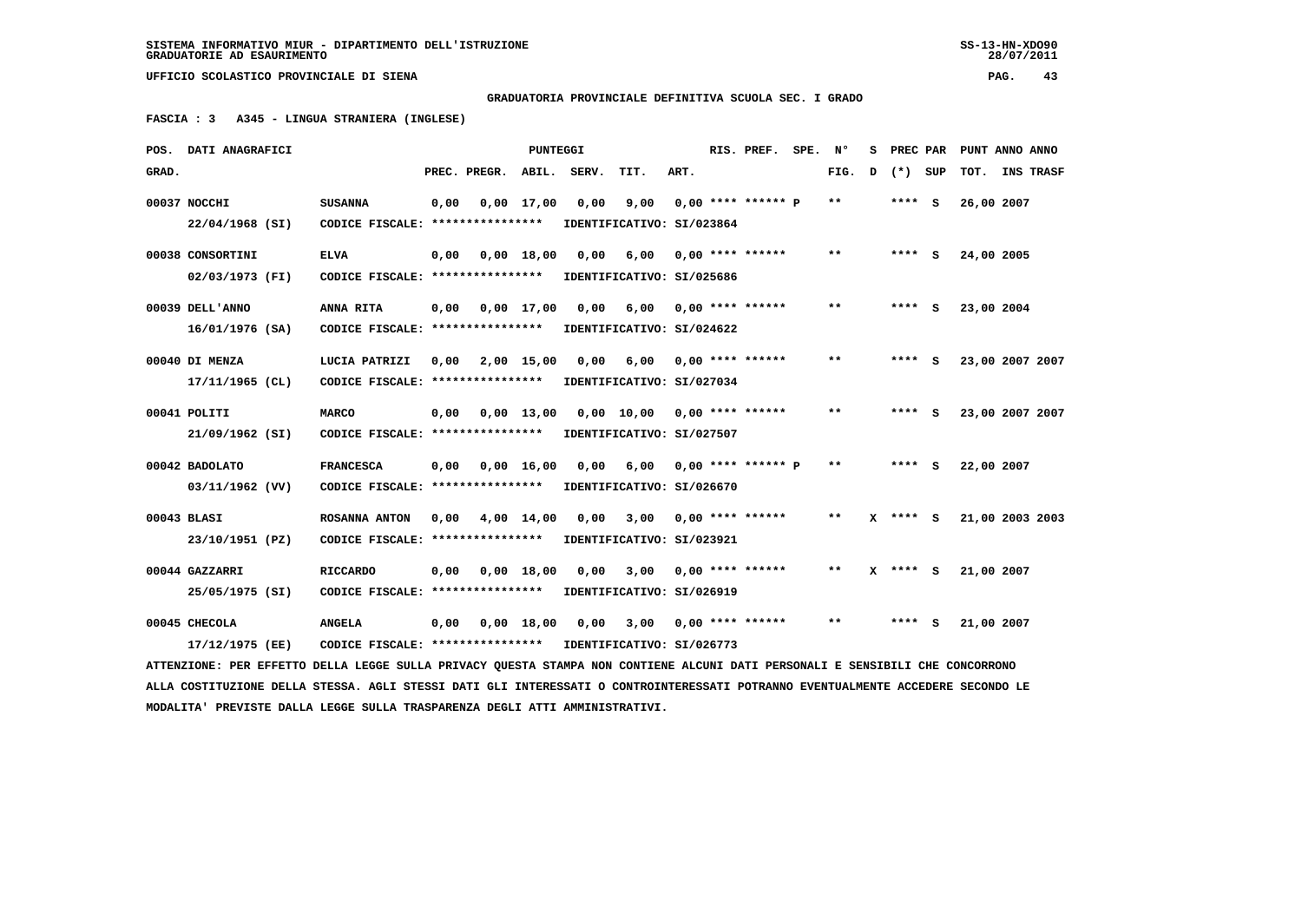28/07/2011

 **UFFICIO SCOLASTICO PROVINCIALE DI SIENA PAG. 43**

 **GRADUATORIA PROVINCIALE DEFINITIVA SCUOLA SEC. I GRADO**

 **FASCIA : 3 A345 - LINGUA STRANIERA (INGLESE)**

|       | POS. DATI ANAGRAFICI                                                                                                            |                                   |      |              | PUNTEGGI           |                                          |                            |      | RIS. PREF.           | SPE. | Ν°    | s |              |     | PREC PAR PUNT ANNO ANNO |                  |  |
|-------|---------------------------------------------------------------------------------------------------------------------------------|-----------------------------------|------|--------------|--------------------|------------------------------------------|----------------------------|------|----------------------|------|-------|---|--------------|-----|-------------------------|------------------|--|
| GRAD. |                                                                                                                                 |                                   |      | PREC. PREGR. | ABIL.              | SERV.                                    | TIT.                       | ART. |                      |      | FIG.  | D | $(*)$        | SUP | TOT.                    | <b>INS TRASF</b> |  |
|       | 00037 NOCCHI                                                                                                                    | <b>SUSANNA</b>                    | 0,00 |              | $0,00 \quad 17,00$ | 0,00                                     | 9,00                       |      | $0.00$ **** ****** P |      | $***$ |   | $***$ S      |     | 26,00 2007              |                  |  |
|       | 22/04/1968 (SI)                                                                                                                 | CODICE FISCALE: ****************  |      |              |                    |                                          | IDENTIFICATIVO: SI/023864  |      |                      |      |       |   |              |     |                         |                  |  |
|       | 00038 CONSORTINI                                                                                                                | <b>ELVA</b>                       | 0,00 |              | 0.00 18.00         | 0,00                                     | 6,00                       |      | $0.00$ **** ******   |      | $***$ |   | $***$ S      |     | 24,00 2005              |                  |  |
|       | 02/03/1973 (FI)                                                                                                                 | CODICE FISCALE: ***************** |      |              |                    |                                          | IDENTIFICATIVO: SI/025686  |      |                      |      |       |   |              |     |                         |                  |  |
|       | 00039 DELL'ANNO                                                                                                                 | ANNA RITA                         | 0,00 | 0,00 17,00   |                    |                                          | 0,00 6,00 0,00 **** ****** |      |                      |      | $***$ |   | $***$ S      |     | 23,00 2004              |                  |  |
|       | $16/01/1976$ (SA)                                                                                                               | CODICE FISCALE: ****************  |      |              |                    |                                          | IDENTIFICATIVO: SI/024622  |      |                      |      |       |   |              |     |                         |                  |  |
|       | 00040 DI MENZA                                                                                                                  | LUCIA PATRIZI                     | 0.00 |              | 2,00 15,00         | 0.00                                     | 6,00                       |      | 0,00 **** ******     |      | $***$ |   | $***$ S      |     | 23,00 2007 2007         |                  |  |
|       | $17/11/1965$ (CL)                                                                                                               | CODICE FISCALE: ****************  |      |              |                    |                                          | IDENTIFICATIVO: SI/027034  |      |                      |      |       |   |              |     |                         |                  |  |
|       | 00041 POLITI                                                                                                                    | <b>MARCO</b>                      | 0,00 |              |                    | $0,00$ 13,00 0,00 10,00 0,00 **** ****** |                            |      |                      |      | $* *$ |   | **** S       |     | 23,00 2007 2007         |                  |  |
|       | 21/09/1962 (SI)                                                                                                                 | CODICE FISCALE: ****************  |      |              |                    |                                          | IDENTIFICATIVO: SI/027507  |      |                      |      |       |   |              |     |                         |                  |  |
|       | 00042 BADOLATO                                                                                                                  | <b>FRANCESCA</b>                  | 0,00 |              | $0,00$ 16,00       |                                          | $0,00$ 6,00                |      | $0,00$ **** ****** P |      | $***$ |   | **** S       |     | 22,00 2007              |                  |  |
|       | 03/11/1962 (VV)                                                                                                                 | CODICE FISCALE: ****************  |      |              |                    |                                          | IDENTIFICATIVO: SI/026670  |      |                      |      |       |   |              |     |                         |                  |  |
|       | 00043 BLASI                                                                                                                     | ROSANNA ANTON                     | 0,00 |              | 4,00 14,00         | 0,00                                     | 3,00                       |      | $0,00$ **** ******   |      | $* *$ |   | $X$ **** $S$ |     | 21,00 2003 2003         |                  |  |
|       | 23/10/1951 (PZ)                                                                                                                 | CODICE FISCALE: ****************  |      |              |                    |                                          | IDENTIFICATIVO: SI/023921  |      |                      |      |       |   |              |     |                         |                  |  |
|       | 00044 GAZZARRI                                                                                                                  | <b>RICCARDO</b>                   | 0,00 |              | 0,00 18,00         | 0,00                                     | 3,00                       |      | $0.00$ **** ******   |      | $* *$ |   | X **** S     |     | 21,00 2007              |                  |  |
|       | 25/05/1975 (SI)                                                                                                                 | CODICE FISCALE: ***************** |      |              |                    |                                          | IDENTIFICATIVO: SI/026919  |      |                      |      |       |   |              |     |                         |                  |  |
|       | 00045 CHECOLA                                                                                                                   | <b>ANGELA</b>                     | 0,00 |              | $0,00$ 18,00       | 0,00                                     | 3,00                       |      | $0,00$ **** ******   |      | $***$ |   | $***$ S      |     | 21,00 2007              |                  |  |
|       | 17/12/1975 (EE)                                                                                                                 | CODICE FISCALE: ****************  |      |              |                    |                                          | IDENTIFICATIVO: SI/026773  |      |                      |      |       |   |              |     |                         |                  |  |
|       | ATTENZIONE: PER EFFETTO DELLA LEGGE SULLA PRIVACY OUESTA STAMPA NON CONTIENE ALCUNI DATI PERSONALI E SENSIBILI CHE CONCORRONO   |                                   |      |              |                    |                                          |                            |      |                      |      |       |   |              |     |                         |                  |  |
|       | ALLA COSTITUZIONE DELLA STESSA. AGLI STESSI DATI GLI INTERESSATI O CONTROINTERESSATI POTRANNO EVENTUALMENTE ACCEDERE SECONDO LE |                                   |      |              |                    |                                          |                            |      |                      |      |       |   |              |     |                         |                  |  |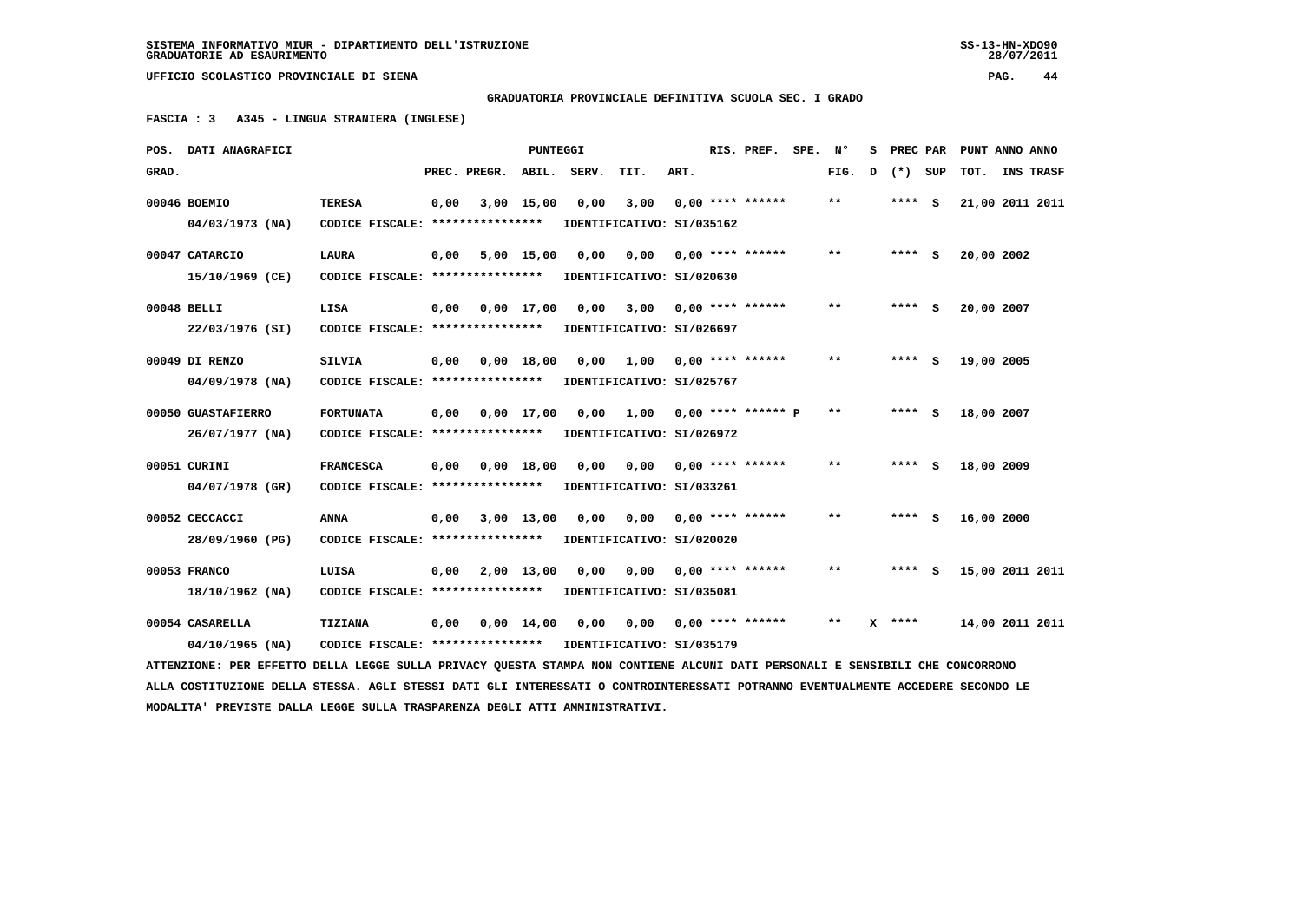28/07/2011

 **UFFICIO SCOLASTICO PROVINCIALE DI SIENA PAG. 44**

 **GRADUATORIA PROVINCIALE DEFINITIVA SCUOLA SEC. I GRADO**

 **FASCIA : 3 A345 - LINGUA STRANIERA (INGLESE)**

|       | POS. DATI ANAGRAFICI                                                                                                            |                                                            |      |                    | PUNTEGGI     |       |                           |      | RIS. PREF. SPE.           | $\mathbf{N}^{\mathsf{o}}$ | s |          | PREC PAR PUNT ANNO ANNO |           |
|-------|---------------------------------------------------------------------------------------------------------------------------------|------------------------------------------------------------|------|--------------------|--------------|-------|---------------------------|------|---------------------------|---------------------------|---|----------|-------------------------|-----------|
| GRAD. |                                                                                                                                 |                                                            |      | PREC. PREGR. ABIL. |              | SERV. | TIT.                      | ART. |                           | FIG.                      | D | (*) SUP  | TOT.                    | INS TRASF |
|       | 00046 BOEMIO                                                                                                                    | <b>TERESA</b>                                              | 0,00 |                    | $3,00$ 15,00 | 0,00  | 3,00                      |      | $0,00$ **** ******        | $* *$                     |   | **** S   | 21,00 2011 2011         |           |
|       | $04/03/1973$ (NA)                                                                                                               | CODICE FISCALE: ****************                           |      |                    |              |       | IDENTIFICATIVO: SI/035162 |      |                           |                           |   |          |                         |           |
|       | 00047 CATARCIO                                                                                                                  | <b>LAURA</b>                                               | 0,00 |                    | 5,00 15,00   | 0.00  | 0,00                      |      | $0,00$ **** ******        | $* *$                     |   | $***$ S  | 20,00 2002              |           |
|       | 15/10/1969 (CE)                                                                                                                 | CODICE FISCALE: ****************                           |      |                    |              |       | IDENTIFICATIVO: SI/020630 |      |                           |                           |   |          |                         |           |
|       | 00048 BELLI                                                                                                                     | LISA                                                       | 0,00 |                    | 0,00 17,00   | 0,00  | $3,00$ 0,00 **** ******   |      |                           | $* *$                     |   | **** S   | 20,00 2007              |           |
|       | 22/03/1976 (SI)                                                                                                                 | CODICE FISCALE: ****************                           |      |                    |              |       | IDENTIFICATIVO: SI/026697 |      |                           |                           |   |          |                         |           |
|       | 00049 DI RENZO                                                                                                                  | SILVIA                                                     | 0,00 |                    | 0,00 18,00   | 0,00  | 1,00                      |      | $0,00$ **** ******        | $* *$                     |   | **** S   | 19,00 2005              |           |
|       | $04/09/1978$ (NA)                                                                                                               | CODICE FISCALE: *****************                          |      |                    |              |       | IDENTIFICATIVO: SI/025767 |      |                           |                           |   |          |                         |           |
|       | 00050 GUASTAFIERRO                                                                                                              | <b>FORTUNATA</b>                                           | 0,00 | 0,00 17,00         |              | 0,00  | 1,00 0,00 **** ****** P   |      |                           | $* *$                     |   | **** S   | 18,00 2007              |           |
|       | 26/07/1977 (NA)                                                                                                                 | CODICE FISCALE: ****************                           |      |                    |              |       | IDENTIFICATIVO: SI/026972 |      |                           |                           |   |          |                         |           |
|       | 00051 CURINI                                                                                                                    | <b>FRANCESCA</b>                                           | 0,00 |                    | $0,00$ 18,00 | 0.00  | 0,00                      |      | $0,00$ **** ******        | $***$                     |   | $***$ S  | 18,00 2009              |           |
|       | 04/07/1978 (GR)                                                                                                                 | CODICE FISCALE: ****************                           |      |                    |              |       | IDENTIFICATIVO: SI/033261 |      |                           |                           |   |          |                         |           |
|       | 00052 CECCACCI                                                                                                                  | <b>ANNA</b>                                                | 0,00 | 3,00 13,00         |              | 0.00  |                           |      | $0.00$ $0.00$ **** ****** | $* *$                     |   | **** S   | 16,00 2000              |           |
|       | 28/09/1960 (PG)                                                                                                                 | CODICE FISCALE: ****************                           |      |                    |              |       | IDENTIFICATIVO: SI/020020 |      |                           |                           |   |          |                         |           |
|       | 00053 FRANCO                                                                                                                    | LUISA                                                      | 0,00 |                    | 2,00 13,00   | 0.00  | 0,00                      |      | $0,00$ **** ******        | $* *$                     |   | **** S   | 15,00 2011 2011         |           |
|       | 18/10/1962 (NA)                                                                                                                 | CODICE FISCALE: ****************                           |      |                    |              |       | IDENTIFICATIVO: SI/035081 |      |                           |                           |   |          |                         |           |
|       | 00054 CASARELLA                                                                                                                 | TIZIANA                                                    | 0,00 |                    | 0,00 14,00   | 0,00  |                           |      |                           | $***$                     |   | $X$ **** | 14,00 2011 2011         |           |
|       | $04/10/1965$ (NA)                                                                                                               | CODICE FISCALE: **************** IDENTIFICATIVO: SI/035179 |      |                    |              |       |                           |      |                           |                           |   |          |                         |           |
|       | ATTENZIONE: PER EFFETTO DELLA LEGGE SULLA PRIVACY QUESTA STAMPA NON CONTIENE ALCUNI DATI PERSONALI E SENSIBILI CHE CONCORRONO   |                                                            |      |                    |              |       |                           |      |                           |                           |   |          |                         |           |
|       | ALLA COSTITUZIONE DELLA STESSA. AGLI STESSI DATI GLI INTERESSATI O CONTROINTERESSATI POTRANNO EVENTUALMENTE ACCEDERE SECONDO LE |                                                            |      |                    |              |       |                           |      |                           |                           |   |          |                         |           |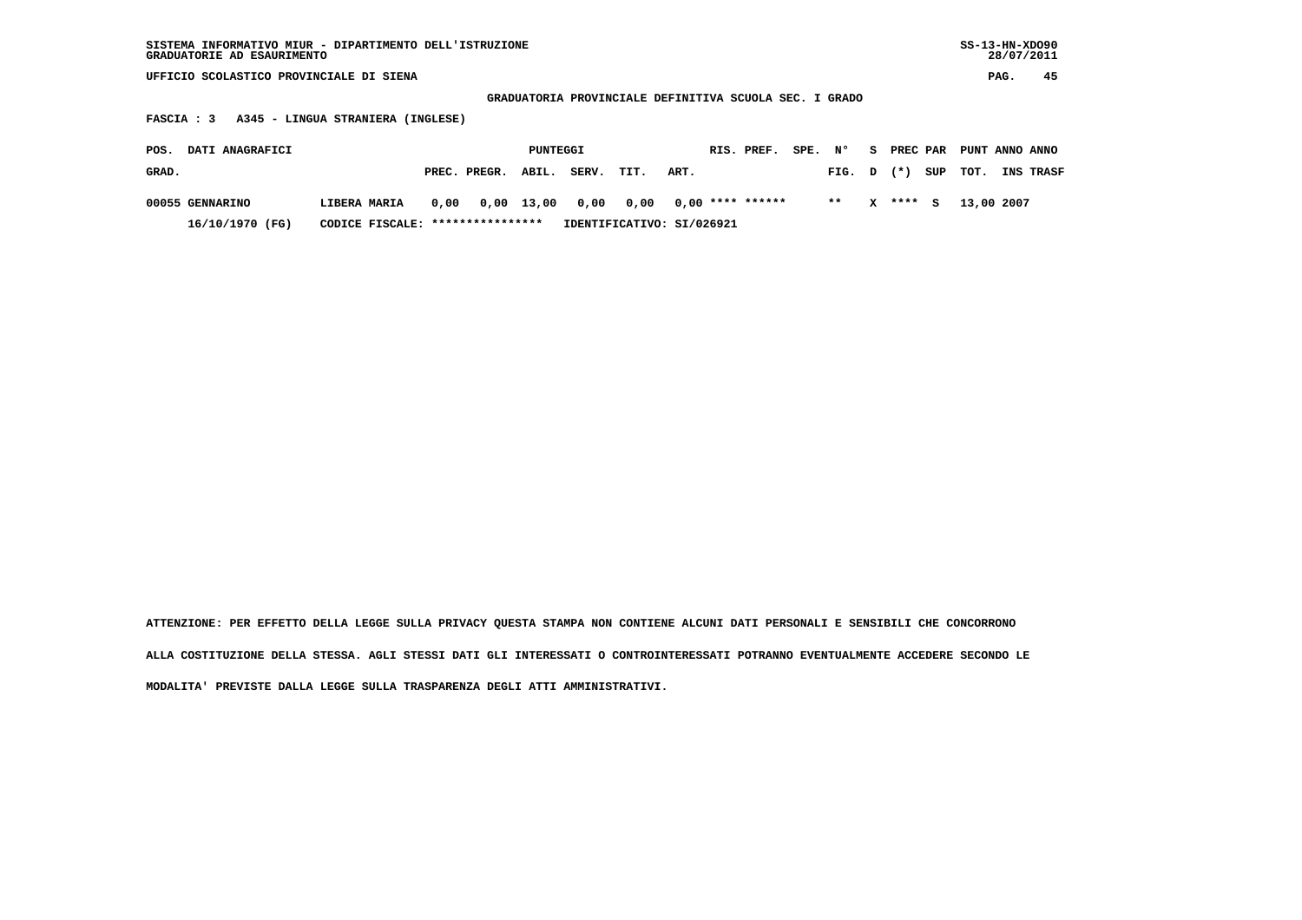| SISTEMA INFORMATIVO MIUR - DIPARTIMENTO DELL'ISTRUZIONE<br>GRADUATORIE AD ESAURIMENTO |                       |                           |                                                        |               |               | $SS-13-HN-XDO90$<br>28/07/2011 |
|---------------------------------------------------------------------------------------|-----------------------|---------------------------|--------------------------------------------------------|---------------|---------------|--------------------------------|
| UFFICIO SCOLASTICO PROVINCIALE DI SIENA                                               |                       |                           |                                                        |               |               | 45<br>PAG.                     |
|                                                                                       |                       |                           | GRADUATORIA PROVINCIALE DEFINITIVA SCUOLA SEC. I GRADO |               |               |                                |
| A345 - LINGUA STRANIERA<br><b>FASCIA : 3</b>                                          | (INGLESE)             |                           |                                                        |               |               |                                |
| DATI ANAGRAFICI<br>POS.                                                               |                       | PUNTEGGI                  | RIS. PREF.                                             | SPE. N°<br>S. | PREC PAR      | PUNT ANNO ANNO                 |
| GRAD.                                                                                 | PREC. PREGR.<br>ABIL. | SERV.<br>TIT.             | ART.                                                   | FIG. D        | $(* )$<br>SUP | тот.<br><b>INS TRASF</b>       |
| 00055 GENNARINO<br>LIBERA MARIA                                                       | $0,00$ 13,00<br>0.00  | 0,00<br>0,00              | $0.00$ **** ******                                     | $* *$<br>x    | ****<br>s     | 13,00 2007                     |
| 16/10/1970 (FG)<br>CODICE FISCALE:                                                    | ****************      | IDENTIFICATIVO: SI/026921 |                                                        |               |               |                                |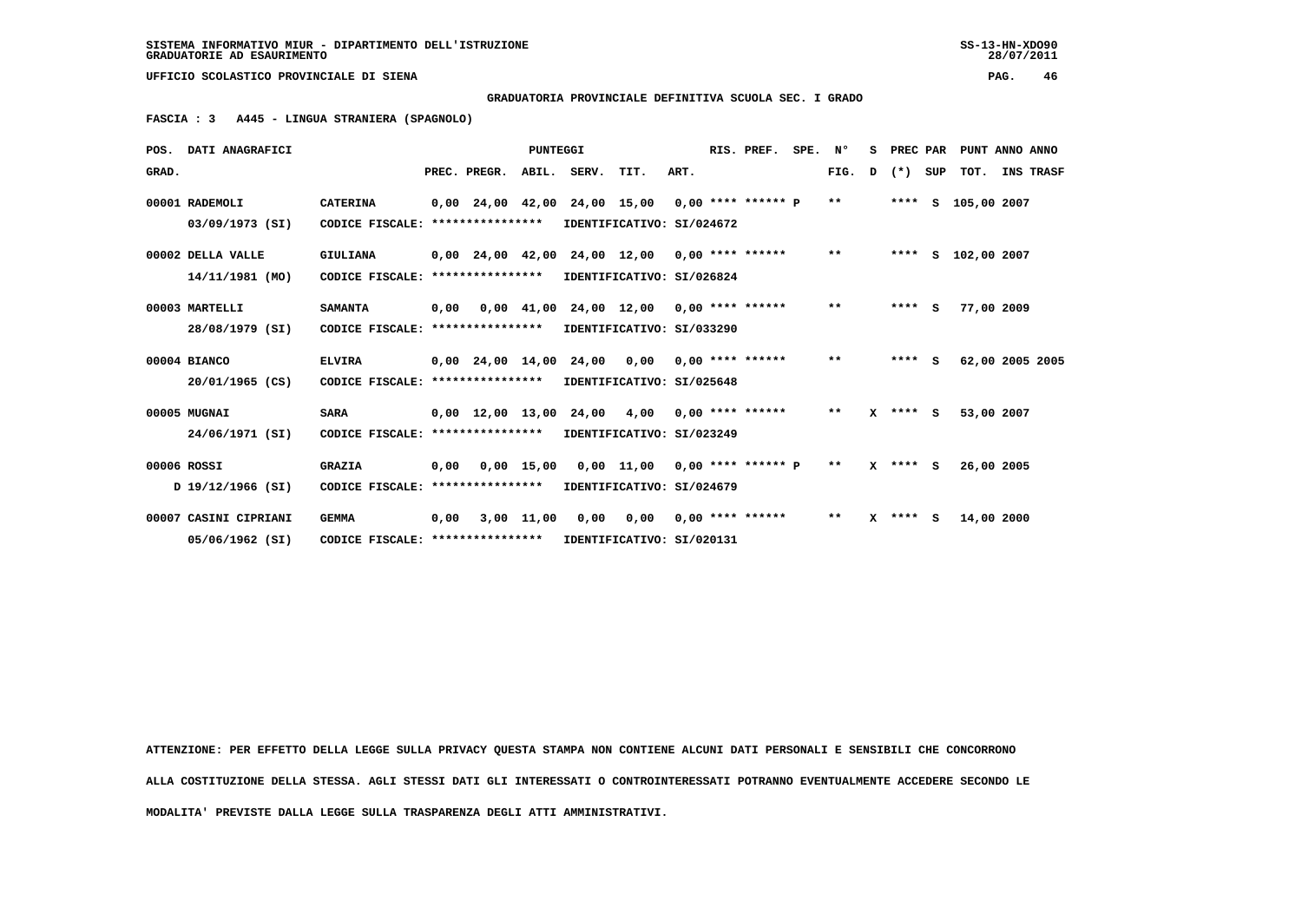**GRADUATORIA PROVINCIALE DEFINITIVA SCUOLA SEC. I GRADO**

 **FASCIA : 3 A445 - LINGUA STRANIERA (SPAGNOLO)**

|       | POS. DATI ANAGRAFICI  |                                   |      |                                                   | <b>PUNTEGGI</b> |                                            |                           |      | RIS. PREF.         | SPE. | N°           | s | PREC PAR   |     | PUNT ANNO ANNO     |           |
|-------|-----------------------|-----------------------------------|------|---------------------------------------------------|-----------------|--------------------------------------------|---------------------------|------|--------------------|------|--------------|---|------------|-----|--------------------|-----------|
| GRAD. |                       |                                   |      | PREC. PREGR.                                      |                 | ABIL. SERV.                                | TIT.                      | ART. |                    |      | FIG.         | D | $(* )$     | SUP | тот.               | INS TRASF |
|       | 00001 RADEMOLI        | <b>CATERINA</b>                   |      | $0,00$ 24,00 42,00 24,00 15,00 0,00 **** ****** P |                 |                                            |                           |      |                    |      | $* *$        |   |            |     | **** S 105,00 2007 |           |
|       | 03/09/1973 (SI)       | CODICE FISCALE: ****************  |      |                                                   |                 |                                            | IDENTIFICATIVO: SI/024672 |      |                    |      |              |   |            |     |                    |           |
|       | 00002 DELLA VALLE     | GIULIANA                          |      | $0,00$ 24,00 42,00 24,00 12,00 0,00 **** ******   |                 |                                            |                           |      |                    |      | $***$        |   |            |     | **** S 102,00 2007 |           |
|       | 14/11/1981 (MO)       | CODICE FISCALE:                   |      | ****************                                  |                 |                                            | IDENTIFICATIVO: SI/026824 |      |                    |      |              |   |            |     |                    |           |
|       | 00003 MARTELLI        | <b>SAMANTA</b>                    | 0,00 |                                                   |                 | $0,00$ 41,00 24,00 12,00 0,00 **** ******  |                           |      |                    |      | $***$        |   | $***$ S    |     | 77,00 2009         |           |
|       | 28/08/1979 (SI)       | CODICE FISCALE: ****************  |      |                                                   |                 |                                            | IDENTIFICATIVO: SI/033290 |      |                    |      |              |   |            |     |                    |           |
|       | 00004 BIANCO          | <b>ELVIRA</b>                     |      | 0,00 24,00 14,00 24,00 0,00                       |                 |                                            |                           |      | $0.00$ **** ****** |      | $***$        |   | $***5$     |     | 62,00 2005 2005    |           |
|       | 20/01/1965 (CS)       | CODICE FISCALE: ****************  |      |                                                   |                 |                                            | IDENTIFICATIVO: SI/025648 |      |                    |      |              |   |            |     |                    |           |
|       | 00005 MUGNAI          | <b>SARA</b>                       |      | $0,00$ 12,00 13,00 24,00 4,00 0,00 **** ******    |                 |                                            |                           |      |                    |      | $\star\star$ |   | $X$ **** S |     | 53,00 2007         |           |
|       | 24/06/1971 (SI)       | CODICE FISCALE: ****************  |      |                                                   |                 |                                            | IDENTIFICATIVO: SI/023249 |      |                    |      |              |   |            |     |                    |           |
|       | 00006 ROSSI           | <b>GRAZIA</b>                     | 0,00 |                                                   |                 | $0,00$ 15,00 0,00 11,00 0,00 **** ****** P |                           |      |                    |      | $\star\star$ |   | $X$ **** S |     | 26,00 2005         |           |
|       | D 19/12/1966 (SI)     | CODICE FISCALE: ****************  |      |                                                   |                 |                                            | IDENTIFICATIVO: SI/024679 |      |                    |      |              |   |            |     |                    |           |
|       | 00007 CASINI CIPRIANI | <b>GEMMA</b>                      | 0.00 |                                                   |                 | 3,00 11,00 0,00 0,00                       |                           |      | $0.00$ **** ****** |      | $***$        |   | $X$ **** S |     | 14,00 2000         |           |
|       | 05/06/1962 (SI)       | CODICE FISCALE: ***************** |      |                                                   |                 |                                            | IDENTIFICATIVO: SI/020131 |      |                    |      |              |   |            |     |                    |           |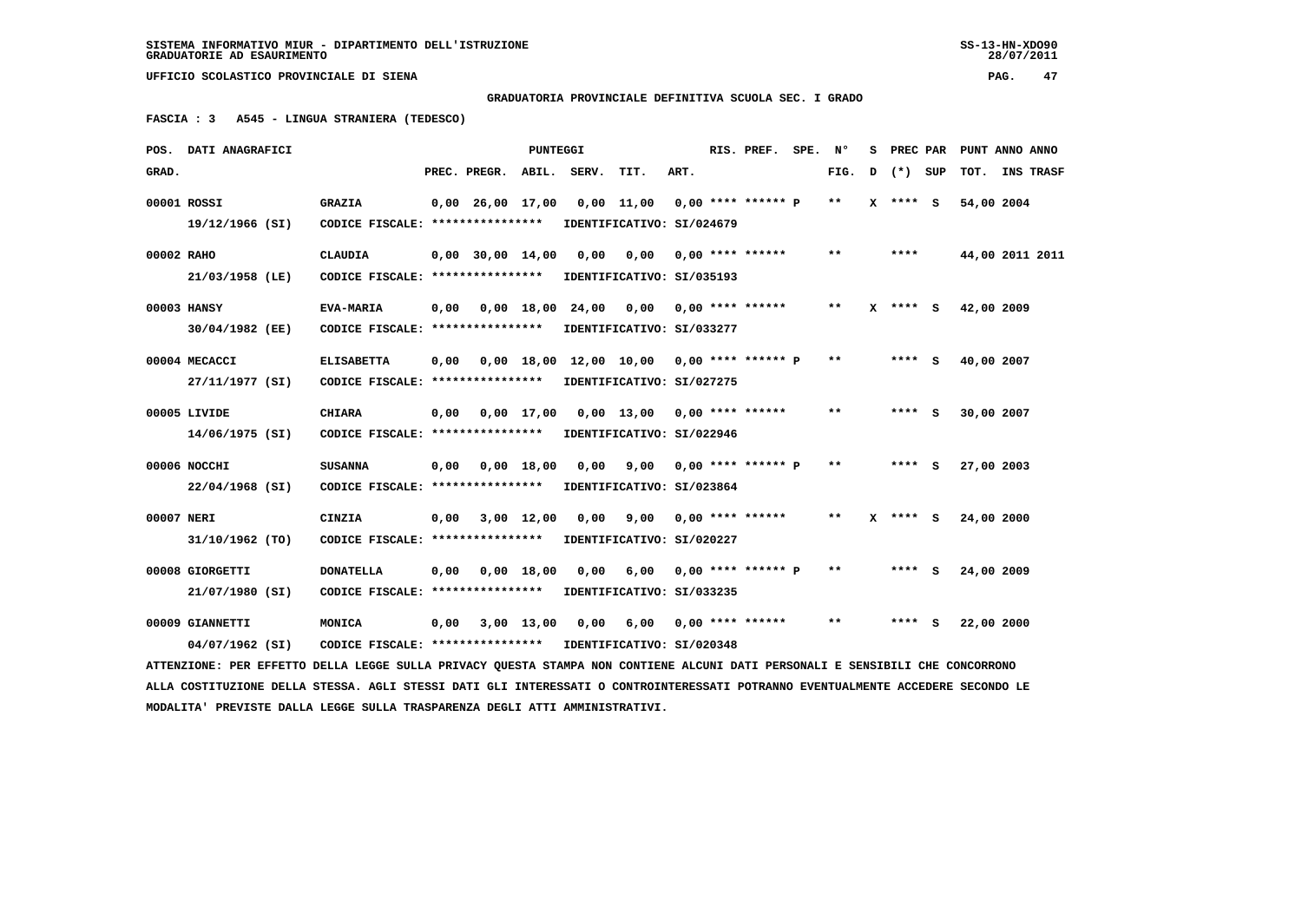**GRADUATORIA PROVINCIALE DEFINITIVA SCUOLA SEC. I GRADO**

 **FASCIA : 3 A545 - LINGUA STRANIERA (TEDESCO)**

|            | POS. DATI ANAGRAFICI                                                                                                            |                                                            |      |                                | <b>PUNTEGGI</b> |      |                                                    |      | RIS. PREF. SPE. Nº      |              |   |              | S PREC PAR PUNT ANNO ANNO |  |
|------------|---------------------------------------------------------------------------------------------------------------------------------|------------------------------------------------------------|------|--------------------------------|-----------------|------|----------------------------------------------------|------|-------------------------|--------------|---|--------------|---------------------------|--|
| GRAD.      |                                                                                                                                 |                                                            |      | PREC. PREGR. ABIL. SERV.       |                 |      | TIT.                                               | ART. |                         | FIG.         | D | (*) SUP      | TOT. INS TRASF            |  |
|            | 00001 ROSSI                                                                                                                     | <b>GRAZIA</b>                                              |      | $0.00 \quad 26.00 \quad 17.00$ |                 |      | 0,00 11,00 0,00 **** ****** P                      |      |                         | $\star\star$ |   | $X$ **** $S$ | 54,00 2004                |  |
|            | 19/12/1966 (SI)                                                                                                                 | CODICE FISCALE: *****************                          |      |                                |                 |      | IDENTIFICATIVO: SI/024679                          |      |                         |              |   |              |                           |  |
| 00002 RAHO |                                                                                                                                 | <b>CLAUDIA</b>                                             |      | $0,00$ 30,00 14,00             |                 | 0,00 | 0,00 0,00 **** ******                              |      |                         | $* *$        |   | ****         | 44,00 2011 2011           |  |
|            | 21/03/1958 (LE)                                                                                                                 | CODICE FISCALE: ****************                           |      |                                |                 |      | IDENTIFICATIVO: SI/035193                          |      |                         |              |   |              |                           |  |
|            | 00003 HANSY                                                                                                                     | <b>EVA-MARIA</b>                                           |      |                                |                 |      | 0,00  0,00  18,00  24,00  0,00  0,00  ****  ****** |      |                         | $***$        |   | $X$ **** $S$ | 42,00 2009                |  |
|            | 30/04/1982 (EE)                                                                                                                 | CODICE FISCALE: *****************                          |      |                                |                 |      | IDENTIFICATIVO: SI/033277                          |      |                         |              |   |              |                           |  |
|            | 00004 MECACCI                                                                                                                   | <b>ELISABETTA</b>                                          | 0,00 |                                |                 |      | 0,00 18,00 12,00 10,00 0,00 **** ****** P          |      |                         | $* *$        |   | $***$ S      | 40,00 2007                |  |
|            | 27/11/1977 (SI)                                                                                                                 | CODICE FISCALE: **************** IDENTIFICATIVO: SI/027275 |      |                                |                 |      |                                                    |      |                         |              |   |              |                           |  |
|            | 00005 LIVIDE                                                                                                                    | <b>CHIARA</b>                                              |      |                                |                 |      | 0,00 0,00 17,00 0,00 13,00 0,00 **** ******        |      |                         | $**$         |   | $***$ S      | 30,00 2007                |  |
|            | 14/06/1975 (SI)                                                                                                                 | CODICE FISCALE: ****************                           |      |                                |                 |      | IDENTIFICATIVO: SI/022946                          |      |                         |              |   |              |                           |  |
|            | 00006 NOCCHI                                                                                                                    | <b>SUSANNA</b>                                             | 0,00 |                                | $0,00$ 18,00    |      | $0,00$ $9,00$ $0,00$ **** ****** P                 |      |                         | $* *$        |   | $***$ S      | 27,00 2003                |  |
|            | 22/04/1968 (SI)                                                                                                                 | CODICE FISCALE: ****************                           |      |                                |                 |      | IDENTIFICATIVO: SI/023864                          |      |                         |              |   |              |                           |  |
| 00007 NERI |                                                                                                                                 | <b>CINZIA</b>                                              | 0,00 |                                | 3,00 12,00      | 0,00 |                                                    |      | $9.00$ 0.00 **** ****** | $**$         |   | $X$ **** $S$ | 24,00 2000                |  |
|            | 31/10/1962 (TO)                                                                                                                 | CODICE FISCALE: *****************                          |      |                                |                 |      | IDENTIFICATIVO: SI/020227                          |      |                         |              |   |              |                           |  |
|            | 00008 GIORGETTI                                                                                                                 | <b>DONATELLA</b>                                           | 0,00 |                                | 0.00 18.00      |      | $0.00$ 6.00 0.00 **** ****** P                     |      |                         | $***$        |   | **** S       | 24,00 2009                |  |
|            | 21/07/1980 (SI)                                                                                                                 | CODICE FISCALE: *****************                          |      |                                |                 |      | IDENTIFICATIVO: SI/033235                          |      |                         |              |   |              |                           |  |
|            | 00009 GIANNETTI                                                                                                                 | MONICA                                                     | 0,00 |                                |                 |      | 3,00 13,00 0,00 6,00 0,00 **** ******              |      |                         | $\star\star$ |   | $***$ S      | 22,00 2000                |  |
|            | 04/07/1962 (SI)                                                                                                                 | CODICE FISCALE: **************** IDENTIFICATIVO: SI/020348 |      |                                |                 |      |                                                    |      |                         |              |   |              |                           |  |
|            | ATTENZIONE: PER EFFETTO DELLA LEGGE SULLA PRIVACY QUESTA STAMPA NON CONTIENE ALCUNI DATI PERSONALI E SENSIBILI CHE CONCORRONO   |                                                            |      |                                |                 |      |                                                    |      |                         |              |   |              |                           |  |
|            | ALLA COSTITUZIONE DELLA STESSA. AGLI STESSI DATI GLI INTERESSATI O CONTROINTERESSATI POTRANNO EVENTUALMENTE ACCEDERE SECONDO LE |                                                            |      |                                |                 |      |                                                    |      |                         |              |   |              |                           |  |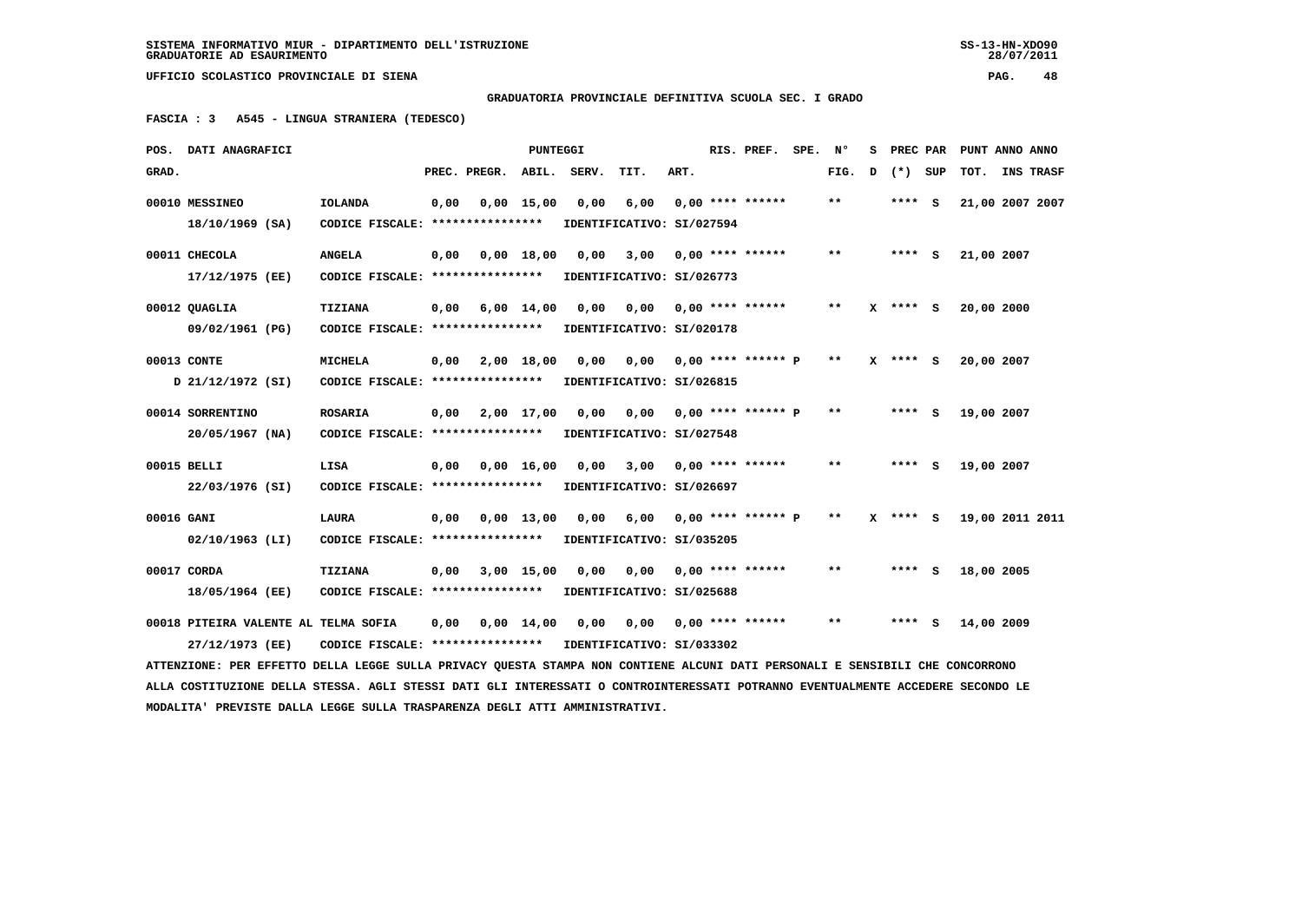28/07/2011

 **UFFICIO SCOLASTICO PROVINCIALE DI SIENA PAG. 48**

 **GRADUATORIA PROVINCIALE DEFINITIVA SCUOLA SEC. I GRADO**

 **FASCIA : 3 A545 - LINGUA STRANIERA (TEDESCO)**

|             | POS. DATI ANAGRAFICI                                    |                                                                             |      |              | <b>PUNTEGGI</b> |             |                                                                     |      | RIS. PREF.                       | SPE. | N°    | s | PREC PAR     | PUNT ANNO ANNO  |                  |  |
|-------------|---------------------------------------------------------|-----------------------------------------------------------------------------|------|--------------|-----------------|-------------|---------------------------------------------------------------------|------|----------------------------------|------|-------|---|--------------|-----------------|------------------|--|
| GRAD.       |                                                         |                                                                             |      | PREC. PREGR. |                 | ABIL. SERV. | TIT.                                                                | ART. |                                  |      | FIG.  | D | $(*)$ SUP    | тот.            | <b>INS TRASF</b> |  |
|             | 00010 MESSINEO<br>$18/10/1969$ (SA)                     | <b>IOLANDA</b><br>CODICE FISCALE: ****************                          | 0,00 |              | $0,00$ 15,00    | 0,00        | 6,00<br>IDENTIFICATIVO: SI/027594                                   |      | $0.00$ **** ******               |      | $**$  |   | **** S       | 21,00 2007 2007 |                  |  |
|             | 00011 CHECOLA<br>17/12/1975 (EE)                        | <b>ANGELA</b><br>CODICE FISCALE: **************** IDENTIFICATIVO: SI/026773 | 0,00 |              | $0,00$ 18,00    | 0,00        |                                                                     |      | $3,00$ 0,00 **** ******          |      | $* *$ |   | $***$ S      | 21,00 2007      |                  |  |
|             | 00012 QUAGLIA<br>09/02/1961 (PG)                        | TIZIANA<br>CODICE FISCALE: ****************                                 | 0,00 |              | $6,00$ 14,00    |             | 0,00 0,00 0,00 **** ******<br>IDENTIFICATIVO: SI/020178             |      |                                  |      | $***$ |   | $X$ **** S   | 20,00 2000      |                  |  |
| 00013 CONTE | D 21/12/1972 (SI)                                       | <b>MICHELA</b><br>CODICE FISCALE: ****************                          | 0,00 |              | 2,00 18,00      | 0,00        | IDENTIFICATIVO: SI/026815                                           |      | $0,00$ $0,00$ **** ****** $P$ ** |      |       |   | $X$ **** S   | 20,00 2007      |                  |  |
|             | 00014 SORRENTINO<br>$20/05/1967$ (NA)                   | <b>ROSARIA</b><br>CODICE FISCALE: ****************                          | 0,00 | 2,00 17,00   |                 | 0.00        | IDENTIFICATIVO: SI/027548                                           |      | 0,00 0,00 **** ****** P          |      | $* *$ |   | $***$ S      | 19,00 2007      |                  |  |
| 00015 BELLI | 22/03/1976 (SI)                                         | LISA<br>CODICE FISCALE: ****************                                    | 0,00 |              | $0,00$ 16,00    | 0,00        | 3,00<br>IDENTIFICATIVO: SI/026697                                   |      | $0,00$ **** ******               |      | $* *$ |   | $***$ S      | 19,00 2007      |                  |  |
| 00016 GANI  | $02/10/1963$ (LI)                                       | LAURA<br>CODICE FISCALE: ****************                                   | 0.00 |              | $0,00$ 13,00    | 0,00        | IDENTIFICATIVO: SI/035205                                           |      | 6,00 0,00 **** ****** P          |      | $* *$ |   | $X$ **** $S$ | 19,00 2011 2011 |                  |  |
|             | 00017 CORDA<br>18/05/1964 (EE)                          | <b>TIZIANA</b><br>CODICE FISCALE: *****************                         | 0,00 |              | 3,00 15,00      | 0,00        | 0,00<br>IDENTIFICATIVO: SI/025688                                   |      | $0.00$ **** ******               |      | $* *$ |   | **** S       | 18,00 2005      |                  |  |
|             | 00018 PITEIRA VALENTE AL TELMA SOFIA<br>27/12/1973 (EE) | CODICE FISCALE: ****************                                            | 0,00 |              | $0,00$ 14,00    |             | $0,00$ $0,00$ $0,00$ $***$ **** ******<br>IDENTIFICATIVO: SI/033302 |      |                                  |      | $**$  |   | **** S       | 14,00 2009      |                  |  |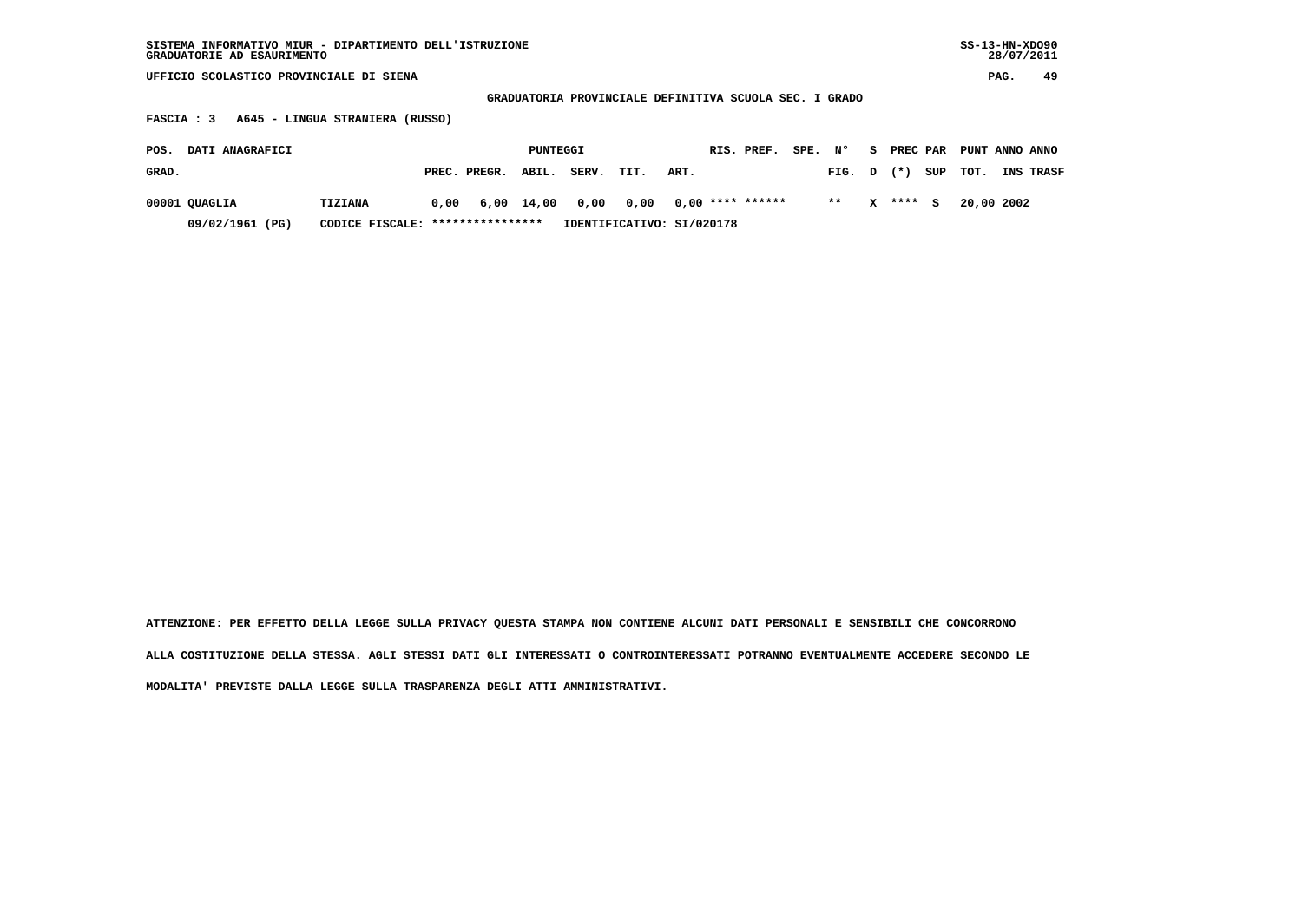| $SS-13-HN-XDO90$<br>SISTEMA INFORMATIVO MIUR - DIPARTIMENTO DELL'ISTRUZIONE<br>GRADUATORIE AD ESAURIMENTO |                                     |                           |                       |            |              |                          |  |  |  |  |
|-----------------------------------------------------------------------------------------------------------|-------------------------------------|---------------------------|-----------------------|------------|--------------|--------------------------|--|--|--|--|
| UFFICIO SCOLASTICO PROVINCIALE DI SIENA                                                                   |                                     |                           |                       |            |              |                          |  |  |  |  |
| GRADUATORIA PROVINCIALE DEFINITIVA SCUOLA SEC. I GRADO                                                    |                                     |                           |                       |            |              |                          |  |  |  |  |
| A645 - LINGUA STRANIERA (RUSSO)<br>FASCIA : 3                                                             |                                     |                           |                       |            |              |                          |  |  |  |  |
| DATI ANAGRAFICI<br>POS.                                                                                   |                                     | PUNTEGGI                  | SPE. N°<br>RIS. PREF. | S.         | PREC PAR     | PUNT ANNO ANNO           |  |  |  |  |
| GRAD.                                                                                                     | PREC. PREGR.<br>ABIL.               | SERV.<br>TIT.<br>ART.     |                       | FIG. D     | SUP<br>$(*)$ | TOT.<br><b>INS TRASF</b> |  |  |  |  |
| 00001 QUAGLIA<br><b>TIZIANA</b>                                                                           | 0.00<br>6,00<br>14,00               | 0,00<br>0,00              | $0,00$ **** ******    | $* *$<br>x | ****<br>s    | 20,00 2002               |  |  |  |  |
| 09/02/1961 (PG)                                                                                           | ****************<br>CODICE FISCALE: | IDENTIFICATIVO: SI/020178 |                       |            |              |                          |  |  |  |  |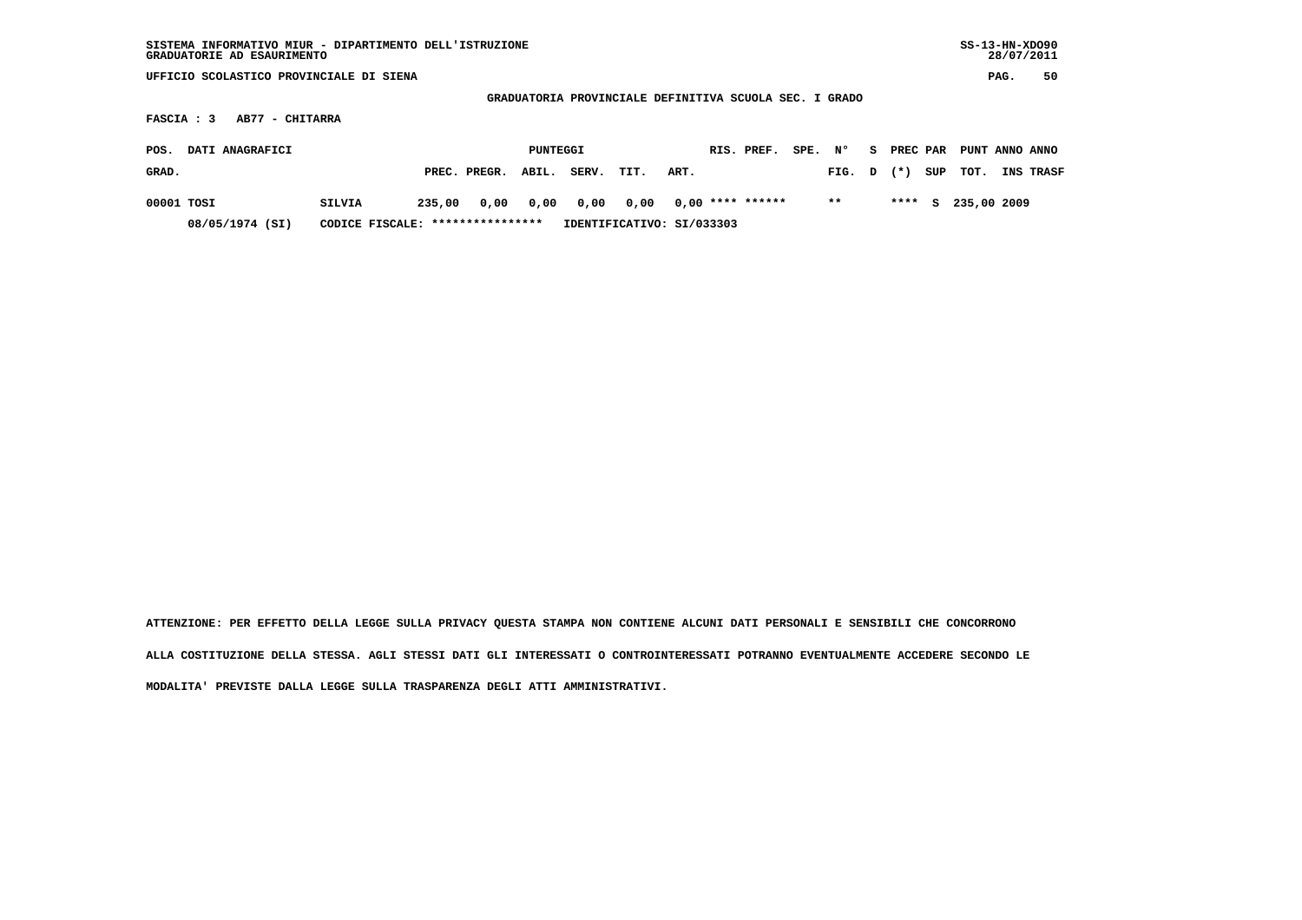| SISTEMA INFORMATIVO MIUR - DIPARTIMENTO DELL'ISTRUZIONE<br>GRADUATORIE AD ESAURIMENTO |                                   |        |              |                       |       |                           |      |  |                    |  | $SS-13-HN-XDO90$<br>28/07/2011 |      |        |     |             |  |           |
|---------------------------------------------------------------------------------------|-----------------------------------|--------|--------------|-----------------------|-------|---------------------------|------|--|--------------------|--|--------------------------------|------|--------|-----|-------------|--|-----------|
| UFFICIO SCOLASTICO PROVINCIALE DI SIENA                                               |                                   |        |              |                       |       |                           |      |  |                    |  |                                | PAG. | 50     |     |             |  |           |
| GRADUATORIA PROVINCIALE DEFINITIVA SCUOLA SEC. I GRADO                                |                                   |        |              |                       |       |                           |      |  |                    |  |                                |      |        |     |             |  |           |
| FASCIA : 3<br>AB77 - CHITARRA                                                         |                                   |        |              |                       |       |                           |      |  |                    |  |                                |      |        |     |             |  |           |
| DATI ANAGRAFICI<br>POS.<br>PUNTEGGI                                                   |                                   |        |              | RIS. PREF.<br>SPE. N° |       |                           |      |  | S PREC PAR         |  | PUNT ANNO ANNO                 |      |        |     |             |  |           |
| GRAD.                                                                                 |                                   |        | PREC. PREGR. | ABIL.                 | SERV. | TIT.                      | ART. |  |                    |  | FIG. D                         |      | $(* )$ | SUP | TOT.        |  | INS TRASF |
| 00001 TOSI                                                                            | <b>SILVIA</b>                     | 235,00 | 0,00         | 0,00                  | 0,00  | 0,00                      |      |  | $0.00$ **** ****** |  | $* *$                          |      | ****   | S.  | 235,00 2009 |  |           |
| 08/05/1974 (SI)                                                                       | CODICE FISCALE: ***************** |        |              |                       |       | IDENTIFICATIVO: SI/033303 |      |  |                    |  |                                |      |        |     |             |  |           |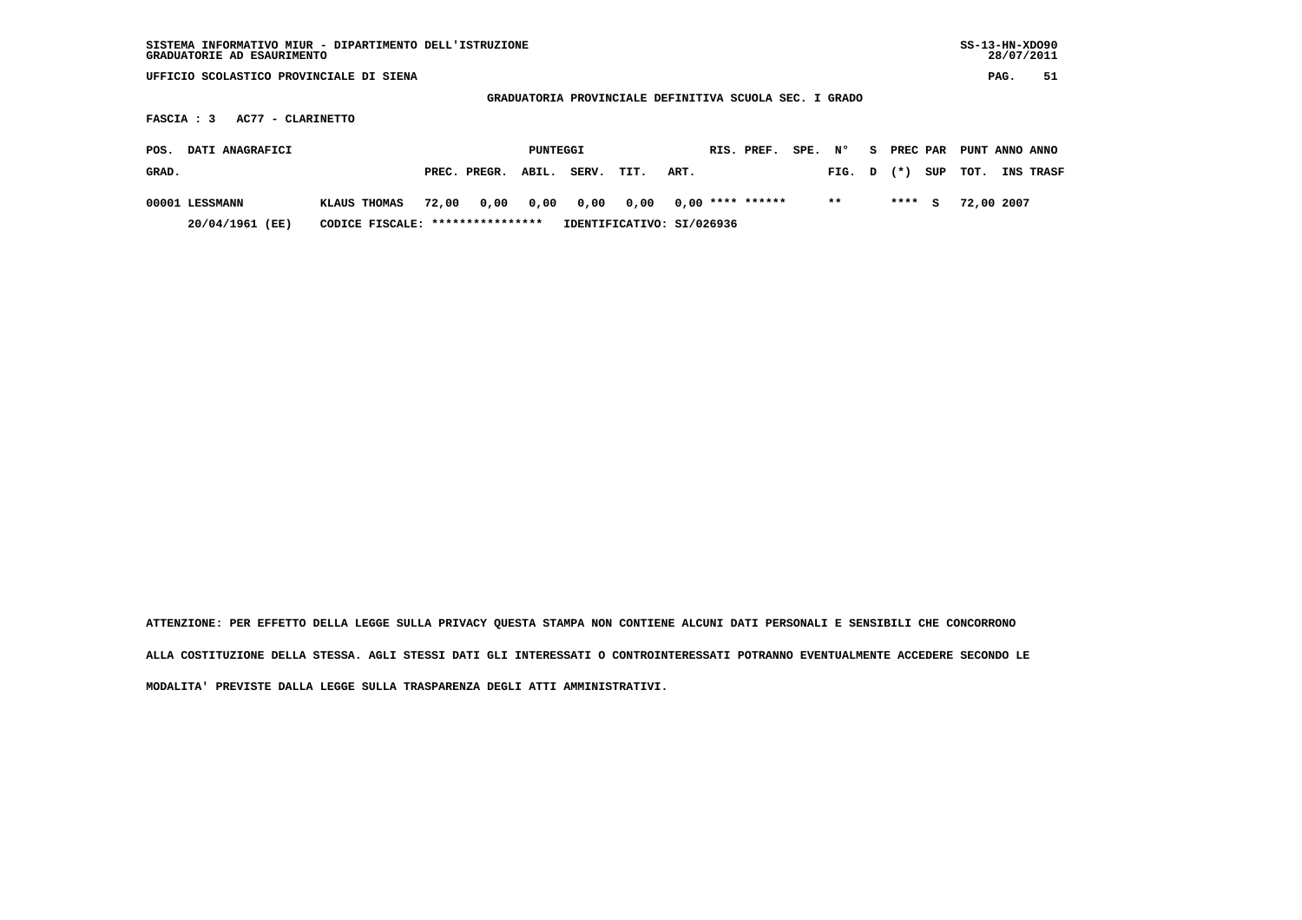| SISTEMA INFORMATIVO MIUR - DIPARTIMENTO DELL'ISTRUZIONE<br>GRADUATORIE AD ESAURIMENTO |                       |                           |                    |                       |                          |  |  |  |  |  |  |
|---------------------------------------------------------------------------------------|-----------------------|---------------------------|--------------------|-----------------------|--------------------------|--|--|--|--|--|--|
| UFFICIO SCOLASTICO PROVINCIALE DI SIENA                                               |                       |                           |                    |                       |                          |  |  |  |  |  |  |
| GRADUATORIA PROVINCIALE DEFINITIVA SCUOLA SEC. I GRADO                                |                       |                           |                    |                       |                          |  |  |  |  |  |  |
| AC77 - CLARINETTO<br>FASCIA : 3                                                       |                       |                           |                    |                       |                          |  |  |  |  |  |  |
| DATI ANAGRAFICI<br>POS.                                                               |                       | PUNTEGGI                  | RIS. PREF.         | SPE. N°<br>S PREC PAR | PUNT ANNO ANNO           |  |  |  |  |  |  |
| GRAD.                                                                                 | PREC. PREGR.<br>ABIL. | SERV.<br>TIT.             | ART.               | $(*)$<br>FIG. D       | SUP<br>TOT.<br>INS TRASF |  |  |  |  |  |  |
| 00001 LESSMANN<br>KLAUS THOMAS                                                        | 0,00<br>0,00<br>72,00 | 0,00<br>0,00              | $0.00$ **** ****** | $* *$<br>****         | 72,00 2007<br>s          |  |  |  |  |  |  |
| 20/04/1961 (EE)<br>CODICE FISCALE:                                                    | ****************      | IDENTIFICATIVO: SI/026936 |                    |                       |                          |  |  |  |  |  |  |